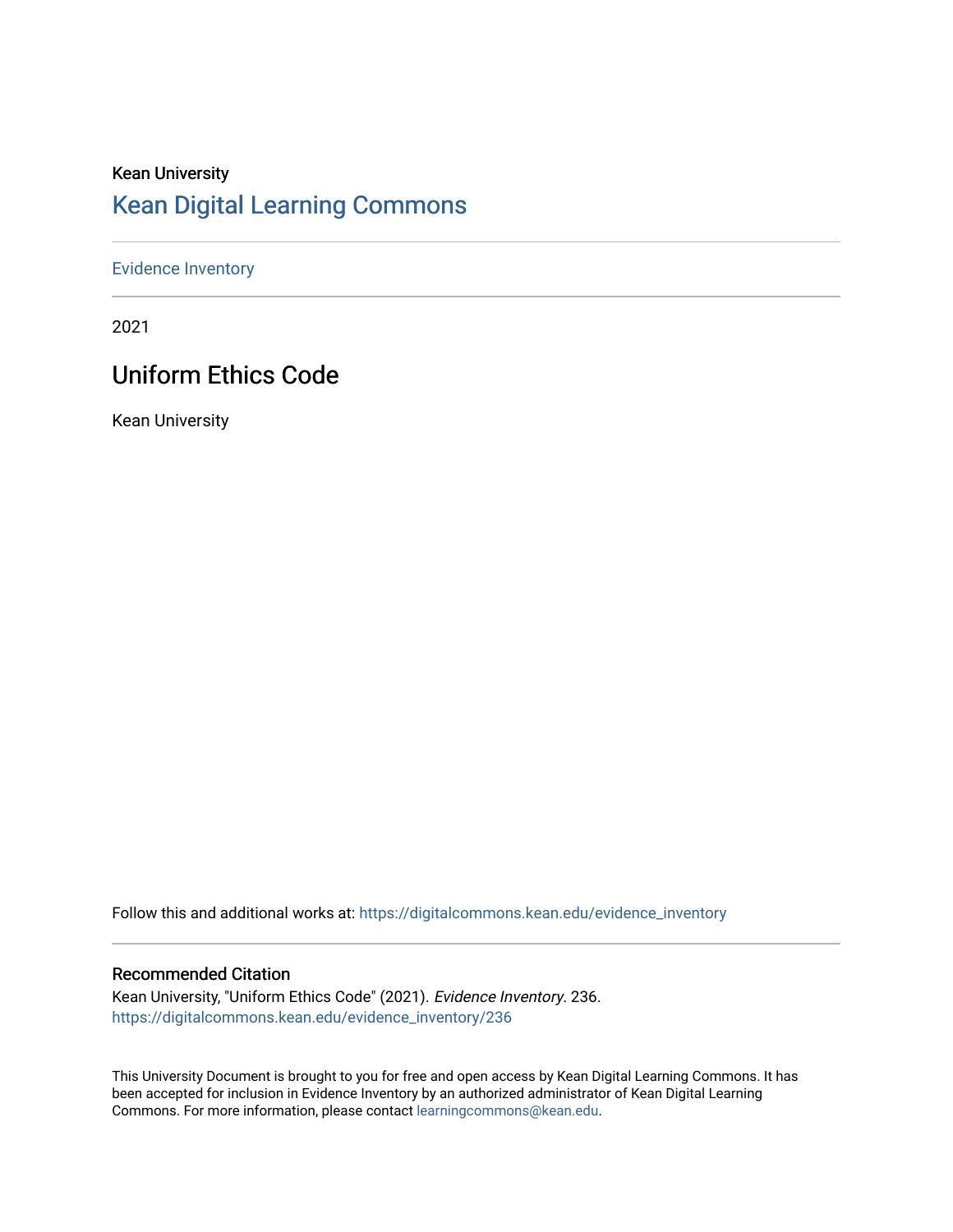# Kean University [Kean Digital Learning Commons](https://digitalcommons.kean.edu/)

#### [Evidence Inventory](https://digitalcommons.kean.edu/evidence_inventory)

2021

# Uniform Ethics Code

Kean University

Follow this and additional works at: [https://digitalcommons.kean.edu/evidence\\_inventory](https://digitalcommons.kean.edu/evidence_inventory?utm_source=digitalcommons.kean.edu%2Fevidence_inventory%2F236&utm_medium=PDF&utm_campaign=PDFCoverPages)

#### Recommended Citation

Kean University, "Uniform Ethics Code" (2021). Evidence Inventory. 236. [https://digitalcommons.kean.edu/evidence\\_inventory/236](https://digitalcommons.kean.edu/evidence_inventory/236?utm_source=digitalcommons.kean.edu%2Fevidence_inventory%2F236&utm_medium=PDF&utm_campaign=PDFCoverPages)

This University Document is brought to you for free and open access by Kean Digital Learning Commons. It has been accepted for inclusion in Evidence Inventory by an authorized administrator of Kean Digital Learning Commons. For more information, please contact [learningcommons@kean.edu.](mailto:learningcommons@kean.edu)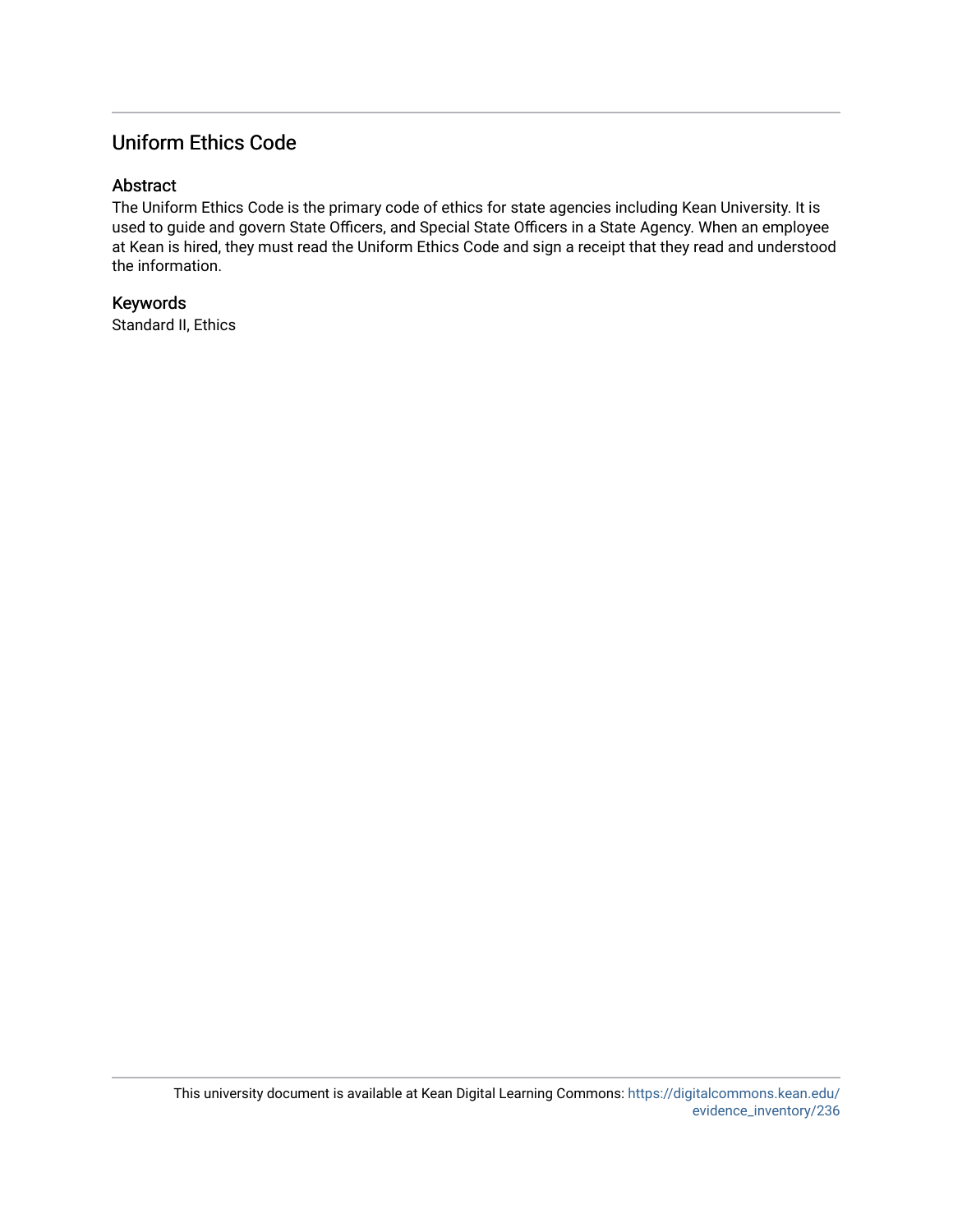# Uniform Ethics Code

#### Abstract

The Uniform Ethics Code is the primary code of ethics for state agencies including Kean University. It is used to guide and govern State Officers, and Special State Officers in a State Agency. When an employee at Kean is hired, they must read the Uniform Ethics Code and sign a receipt that they read and understood the information.

# Keywords

Standard II, Ethics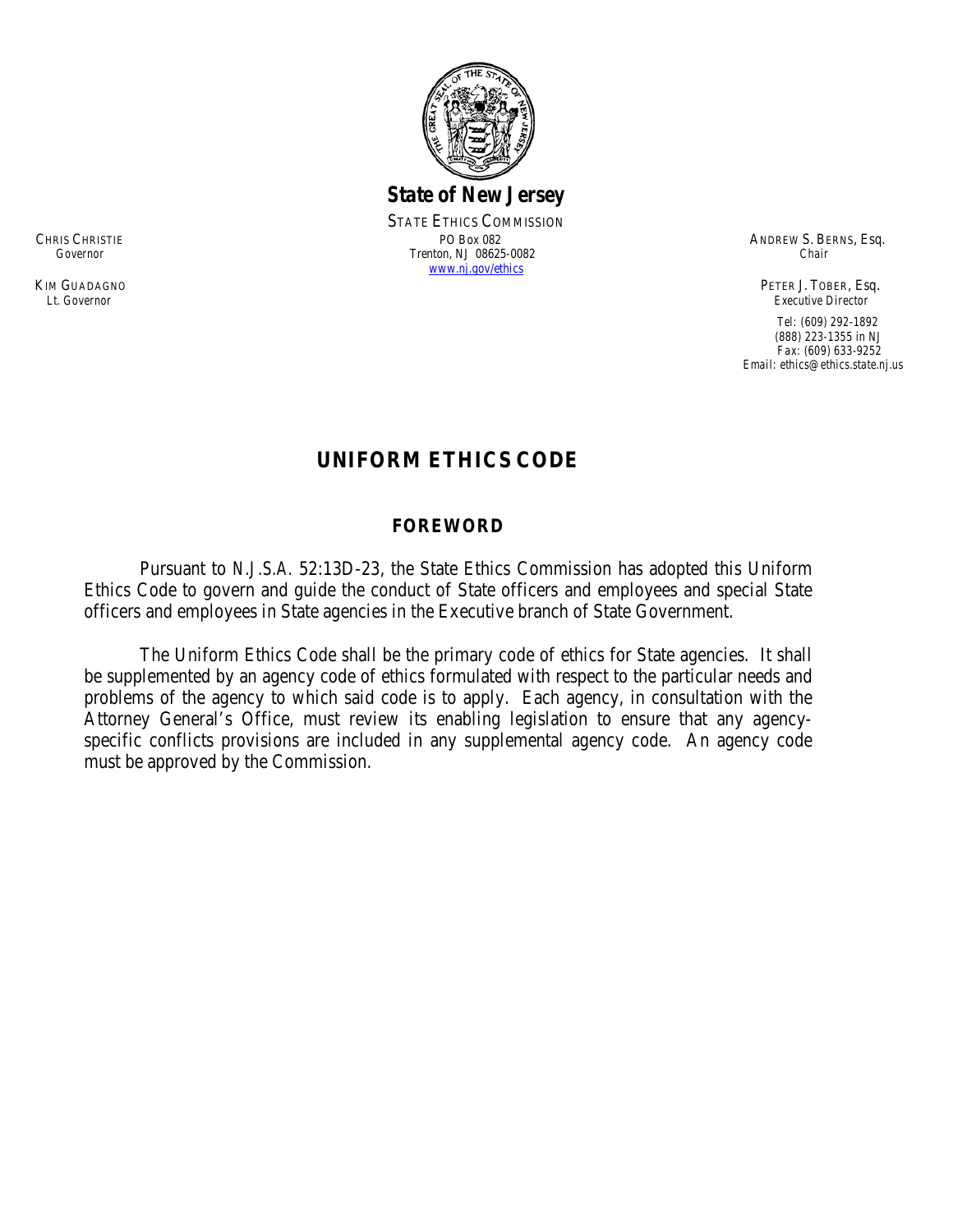

*State of New Jersey*

STATE ETHICS COMMISSION CHRIS CHRISTIE PO Box 082 PO Box 082 ANDREW S. BERNS, Esq. Covernor Changes Changes Chair Changes Chair Chair Chair Chair Chair Chair Chair Chair Chair Chair Chair Chair Chair Chair Chair Chair Chair Chair Chair Chair Chai  *Governor* Trenton, NJ 08625-0082 *Chair* [www.nj.gov/ethics](http://www.nj.gov/ethics)

KIM GUADAGNO PETER J. TOBER, Esq. *Lt. Governor Executive Director*

> *Tel: (609) 292-1892 (888) 223-1355 in NJ Fax: (609) 633-9252 Email: ethics@ethics.state.nj.us*

# **UNIFORM ETHICS CODE**

#### **FOREWORD**

Pursuant to *N.J.S.A.* 52:13D-23, the State Ethics Commission has adopted this Uniform Ethics Code to govern and guide the conduct of State officers and employees and special State officers and employees in State agencies in the Executive branch of State Government.

The Uniform Ethics Code shall be the primary code of ethics for State agencies. It shall be supplemented by an agency code of ethics formulated with respect to the particular needs and problems of the agency to which said code is to apply. Each agency, in consultation with the Attorney General's Office, must review its enabling legislation to ensure that any agencyspecific conflicts provisions are included in any supplemental agency code. An agency code must be approved by the Commission.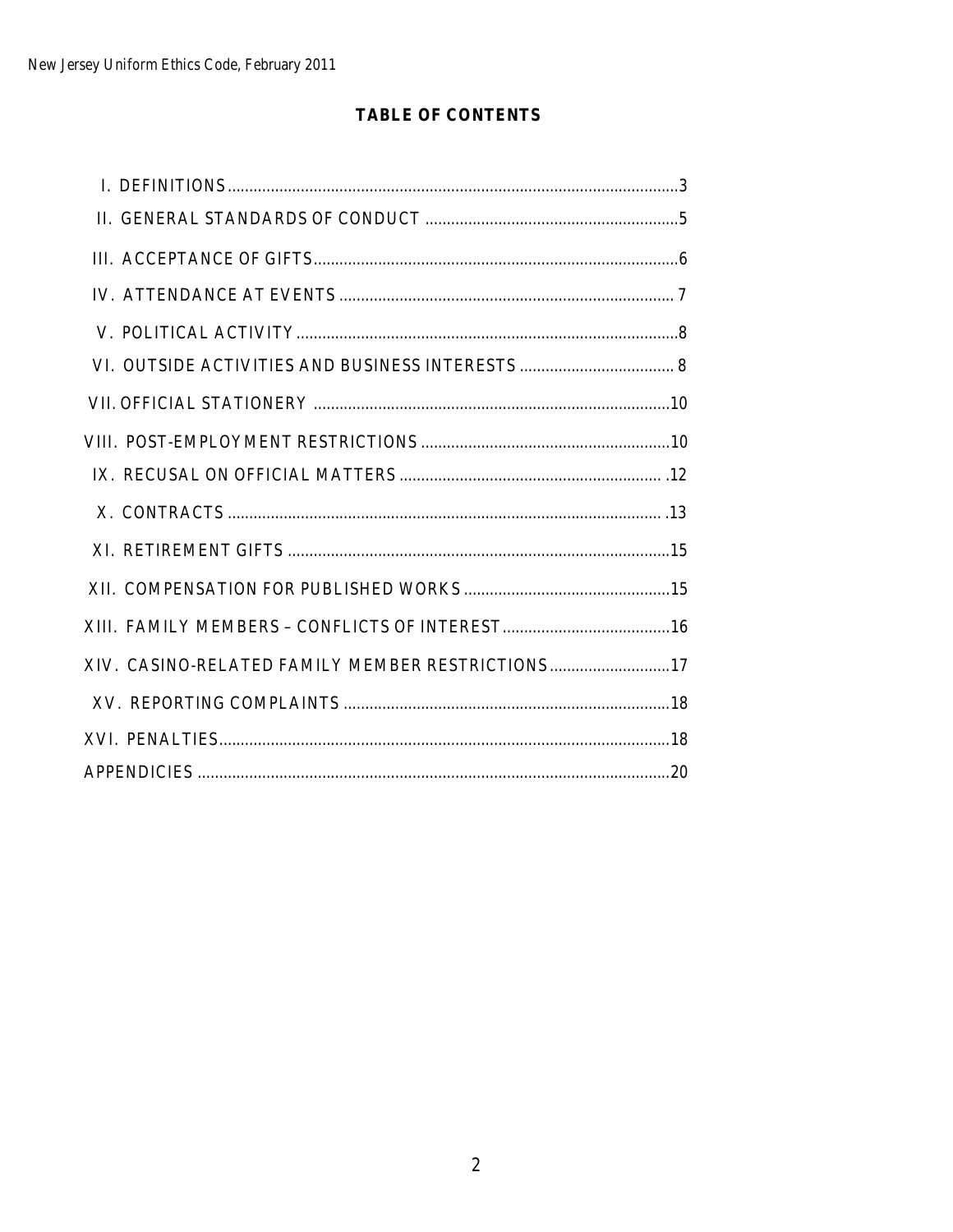# **TABLE OF CONTENTS**

| XIV. CASINO-RELATED FAMILY MEMBER RESTRICTIONS 17 |  |
|---------------------------------------------------|--|
|                                                   |  |
|                                                   |  |
|                                                   |  |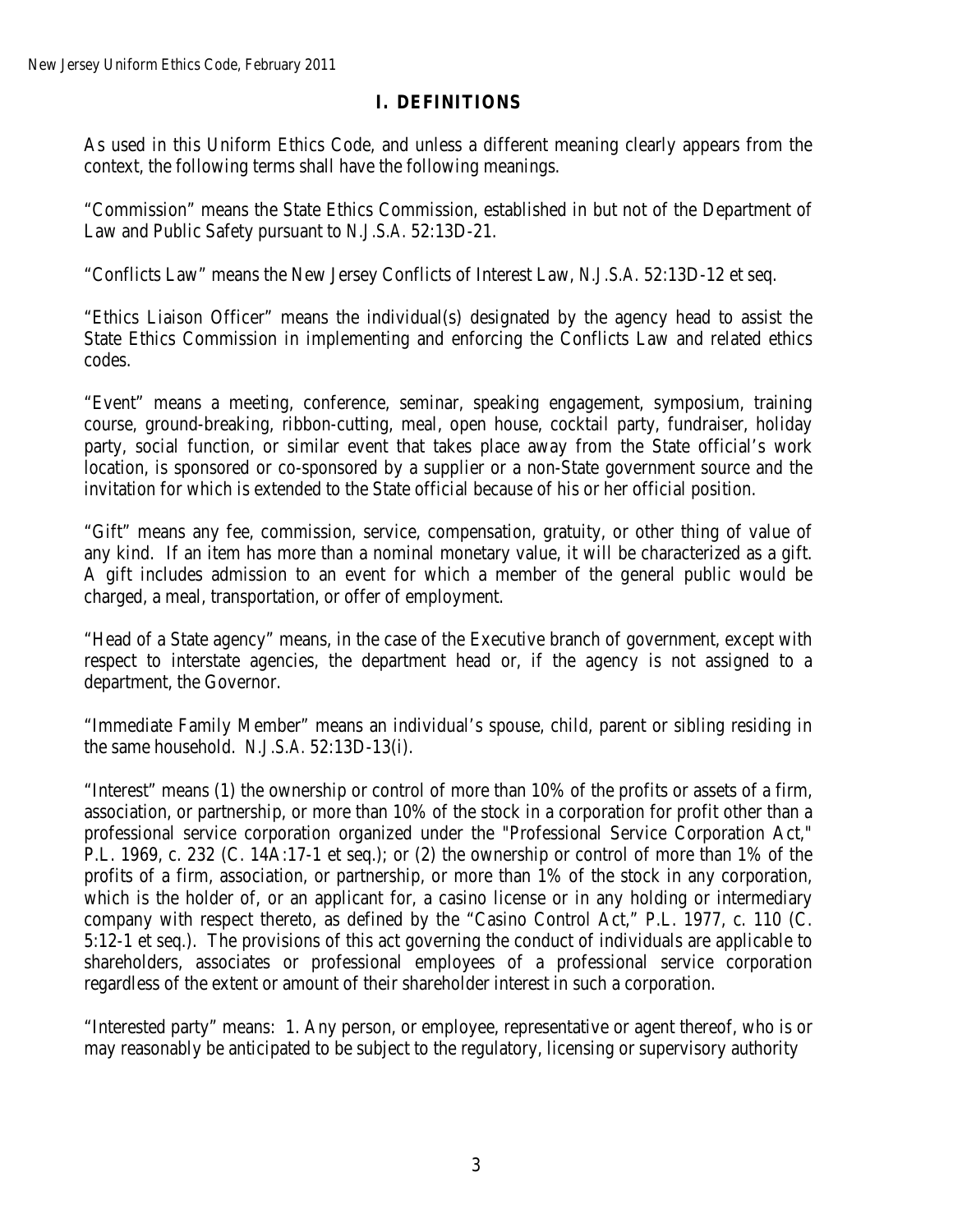# **I. DEFINITIONS**

As used in this Uniform Ethics Code, and unless a different meaning clearly appears from the context, the following terms shall have the following meanings.

"Commission" means the State Ethics Commission, established in but not of the Department of Law and Public Safety pursuant to *N.J.S.A.* 52:13D-21.

"Conflicts Law" means the New Jersey Conflicts of Interest Law, *N.J.S.A.* 52:13D-12 et seq.

"Ethics Liaison Officer" means the individual(s) designated by the agency head to assist the State Ethics Commission in implementing and enforcing the Conflicts Law and related ethics codes.

"Event" means a meeting, conference, seminar, speaking engagement, symposium, training course, ground-breaking, ribbon-cutting, meal, open house, cocktail party, fundraiser, holiday party, social function, or similar event that takes place away from the State official's work location, is sponsored or co-sponsored by a supplier or a non-State government source and the invitation for which is extended to the State official because of his or her official position.

"Gift" means any fee, commission, service, compensation, gratuity, or other thing of value of any kind. If an item has more than a nominal monetary value, it will be characterized as a gift. A gift includes admission to an event for which a member of the general public would be charged, a meal, transportation, or offer of employment.

"Head of a State agency" means, in the case of the Executive branch of government, except with respect to interstate agencies, the department head or, if the agency is not assigned to a department, the Governor.

"Immediate Family Member" means an individual's spouse, child, parent or sibling residing in the same household. *N.J.S.A.* 52:13D-13(i).

"Interest" means (1) the ownership or control of more than 10% of the profits or assets of a firm, association, or partnership, or more than 10% of the stock in a corporation for profit other than a professional service corporation organized under the "Professional Service Corporation Act," P.L. 1969, c. 232 (C. 14A:17-1 et seq.); or (2) the ownership or control of more than 1% of the profits of a firm, association, or partnership, or more than 1% of the stock in any corporation, which is the holder of, or an applicant for, a casino license or in any holding or intermediary company with respect thereto, as defined by the "Casino Control Act," P.L. 1977, c. 110 (C. 5:12-1 et seq.). The provisions of this act governing the conduct of individuals are applicable to shareholders, associates or professional employees of a professional service corporation regardless of the extent or amount of their shareholder interest in such a corporation.

"Interested party" means: 1. Any person, or employee, representative or agent thereof, who is or may reasonably be anticipated to be subject to the regulatory, licensing or supervisory authority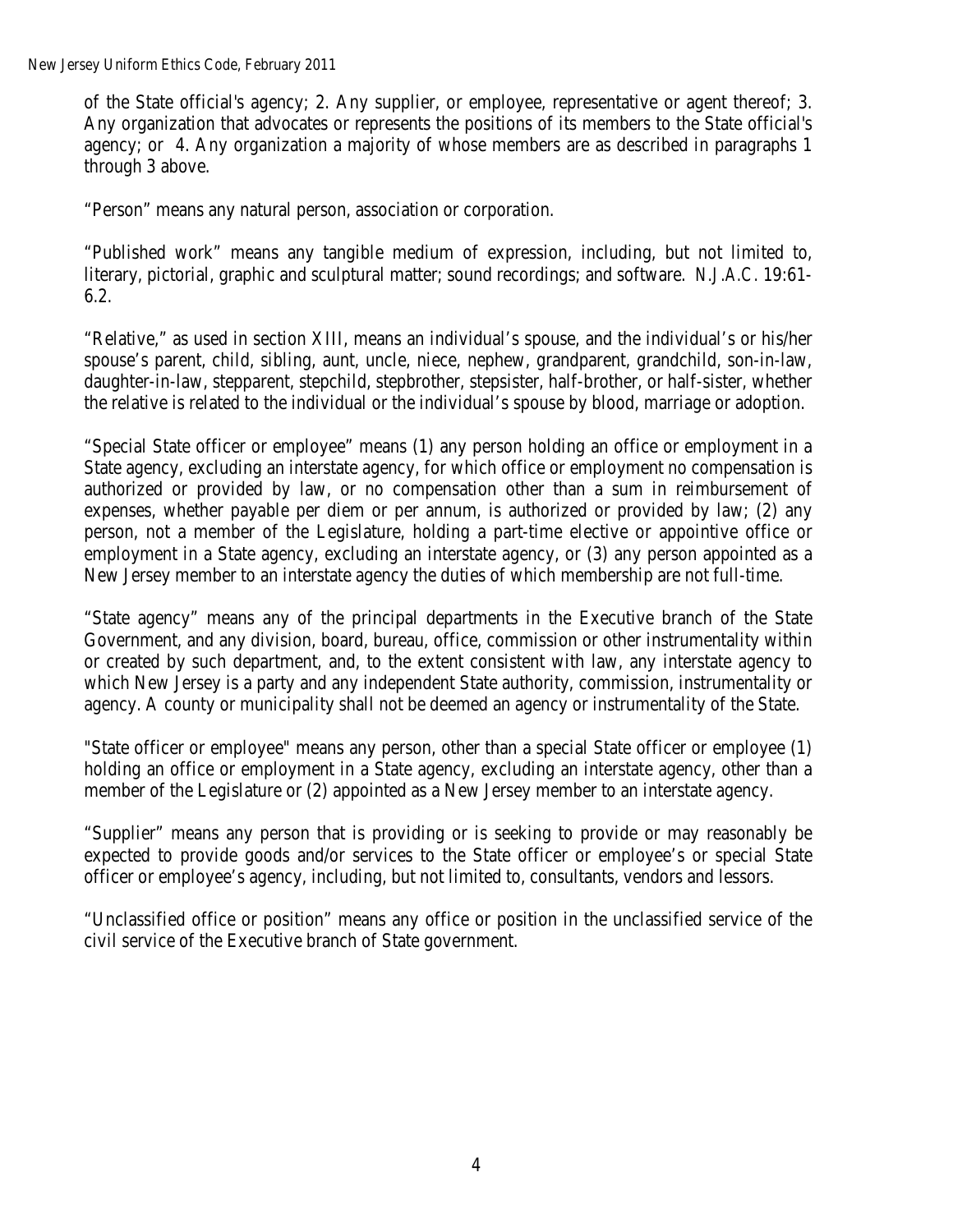New Jersey Uniform Ethics Code, February 2011

of the State official's agency; 2. Any supplier, or employee, representative or agent thereof; 3. Any organization that advocates or represents the positions of its members to the State official's agency; or 4. Any organization a majority of whose members are as described in paragraphs 1 through 3 above.

"Person" means any natural person, association or corporation.

"Published work" means any tangible medium of expression, including, but not limited to, literary, pictorial, graphic and sculptural matter; sound recordings; and software. *N.J.A.C.* 19:61- 6.2.

"Relative," as used in section XIII, means an individual's spouse, and the individual's or his/her spouse's parent, child, sibling, aunt, uncle, niece, nephew, grandparent, grandchild, son-in-law, daughter-in-law, stepparent, stepchild, stepbrother, stepsister, half-brother, or half-sister, whether the relative is related to the individual or the individual's spouse by blood, marriage or adoption.

"Special State officer or employee" means (1) any person holding an office or employment in a State agency, excluding an interstate agency, for which office or employment no compensation is authorized or provided by law, or no compensation other than a sum in reimbursement of expenses, whether payable per diem or per annum, is authorized or provided by law; (2) any person, not a member of the Legislature, holding a part-time elective or appointive office or employment in a State agency, excluding an interstate agency, or (3) any person appointed as a New Jersey member to an interstate agency the duties of which membership are not full-time.

"State agency" means any of the principal departments in the Executive branch of the State Government, and any division, board, bureau, office, commission or other instrumentality within or created by such department, and, to the extent consistent with law, any interstate agency to which New Jersey is a party and any independent State authority, commission, instrumentality or agency. A county or municipality shall not be deemed an agency or instrumentality of the State.

"State officer or employee" means any person, other than a special State officer or employee (1) holding an office or employment in a State agency, excluding an interstate agency, other than a member of the Legislature or (2) appointed as a New Jersey member to an interstate agency.

"Supplier" means any person that is providing or is seeking to provide or may reasonably be expected to provide goods and/or services to the State officer or employee's or special State officer or employee's agency, including, but not limited to, consultants, vendors and lessors.

"Unclassified office or position" means any office or position in the unclassified service of the civil service of the Executive branch of State government.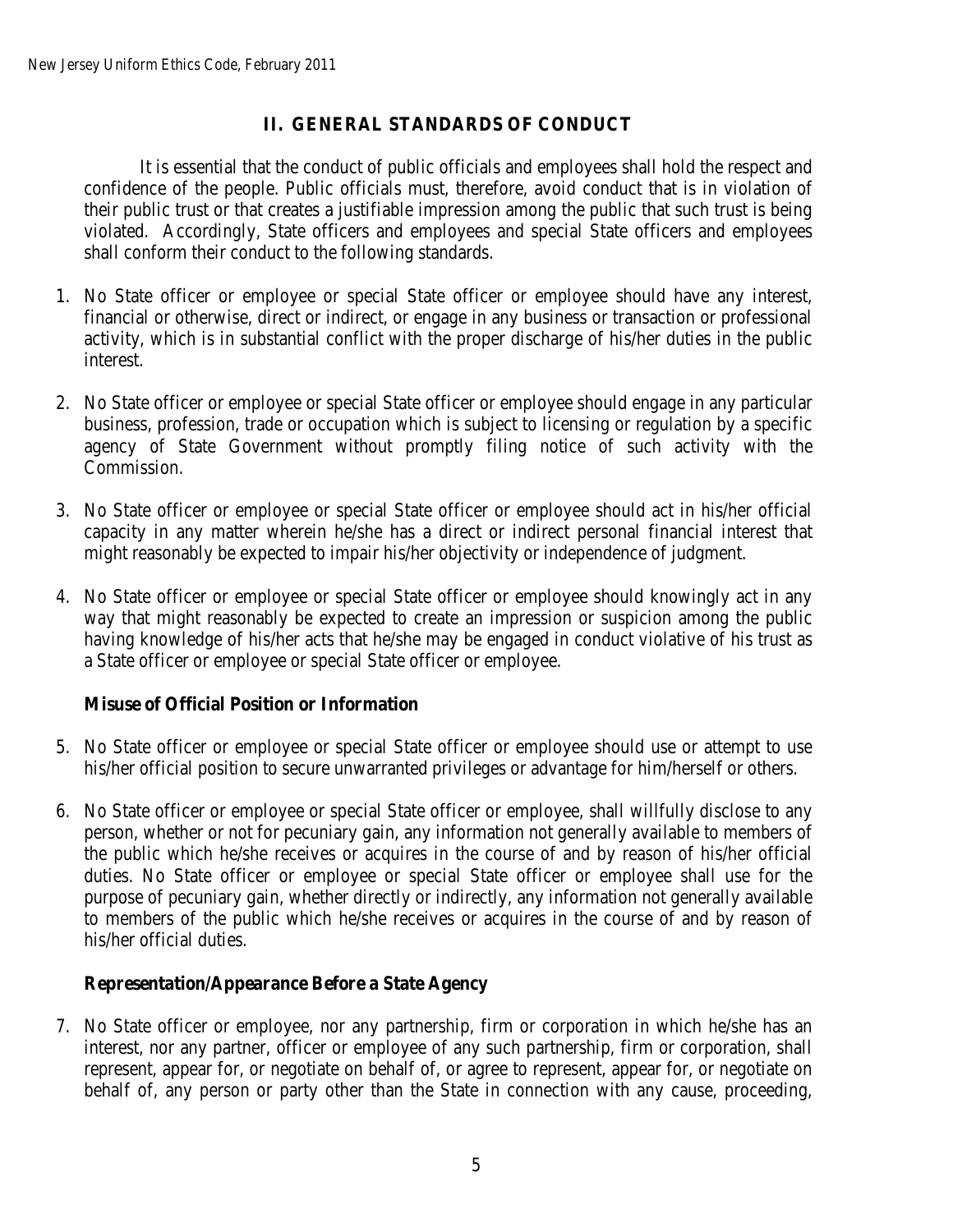# **II. GENERAL STANDARDS OF CONDUCT**

It is essential that the conduct of public officials and employees shall hold the respect and confidence of the people. Public officials must, therefore, avoid conduct that is in violation of their public trust or that creates a justifiable impression among the public that such trust is being violated. Accordingly, State officers and employees and special State officers and employees shall conform their conduct to the following standards.

- 1. No State officer or employee or special State officer or employee should have any interest, financial or otherwise, direct or indirect, or engage in any business or transaction or professional activity, which is in substantial conflict with the proper discharge of his/her duties in the public interest.
- 2. No State officer or employee or special State officer or employee should engage in any particular business, profession, trade or occupation which is subject to licensing or regulation by a specific agency of State Government without promptly filing notice of such activity with the Commission.
- 3. No State officer or employee or special State officer or employee should act in his/her official capacity in any matter wherein he/she has a direct or indirect personal financial interest that might reasonably be expected to impair his/her objectivity or independence of judgment.
- 4. No State officer or employee or special State officer or employee should knowingly act in any way that might reasonably be expected to create an impression or suspicion among the public having knowledge of his/her acts that he/she may be engaged in conduct violative of his trust as a State officer or employee or special State officer or employee.

## **Misuse of Official Position or Information**

- 5. No State officer or employee or special State officer or employee should use or attempt to use his/her official position to secure unwarranted privileges or advantage for him/herself or others.
- 6. No State officer or employee or special State officer or employee, shall willfully disclose to any person, whether or not for pecuniary gain, any information not generally available to members of the public which he/she receives or acquires in the course of and by reason of his/her official duties. No State officer or employee or special State officer or employee shall use for the purpose of pecuniary gain, whether directly or indirectly, any information not generally available to members of the public which he/she receives or acquires in the course of and by reason of his/her official duties.

## **Representation/Appearance Before a State Agency**

7. No State officer or employee, nor any partnership, firm or corporation in which he/she has an interest, nor any partner, officer or employee of any such partnership, firm or corporation, shall represent, appear for, or negotiate on behalf of, or agree to represent, appear for, or negotiate on behalf of, any person or party other than the State in connection with any cause, proceeding,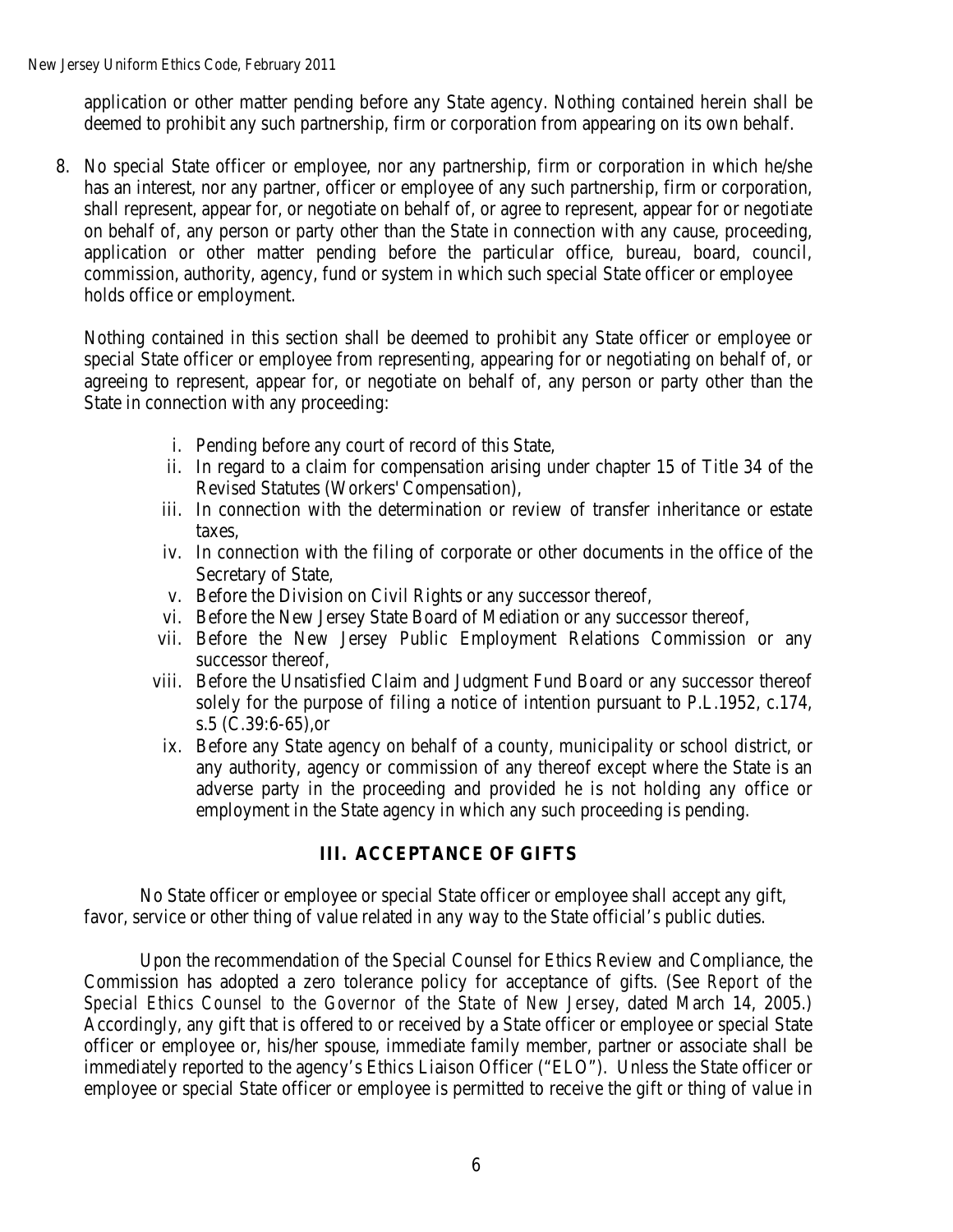application or other matter pending before any State agency. Nothing contained herein shall be deemed to prohibit any such partnership, firm or corporation from appearing on its own behalf.

8. No special State officer or employee, nor any partnership, firm or corporation in which he/she has an interest, nor any partner, officer or employee of any such partnership, firm or corporation, shall represent, appear for, or negotiate on behalf of, or agree to represent, appear for or negotiate on behalf of, any person or party other than the State in connection with any cause, proceeding, application or other matter pending before the particular office, bureau, board, council, commission, authority, agency, fund or system in which such special State officer or employee holds office or employment.

Nothing contained in this section shall be deemed to prohibit any State officer or employee or special State officer or employee from representing, appearing for or negotiating on behalf of, or agreeing to represent, appear for, or negotiate on behalf of, any person or party other than the State in connection with any proceeding:

- i. Pending before any court of record of this State,
- ii. In regard to a claim for compensation arising under chapter 15 of Title 34 of the Revised Statutes (Workers' Compensation),
- iii. In connection with the determination or review of transfer inheritance or estate taxes,
- iv. In connection with the filing of corporate or other documents in the office of the Secretary of State,
- v. Before the Division on Civil Rights or any successor thereof,
- vi. Before the New Jersey State Board of Mediation or any successor thereof,
- vii. Before the New Jersey Public Employment Relations Commission or any successor thereof,
- viii. Before the Unsatisfied Claim and Judgment Fund Board or any successor thereof solely for the purpose of filing a notice of intention pursuant to P.L.1952, c.174, s.5 (C.39:6-65),or
	- ix. Before any State agency on behalf of a county, municipality or school district, or any authority, agency or commission of any thereof except where the State is an adverse party in the proceeding and provided he is not holding any office or employment in the State agency in which any such proceeding is pending.

## **III. ACCEPTANCE OF GIFTS**

No State officer or employee or special State officer or employee shall accept any gift, favor, service or other thing of value related in any way to the State official's public duties.

Upon the recommendation of the Special Counsel for Ethics Review and Compliance, the Commission has adopted a zero tolerance policy for acceptance of gifts. (See *Report of the Special Ethics Counsel to the Governor of the State of New Jersey*, dated March 14, 2005.) Accordingly, any gift that is offered to or received by a State officer or employee or special State officer or employee or, his/her spouse, immediate family member, partner or associate shall be immediately reported to the agency's Ethics Liaison Officer ("ELO"). Unless the State officer or employee or special State officer or employee is permitted to receive the gift or thing of value in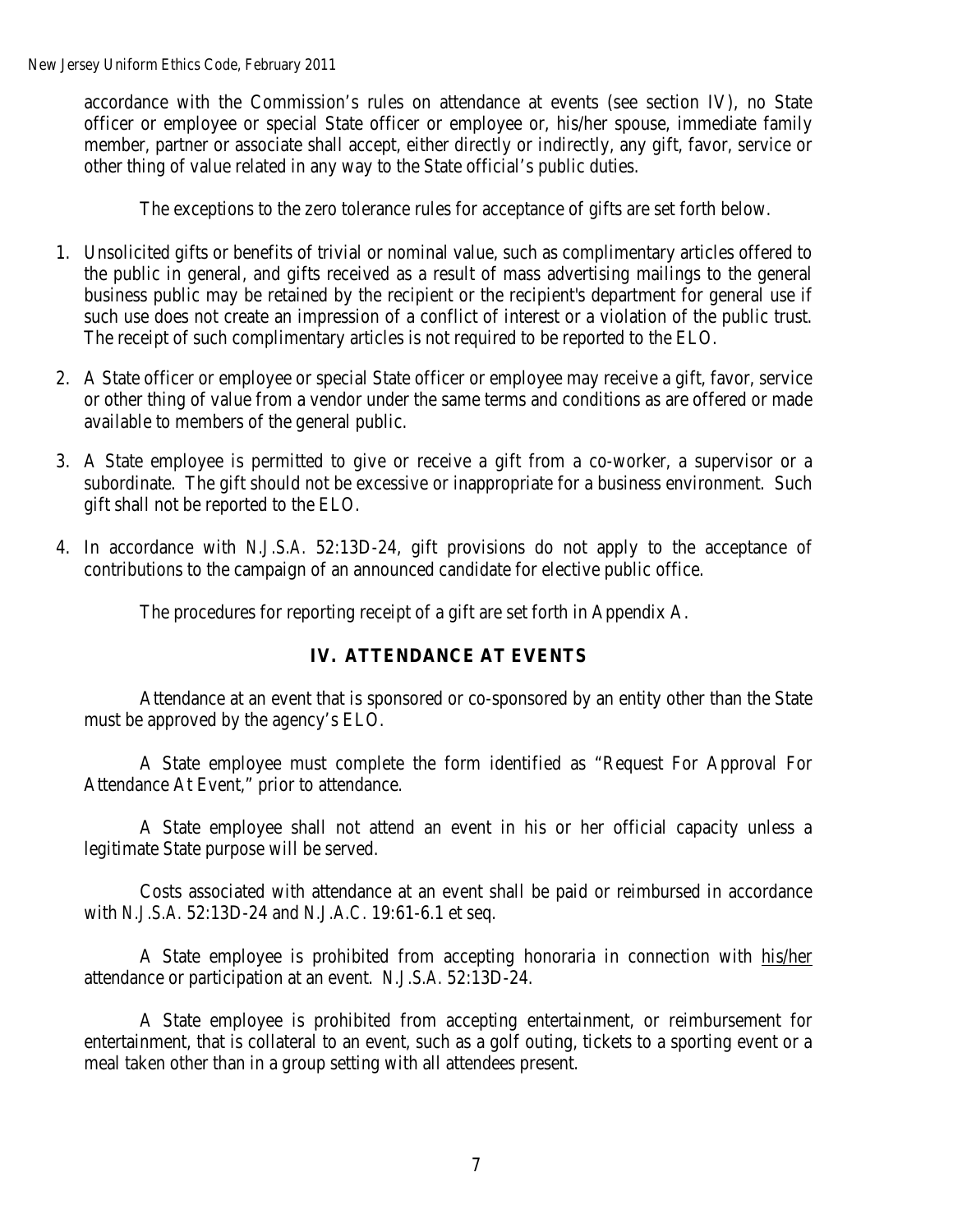New Jersey Uniform Ethics Code, February 2011

accordance with the Commission's rules on attendance at events (see section IV), no State officer or employee or special State officer or employee or, his/her spouse, immediate family member, partner or associate shall accept, either directly or indirectly, any gift, favor, service or other thing of value related in any way to the State official's public duties.

The exceptions to the zero tolerance rules for acceptance of gifts are set forth below.

- 1. Unsolicited gifts or benefits of trivial or nominal value, such as complimentary articles offered to the public in general, and gifts received as a result of mass advertising mailings to the general business public may be retained by the recipient or the recipient's department for general use if such use does not create an impression of a conflict of interest or a violation of the public trust. The receipt of such complimentary articles is not required to be reported to the ELO.
- 2. A State officer or employee or special State officer or employee may receive a gift, favor, service or other thing of value from a vendor under the same terms and conditions as are offered or made available to members of the general public.
- 3. A State employee is permitted to give or receive a gift from a co-worker, a supervisor or a subordinate. The gift should not be excessive or inappropriate for a business environment. Such gift shall not be reported to the ELO.
- 4. In accordance with *N.J.S.A.* 52:13D-24, gift provisions do not apply to the acceptance of contributions to the campaign of an announced candidate for elective public office.

The procedures for reporting receipt of a gift are set forth in Appendix A.

### **IV. ATTENDANCE AT EVENTS**

Attendance at an event that is sponsored or co-sponsored by an entity other than the State must be approved by the agency's ELO.

A State employee must complete the form identified as "Request For Approval For Attendance At Event," prior to attendance.

A State employee shall not attend an event in his or her official capacity unless a legitimate State purpose will be served.

Costs associated with attendance at an event shall be paid or reimbursed in accordance with *N.J.S.A.* 52:13D-24 and *N.J.A.C.* 19:61-6.1 et seq.

A State employee is prohibited from accepting honoraria in connection with his/her attendance or participation at an event. *N.J.S.A.* 52:13D-24.

A State employee is prohibited from accepting entertainment, or reimbursement for entertainment, that is collateral to an event, such as a golf outing, tickets to a sporting event or a meal taken other than in a group setting with all attendees present.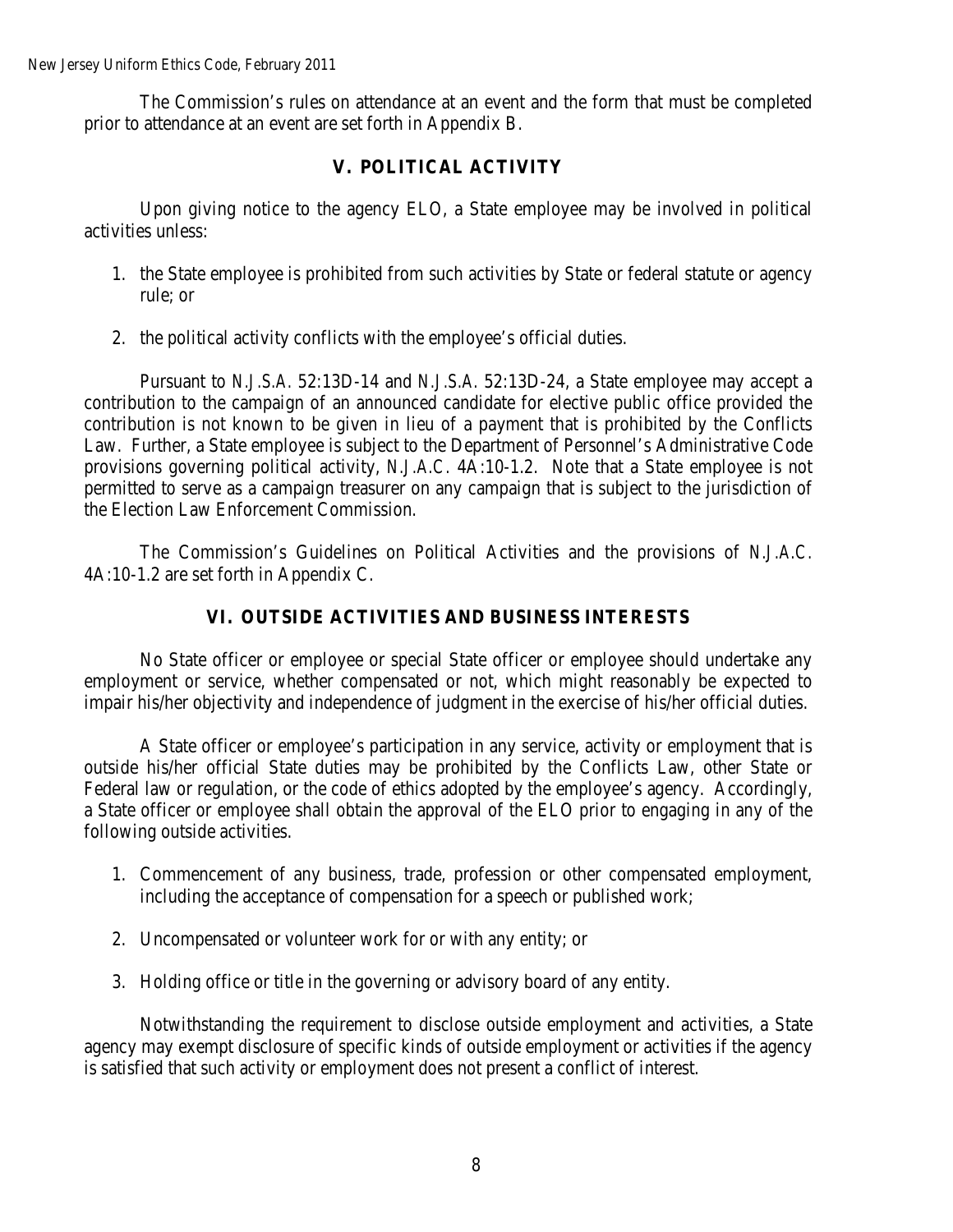The Commission's rules on attendance at an event and the form that must be completed prior to attendance at an event are set forth in Appendix B.

## **V. POLITICAL ACTIVITY**

Upon giving notice to the agency ELO, a State employee may be involved in political activities unless:

- 1. the State employee is prohibited from such activities by State or federal statute or agency rule; or
- 2. the political activity conflicts with the employee's official duties.

Pursuant to *N.J.S.A.* 52:13D-14 and *N.J.S.A.* 52:13D-24, a State employee may accept a contribution to the campaign of an announced candidate for elective public office provided the contribution is not known to be given in lieu of a payment that is prohibited by the Conflicts Law. Further, a State employee is subject to the Department of Personnel's Administrative Code provisions governing political activity, *N.J.A.C.* 4A:10-1.2. Note that a State employee is not permitted to serve as a campaign treasurer on any campaign that is subject to the jurisdiction of the Election Law Enforcement Commission.

The Commission's Guidelines on Political Activities and the provisions of *N.J.A.C.* 4A:10-1.2 are set forth in Appendix C.

## **VI. OUTSIDE ACTIVITIES AND BUSINESS INTERESTS**

No State officer or employee or special State officer or employee should undertake any employment or service, whether compensated or not, which might reasonably be expected to impair his/her objectivity and independence of judgment in the exercise of his/her official duties.

A State officer or employee's participation in any service, activity or employment that is outside his/her official State duties may be prohibited by the Conflicts Law, other State or Federal law or regulation, or the code of ethics adopted by the employee's agency. Accordingly, a State officer or employee shall obtain the approval of the ELO prior to engaging in any of the following outside activities.

- 1. Commencement of any business, trade, profession or other compensated employment, including the acceptance of compensation for a speech or published work;
- 2. Uncompensated or volunteer work for or with any entity; or
- 3. Holding office or title in the governing or advisory board of any entity.

Notwithstanding the requirement to disclose outside employment and activities, a State agency may exempt disclosure of specific kinds of outside employment or activities if the agency is satisfied that such activity or employment does not present a conflict of interest.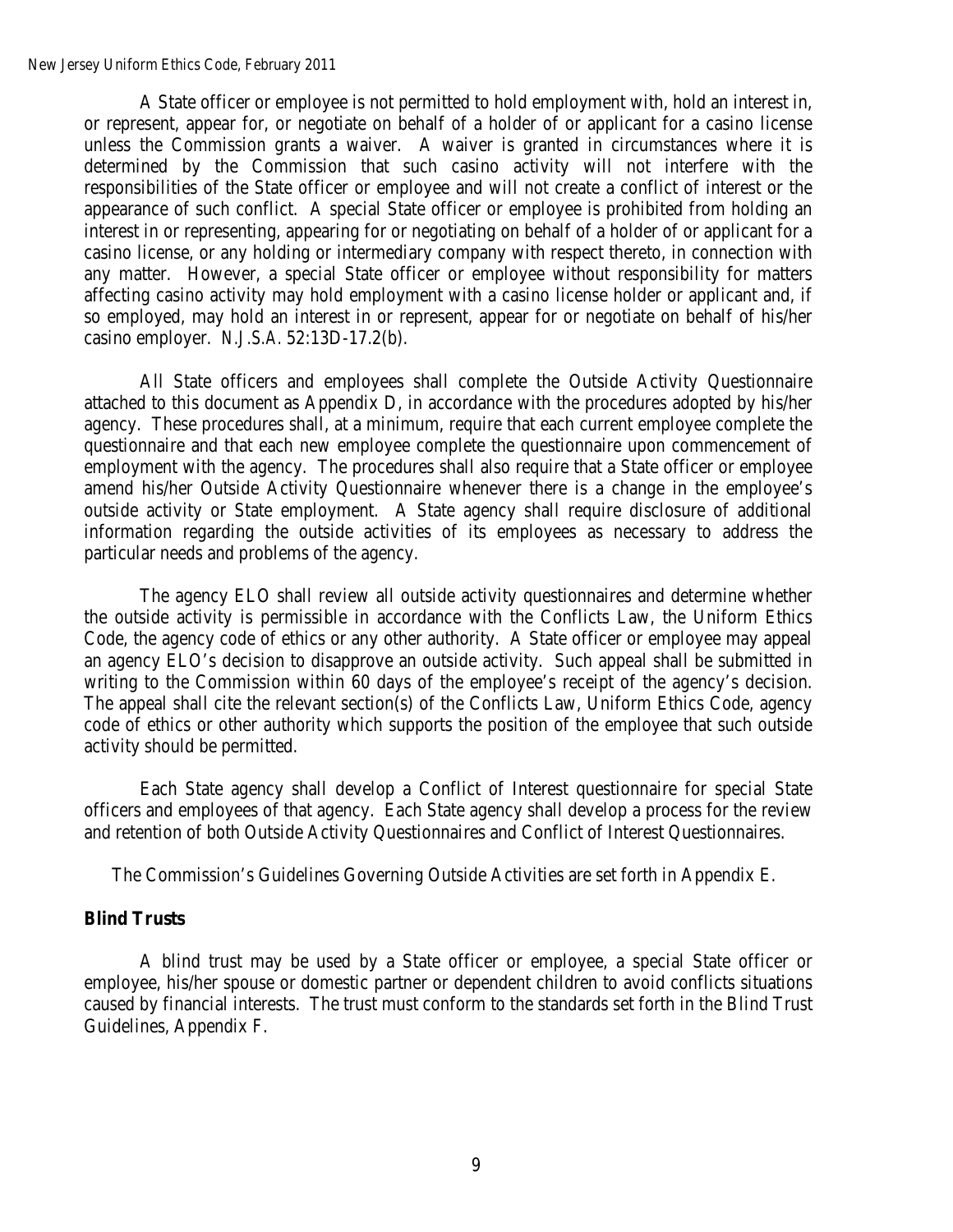New Jersey Uniform Ethics Code, February 2011

A State officer or employee is not permitted to hold employment with, hold an interest in, or represent, appear for, or negotiate on behalf of a holder of or applicant for a casino license unless the Commission grants a waiver. A waiver is granted in circumstances where it is determined by the Commission that such casino activity will not interfere with the responsibilities of the State officer or employee and will not create a conflict of interest or the appearance of such conflict. A special State officer or employee is prohibited from holding an interest in or representing, appearing for or negotiating on behalf of a holder of or applicant for a casino license, or any holding or intermediary company with respect thereto, in connection with any matter. However, a special State officer or employee without responsibility for matters affecting casino activity may hold employment with a casino license holder or applicant and, if so employed, may hold an interest in or represent, appear for or negotiate on behalf of his/her casino employer. *N.J.S.A.* 52:13D-17.2(b).

All State officers and employees shall complete the Outside Activity Questionnaire attached to this document as Appendix D, in accordance with the procedures adopted by his/her agency. These procedures shall, at a minimum, require that each current employee complete the questionnaire and that each new employee complete the questionnaire upon commencement of employment with the agency. The procedures shall also require that a State officer or employee amend his/her Outside Activity Questionnaire whenever there is a change in the employee's outside activity or State employment. A State agency shall require disclosure of additional information regarding the outside activities of its employees as necessary to address the particular needs and problems of the agency.

The agency ELO shall review all outside activity questionnaires and determine whether the outside activity is permissible in accordance with the Conflicts Law, the Uniform Ethics Code, the agency code of ethics or any other authority. A State officer or employee may appeal an agency ELO's decision to disapprove an outside activity. Such appeal shall be submitted in writing to the Commission within 60 days of the employee's receipt of the agency's decision. The appeal shall cite the relevant section(s) of the Conflicts Law, Uniform Ethics Code, agency code of ethics or other authority which supports the position of the employee that such outside activity should be permitted.

Each State agency shall develop a Conflict of Interest questionnaire for special State officers and employees of that agency. Each State agency shall develop a process for the review and retention of both Outside Activity Questionnaires and Conflict of Interest Questionnaires.

The Commission's Guidelines Governing Outside Activities are set forth in Appendix E.

### **Blind Trusts**

A blind trust may be used by a State officer or employee, a special State officer or employee, his/her spouse or domestic partner or dependent children to avoid conflicts situations caused by financial interests. The trust must conform to the standards set forth in the Blind Trust Guidelines, Appendix F.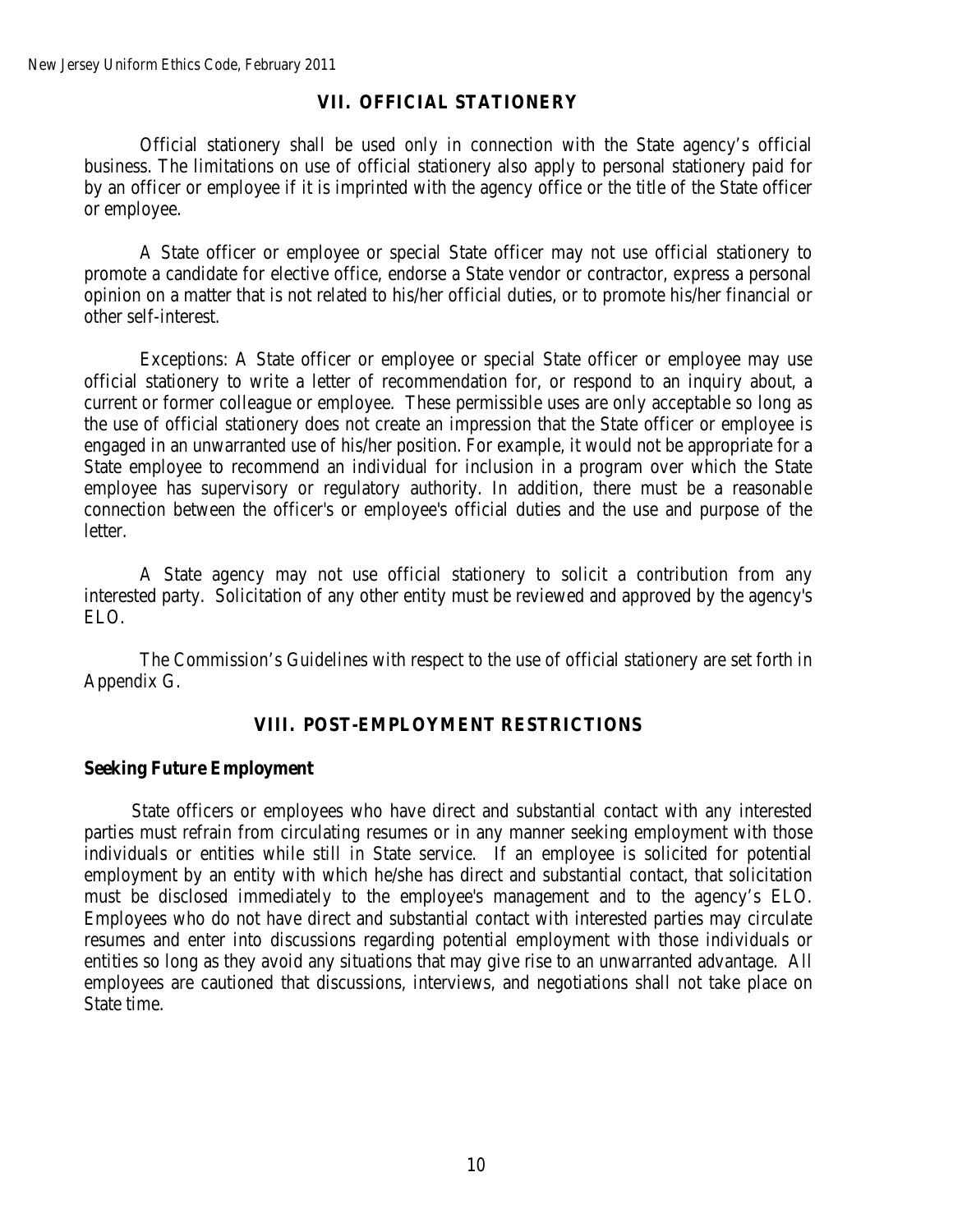### **VII. OFFICIAL STATIONERY**

Official stationery shall be used only in connection with the State agency's official business. The limitations on use of official stationery also apply to personal stationery paid for by an officer or employee if it is imprinted with the agency office or the title of the State officer or employee.

A State officer or employee or special State officer may not use official stationery to promote a candidate for elective office, endorse a State vendor or contractor, express a personal opinion on a matter that is not related to his/her official duties, or to promote his/her financial or other self-interest.

Exceptions: A State officer or employee or special State officer or employee may use official stationery to write a letter of recommendation for, or respond to an inquiry about, a current or former colleague or employee. These permissible uses are only acceptable so long as the use of official stationery does not create an impression that the State officer or employee is engaged in an unwarranted use of his/her position. For example, it would not be appropriate for a State employee to recommend an individual for inclusion in a program over which the State employee has supervisory or regulatory authority. In addition, there must be a reasonable connection between the officer's or employee's official duties and the use and purpose of the letter.

A State agency may not use official stationery to solicit a contribution from any interested party. Solicitation of any other entity must be reviewed and approved by the agency's ELO.

The Commission's Guidelines with respect to the use of official stationery are set forth in Appendix G.

#### **VIII. POST-EMPLOYMENT RESTRICTIONS**

#### **Seeking Future Employment**

State officers or employees who have direct and substantial contact with any interested parties must refrain from circulating resumes or in any manner seeking employment with those individuals or entities while still in State service. If an employee is solicited for potential employment by an entity with which he/she has direct and substantial contact, that solicitation must be disclosed immediately to the employee's management and to the agency's ELO. Employees who do not have direct and substantial contact with interested parties may circulate resumes and enter into discussions regarding potential employment with those individuals or entities so long as they avoid any situations that may give rise to an unwarranted advantage. All employees are cautioned that discussions, interviews, and negotiations shall not take place on State time.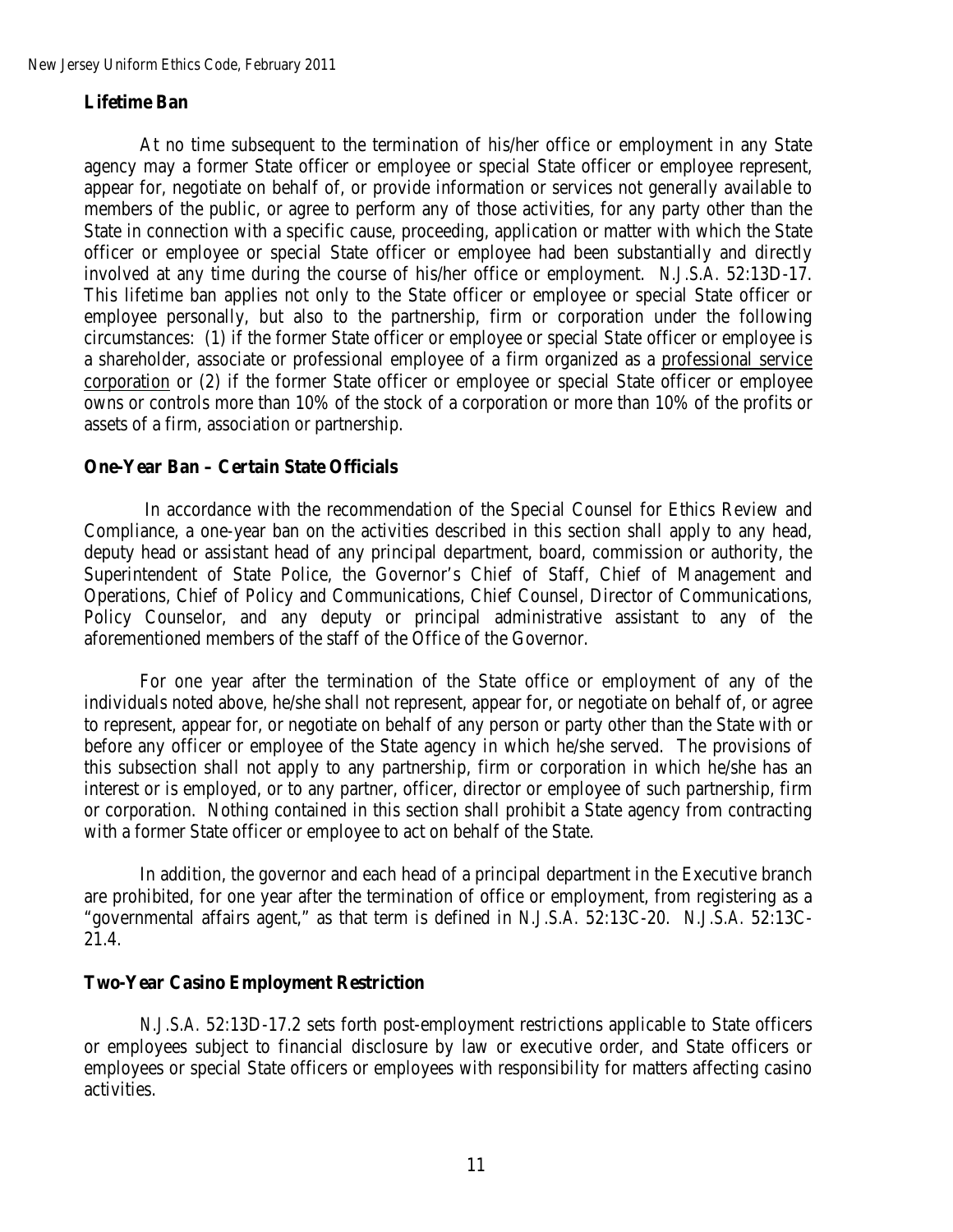### **Lifetime Ban**

At no time subsequent to the termination of his/her office or employment in any State agency may a former State officer or employee or special State officer or employee represent, appear for, negotiate on behalf of, or provide information or services not generally available to members of the public, or agree to perform any of those activities, for any party other than the State in connection with a specific cause, proceeding, application or matter with which the State officer or employee or special State officer or employee had been substantially and directly involved at any time during the course of his/her office or employment. *N.J.S.A.* 52:13D-17. This lifetime ban applies not only to the State officer or employee or special State officer or employee personally, but also to the partnership, firm or corporation under the following circumstances: (1) if the former State officer or employee or special State officer or employee is a shareholder, associate or professional employee of a firm organized as a professional service corporation or (2) if the former State officer or employee or special State officer or employee owns or controls more than 10% of the stock of a corporation or more than 10% of the profits or assets of a firm, association or partnership.

#### **One-Year Ban – Certain State Officials**

In accordance with the recommendation of the Special Counsel for Ethics Review and Compliance, a one-year ban on the activities described in this section shall apply to any head, deputy head or assistant head of any principal department, board, commission or authority, the Superintendent of State Police, the Governor's Chief of Staff, Chief of Management and Operations, Chief of Policy and Communications, Chief Counsel, Director of Communications, Policy Counselor, and any deputy or principal administrative assistant to any of the aforementioned members of the staff of the Office of the Governor.

For one year after the termination of the State office or employment of any of the individuals noted above, he/she shall not represent, appear for, or negotiate on behalf of, or agree to represent, appear for, or negotiate on behalf of any person or party other than the State with or before any officer or employee of the State agency in which he/she served. The provisions of this subsection shall not apply to any partnership, firm or corporation in which he/she has an interest or is employed, or to any partner, officer, director or employee of such partnership, firm or corporation. Nothing contained in this section shall prohibit a State agency from contracting with a former State officer or employee to act on behalf of the State.

In addition, the governor and each head of a principal department in the Executive branch are prohibited, for one year after the termination of office or employment, from registering as a "governmental affairs agent," as that term is defined in *N.J.S.A.* 52:13C-20. *N.J.S.A.* 52:13C-21.4.

#### **Two-Year Casino Employment Restriction**

*N.J.S.A.* 52:13D-17.2 sets forth post-employment restrictions applicable to State officers or employees subject to financial disclosure by law or executive order, and State officers or employees or special State officers or employees with responsibility for matters affecting casino activities.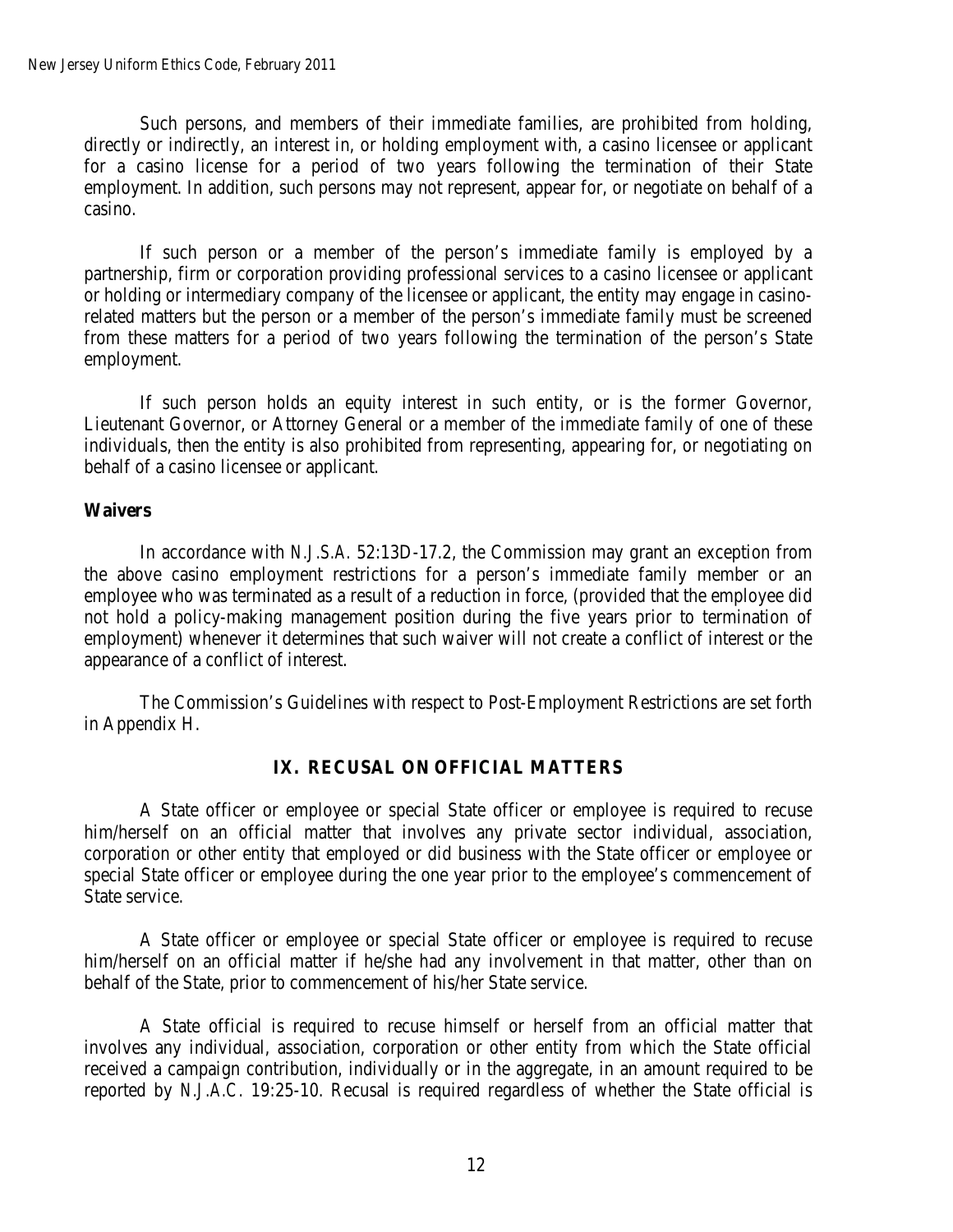Such persons, and members of their immediate families, are prohibited from holding, directly or indirectly, an interest in, or holding employment with, a casino licensee or applicant for a casino license for a period of two years following the termination of their State employment. In addition, such persons may not represent, appear for, or negotiate on behalf of a casino.

If such person or a member of the person's immediate family is employed by a partnership, firm or corporation providing professional services to a casino licensee or applicant or holding or intermediary company of the licensee or applicant, the entity may engage in casinorelated matters but the person or a member of the person's immediate family must be screened from these matters for a period of two years following the termination of the person's State employment.

If such person holds an equity interest in such entity, or is the former Governor, Lieutenant Governor, or Attorney General or a member of the immediate family of one of these individuals, then the entity is also prohibited from representing, appearing for, or negotiating on behalf of a casino licensee or applicant.

### **Waivers**

In accordance with *N.J.S.A.* 52:13D-17.2, the Commission may grant an exception from the above casino employment restrictions for a person's immediate family member or an employee who was terminated as a result of a reduction in force, (provided that the employee did not hold a policy-making management position during the five years prior to termination of employment) whenever it determines that such waiver will not create a conflict of interest or the appearance of a conflict of interest.

The Commission's Guidelines with respect to Post-Employment Restrictions are set forth in Appendix H.

## **IX. RECUSAL ON OFFICIAL MATTERS**

A State officer or employee or special State officer or employee is required to recuse him/herself on an official matter that involves any private sector individual, association, corporation or other entity that employed or did business with the State officer or employee or special State officer or employee during the one year prior to the employee's commencement of State service.

A State officer or employee or special State officer or employee is required to recuse him/herself on an official matter if he/she had any involvement in that matter, other than on behalf of the State, prior to commencement of his/her State service.

A State official is required to recuse himself or herself from an official matter that involves any individual, association, corporation or other entity from which the State official received a campaign contribution, individually or in the aggregate, in an amount required to be reported by *N.J.A.C.* 19:25-10. Recusal is required regardless of whether the State official is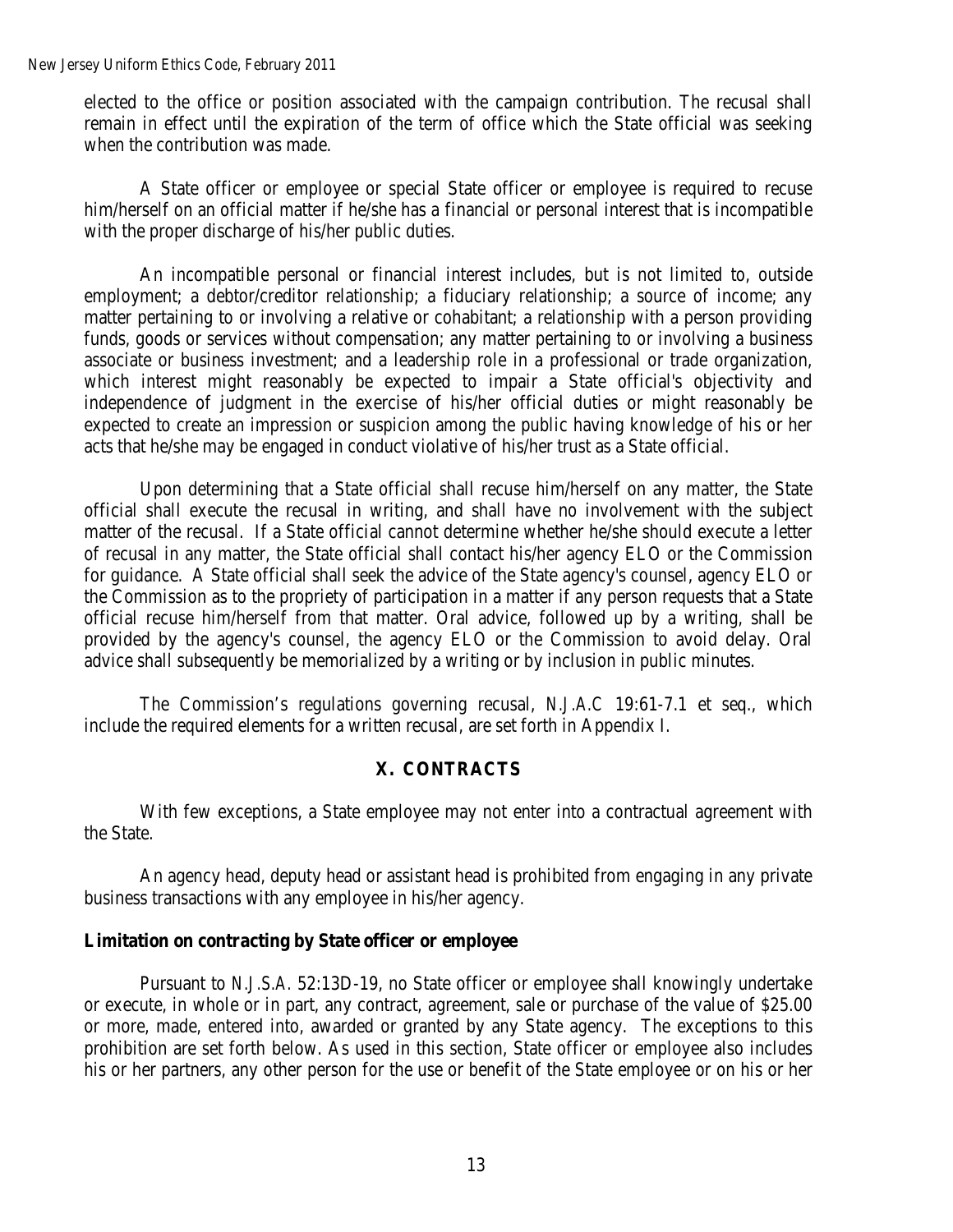elected to the office or position associated with the campaign contribution. The recusal shall remain in effect until the expiration of the term of office which the State official was seeking when the contribution was made.

A State officer or employee or special State officer or employee is required to recuse him/herself on an official matter if he/she has a financial or personal interest that is incompatible with the proper discharge of his/her public duties.

An incompatible personal or financial interest includes, but is not limited to, outside employment; a debtor/creditor relationship; a fiduciary relationship; a source of income; any matter pertaining to or involving a relative or cohabitant; a relationship with a person providing funds, goods or services without compensation; any matter pertaining to or involving a business associate or business investment; and a leadership role in a professional or trade organization, which interest might reasonably be expected to impair a State official's objectivity and independence of judgment in the exercise of his/her official duties or might reasonably be expected to create an impression or suspicion among the public having knowledge of his or her acts that he/she may be engaged in conduct violative of his/her trust as a State official.

Upon determining that a State official shall recuse him/herself on any matter, the State official shall execute the recusal in writing, and shall have no involvement with the subject matter of the recusal. If a State official cannot determine whether he/she should execute a letter of recusal in any matter, the State official shall contact his/her agency ELO or the Commission for guidance. A State official shall seek the advice of the State agency's counsel, agency ELO or the Commission as to the propriety of participation in a matter if any person requests that a State official recuse him/herself from that matter. Oral advice, followed up by a writing, shall be provided by the agency's counsel, the agency ELO or the Commission to avoid delay. Oral advice shall subsequently be memorialized by a writing or by inclusion in public minutes.

The Commission's regulations governing recusal, *N.J.A.C* 19:61-7.1 et seq., which include the required elements for a written recusal, are set forth in Appendix I.

#### **X. CONTRACTS**

With few exceptions, a State employee may not enter into a contractual agreement with the State.

An agency head, deputy head or assistant head is prohibited from engaging in any private business transactions with any employee in his/her agency.

#### **Limitation on contracting by State officer or employee**

Pursuant to *N.J.S.A.* 52:13D-19, no State officer or employee shall knowingly undertake or execute, in whole or in part, any contract, agreement, sale or purchase of the value of \$25.00 or more, made, entered into, awarded or granted by any State agency. The exceptions to this prohibition are set forth below. As used in this section, State officer or employee also includes his or her partners, any other person for the use or benefit of the State employee or on his or her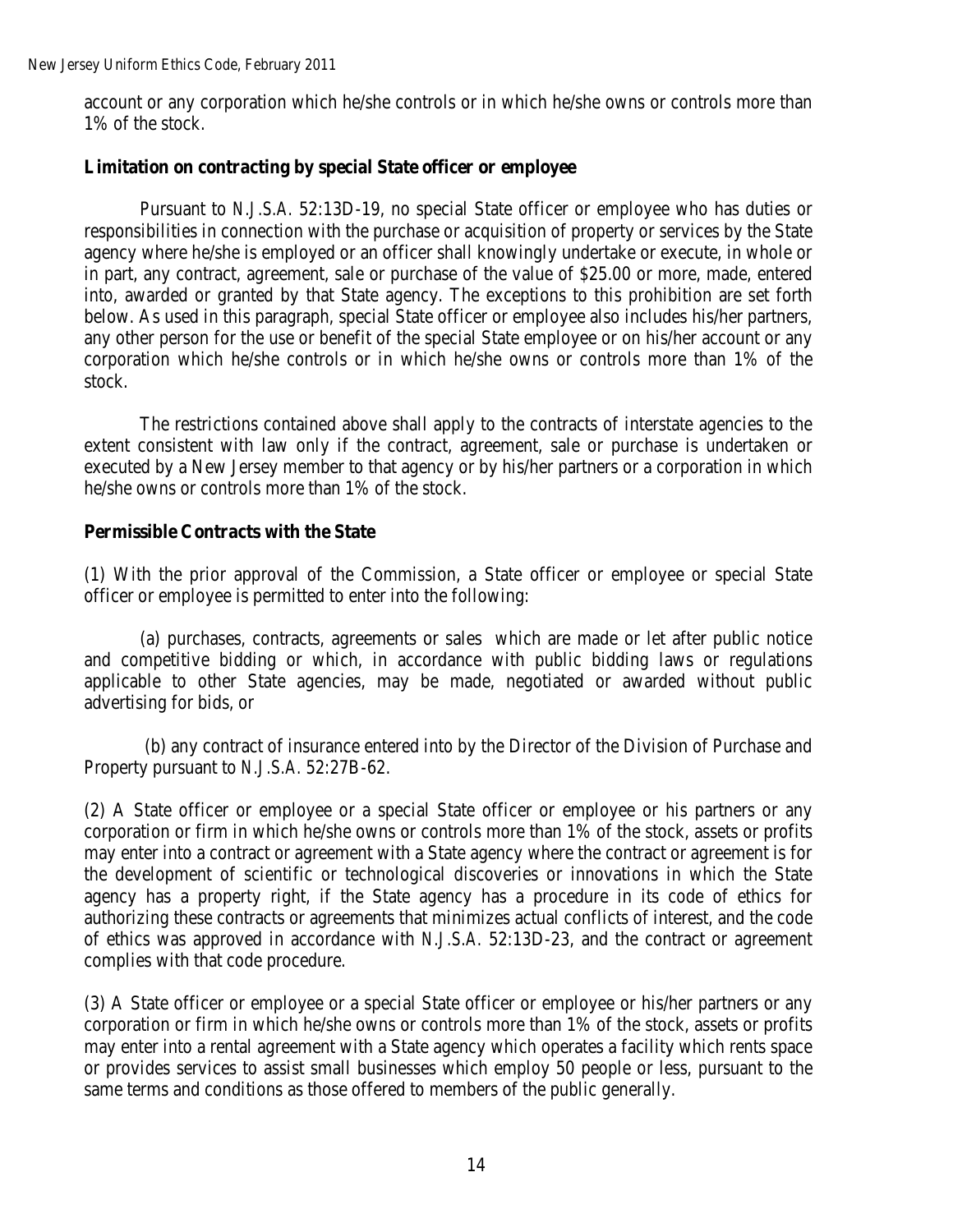account or any corporation which he/she controls or in which he/she owns or controls more than 1% of the stock.

## **Limitation on contracting by special State officer or employee**

Pursuant to *N.J.S.A.* 52:13D-19, no special State officer or employee who has duties or responsibilities in connection with the purchase or acquisition of property or services by the State agency where he/she is employed or an officer shall knowingly undertake or execute, in whole or in part, any contract, agreement, sale or purchase of the value of \$25.00 or more, made, entered into, awarded or granted by that State agency. The exceptions to this prohibition are set forth below. As used in this paragraph, special State officer or employee also includes his/her partners, any other person for the use or benefit of the special State employee or on his/her account or any corporation which he/she controls or in which he/she owns or controls more than 1% of the stock.

The restrictions contained above shall apply to the contracts of interstate agencies to the extent consistent with law only if the contract, agreement, sale or purchase is undertaken or executed by a New Jersey member to that agency or by his/her partners or a corporation in which he/she owns or controls more than 1% of the stock.

### **Permissible Contracts with the State**

(1) With the prior approval of the Commission, a State officer or employee or special State officer or employee is permitted to enter into the following:

(a) purchases, contracts, agreements or sales which are made or let after public notice and competitive bidding or which, in accordance with public bidding laws or regulations applicable to other State agencies, may be made, negotiated or awarded without public advertising for bids, or

(b) any contract of insurance entered into by the Director of the Division of Purchase and Property pursuant to *N.J.S.A.* [52:27B-62.](http://www.lexis.com/research/buttonTFLink?_m=e98ef352522ec860de82def8192a71dd&_xfercite=%3ccite%20cc%3d%22USA%22%3e%3c%21%5bCDATA%5bN.J.%20Stat.%20%a7%2052%3a13D-19%5d%5d%3e%3c%2fcite%3e&_butType=4&_butStat=0&_butNum=3&_butInline=1&_butinfo=NJ%20CODE%2052%3a27B-62&_fmtstr=FULL&docnum=1&_startdoc=1&wchp=dGLbVlb-zSkAB&_md5=9a5b287feee93120d33fd0d737b7bd9e)

(2) A State officer or employee or a special State officer or employee or his partners or any corporation or firm in which he/she owns or controls more than 1% of the stock, assets or profits may enter into a contract or agreement with a State agency where the contract or agreement is for the development of scientific or technological discoveries or innovations in which the State agency has a property right, if the State agency has a procedure in its code of ethics for authorizing these contracts or agreements that minimizes actual conflicts of interest, and the code of ethics was approved in accordance with *N.J.S.A.* [52:13D-23,](http://www.lexis.com/research/buttonTFLink?_m=c8507fb6bbdb6890b8dadb89e3df25eb&_xfercite=%3ccite%20cc%3d%22USA%22%3e%3c%21%5bCDATA%5bN.J.%20Stat.%20%a7%2052%3a13D-19.1%5d%5d%3e%3c%2fcite%3e&_butType=4&_butStat=0&_butNum=3&_butInline=1&_butinfo=NJ%20CODE%2052%3a13D-23&_fmtstr=FULL&docnum=1&_startdoc=1&wchp=dGLbVlb-zSkAB&_md5=3d1165836fe623d23d91cc12c0de805c) and the contract or agreement complies with that code procedure.

(3) A State officer or employee or a special State officer or employee or his/her partners or any corporation or firm in which he/she owns or controls more than 1% of the stock, assets or profits may enter into a rental agreement with a State agency which operates a facility which rents space or provides services to assist small businesses which employ 50 people or less, pursuant to the same terms and conditions as those offered to members of the public generally.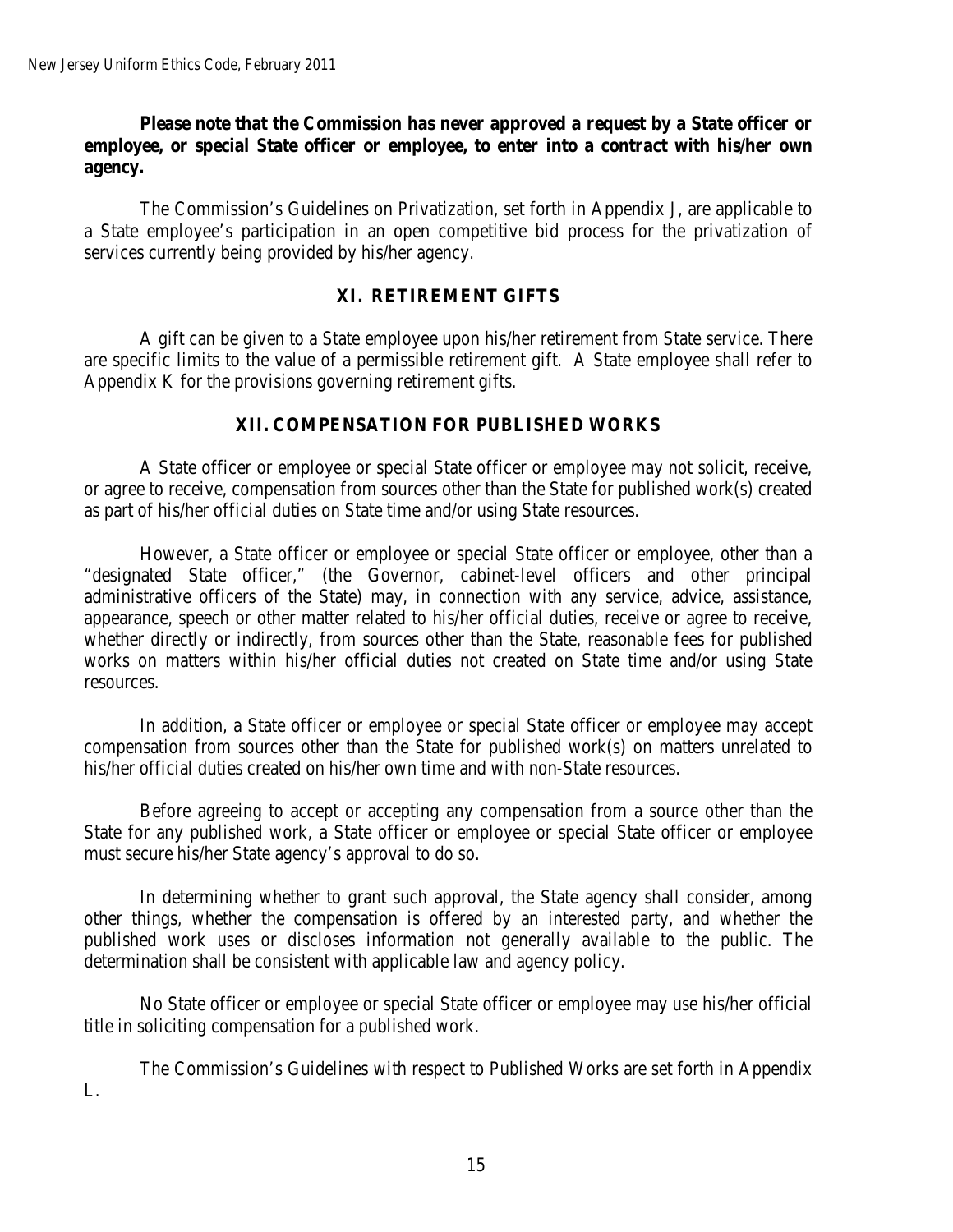## **Please note that the Commission has never approved a request by a State officer or employee, or special State officer or employee, to enter into a contract with his/her own agency.**

The Commission's Guidelines on Privatization, set forth in Appendix J, are applicable to a State employee's participation in an open competitive bid process for the privatization of services currently being provided by his/her agency.

## **XI. RETIREMENT GIFTS**

A gift can be given to a State employee upon his/her retirement from State service. There are specific limits to the value of a permissible retirement gift. A State employee shall refer to Appendix K for the provisions governing retirement gifts.

### **XII. COMPENSATION FOR PUBLISHED WORKS**

A State officer or employee or special State officer or employee may not solicit, receive, or agree to receive, compensation from sources other than the State for published work(s) created as part of his/her official duties on State time and/or using State resources.

However, a State officer or employee or special State officer or employee, other than a "designated State officer," (the Governor, cabinet-level officers and other principal administrative officers of the State) may, in connection with any service, advice, assistance, appearance, speech or other matter related to his/her official duties, receive or agree to receive, whether directly or indirectly, from sources other than the State, reasonable fees for published works on matters within his/her official duties not created on State time and/or using State resources.

In addition, a State officer or employee or special State officer or employee may accept compensation from sources other than the State for published work(s) on matters unrelated to his/her official duties created on his/her own time and with non-State resources.

Before agreeing to accept or accepting any compensation from a source other than the State for any published work, a State officer or employee or special State officer or employee must secure his/her State agency's approval to do so.

In determining whether to grant such approval, the State agency shall consider, among other things, whether the compensation is offered by an interested party, and whether the published work uses or discloses information not generally available to the public. The determination shall be consistent with applicable law and agency policy.

No State officer or employee or special State officer or employee may use his/her official title in soliciting compensation for a published work.

The Commission's Guidelines with respect to Published Works are set forth in Appendix L.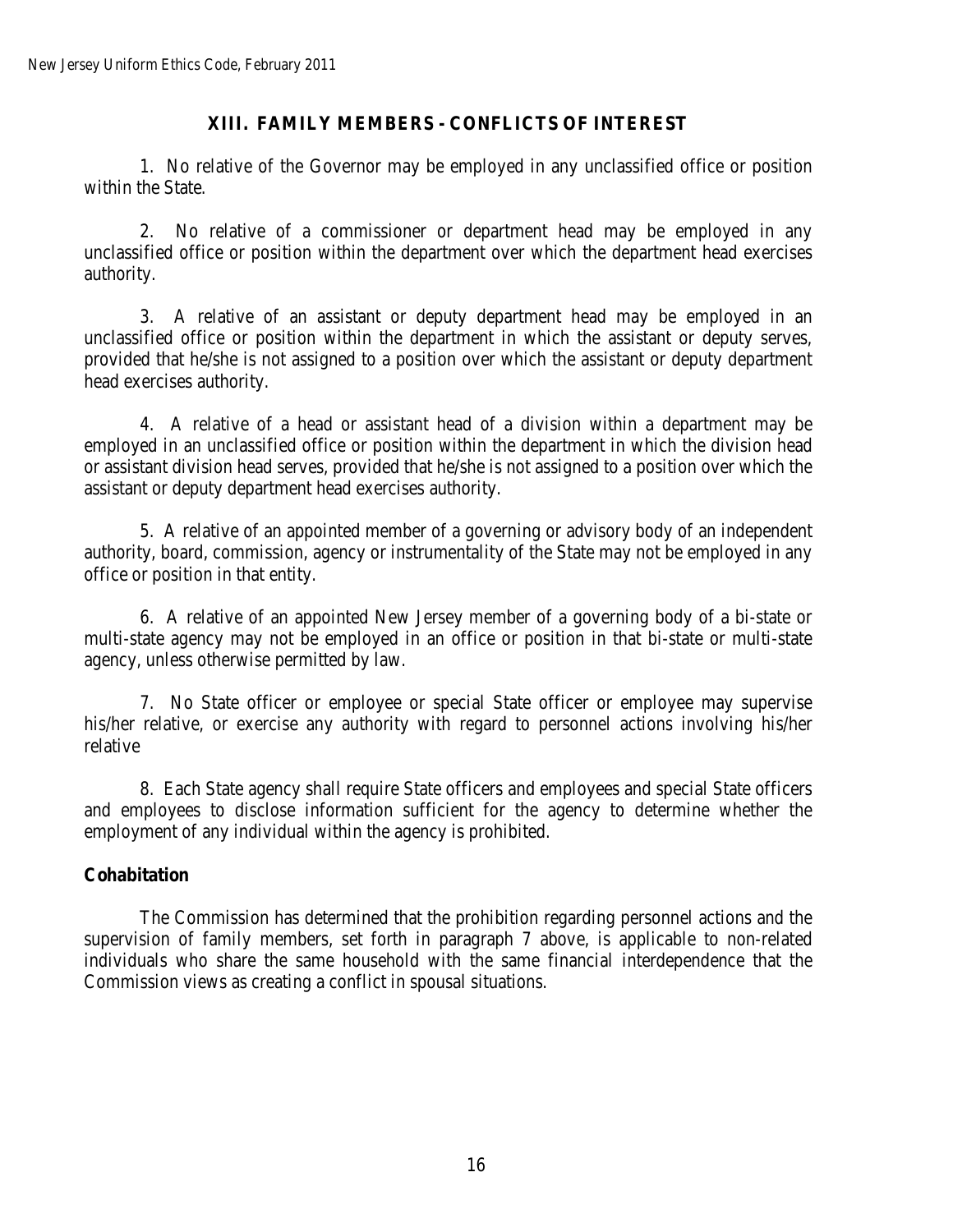# **XIII. FAMILY MEMBERS - CONFLICTS OF INTEREST**

1. No relative of the Governor may be employed in any unclassified office or position within the State.

2. No relative of a commissioner or department head may be employed in any unclassified office or position within the department over which the department head exercises authority.

3. A relative of an assistant or deputy department head may be employed in an unclassified office or position within the department in which the assistant or deputy serves, provided that he/she is not assigned to a position over which the assistant or deputy department head exercises authority.

4. A relative of a head or assistant head of a division within a department may be employed in an unclassified office or position within the department in which the division head or assistant division head serves, provided that he/she is not assigned to a position over which the assistant or deputy department head exercises authority.

5. A relative of an appointed member of a governing or advisory body of an independent authority, board, commission, agency or instrumentality of the State may not be employed in any office or position in that entity.

6. A relative of an appointed New Jersey member of a governing body of a bi-state or multi-state agency may not be employed in an office or position in that bi-state or multi-state agency, unless otherwise permitted by law.

7. No State officer or employee or special State officer or employee may supervise his/her relative, or exercise any authority with regard to personnel actions involving his/her relative

8. Each State agency shall require State officers and employees and special State officers and employees to disclose information sufficient for the agency to determine whether the employment of any individual within the agency is prohibited.

# **Cohabitation**

The Commission has determined that the prohibition regarding personnel actions and the supervision of family members, set forth in paragraph 7 above, is applicable to non-related individuals who share the same household with the same financial interdependence that the Commission views as creating a conflict in spousal situations.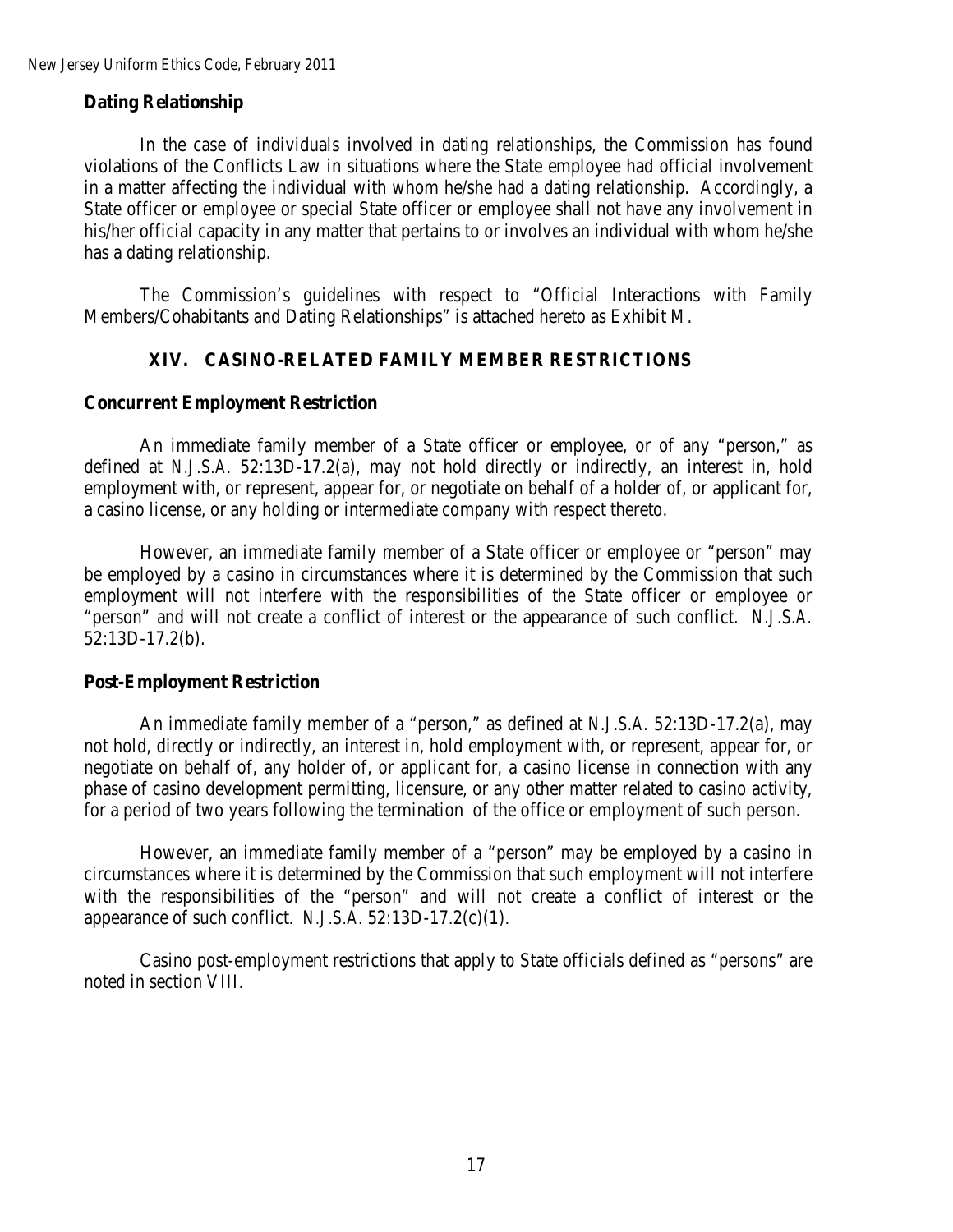## **Dating Relationship**

In the case of individuals involved in dating relationships, the Commission has found violations of the Conflicts Law in situations where the State employee had official involvement in a matter affecting the individual with whom he/she had a dating relationship. Accordingly, a State officer or employee or special State officer or employee shall not have any involvement in his/her official capacity in any matter that pertains to or involves an individual with whom he/she has a dating relationship.

The Commission's guidelines with respect to "Official Interactions with Family Members/Cohabitants and Dating Relationships" is attached hereto as Exhibit M.

### **XIV. CASINO-RELATED FAMILY MEMBER RESTRICTIONS**

### **Concurrent Employment Restriction**

An immediate family member of a State officer or employee, or of any "person," as defined at *N.J.S.A.* 52:13D-17.2(a), may not hold directly or indirectly, an interest in, hold employment with, or represent, appear for, or negotiate on behalf of a holder of, or applicant for, a casino license, or any holding or intermediate company with respect thereto.

However, an immediate family member of a State officer or employee or "person" may be employed by a casino in circumstances where it is determined by the Commission that such employment will not interfere with the responsibilities of the State officer or employee or "person" and will not create a conflict of interest or the appearance of such conflict. *N.J.S.A.* 52:13D-17.2(b).

#### **Post-Employment Restriction**

An immediate family member of a "person," as defined at *N.J.S.A.* 52:13D-17.2(a), may not hold, directly or indirectly, an interest in, hold employment with, or represent, appear for, or negotiate on behalf of, any holder of, or applicant for, a casino license in connection with any phase of casino development permitting, licensure, or any other matter related to casino activity, for a period of two years following the termination of the office or employment of such person.

However, an immediate family member of a "person" may be employed by a casino in circumstances where it is determined by the Commission that such employment will not interfere with the responsibilities of the "person" and will not create a conflict of interest or the appearance of such conflict. *N.J.S.A.* 52:13D-17.2(c)(1).

Casino post-employment restrictions that apply to State officials defined as "persons" are noted in section VIII.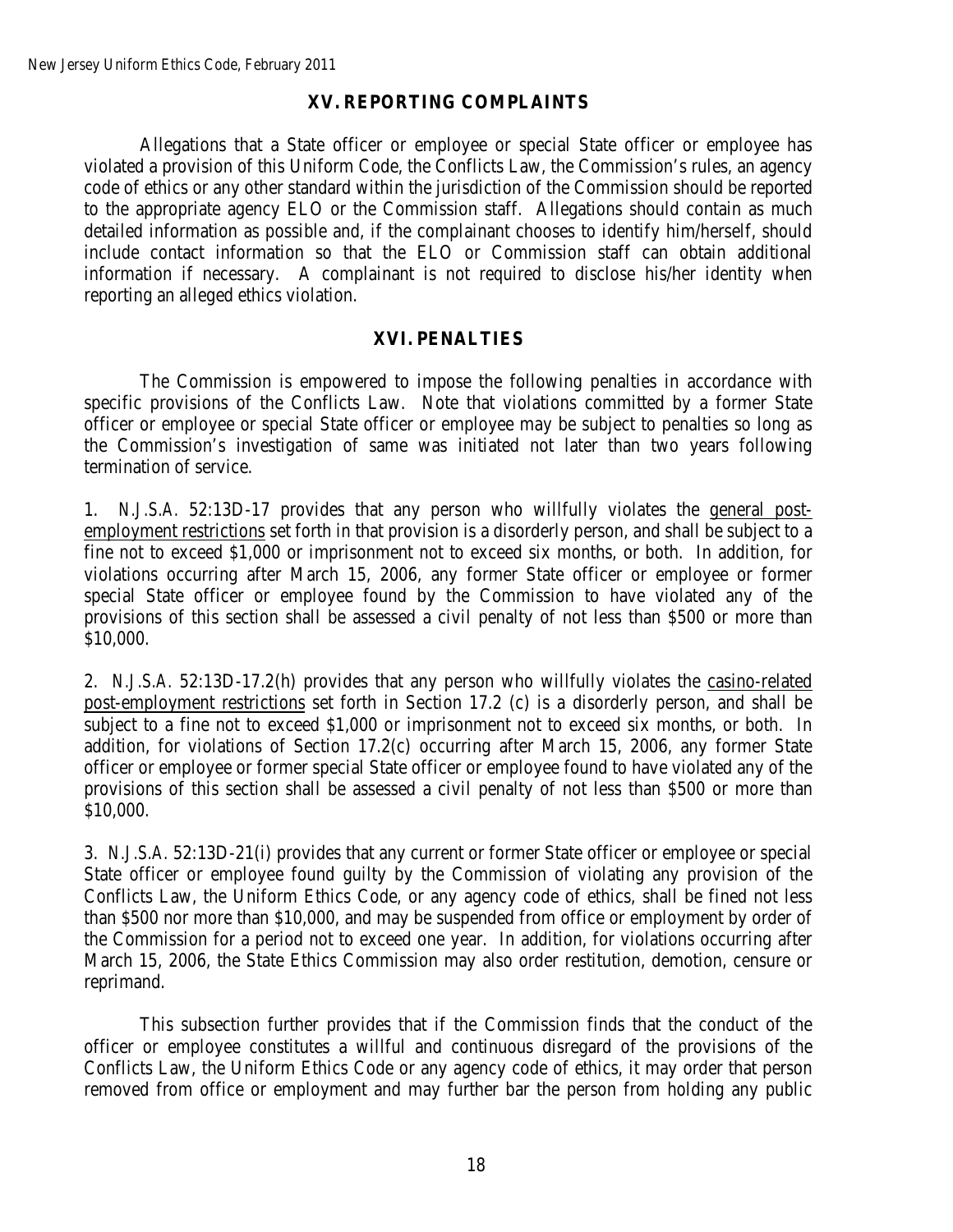## **XV. REPORTING COMPLAINTS**

Allegations that a State officer or employee or special State officer or employee has violated a provision of this Uniform Code, the Conflicts Law, the Commission's rules, an agency code of ethics or any other standard within the jurisdiction of the Commission should be reported to the appropriate agency ELO or the Commission staff. Allegations should contain as much detailed information as possible and, if the complainant chooses to identify him/herself, should include contact information so that the ELO or Commission staff can obtain additional information if necessary. A complainant is not required to disclose his/her identity when reporting an alleged ethics violation.

### **XVI. PENALTIES**

The Commission is empowered to impose the following penalties in accordance with specific provisions of the Conflicts Law. Note that violations committed by a former State officer or employee or special State officer or employee may be subject to penalties so long as the Commission's investigation of same was initiated not later than two years following termination of service.

1. *N.J.S.A.* 52:13D-17 provides that any person who willfully violates the general postemployment restrictions set forth in that provision is a disorderly person, and shall be subject to a fine not to exceed \$1,000 or imprisonment not to exceed six months, or both. In addition, for violations occurring after March 15, 2006, any former State officer or employee or former special State officer or employee found by the Commission to have violated any of the provisions of this section shall be assessed a civil penalty of not less than \$500 or more than \$10,000.

2. *N.J.S.A.* 52:13D-17.2(h) provides that any person who willfully violates the casino-related post-employment restrictions set forth in Section 17.2 (c) is a disorderly person, and shall be subject to a fine not to exceed \$1,000 or imprisonment not to exceed six months, or both. In addition, for violations of Section 17.2(c) occurring after March 15, 2006, any former State officer or employee or former special State officer or employee found to have violated any of the provisions of this section shall be assessed a civil penalty of not less than \$500 or more than \$10,000.

3. *N.J.S.A.* 52:13D-21(i) provides that any current or former State officer or employee or special State officer or employee found guilty by the Commission of violating any provision of the Conflicts Law, the Uniform Ethics Code, or any agency code of ethics, shall be fined not less than \$500 nor more than \$10,000, and may be suspended from office or employment by order of the Commission for a period not to exceed one year. In addition, for violations occurring after March 15, 2006, the State Ethics Commission may also order restitution, demotion, censure or reprimand.

This subsection further provides that if the Commission finds that the conduct of the officer or employee constitutes a willful and continuous disregard of the provisions of the Conflicts Law, the Uniform Ethics Code or any agency code of ethics, it may order that person removed from office or employment and may further bar the person from holding any public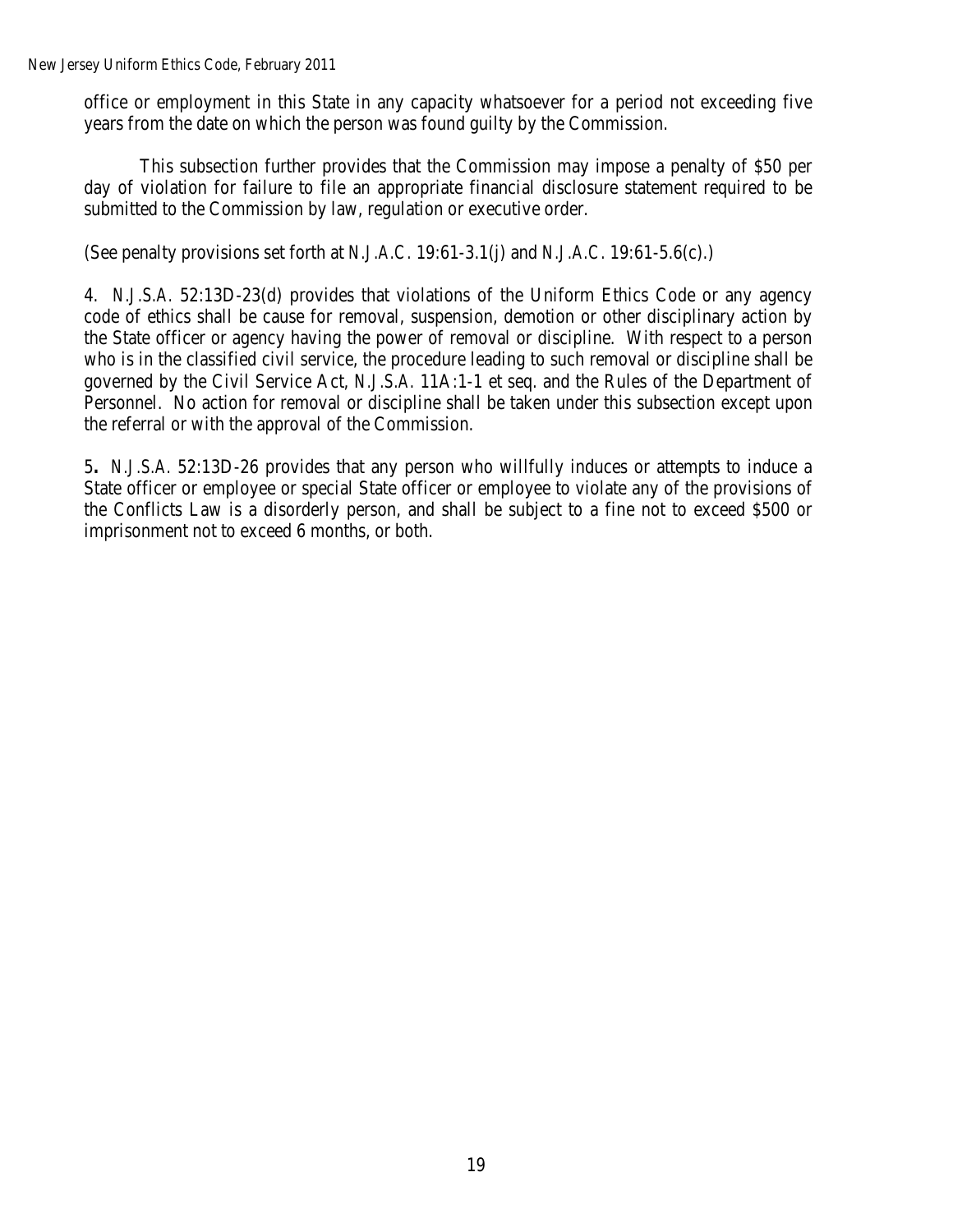New Jersey Uniform Ethics Code, February 2011

office or employment in this State in any capacity whatsoever for a period not exceeding five years from the date on which the person was found guilty by the Commission.

This subsection further provides that the Commission may impose a penalty of \$50 per day of violation for failure to file an appropriate financial disclosure statement required to be submitted to the Commission by law, regulation or executive order.

(See penalty provisions set forth at *N.J.A.C.* 19:61-3.1(j) and *N.J.A.C.* 19:61-5.6(c).)

4. *N.J.S.A.* 52:13D-23(d) provides that violations of the Uniform Ethics Code or any agency code of ethics shall be cause for removal, suspension, demotion or other disciplinary action by the State officer or agency having the power of removal or discipline. With respect to a person who is in the classified civil service, the procedure leading to such removal or discipline shall be governed by the Civil Service Act, *N.J.S.A.* 11A:1-1 et seq. and the Rules of the Department of Personnel. No action for removal or discipline shall be taken under this subsection except upon the referral or with the approval of the Commission.

5**.** *N.J.S.A.* 52:13D-26 provides that any person who willfully induces or attempts to induce a State officer or employee or special State officer or employee to violate any of the provisions of the Conflicts Law is a disorderly person, and shall be subject to a fine not to exceed \$500 or imprisonment not to exceed 6 months, or both.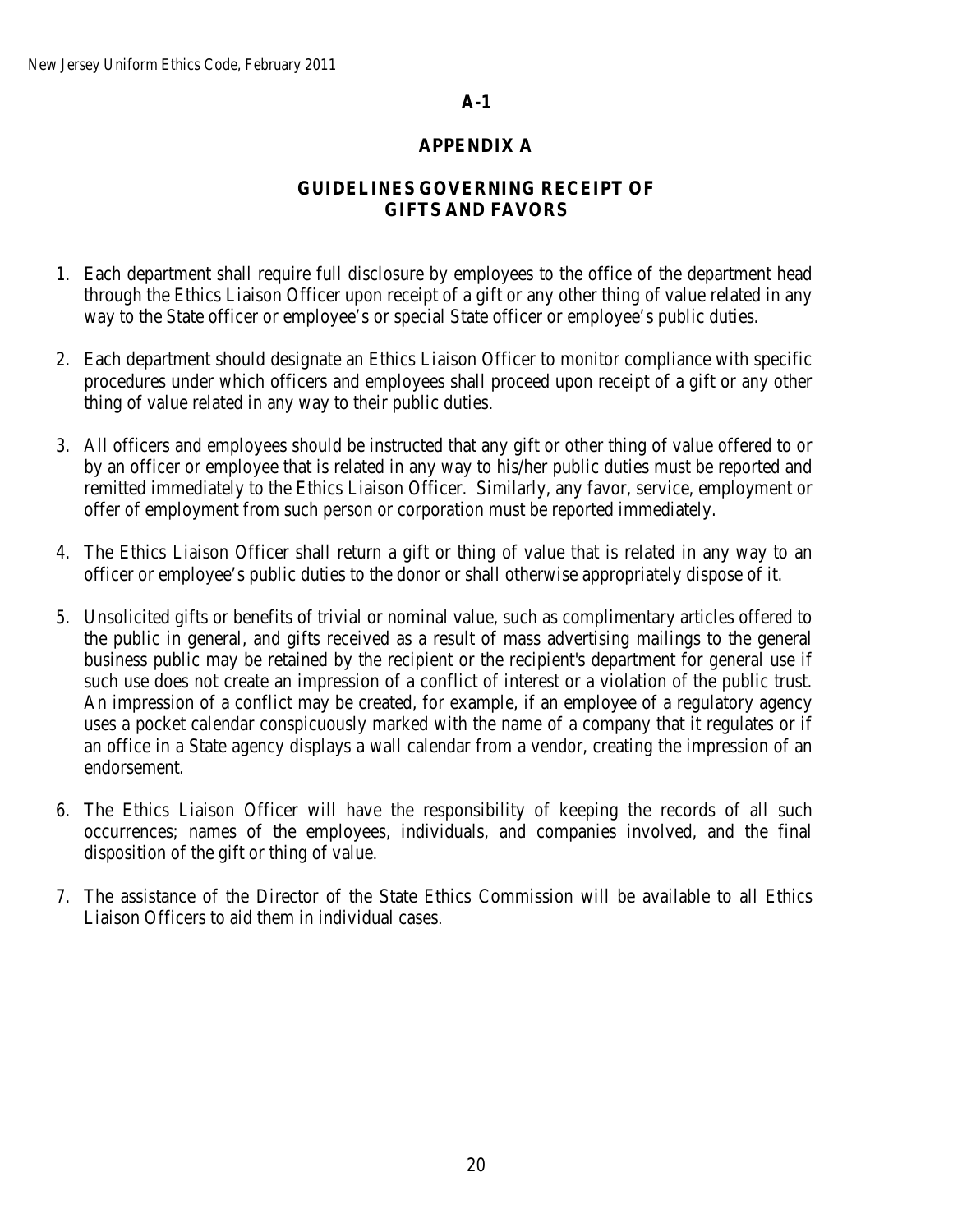## **A-1**

## **APPENDIX A**

# **GUIDELINES GOVERNING RECEIPT OF GIFTS AND FAVORS**

- 1. Each department shall require full disclosure by employees to the office of the department head through the Ethics Liaison Officer upon receipt of a gift or any other thing of value related in any way to the State officer or employee's or special State officer or employee's public duties.
- 2. Each department should designate an Ethics Liaison Officer to monitor compliance with specific procedures under which officers and employees shall proceed upon receipt of a gift or any other thing of value related in any way to their public duties.
- 3. All officers and employees should be instructed that any gift or other thing of value offered to or by an officer or employee that is related in any way to his/her public duties must be reported and remitted immediately to the Ethics Liaison Officer. Similarly, any favor, service, employment or offer of employment from such person or corporation must be reported immediately.
- 4. The Ethics Liaison Officer shall return a gift or thing of value that is related in any way to an officer or employee's public duties to the donor or shall otherwise appropriately dispose of it.
- 5. Unsolicited gifts or benefits of trivial or nominal value, such as complimentary articles offered to the public in general, and gifts received as a result of mass advertising mailings to the general business public may be retained by the recipient or the recipient's department for general use if such use does not create an impression of a conflict of interest or a violation of the public trust. An impression of a conflict may be created, for example, if an employee of a regulatory agency uses a pocket calendar conspicuously marked with the name of a company that it regulates or if an office in a State agency displays a wall calendar from a vendor, creating the impression of an endorsement.
- 6. The Ethics Liaison Officer will have the responsibility of keeping the records of all such occurrences; names of the employees, individuals, and companies involved, and the final disposition of the gift or thing of value.
- 7. The assistance of the Director of the State Ethics Commission will be available to all Ethics Liaison Officers to aid them in individual cases.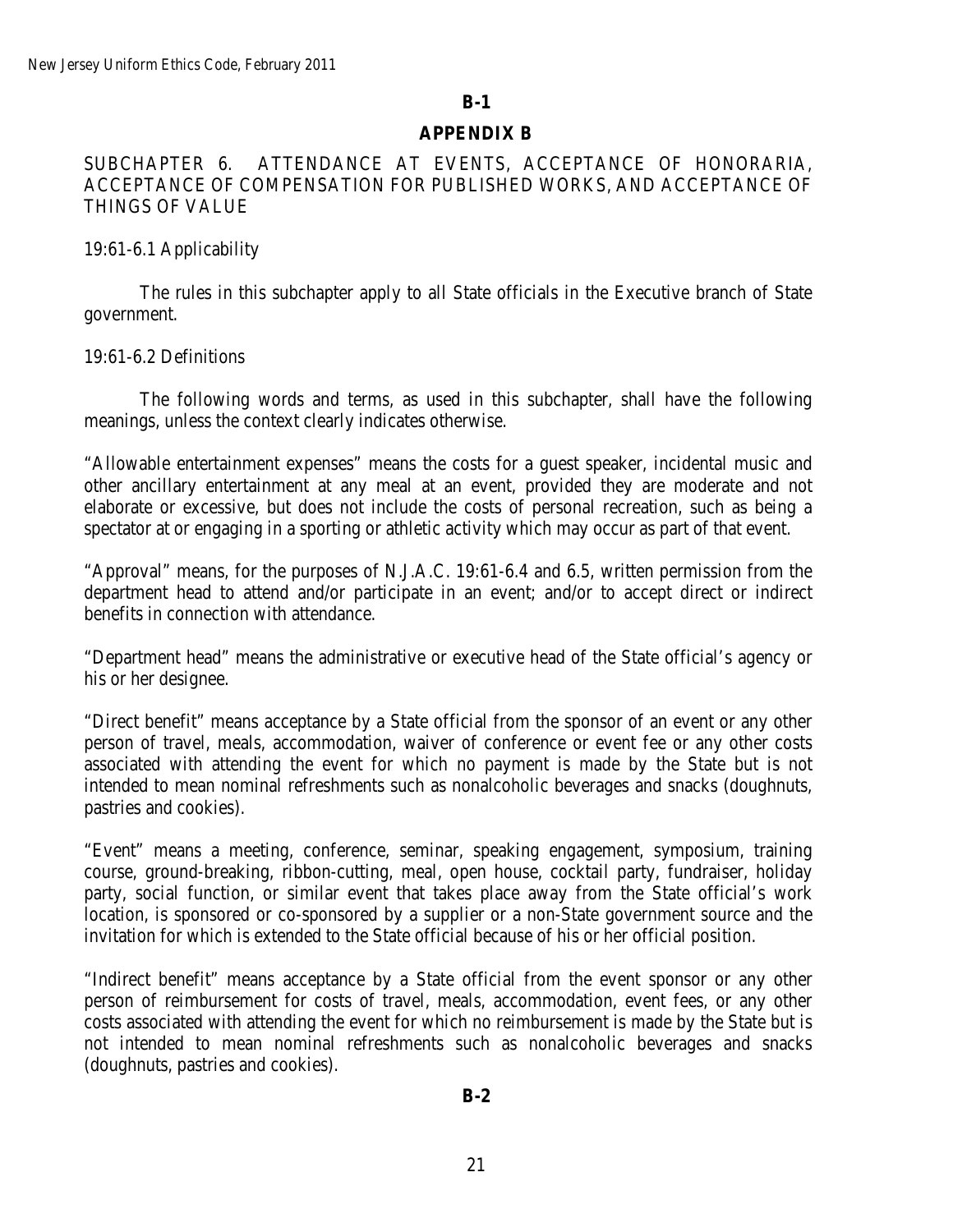#### **B-1**

#### **APPENDIX B**

## SUBCHAPTER 6. ATTENDANCE AT EVENTS, ACCEPTANCE OF HONORARIA, ACCEPTANCE OF COMPENSATION FOR PUBLISHED WORKS, AND ACCEPTANCE OF THINGS OF VALUE

### 19:61-6.1 Applicability

The rules in this subchapter apply to all State officials in the Executive branch of State government.

#### 19:61-6.2 Definitions

The following words and terms, as used in this subchapter, shall have the following meanings, unless the context clearly indicates otherwise.

"Allowable entertainment expenses" means the costs for a guest speaker, incidental music and other ancillary entertainment at any meal at an event, provided they are moderate and not elaborate or excessive, but does not include the costs of personal recreation, such as being a spectator at or engaging in a sporting or athletic activity which may occur as part of that event.

"Approval" means, for the purposes of N.J.A.C. 19:61-6.4 and 6.5, written permission from the department head to attend and/or participate in an event; and/or to accept direct or indirect benefits in connection with attendance.

"Department head" means the administrative or executive head of the State official's agency or his or her designee.

"Direct benefit" means acceptance by a State official from the sponsor of an event or any other person of travel, meals, accommodation, waiver of conference or event fee or any other costs associated with attending the event for which no payment is made by the State but is not intended to mean nominal refreshments such as nonalcoholic beverages and snacks (doughnuts, pastries and cookies).

"Event" means a meeting, conference, seminar, speaking engagement, symposium, training course, ground-breaking, ribbon-cutting, meal, open house, cocktail party, fundraiser, holiday party, social function, or similar event that takes place away from the State official's work location, is sponsored or co-sponsored by a supplier or a non-State government source and the invitation for which is extended to the State official because of his or her official position.

"Indirect benefit" means acceptance by a State official from the event sponsor or any other person of reimbursement for costs of travel, meals, accommodation, event fees, or any other costs associated with attending the event for which no reimbursement is made by the State but is not intended to mean nominal refreshments such as nonalcoholic beverages and snacks (doughnuts, pastries and cookies).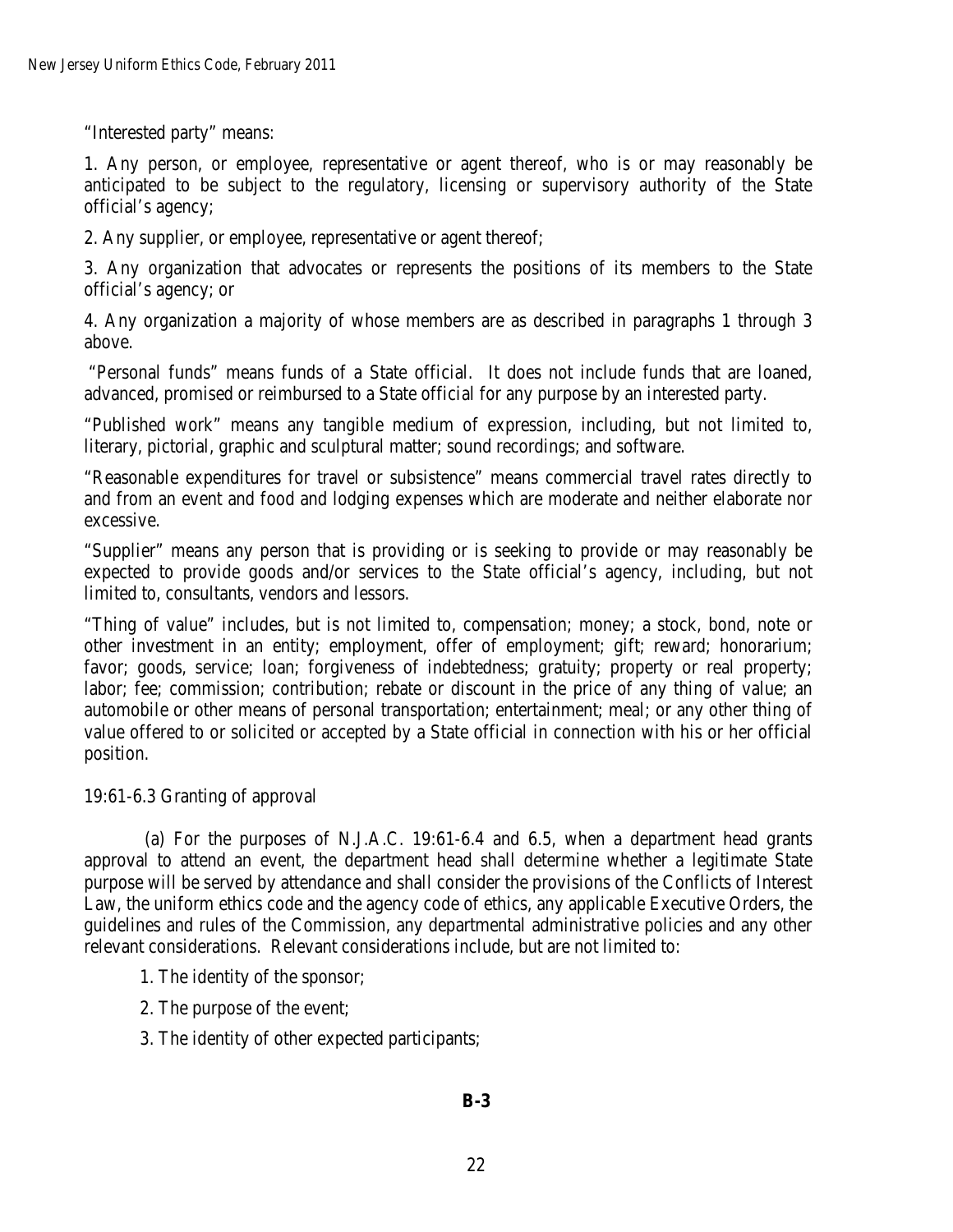"Interested party" means:

1. Any person, or employee, representative or agent thereof, who is or may reasonably be anticipated to be subject to the regulatory, licensing or supervisory authority of the State official's agency;

2. Any supplier, or employee, representative or agent thereof;

3. Any organization that advocates or represents the positions of its members to the State official's agency; or

4. Any organization a majority of whose members are as described in paragraphs 1 through 3 above.

"Personal funds" means funds of a State official. It does not include funds that are loaned, advanced, promised or reimbursed to a State official for any purpose by an interested party.

"Published work" means any tangible medium of expression, including, but not limited to, literary, pictorial, graphic and sculptural matter; sound recordings; and software.

"Reasonable expenditures for travel or subsistence" means commercial travel rates directly to and from an event and food and lodging expenses which are moderate and neither elaborate nor excessive.

"Supplier" means any person that is providing or is seeking to provide or may reasonably be expected to provide goods and/or services to the State official's agency, including, but not limited to, consultants, vendors and lessors.

"Thing of value" includes, but is not limited to, compensation; money; a stock, bond, note or other investment in an entity; employment, offer of employment; gift; reward; honorarium; favor; goods, service; loan; forgiveness of indebtedness; gratuity; property or real property; labor; fee; commission; contribution; rebate or discount in the price of any thing of value; an automobile or other means of personal transportation; entertainment; meal; or any other thing of value offered to or solicited or accepted by a State official in connection with his or her official position.

## 19:61-6.3 Granting of approval

 (a) For the purposes of N.J.A.C. 19:61-6.4 and 6.5, when a department head grants approval to attend an event, the department head shall determine whether a legitimate State purpose will be served by attendance and shall consider the provisions of the Conflicts of Interest Law, the uniform ethics code and the agency code of ethics, any applicable Executive Orders, the guidelines and rules of the Commission, any departmental administrative policies and any other relevant considerations. Relevant considerations include, but are not limited to:

- 1. The identity of the sponsor;
- 2. The purpose of the event;
- 3. The identity of other expected participants;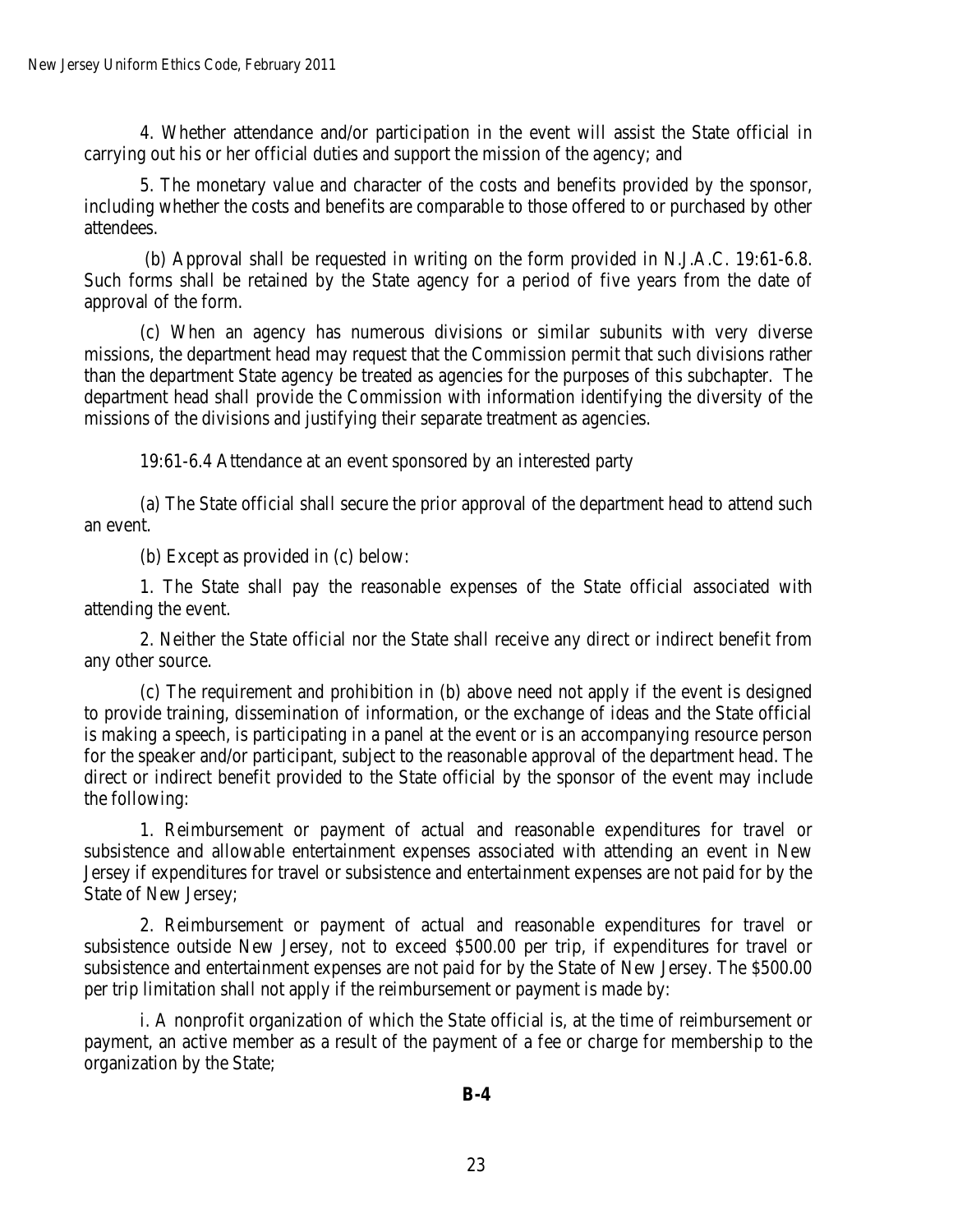4. Whether attendance and/or participation in the event will assist the State official in carrying out his or her official duties and support the mission of the agency; and

5. The monetary value and character of the costs and benefits provided by the sponsor, including whether the costs and benefits are comparable to those offered to or purchased by other attendees.

(b) Approval shall be requested in writing on the form provided in N.J.A.C. 19:61-6.8. Such forms shall be retained by the State agency for a period of five years from the date of approval of the form.

(c) When an agency has numerous divisions or similar subunits with very diverse missions, the department head may request that the Commission permit that such divisions rather than the department State agency be treated as agencies for the purposes of this subchapter. The department head shall provide the Commission with information identifying the diversity of the missions of the divisions and justifying their separate treatment as agencies.

19:61-6.4 Attendance at an event sponsored by an interested party

(a) The State official shall secure the prior approval of the department head to attend such an event.

(b) Except as provided in (c) below:

1. The State shall pay the reasonable expenses of the State official associated with attending the event.

2. Neither the State official nor the State shall receive any direct or indirect benefit from any other source.

(c) The requirement and prohibition in (b) above need not apply if the event is designed to provide training, dissemination of information, or the exchange of ideas and the State official is making a speech, is participating in a panel at the event or is an accompanying resource person for the speaker and/or participant, subject to the reasonable approval of the department head. The direct or indirect benefit provided to the State official by the sponsor of the event may include the following:

1. Reimbursement or payment of actual and reasonable expenditures for travel or subsistence and allowable entertainment expenses associated with attending an event in New Jersey if expenditures for travel or subsistence and entertainment expenses are not paid for by the State of New Jersey;

2. Reimbursement or payment of actual and reasonable expenditures for travel or subsistence outside New Jersey, not to exceed \$500.00 per trip, if expenditures for travel or subsistence and entertainment expenses are not paid for by the State of New Jersey. The \$500.00 per trip limitation shall not apply if the reimbursement or payment is made by:

i. A nonprofit organization of which the State official is, at the time of reimbursement or payment, an active member as a result of the payment of a fee or charge for membership to the organization by the State;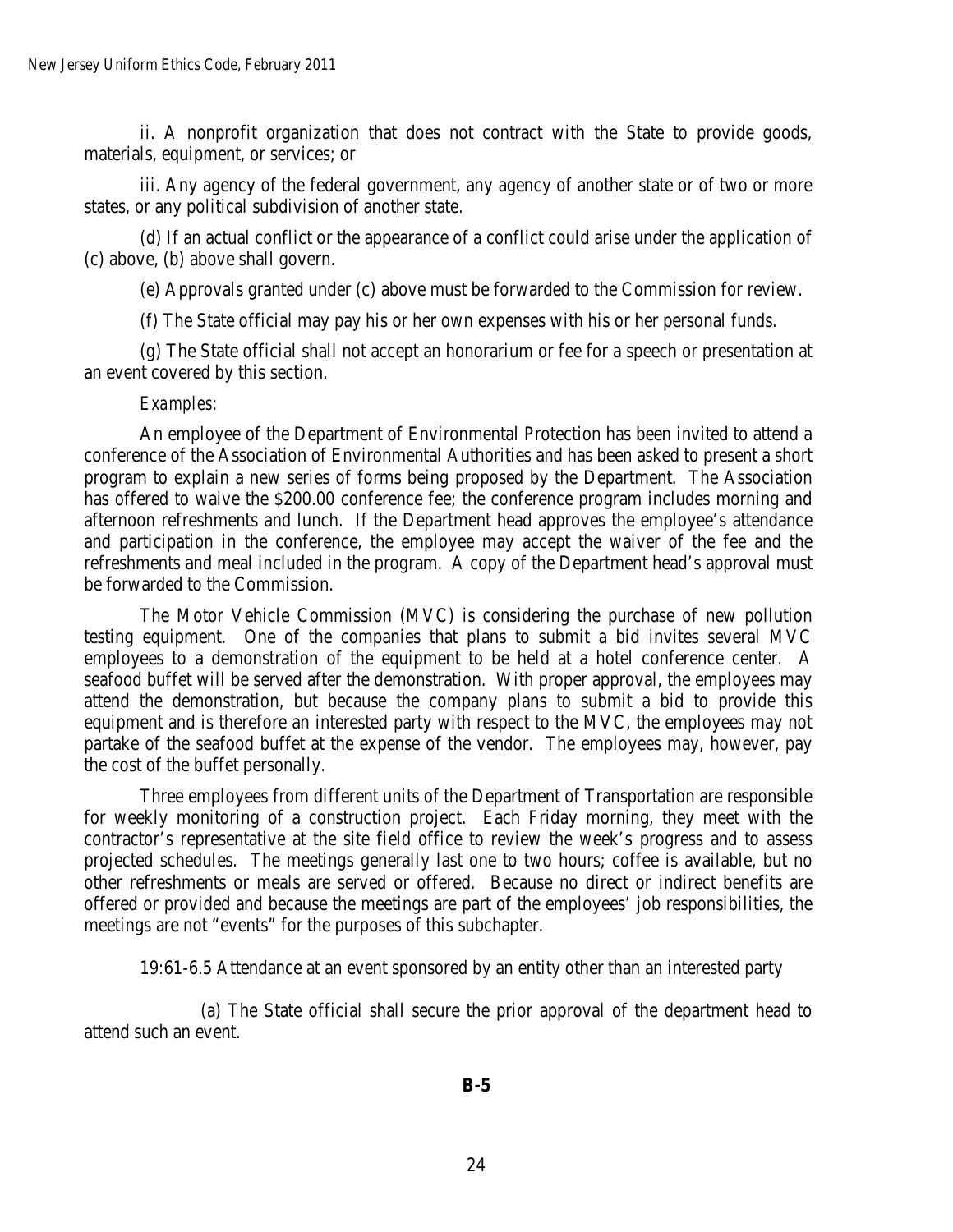ii. A nonprofit organization that does not contract with the State to provide goods, materials, equipment, or services; or

iii. Any agency of the federal government, any agency of another state or of two or more states, or any political subdivision of another state.

(d) If an actual conflict or the appearance of a conflict could arise under the application of (c) above, (b) above shall govern.

(e) Approvals granted under (c) above must be forwarded to the Commission for review.

(f) The State official may pay his or her own expenses with his or her personal funds.

(g) The State official shall not accept an honorarium or fee for a speech or presentation at an event covered by this section.

#### *Examples:*

An employee of the Department of Environmental Protection has been invited to attend a conference of the Association of Environmental Authorities and has been asked to present a short program to explain a new series of forms being proposed by the Department. The Association has offered to waive the \$200.00 conference fee; the conference program includes morning and afternoon refreshments and lunch. If the Department head approves the employee's attendance and participation in the conference, the employee may accept the waiver of the fee and the refreshments and meal included in the program. A copy of the Department head's approval must be forwarded to the Commission.

The Motor Vehicle Commission (MVC) is considering the purchase of new pollution testing equipment. One of the companies that plans to submit a bid invites several MVC employees to a demonstration of the equipment to be held at a hotel conference center. A seafood buffet will be served after the demonstration. With proper approval, the employees may attend the demonstration, but because the company plans to submit a bid to provide this equipment and is therefore an interested party with respect to the MVC, the employees may not partake of the seafood buffet at the expense of the vendor. The employees may, however, pay the cost of the buffet personally.

Three employees from different units of the Department of Transportation are responsible for weekly monitoring of a construction project. Each Friday morning, they meet with the contractor's representative at the site field office to review the week's progress and to assess projected schedules. The meetings generally last one to two hours; coffee is available, but no other refreshments or meals are served or offered. Because no direct or indirect benefits are offered or provided and because the meetings are part of the employees' job responsibilities, the meetings are not "events" for the purposes of this subchapter.

19:61-6.5 Attendance at an event sponsored by an entity other than an interested party

 (a) The State official shall secure the prior approval of the department head to attend such an event.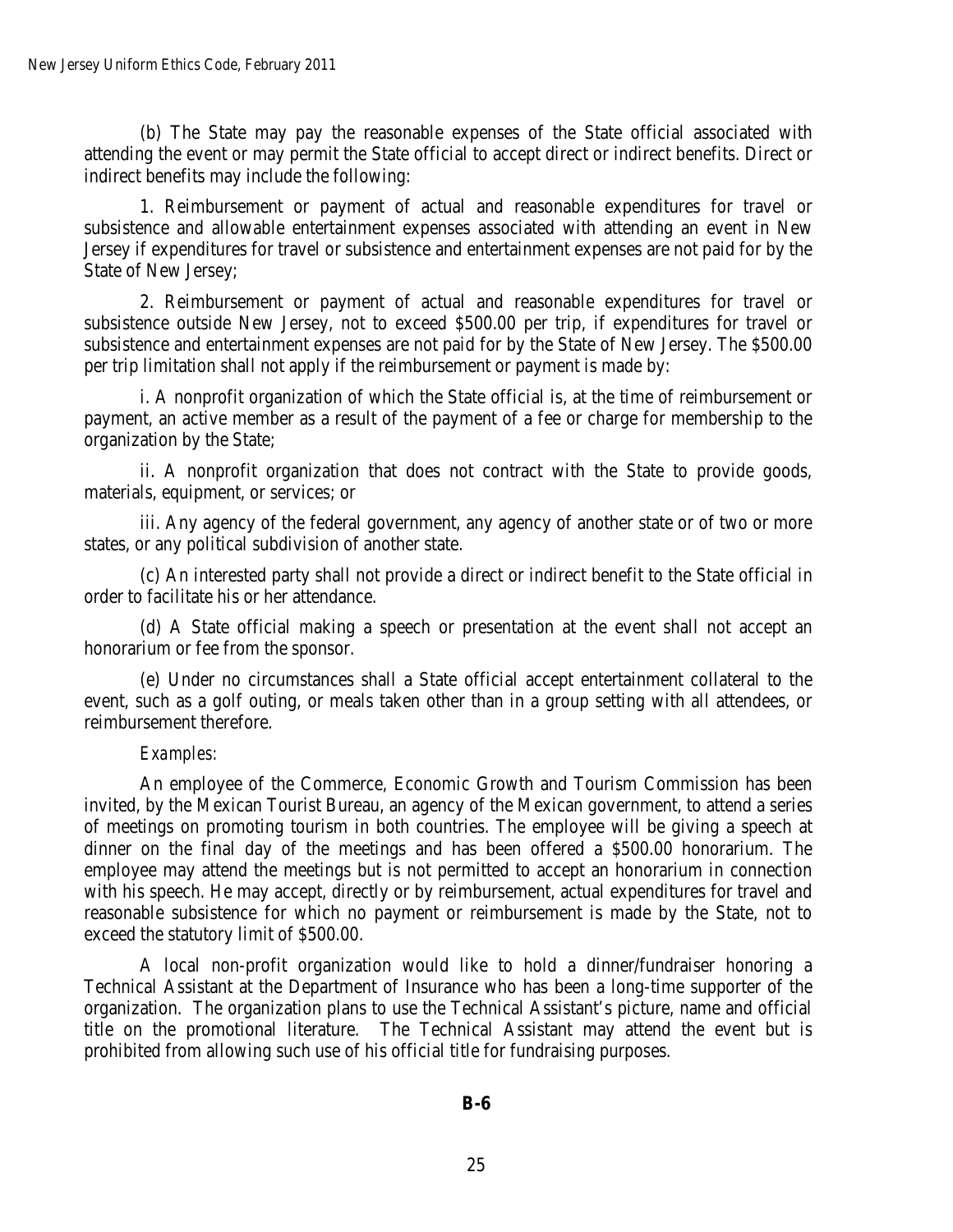(b) The State may pay the reasonable expenses of the State official associated with attending the event or may permit the State official to accept direct or indirect benefits. Direct or indirect benefits may include the following:

1. Reimbursement or payment of actual and reasonable expenditures for travel or subsistence and allowable entertainment expenses associated with attending an event in New Jersey if expenditures for travel or subsistence and entertainment expenses are not paid for by the State of New Jersey;

2. Reimbursement or payment of actual and reasonable expenditures for travel or subsistence outside New Jersey, not to exceed \$500.00 per trip, if expenditures for travel or subsistence and entertainment expenses are not paid for by the State of New Jersey. The \$500.00 per trip limitation shall not apply if the reimbursement or payment is made by:

i. A nonprofit organization of which the State official is, at the time of reimbursement or payment, an active member as a result of the payment of a fee or charge for membership to the organization by the State;

ii. A nonprofit organization that does not contract with the State to provide goods, materials, equipment, or services; or

iii. Any agency of the federal government, any agency of another state or of two or more states, or any political subdivision of another state.

(c) An interested party shall not provide a direct or indirect benefit to the State official in order to facilitate his or her attendance.

(d) A State official making a speech or presentation at the event shall not accept an honorarium or fee from the sponsor.

(e) Under no circumstances shall a State official accept entertainment collateral to the event, such as a golf outing, or meals taken other than in a group setting with all attendees, or reimbursement therefore.

### *Examples:*

An employee of the Commerce, Economic Growth and Tourism Commission has been invited, by the Mexican Tourist Bureau, an agency of the Mexican government, to attend a series of meetings on promoting tourism in both countries. The employee will be giving a speech at dinner on the final day of the meetings and has been offered a \$500.00 honorarium. The employee may attend the meetings but is not permitted to accept an honorarium in connection with his speech. He may accept, directly or by reimbursement, actual expenditures for travel and reasonable subsistence for which no payment or reimbursement is made by the State, not to exceed the statutory limit of \$500.00.

A local non-profit organization would like to hold a dinner/fundraiser honoring a Technical Assistant at the Department of Insurance who has been a long-time supporter of the organization. The organization plans to use the Technical Assistant's picture, name and official title on the promotional literature. The Technical Assistant may attend the event but is prohibited from allowing such use of his official title for fundraising purposes.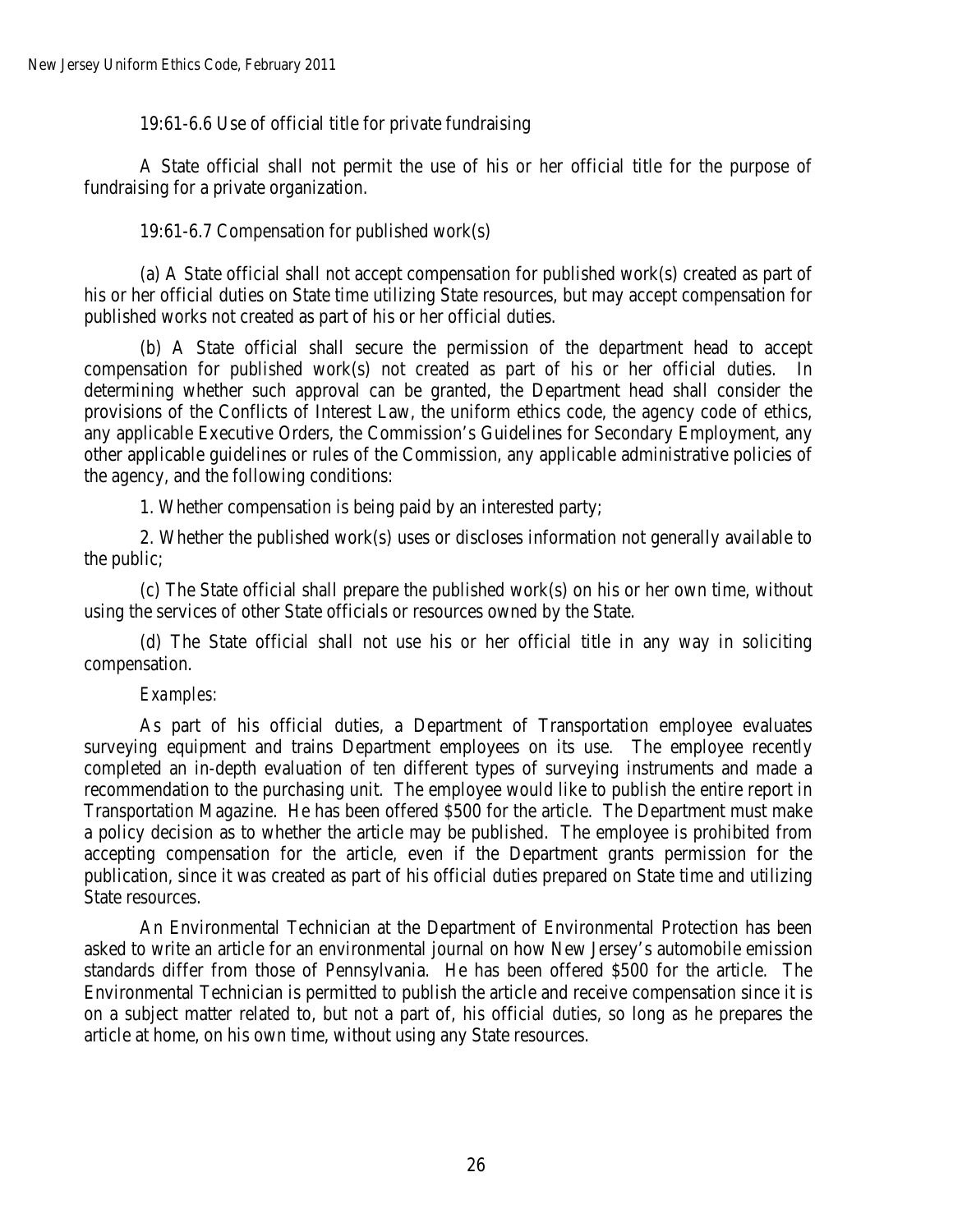19:61-6.6 Use of official title for private fundraising

A State official shall not permit the use of his or her official title for the purpose of fundraising for a private organization.

19:61-6.7 Compensation for published work(s)

(a) A State official shall not accept compensation for published work(s) created as part of his or her official duties on State time utilizing State resources, but may accept compensation for published works not created as part of his or her official duties.

(b) A State official shall secure the permission of the department head to accept compensation for published work(s) not created as part of his or her official duties. In determining whether such approval can be granted, the Department head shall consider the provisions of the Conflicts of Interest Law, the uniform ethics code, the agency code of ethics, any applicable Executive Orders, the Commission's Guidelines for Secondary Employment, any other applicable guidelines or rules of the Commission, any applicable administrative policies of the agency, and the following conditions:

1. Whether compensation is being paid by an interested party;

2. Whether the published work(s) uses or discloses information not generally available to the public;

(c) The State official shall prepare the published work(s) on his or her own time, without using the services of other State officials or resources owned by the State.

(d) The State official shall not use his or her official title in any way in soliciting compensation.

## *Examples:*

As part of his official duties, a Department of Transportation employee evaluates surveying equipment and trains Department employees on its use. The employee recently completed an in-depth evaluation of ten different types of surveying instruments and made a recommendation to the purchasing unit. The employee would like to publish the entire report in Transportation Magazine. He has been offered \$500 for the article. The Department must make a policy decision as to whether the article may be published. The employee is prohibited from accepting compensation for the article, even if the Department grants permission for the publication, since it was created as part of his official duties prepared on State time and utilizing State resources.

An Environmental Technician at the Department of Environmental Protection has been asked to write an article for an environmental journal on how New Jersey's automobile emission standards differ from those of Pennsylvania. He has been offered \$500 for the article. The Environmental Technician is permitted to publish the article and receive compensation since it is on a subject matter related to, but not a part of, his official duties, so long as he prepares the article at home, on his own time, without using any State resources.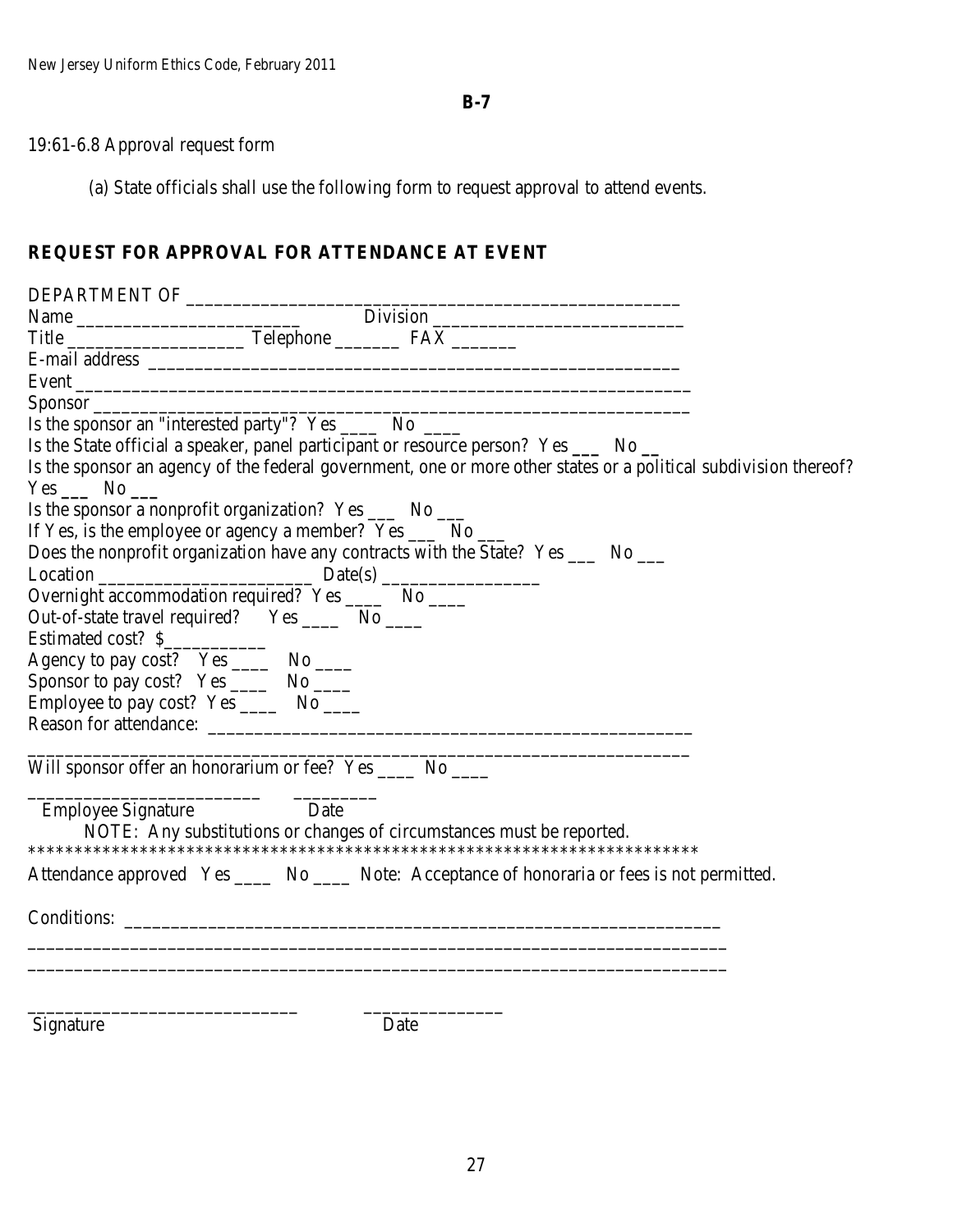**B-7**

# 19:61-6.8 Approval request form

(a) State officials shall use the following form to request approval to attend events.

# **REQUEST FOR APPROVAL FOR ATTENDANCE AT EVENT**

| Name Division Division Division Division Part of the Contract of Telephone PAX Division PAX Division PAX Division PAX Division Contract of the Contract of Telephone PAX Division PAX Division Contract of the Contract of Tel |
|--------------------------------------------------------------------------------------------------------------------------------------------------------------------------------------------------------------------------------|
|                                                                                                                                                                                                                                |
|                                                                                                                                                                                                                                |
|                                                                                                                                                                                                                                |
| Is the sponsor an "interested party"? Yes ______ No _____                                                                                                                                                                      |
| Is the State official a speaker, panel participant or resource person? Yes _____ No __                                                                                                                                         |
| Is the sponsor an agency of the federal government, one or more other states or a political subdivision thereof?<br>$Yes \_ No \_$                                                                                             |
| Is the sponsor a nonprofit organization? Yes _____ No ____                                                                                                                                                                     |
| If Yes, is the employee or agency a member? Yes ______ No _____                                                                                                                                                                |
| Does the nonprofit organization have any contracts with the State? Yes ______ No _____                                                                                                                                         |
| $Location$ $Date(s)$ $Date(s)$ $Note(1)$ $Date(s)$ $Note(2)$ $Note(3)$ $Note(4)$ $Note(5)$ $Note(6)$ $Note(6)$ $Note(6)$ $Date(s)$ $Note(7)$ $Note(7)$                                                                         |
|                                                                                                                                                                                                                                |
| Out-of-state travel required? Yes _______ No _____                                                                                                                                                                             |
| Estimated cost? \$                                                                                                                                                                                                             |
| Agency to pay cost? Yes _______ No _____                                                                                                                                                                                       |
| Sponsor to pay cost? Yes _______ No _____                                                                                                                                                                                      |
| Employee to pay cost? Yes _______ No _____                                                                                                                                                                                     |
|                                                                                                                                                                                                                                |
| Will sponsor offer an honorarium or fee? Yes _____ No _____                                                                                                                                                                    |
| Date<br><b>Employee Signature</b><br>NOTE: Any substitutions or changes of circumstances must be reported.                                                                                                                     |
| Attendance approved Yes ______ No ______ Note: Acceptance of honoraria or fees is not permitted.                                                                                                                               |
|                                                                                                                                                                                                                                |
|                                                                                                                                                                                                                                |
| Signature<br>Date                                                                                                                                                                                                              |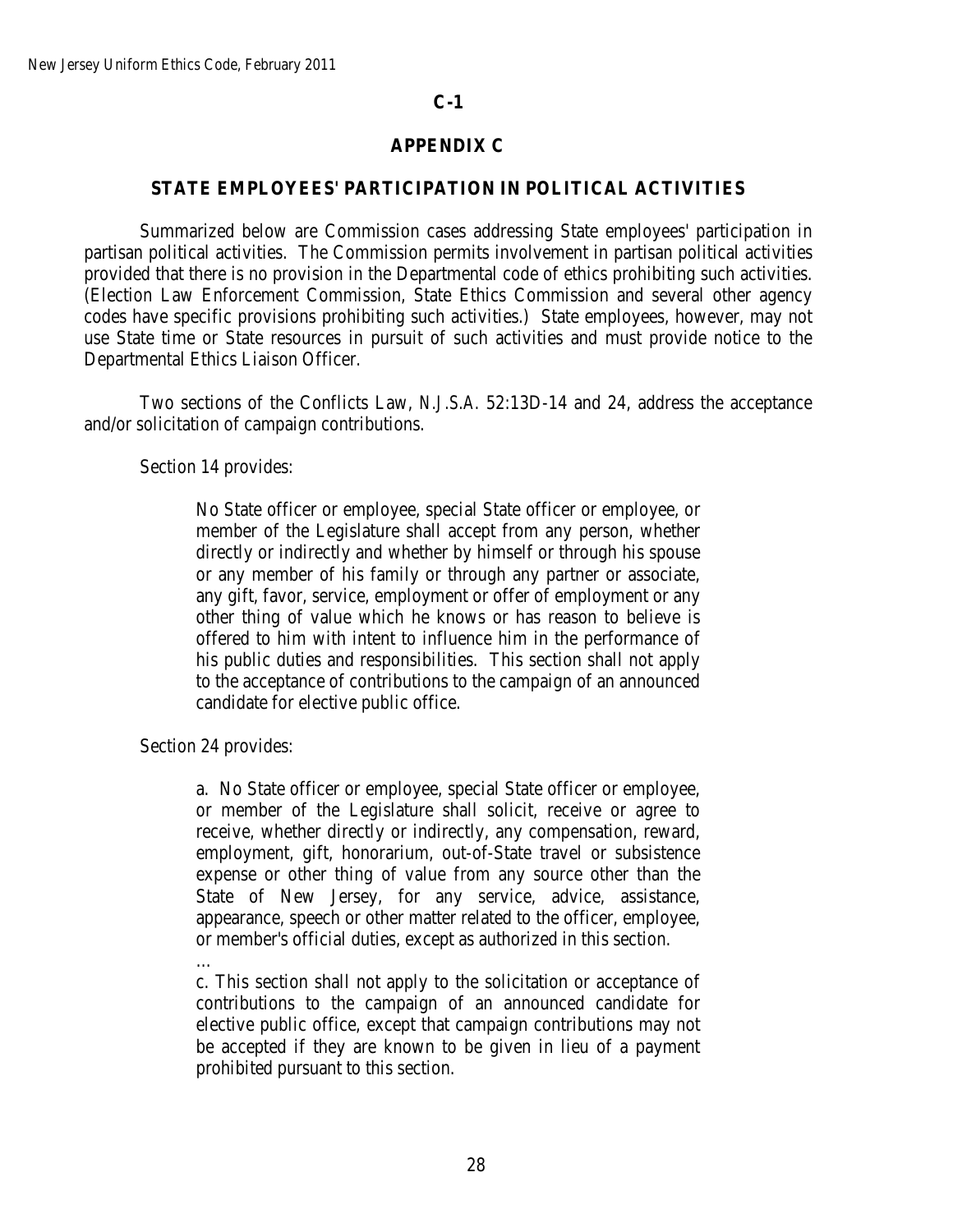## **APPENDIX C**

#### **STATE EMPLOYEES' PARTICIPATION IN POLITICAL ACTIVITIES**

Summarized below are Commission cases addressing State employees' participation in partisan political activities. The Commission permits involvement in partisan political activities provided that there is no provision in the Departmental code of ethics prohibiting such activities. (Election Law Enforcement Commission, State Ethics Commission and several other agency codes have specific provisions prohibiting such activities.) State employees, however, may not use State time or State resources in pursuit of such activities and must provide notice to the Departmental Ethics Liaison Officer.

Two sections of the Conflicts Law, *N.J.S.A.* 52:13D-14 and 24, address the acceptance and/or solicitation of campaign contributions.

Section 14 provides:

No State officer or employee, special State officer or employee, or member of the Legislature shall accept from any person, whether directly or indirectly and whether by himself or through his spouse or any member of his family or through any partner or associate, any gift, favor, service, employment or offer of employment or any other thing of value which he knows or has reason to believe is offered to him with intent to influence him in the performance of his public duties and responsibilities. This section shall not apply to the acceptance of contributions to the campaign of an announced candidate for elective public office.

Section 24 provides:

a. No State officer or employee, special State officer or employee, or member of the Legislature shall solicit, receive or agree to receive, whether directly or indirectly, any compensation, reward, employment, gift, honorarium, out-of-State travel or subsistence expense or other thing of value from any source other than the State of New Jersey, for any service, advice, assistance, appearance, speech or other matter related to the officer, employee, or member's official duties, except as authorized in this section.

…

c. This section shall not apply to the solicitation or acceptance of contributions to the campaign of an announced candidate for elective public office, except that campaign contributions may not be accepted if they are known to be given in lieu of a payment prohibited pursuant to this section.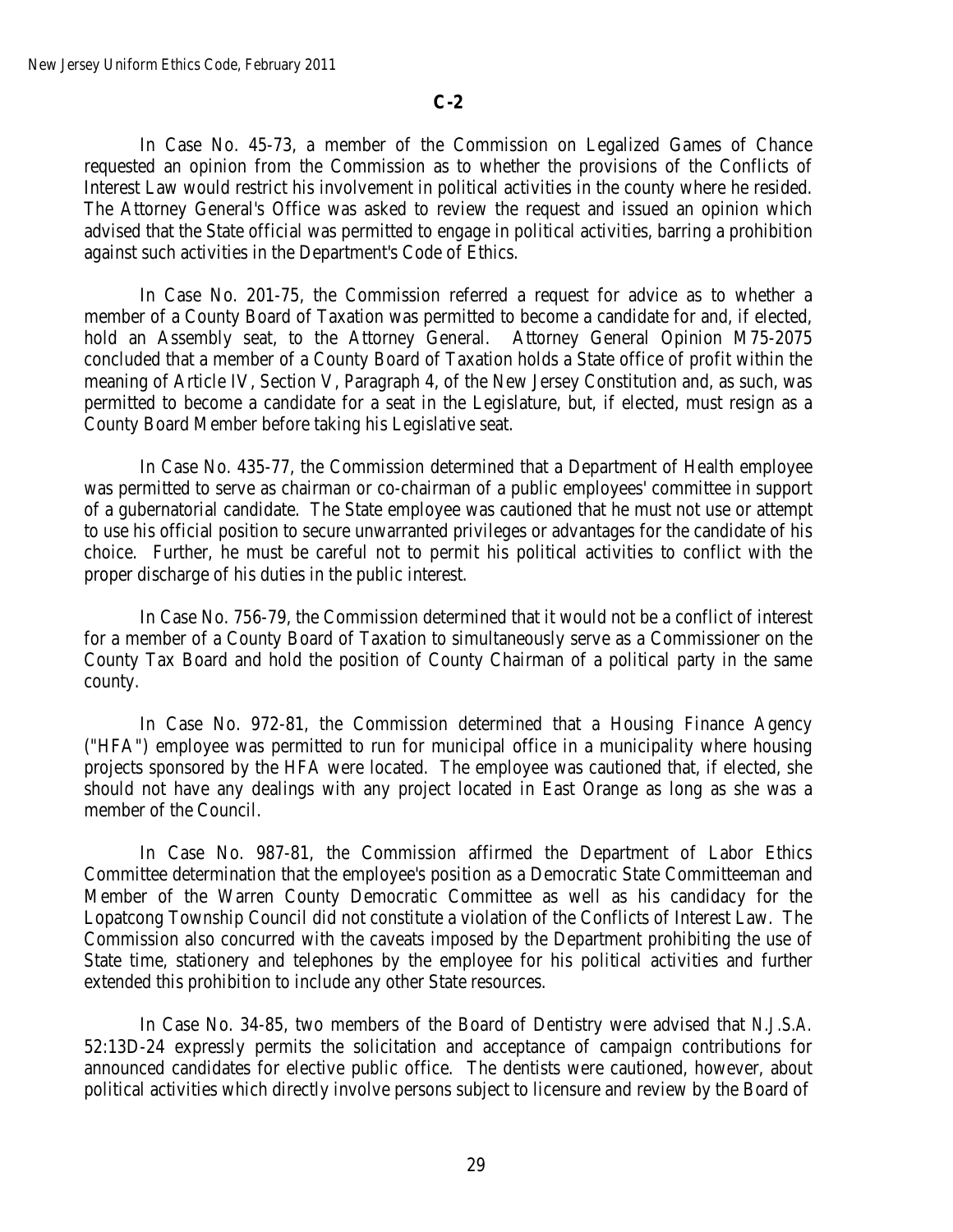In Case No. 45-73, a member of the Commission on Legalized Games of Chance requested an opinion from the Commission as to whether the provisions of the Conflicts of Interest Law would restrict his involvement in political activities in the county where he resided. The Attorney General's Office was asked to review the request and issued an opinion which advised that the State official was permitted to engage in political activities, barring a prohibition against such activities in the Department's Code of Ethics.

In Case No. 201-75, the Commission referred a request for advice as to whether a member of a County Board of Taxation was permitted to become a candidate for and, if elected, hold an Assembly seat, to the Attorney General. Attorney General Opinion M75-2075 concluded that a member of a County Board of Taxation holds a State office of profit within the meaning of Article IV, Section V, Paragraph 4, of the New Jersey Constitution and, as such, was permitted to become a candidate for a seat in the Legislature, but, if elected, must resign as a County Board Member before taking his Legislative seat.

In Case No. 435-77, the Commission determined that a Department of Health employee was permitted to serve as chairman or co-chairman of a public employees' committee in support of a gubernatorial candidate. The State employee was cautioned that he must not use or attempt to use his official position to secure unwarranted privileges or advantages for the candidate of his choice. Further, he must be careful not to permit his political activities to conflict with the proper discharge of his duties in the public interest.

In Case No. 756-79, the Commission determined that it would not be a conflict of interest for a member of a County Board of Taxation to simultaneously serve as a Commissioner on the County Tax Board and hold the position of County Chairman of a political party in the same county.

In Case No. 972-81, the Commission determined that a Housing Finance Agency ("HFA") employee was permitted to run for municipal office in a municipality where housing projects sponsored by the HFA were located. The employee was cautioned that, if elected, she should not have any dealings with any project located in East Orange as long as she was a member of the Council.

In Case No. 987-81, the Commission affirmed the Department of Labor Ethics Committee determination that the employee's position as a Democratic State Committeeman and Member of the Warren County Democratic Committee as well as his candidacy for the Lopatcong Township Council did not constitute a violation of the Conflicts of Interest Law. The Commission also concurred with the caveats imposed by the Department prohibiting the use of State time, stationery and telephones by the employee for his political activities and further extended this prohibition to include any other State resources.

In Case No. 34-85, two members of the Board of Dentistry were advised that *N.J.S.A.* 52:13D-24 expressly permits the solicitation and acceptance of campaign contributions for announced candidates for elective public office. The dentists were cautioned, however, about political activities which directly involve persons subject to licensure and review by the Board of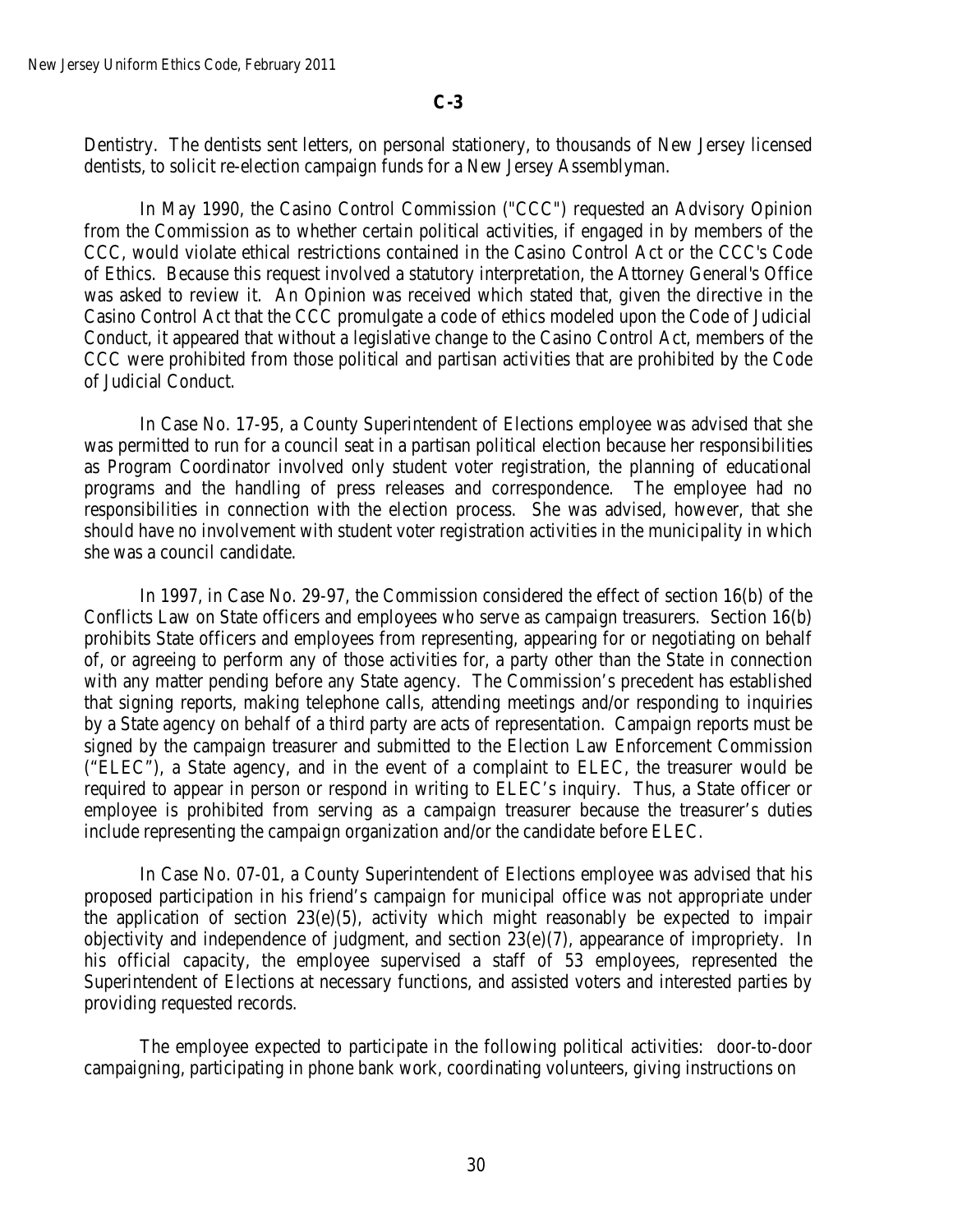Dentistry. The dentists sent letters, on personal stationery, to thousands of New Jersey licensed dentists, to solicit re-election campaign funds for a New Jersey Assemblyman.

In May 1990, the Casino Control Commission ("CCC") requested an Advisory Opinion from the Commission as to whether certain political activities, if engaged in by members of the CCC, would violate ethical restrictions contained in the Casino Control Act or the CCC's Code of Ethics. Because this request involved a statutory interpretation, the Attorney General's Office was asked to review it. An Opinion was received which stated that, given the directive in the Casino Control Act that the CCC promulgate a code of ethics modeled upon the Code of Judicial Conduct, it appeared that without a legislative change to the Casino Control Act, members of the CCC were prohibited from those political and partisan activities that are prohibited by the Code of Judicial Conduct.

In Case No. 17-95, a County Superintendent of Elections employee was advised that she was permitted to run for a council seat in a partisan political election because her responsibilities as Program Coordinator involved only student voter registration, the planning of educational programs and the handling of press releases and correspondence. The employee had no responsibilities in connection with the election process. She was advised, however, that she should have no involvement with student voter registration activities in the municipality in which she was a council candidate.

In 1997, in Case No. 29-97, the Commission considered the effect of section 16(b) of the Conflicts Law on State officers and employees who serve as campaign treasurers. Section 16(b) prohibits State officers and employees from representing, appearing for or negotiating on behalf of, or agreeing to perform any of those activities for, a party other than the State in connection with any matter pending before any State agency. The Commission's precedent has established that signing reports, making telephone calls, attending meetings and/or responding to inquiries by a State agency on behalf of a third party are acts of representation. Campaign reports must be signed by the campaign treasurer and submitted to the Election Law Enforcement Commission ("ELEC"), a State agency, and in the event of a complaint to ELEC, the treasurer would be required to appear in person or respond in writing to ELEC's inquiry. Thus, a State officer or employee is prohibited from serving as a campaign treasurer because the treasurer's duties include representing the campaign organization and/or the candidate before ELEC.

In Case No. 07-01, a County Superintendent of Elections employee was advised that his proposed participation in his friend's campaign for municipal office was not appropriate under the application of section  $23(e)(5)$ , activity which might reasonably be expected to impair objectivity and independence of judgment, and section 23(e)(7), appearance of impropriety. In his official capacity, the employee supervised a staff of 53 employees, represented the Superintendent of Elections at necessary functions, and assisted voters and interested parties by providing requested records.

The employee expected to participate in the following political activities: door-to-door campaigning, participating in phone bank work, coordinating volunteers, giving instructions on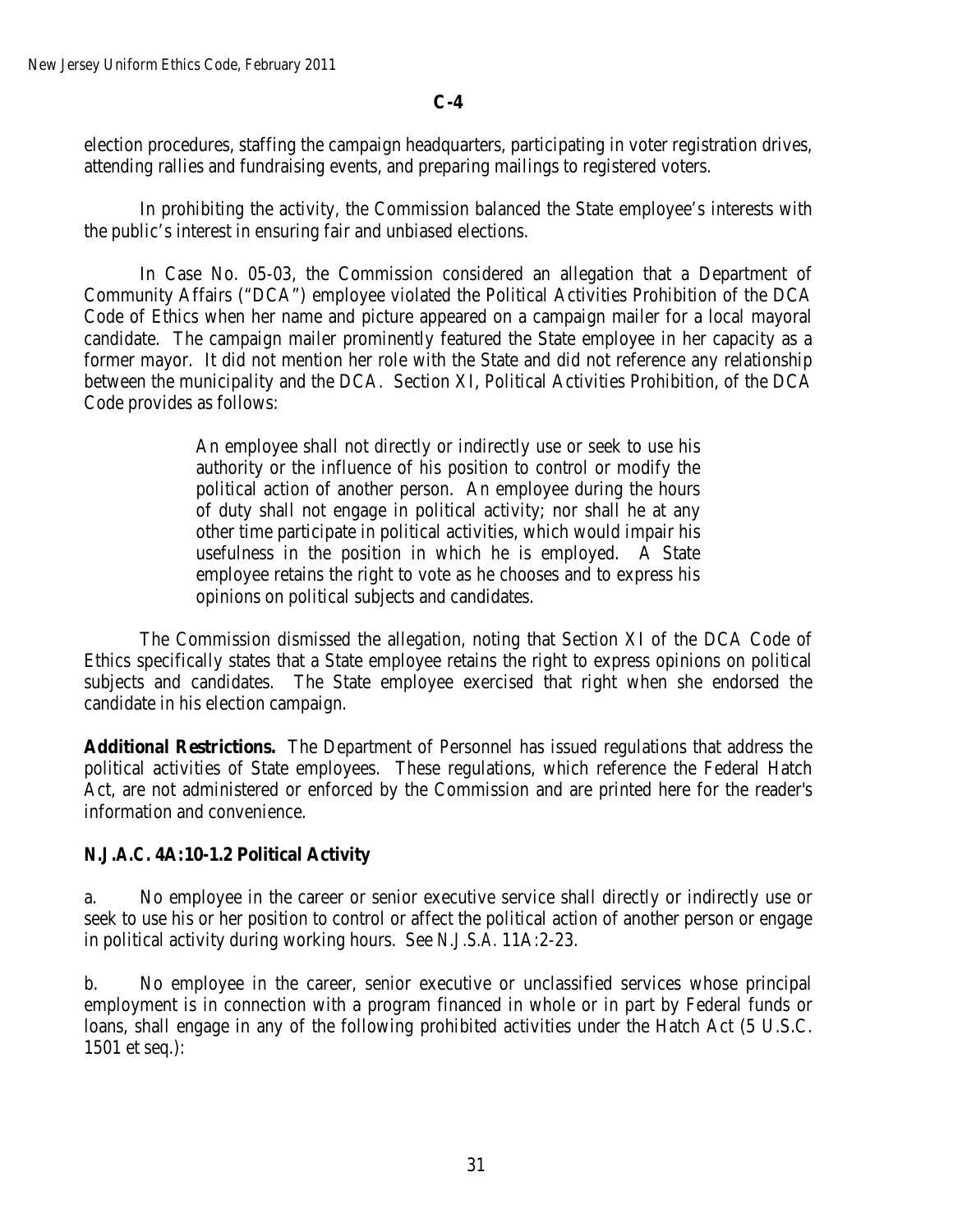election procedures, staffing the campaign headquarters, participating in voter registration drives, attending rallies and fundraising events, and preparing mailings to registered voters.

In prohibiting the activity, the Commission balanced the State employee's interests with the public's interest in ensuring fair and unbiased elections.

In Case No. 05-03, the Commission considered an allegation that a Department of Community Affairs ("DCA") employee violated the Political Activities Prohibition of the DCA Code of Ethics when her name and picture appeared on a campaign mailer for a local mayoral candidate. The campaign mailer prominently featured the State employee in her capacity as a former mayor. It did not mention her role with the State and did not reference any relationship between the municipality and the DCA. Section XI, Political Activities Prohibition, of the DCA Code provides as follows:

> An employee shall not directly or indirectly use or seek to use his authority or the influence of his position to control or modify the political action of another person. An employee during the hours of duty shall not engage in political activity; nor shall he at any other time participate in political activities, which would impair his usefulness in the position in which he is employed. A State employee retains the right to vote as he chooses and to express his opinions on political subjects and candidates.

The Commission dismissed the allegation, noting that Section XI of the DCA Code of Ethics specifically states that a State employee retains the right to express opinions on political subjects and candidates. The State employee exercised that right when she endorsed the candidate in his election campaign.

**Additional Restrictions.** The Department of Personnel has issued regulations that address the political activities of State employees. These regulations, which reference the Federal Hatch Act, are not administered or enforced by the Commission and are printed here for the reader's information and convenience.

## *N.J.A.C.* **4A:10-1.2 Political Activity**

a. No employee in the career or senior executive service shall directly or indirectly use or seek to use his or her position to control or affect the political action of another person or engage in political activity during working hours. See *N.J.S.A.* 11A:2-23.

b. No employee in the career, senior executive or unclassified services whose principal employment is in connection with a program financed in whole or in part by Federal funds or loans, shall engage in any of the following prohibited activities under the Hatch Act (5 U.S.C. 1501 et seq.):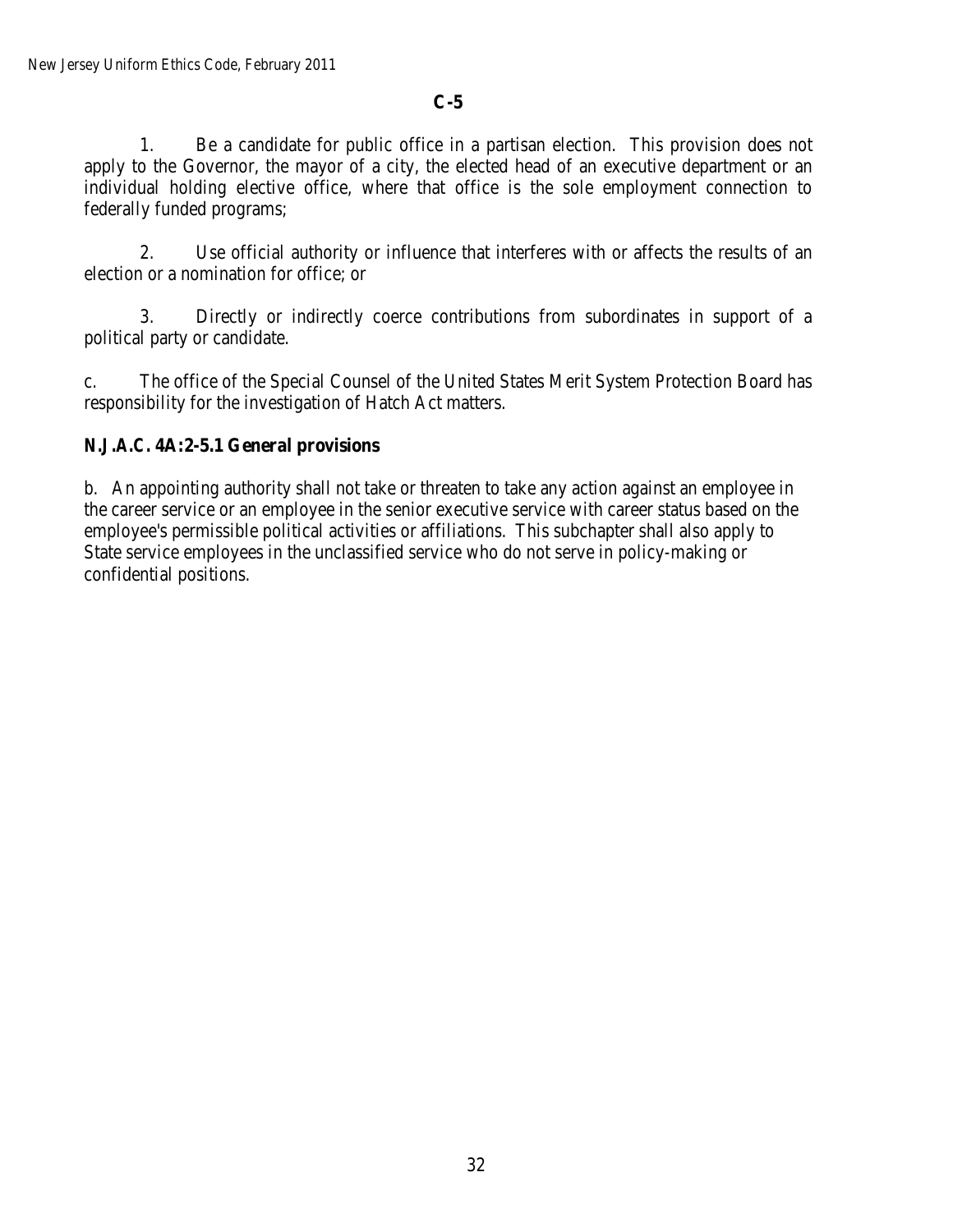1. Be a candidate for public office in a partisan election. This provision does not apply to the Governor, the mayor of a city, the elected head of an executive department or an individual holding elective office, where that office is the sole employment connection to federally funded programs;

2. Use official authority or influence that interferes with or affects the results of an election or a nomination for office; or

3. Directly or indirectly coerce contributions from subordinates in support of a political party or candidate.

c. The office of the Special Counsel of the United States Merit System Protection Board has responsibility for the investigation of Hatch Act matters.

# *N.J.A.C.* **4A:2-5.1 General provisions**

b. An appointing authority shall not take or threaten to take any action against an employee in the career service or an employee in the senior executive service with career status based on the employee's permissible political activities or affiliations. This subchapter shall also apply to State service employees in the unclassified service who do not serve in policy-making or confidential positions.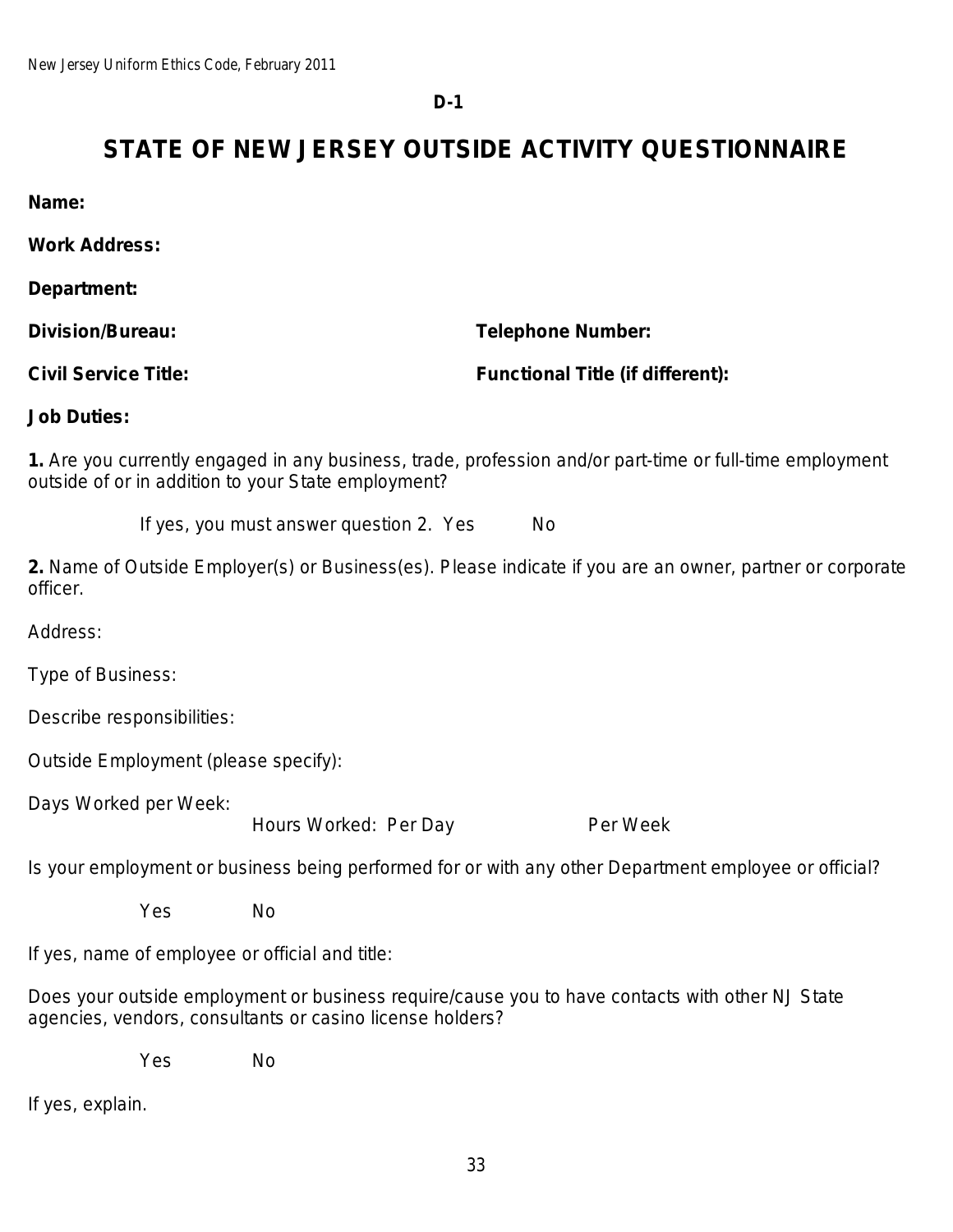**D-1**

# **STATE OF NEW JERSEY OUTSIDE ACTIVITY QUESTIONNAIRE**

**Name:**

**Work Address:**

**Department:**

**Division/Bureau: Telephone Number:**

**Civil Service Title: Functional Title (if different):**

**Job Duties:**

**1.** Are you currently engaged in any business, trade, profession and/or part-time or full-time employment outside of or in addition to your State employment?

If yes, you must answer question 2. Yes No

**2.** Name of Outside Employer(s) or Business(es). Please indicate if you are an owner, partner or corporate officer.

Address:

Type of Business:

Describe responsibilities:

Outside Employment (please specify):

Days Worked per Week:

Hours Worked: Per Day Per Week

Is your employment or business being performed for or with any other Department employee or official?

Yes No

If yes, name of employee or official and title:

Does your outside employment or business require/cause you to have contacts with other NJ State agencies, vendors, consultants or casino license holders?

Yes No

If yes, explain.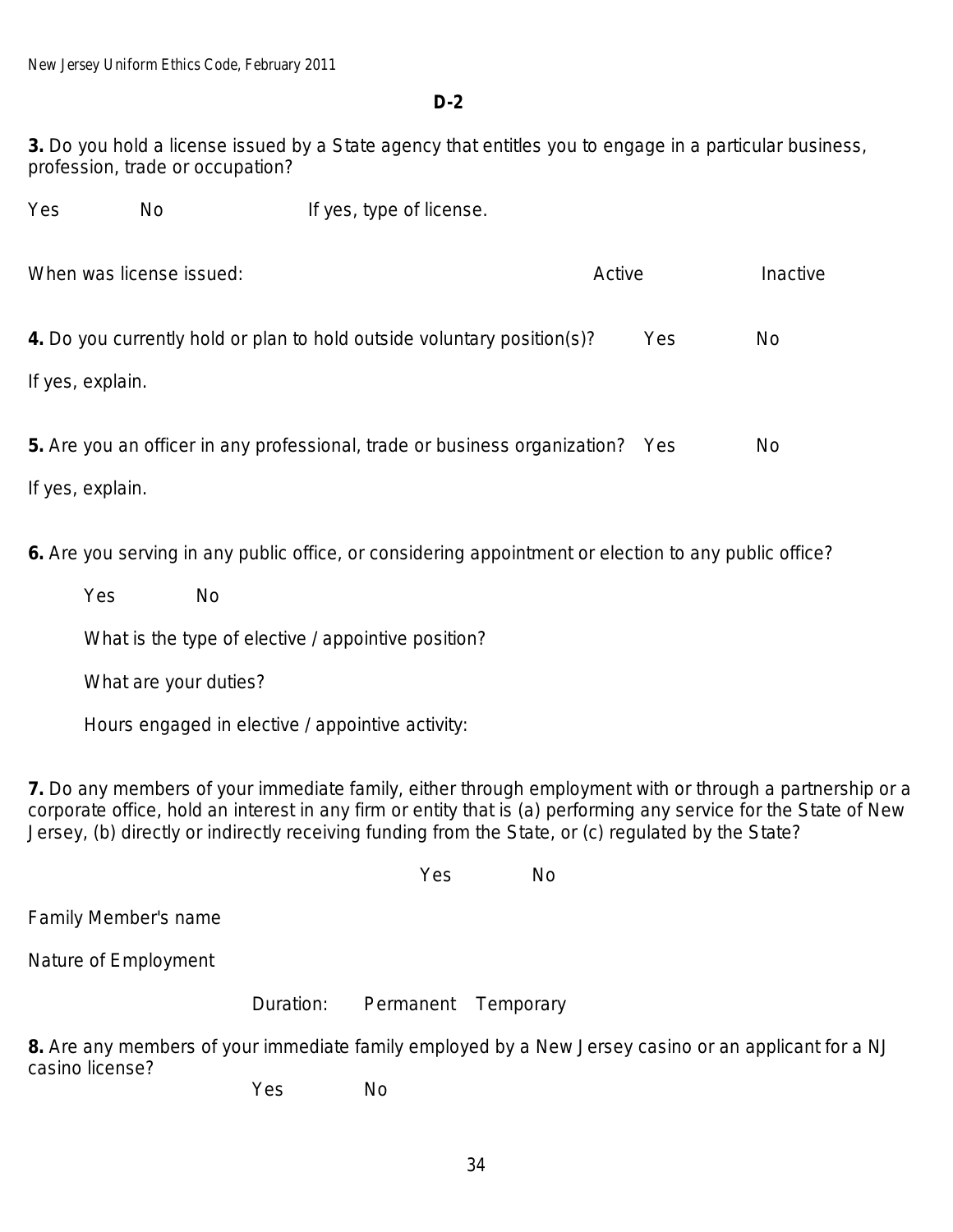**D-2**

**3.** Do you hold a license issued by a State agency that entitles you to engage in a particular business, profession, trade or occupation?

Yes No If yes, type of license.

| When was license issued:<br>Active                                             |  | Inactive |           |
|--------------------------------------------------------------------------------|--|----------|-----------|
| 4. Do you currently hold or plan to hold outside voluntary position(s)?        |  | Yes      | <b>No</b> |
| If yes, explain.                                                               |  |          |           |
| 5. Are you an officer in any professional, trade or business organization? Yes |  |          | No.       |
| If yes, explain.                                                               |  |          |           |

**6.** Are you serving in any public office, or considering appointment or election to any public office?

Yes No

What is the type of elective / appointive position?

What are your duties?

Hours engaged in elective / appointive activity:

**7.** Do any members of your immediate family, either through employment with or through a partnership or a corporate office, hold an interest in any firm or entity that is (a) performing any service for the State of New Jersey, (b) directly or indirectly receiving funding from the State, or (c) regulated by the State?

Yes No

Family Member's name

Nature of Employment

Duration: Permanent Temporary

**8.** Are any members of your immediate family employed by a New Jersey casino or an applicant for a NJ casino license?

Yes No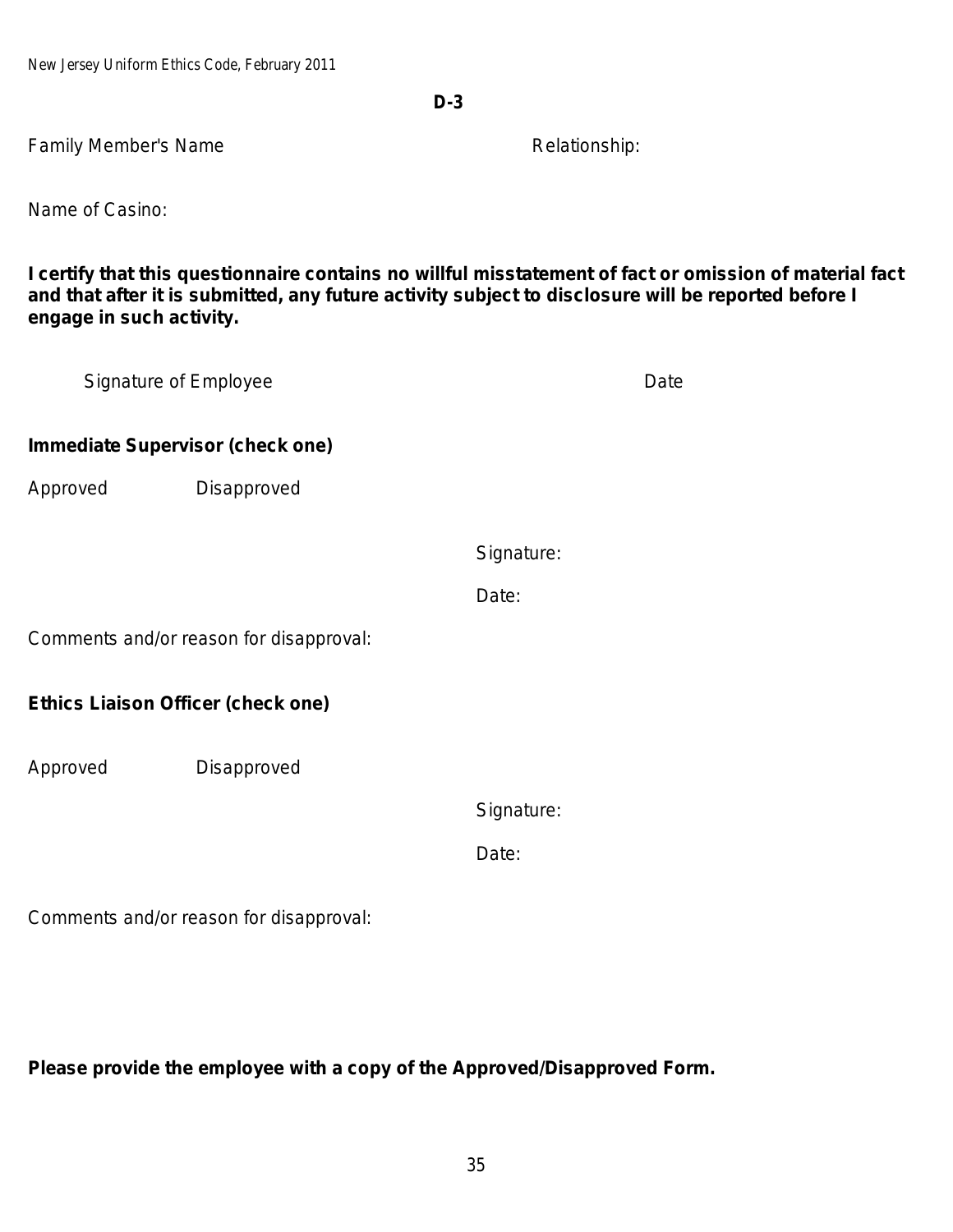New Jersey Uniform Ethics Code, February 2011

**D-3**

Family Member's Name **Relationship:** Relationship:

Name of Casino:

**I certify that this questionnaire contains no willful misstatement of fact or omission of material fact and that after it is submitted, any future activity subject to disclosure will be reported before I engage in such activity.**

| Signature of Employee                     |             |            | Date |
|-------------------------------------------|-------------|------------|------|
| <b>Immediate Supervisor (check one)</b>   |             |            |      |
| Approved                                  | Disapproved |            |      |
|                                           |             | Signature: |      |
|                                           |             | Date:      |      |
| Comments and/or reason for disapproval:   |             |            |      |
| <b>Ethics Liaison Officer (check one)</b> |             |            |      |
| Approved                                  | Disapproved |            |      |
|                                           |             | Signature: |      |
|                                           |             | Date:      |      |
| Comments and/or reason for disapproval:   |             |            |      |

**Please provide the employee with a copy of the Approved/Disapproved Form.**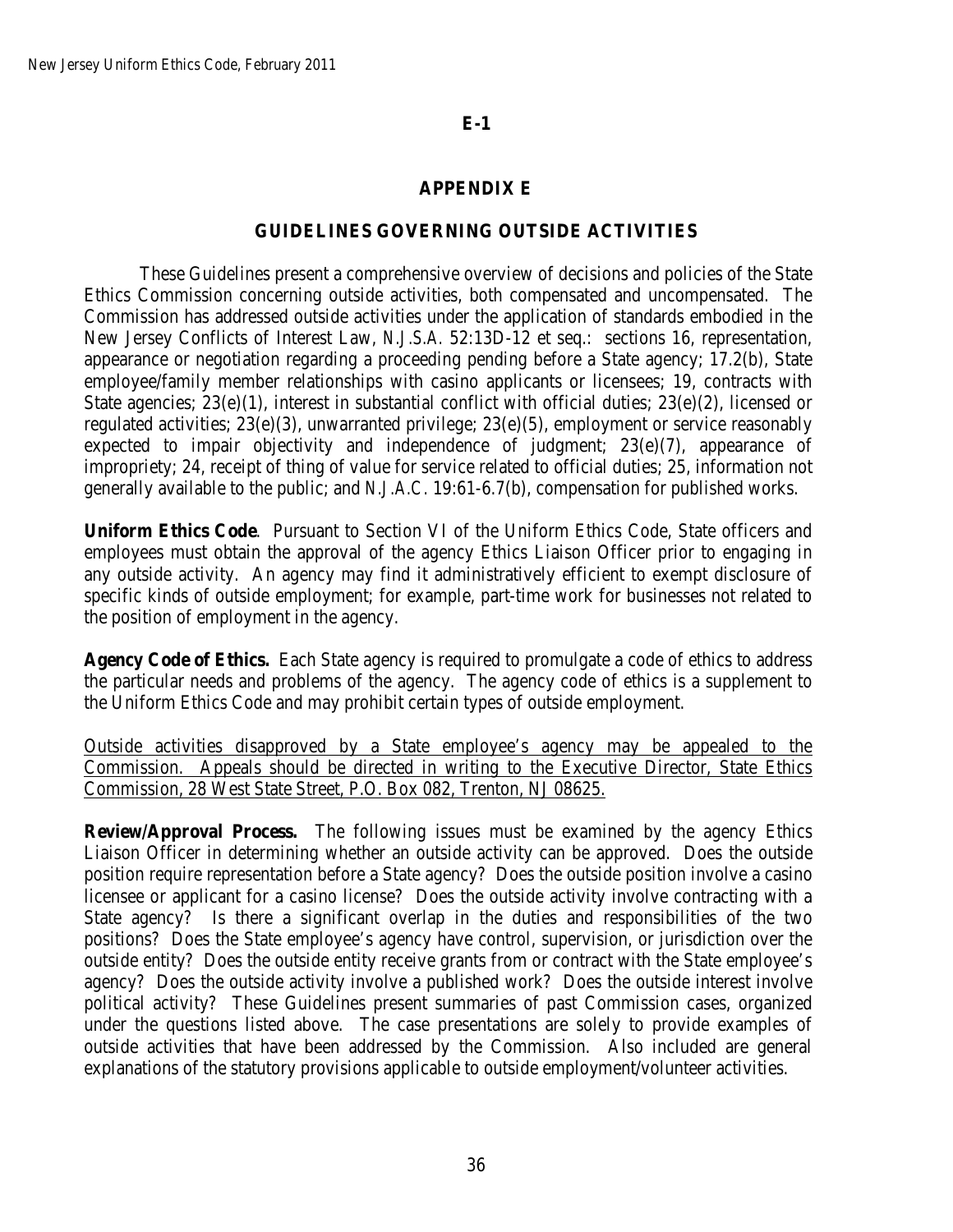# **APPENDIX E**

## **GUIDELINES GOVERNING OUTSIDE ACTIVITIES**

These Guidelines present a comprehensive overview of decisions and policies of the State Ethics Commission concerning outside activities, both compensated and uncompensated. The Commission has addressed outside activities under the application of standards embodied in the New Jersey Conflicts of Interest Law, *N.J.S.A.* 52:13D-12 et seq.: sections 16, representation, appearance or negotiation regarding a proceeding pending before a State agency; 17.2(b), State employee/family member relationships with casino applicants or licensees; 19, contracts with State agencies;  $23(e)(1)$ , interest in substantial conflict with official duties;  $23(e)(2)$ , licensed or regulated activities; 23(e)(3), unwarranted privilege; 23(e)(5), employment or service reasonably expected to impair objectivity and independence of judgment;  $23(e)(7)$ , appearance of impropriety; 24, receipt of thing of value for service related to official duties; 25, information not generally available to the public; and *N.J.A.C.* 19:61-6.7(b), compensation for published works.

**Uniform Ethics Code**. Pursuant to Section VI of the Uniform Ethics Code, State officers and employees must obtain the approval of the agency Ethics Liaison Officer prior to engaging in any outside activity. An agency may find it administratively efficient to exempt disclosure of specific kinds of outside employment; for example, part-time work for businesses not related to the position of employment in the agency.

**Agency Code of Ethics.** Each State agency is required to promulgate a code of ethics to address the particular needs and problems of the agency. The agency code of ethics is a supplement to the Uniform Ethics Code and may prohibit certain types of outside employment.

Outside activities disapproved by a State employee's agency may be appealed to the Commission. Appeals should be directed in writing to the Executive Director, State Ethics Commission, 28 West State Street, P.O. Box 082, Trenton, NJ 08625.

**Review/Approval Process.** The following issues must be examined by the agency Ethics Liaison Officer in determining whether an outside activity can be approved. Does the outside position require representation before a State agency? Does the outside position involve a casino licensee or applicant for a casino license? Does the outside activity involve contracting with a State agency? Is there a significant overlap in the duties and responsibilities of the two positions? Does the State employee's agency have control, supervision, or jurisdiction over the outside entity? Does the outside entity receive grants from or contract with the State employee's agency? Does the outside activity involve a published work? Does the outside interest involve political activity? These Guidelines present summaries of past Commission cases, organized under the questions listed above. The case presentations are solely to provide examples of outside activities that have been addressed by the Commission. Also included are general explanations of the statutory provisions applicable to outside employment/volunteer activities.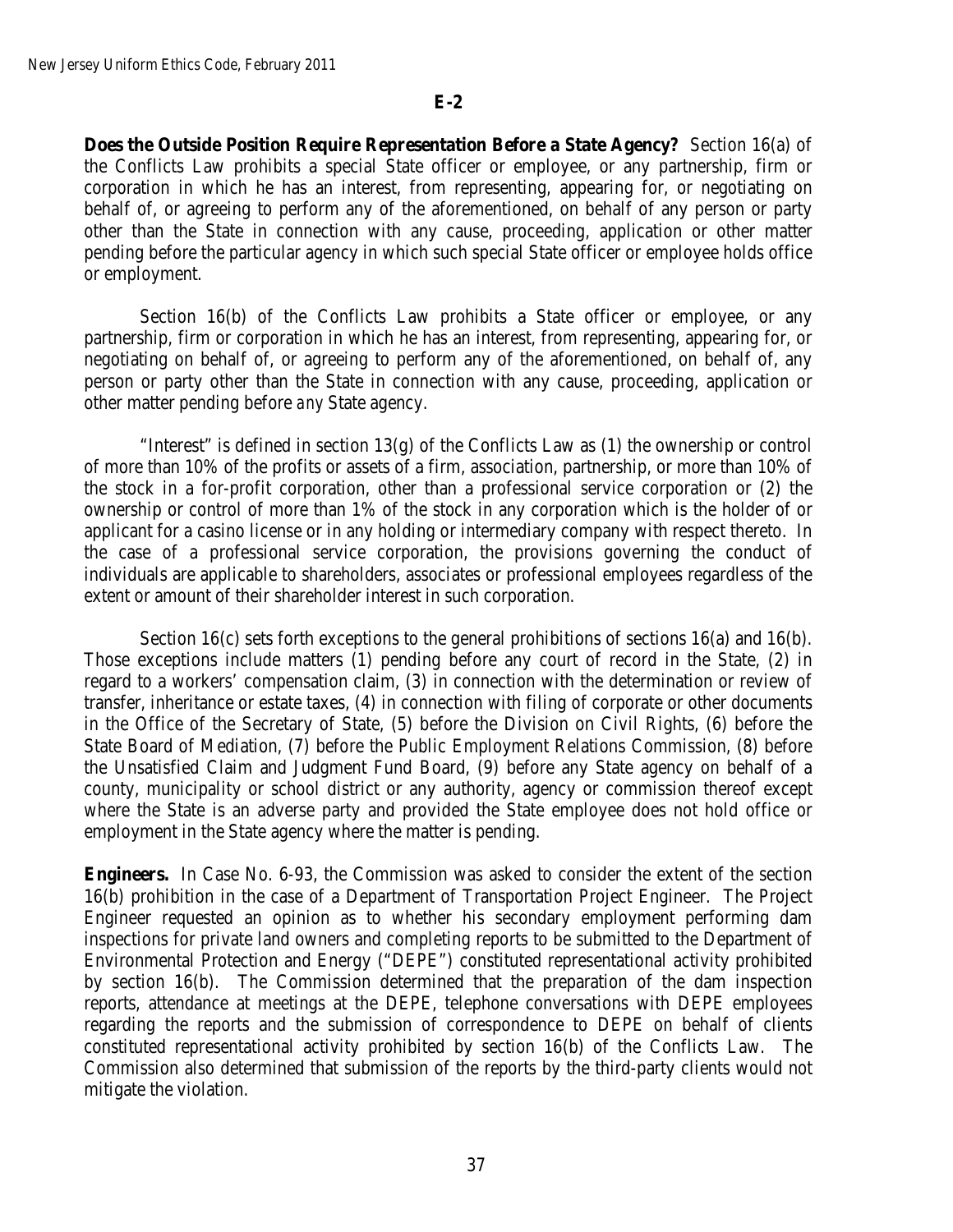**Does the Outside Position Require Representation Before a State Agency?** Section 16(a) of the Conflicts Law prohibits a special State officer or employee, or any partnership, firm or corporation in which he has an interest, from representing, appearing for, or negotiating on behalf of, or agreeing to perform any of the aforementioned, on behalf of any person or party other than the State in connection with any cause, proceeding, application or other matter pending before the particular agency in which such special State officer or employee holds office or employment.

Section 16(b) of the Conflicts Law prohibits a State officer or employee, or any partnership, firm or corporation in which he has an interest, from representing, appearing for, or negotiating on behalf of, or agreeing to perform any of the aforementioned, on behalf of, any person or party other than the State in connection with any cause, proceeding, application or other matter pending before *any* State agency.

"Interest" is defined in section  $13(g)$  of the Conflicts Law as (1) the ownership or control of more than 10% of the profits or assets of a firm, association, partnership, or more than 10% of the stock in a for-profit corporation, other than a professional service corporation or (2) the ownership or control of more than 1% of the stock in any corporation which is the holder of or applicant for a casino license or in any holding or intermediary company with respect thereto. In the case of a professional service corporation, the provisions governing the conduct of individuals are applicable to shareholders, associates or professional employees regardless of the extent or amount of their shareholder interest in such corporation.

Section 16(c) sets forth exceptions to the general prohibitions of sections 16(a) and 16(b). Those exceptions include matters (1) pending before any court of record in the State, (2) in regard to a workers' compensation claim, (3) in connection with the determination or review of transfer, inheritance or estate taxes, (4) in connection with filing of corporate or other documents in the Office of the Secretary of State, (5) before the Division on Civil Rights, (6) before the State Board of Mediation, (7) before the Public Employment Relations Commission, (8) before the Unsatisfied Claim and Judgment Fund Board, (9) before any State agency on behalf of a county, municipality or school district or any authority, agency or commission thereof except where the State is an adverse party and provided the State employee does not hold office or employment in the State agency where the matter is pending.

**Engineers.**In Case No. 6-93, the Commission was asked to consider the extent of the section 16(b) prohibition in the case of a Department of Transportation Project Engineer. The Project Engineer requested an opinion as to whether his secondary employment performing dam inspections for private land owners and completing reports to be submitted to the Department of Environmental Protection and Energy ("DEPE") constituted representational activity prohibited by section 16(b). The Commission determined that the preparation of the dam inspection reports, attendance at meetings at the DEPE, telephone conversations with DEPE employees regarding the reports and the submission of correspondence to DEPE on behalf of clients constituted representational activity prohibited by section 16(b) of the Conflicts Law. The Commission also determined that submission of the reports by the third-party clients would not mitigate the violation.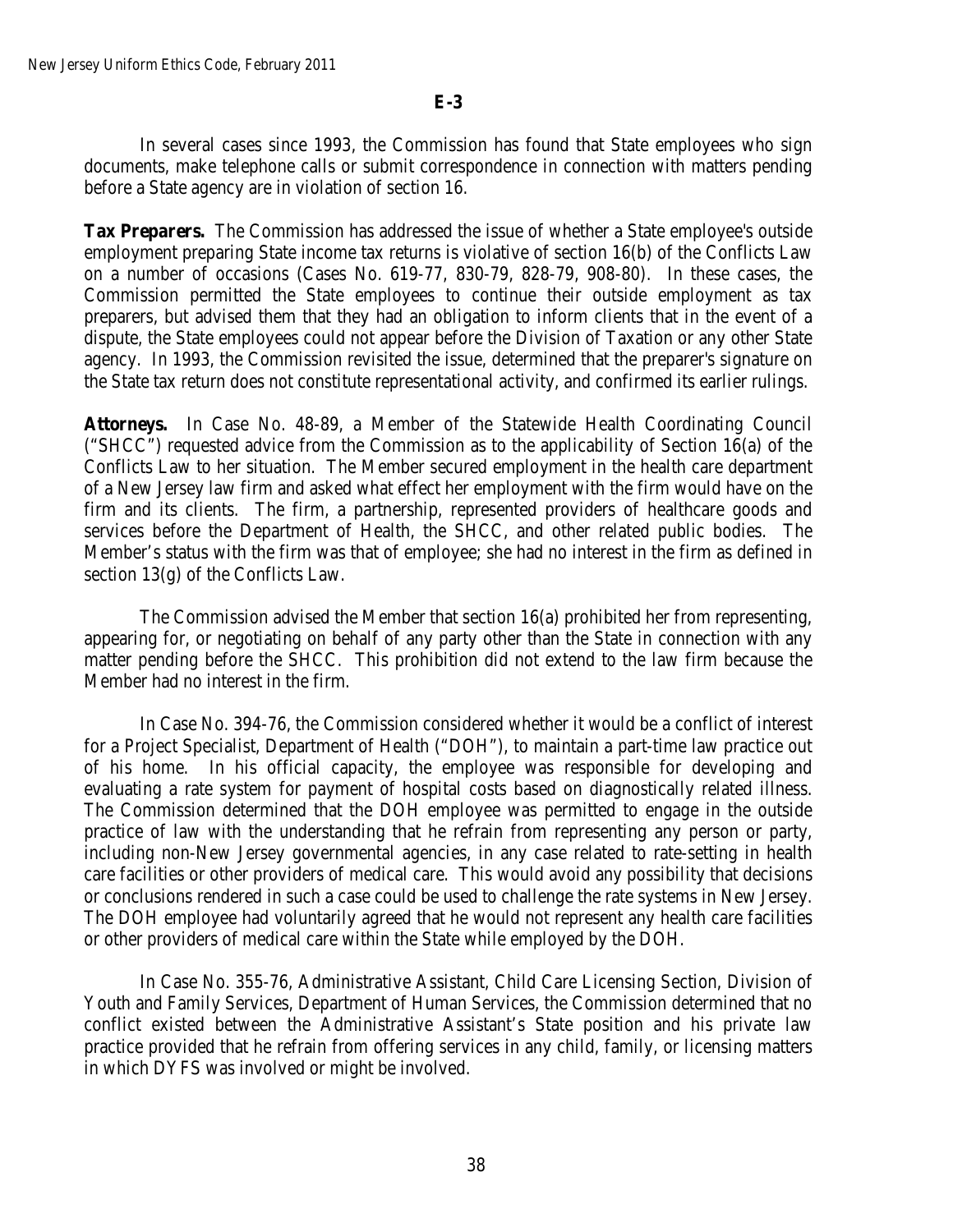In several cases since 1993, the Commission has found that State employees who sign documents, make telephone calls or submit correspondence in connection with matters pending before a State agency are in violation of section 16.

**Tax Preparers.** The Commission has addressed the issue of whether a State employee's outside employment preparing State income tax returns is violative of section 16(b) of the Conflicts Law on a number of occasions (Cases No. 619-77, 830-79, 828-79, 908-80). In these cases, the Commission permitted the State employees to continue their outside employment as tax preparers, but advised them that they had an obligation to inform clients that in the event of a dispute, the State employees could not appear before the Division of Taxation or any other State agency. In 1993, the Commission revisited the issue, determined that the preparer's signature on the State tax return does not constitute representational activity, and confirmed its earlier rulings.

**Attorneys.** In Case No. 48-89, a Member of the Statewide Health Coordinating Council ("SHCC") requested advice from the Commission as to the applicability of Section 16(a) of the Conflicts Law to her situation. The Member secured employment in the health care department of a New Jersey law firm and asked what effect her employment with the firm would have on the firm and its clients. The firm, a partnership, represented providers of healthcare goods and services before the Department of Health, the SHCC, and other related public bodies. The Member's status with the firm was that of employee; she had no interest in the firm as defined in section 13(g) of the Conflicts Law.

The Commission advised the Member that section 16(a) prohibited her from representing, appearing for, or negotiating on behalf of any party other than the State in connection with any matter pending before the SHCC. This prohibition did not extend to the law firm because the Member had no interest in the firm.

In Case No. 394-76, the Commission considered whether it would be a conflict of interest for a Project Specialist, Department of Health ("DOH"), to maintain a part-time law practice out of his home. In his official capacity, the employee was responsible for developing and evaluating a rate system for payment of hospital costs based on diagnostically related illness. The Commission determined that the DOH employee was permitted to engage in the outside practice of law with the understanding that he refrain from representing any person or party, including non-New Jersey governmental agencies, in any case related to rate-setting in health care facilities or other providers of medical care. This would avoid any possibility that decisions or conclusions rendered in such a case could be used to challenge the rate systems in New Jersey. The DOH employee had voluntarily agreed that he would not represent any health care facilities or other providers of medical care within the State while employed by the DOH.

In Case No. 355-76, Administrative Assistant, Child Care Licensing Section, Division of Youth and Family Services, Department of Human Services, the Commission determined that no conflict existed between the Administrative Assistant's State position and his private law practice provided that he refrain from offering services in any child, family, or licensing matters in which DYFS was involved or might be involved.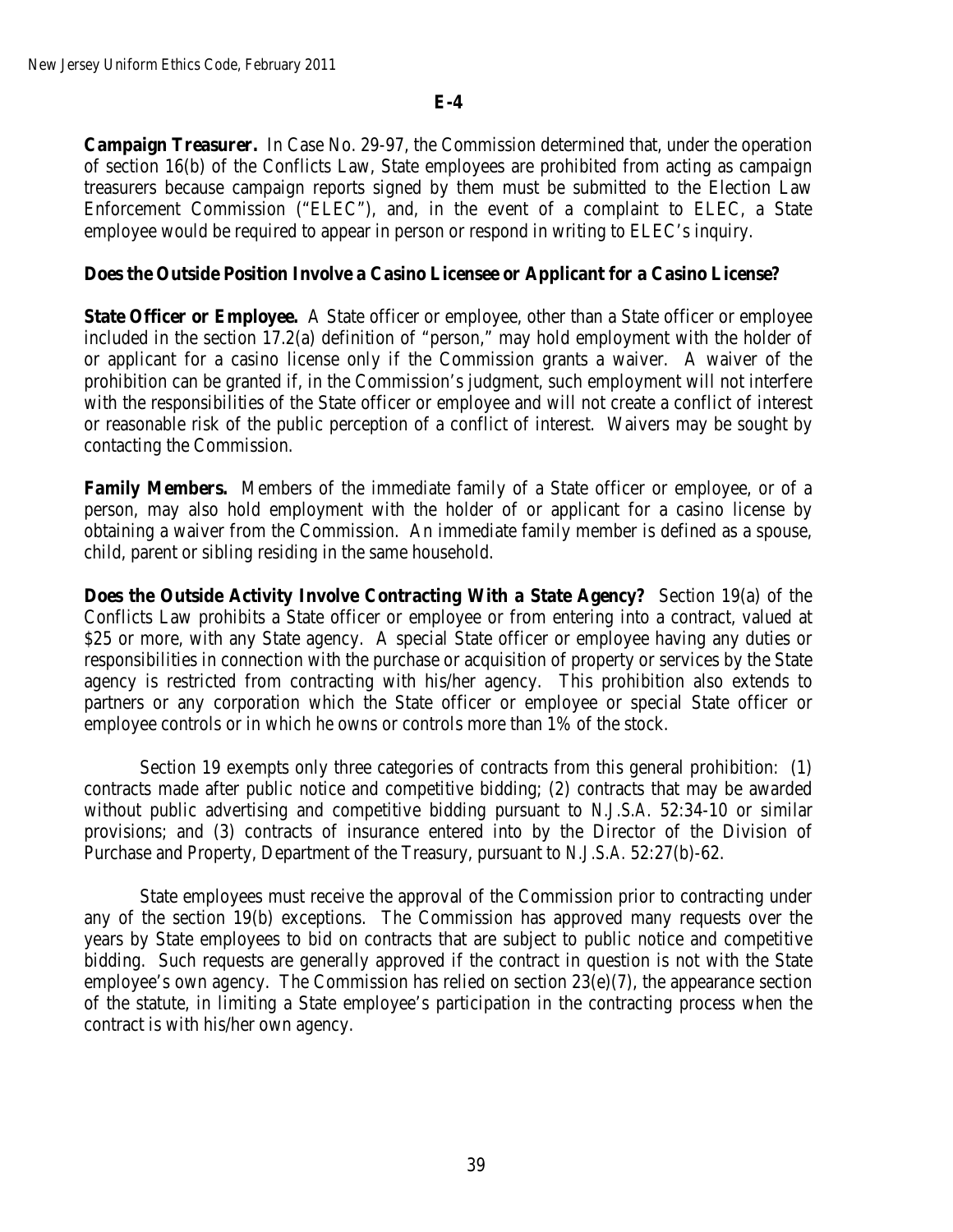**Campaign Treasurer.** In Case No. 29-97, the Commission determined that, under the operation of section 16(b) of the Conflicts Law, State employees are prohibited from acting as campaign treasurers because campaign reports signed by them must be submitted to the Election Law Enforcement Commission ("ELEC"), and, in the event of a complaint to ELEC, a State employee would be required to appear in person or respond in writing to ELEC's inquiry.

## **Does the Outside Position Involve a Casino Licensee or Applicant for a Casino License?**

**State Officer or Employee.** A State officer or employee, other than a State officer or employee included in the section 17.2(a) definition of "person," may hold employment with the holder of or applicant for a casino license only if the Commission grants a waiver. A waiver of the prohibition can be granted if, in the Commission's judgment, such employment will not interfere with the responsibilities of the State officer or employee and will not create a conflict of interest or reasonable risk of the public perception of a conflict of interest. Waivers may be sought by contacting the Commission.

**Family Members.** Members of the immediate family of a State officer or employee, or of a person, may also hold employment with the holder of or applicant for a casino license by obtaining a waiver from the Commission. An immediate family member is defined as a spouse, child, parent or sibling residing in the same household.

**Does the Outside Activity Involve Contracting With a State Agency?** Section 19(a) of the Conflicts Law prohibits a State officer or employee or from entering into a contract, valued at \$25 or more, with any State agency. A special State officer or employee having any duties or responsibilities in connection with the purchase or acquisition of property or services by the State agency is restricted from contracting with his/her agency. This prohibition also extends to partners or any corporation which the State officer or employee or special State officer or employee controls or in which he owns or controls more than 1% of the stock.

Section 19 exempts only three categories of contracts from this general prohibition: (1) contracts made after public notice and competitive bidding; (2) contracts that may be awarded without public advertising and competitive bidding pursuant to *N.J.S.A.* 52:34-10 or similar provisions; and (3) contracts of insurance entered into by the Director of the Division of Purchase and Property, Department of the Treasury, pursuant to *N.J.S.A.* 52:27(b)-62.

State employees must receive the approval of the Commission prior to contracting under any of the section 19(b) exceptions. The Commission has approved many requests over the years by State employees to bid on contracts that are subject to public notice and competitive bidding. Such requests are generally approved if the contract in question is not with the State employee's own agency. The Commission has relied on section 23(e)(7), the appearance section of the statute, in limiting a State employee's participation in the contracting process when the contract is with his/her own agency.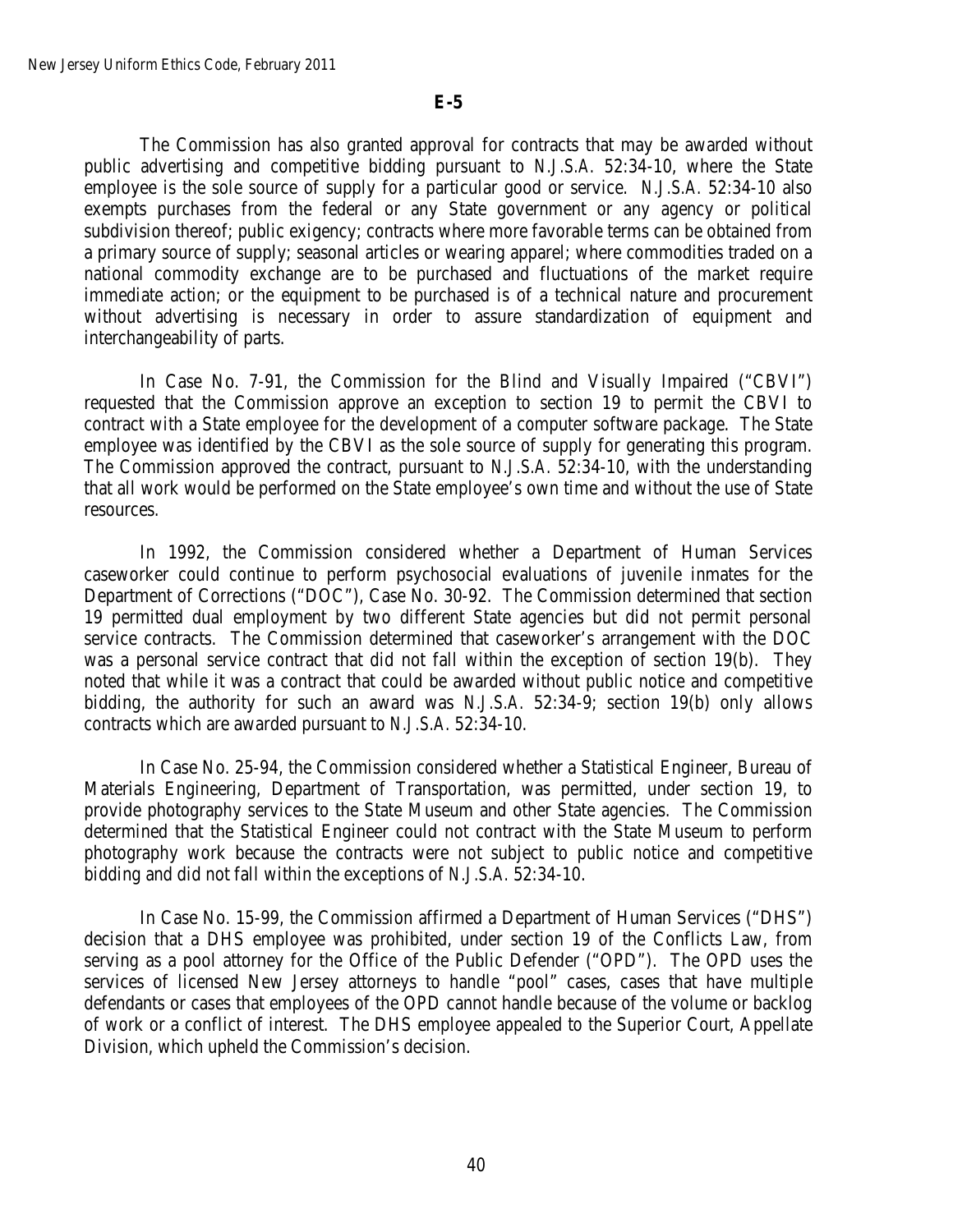The Commission has also granted approval for contracts that may be awarded without public advertising and competitive bidding pursuant to *N.J.S.A.* 52:34-10, where the State employee is the sole source of supply for a particular good or service. *N.J.S.A.* 52:34-10 also exempts purchases from the federal or any State government or any agency or political subdivision thereof; public exigency; contracts where more favorable terms can be obtained from a primary source of supply; seasonal articles or wearing apparel; where commodities traded on a national commodity exchange are to be purchased and fluctuations of the market require immediate action; or the equipment to be purchased is of a technical nature and procurement without advertising is necessary in order to assure standardization of equipment and interchangeability of parts.

In Case No. 7-91, the Commission for the Blind and Visually Impaired ("CBVI") requested that the Commission approve an exception to section 19 to permit the CBVI to contract with a State employee for the development of a computer software package. The State employee was identified by the CBVI as the sole source of supply for generating this program. The Commission approved the contract, pursuant to *N.J.S.A.* 52:34-10, with the understanding that all work would be performed on the State employee's own time and without the use of State resources.

In 1992, the Commission considered whether a Department of Human Services caseworker could continue to perform psychosocial evaluations of juvenile inmates for the Department of Corrections ("DOC"), Case No. 30-92. The Commission determined that section 19 permitted dual employment by two different State agencies but did not permit personal service contracts. The Commission determined that caseworker's arrangement with the DOC was a personal service contract that did not fall within the exception of section 19(b). They noted that while it was a contract that could be awarded without public notice and competitive bidding, the authority for such an award was *N.J.S.A.* 52:34-9; section 19(b) only allows contracts which are awarded pursuant to *N.J.S.A.* 52:34-10.

In Case No. 25-94, the Commission considered whether a Statistical Engineer, Bureau of Materials Engineering, Department of Transportation, was permitted, under section 19, to provide photography services to the State Museum and other State agencies. The Commission determined that the Statistical Engineer could not contract with the State Museum to perform photography work because the contracts were not subject to public notice and competitive bidding and did not fall within the exceptions of *N.J.S.A.* 52:34-10.

In Case No. 15-99, the Commission affirmed a Department of Human Services ("DHS") decision that a DHS employee was prohibited, under section 19 of the Conflicts Law, from serving as a pool attorney for the Office of the Public Defender ("OPD"). The OPD uses the services of licensed New Jersey attorneys to handle "pool" cases, cases that have multiple defendants or cases that employees of the OPD cannot handle because of the volume or backlog of work or a conflict of interest. The DHS employee appealed to the Superior Court, Appellate Division, which upheld the Commission's decision.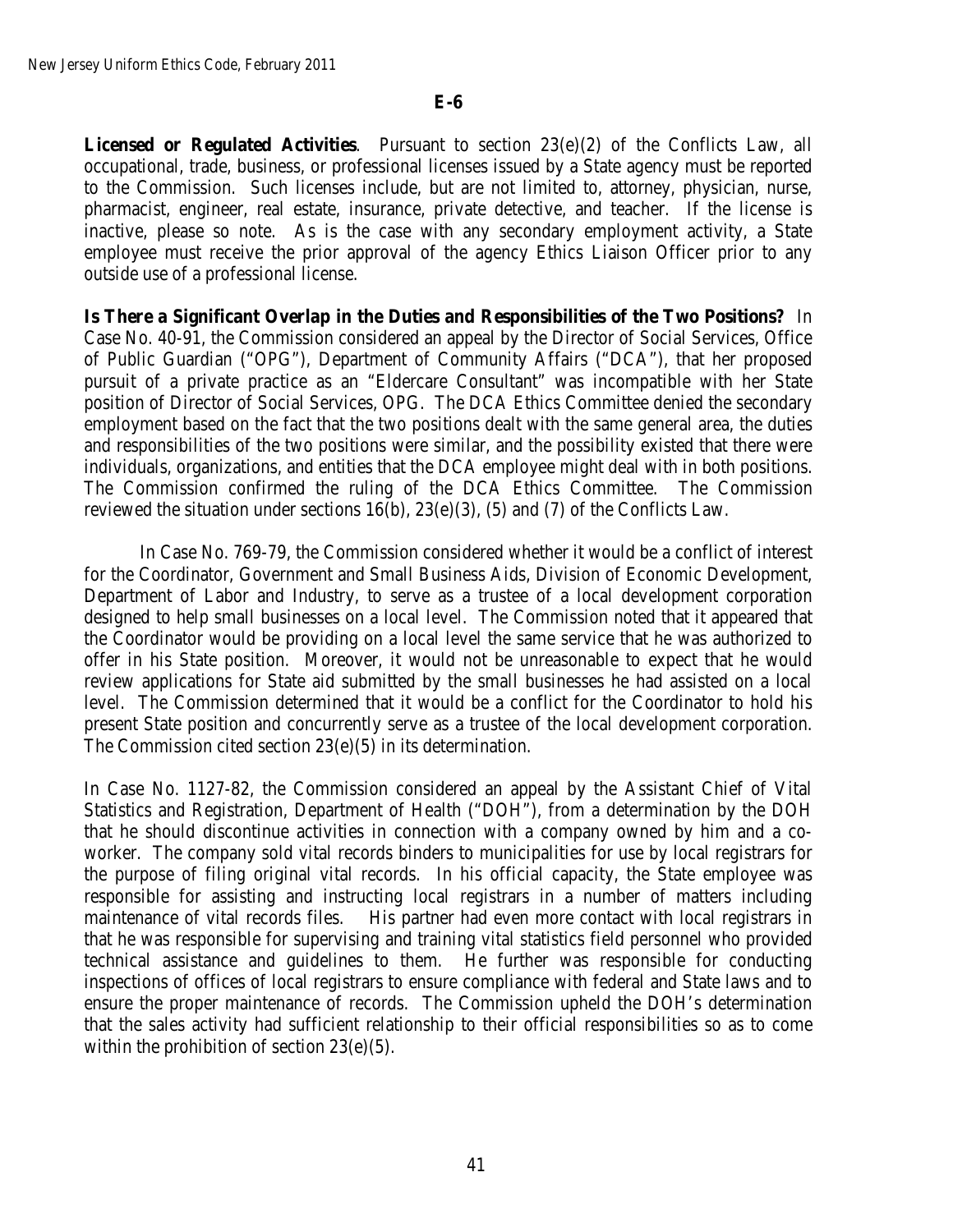**Licensed or Regulated Activities**. Pursuant to section 23(e)(2) of the Conflicts Law, all occupational, trade, business, or professional licenses issued by a State agency must be reported to the Commission. Such licenses include, but are not limited to, attorney, physician, nurse, pharmacist, engineer, real estate, insurance, private detective, and teacher. If the license is inactive, please so note. As is the case with any secondary employment activity, a State employee must receive the prior approval of the agency Ethics Liaison Officer prior to any outside use of a professional license.

**Is There a Significant Overlap in the Duties and Responsibilities of the Two Positions?** In Case No. 40-91, the Commission considered an appeal by the Director of Social Services, Office of Public Guardian ("OPG"), Department of Community Affairs ("DCA"), that her proposed pursuit of a private practice as an "Eldercare Consultant" was incompatible with her State position of Director of Social Services, OPG. The DCA Ethics Committee denied the secondary employment based on the fact that the two positions dealt with the same general area, the duties and responsibilities of the two positions were similar, and the possibility existed that there were individuals, organizations, and entities that the DCA employee might deal with in both positions. The Commission confirmed the ruling of the DCA Ethics Committee. The Commission reviewed the situation under sections 16(b), 23(e)(3), (5) and (7) of the Conflicts Law.

In Case No. 769-79, the Commission considered whether it would be a conflict of interest for the Coordinator, Government and Small Business Aids, Division of Economic Development, Department of Labor and Industry, to serve as a trustee of a local development corporation designed to help small businesses on a local level. The Commission noted that it appeared that the Coordinator would be providing on a local level the same service that he was authorized to offer in his State position. Moreover, it would not be unreasonable to expect that he would review applications for State aid submitted by the small businesses he had assisted on a local level. The Commission determined that it would be a conflict for the Coordinator to hold his present State position and concurrently serve as a trustee of the local development corporation. The Commission cited section 23(e)(5) in its determination.

In Case No. 1127-82, the Commission considered an appeal by the Assistant Chief of Vital Statistics and Registration, Department of Health ("DOH"), from a determination by the DOH that he should discontinue activities in connection with a company owned by him and a coworker. The company sold vital records binders to municipalities for use by local registrars for the purpose of filing original vital records. In his official capacity, the State employee was responsible for assisting and instructing local registrars in a number of matters including maintenance of vital records files. His partner had even more contact with local registrars in that he was responsible for supervising and training vital statistics field personnel who provided technical assistance and guidelines to them. He further was responsible for conducting inspections of offices of local registrars to ensure compliance with federal and State laws and to ensure the proper maintenance of records. The Commission upheld the DOH's determination that the sales activity had sufficient relationship to their official responsibilities so as to come within the prohibition of section 23(e)(5).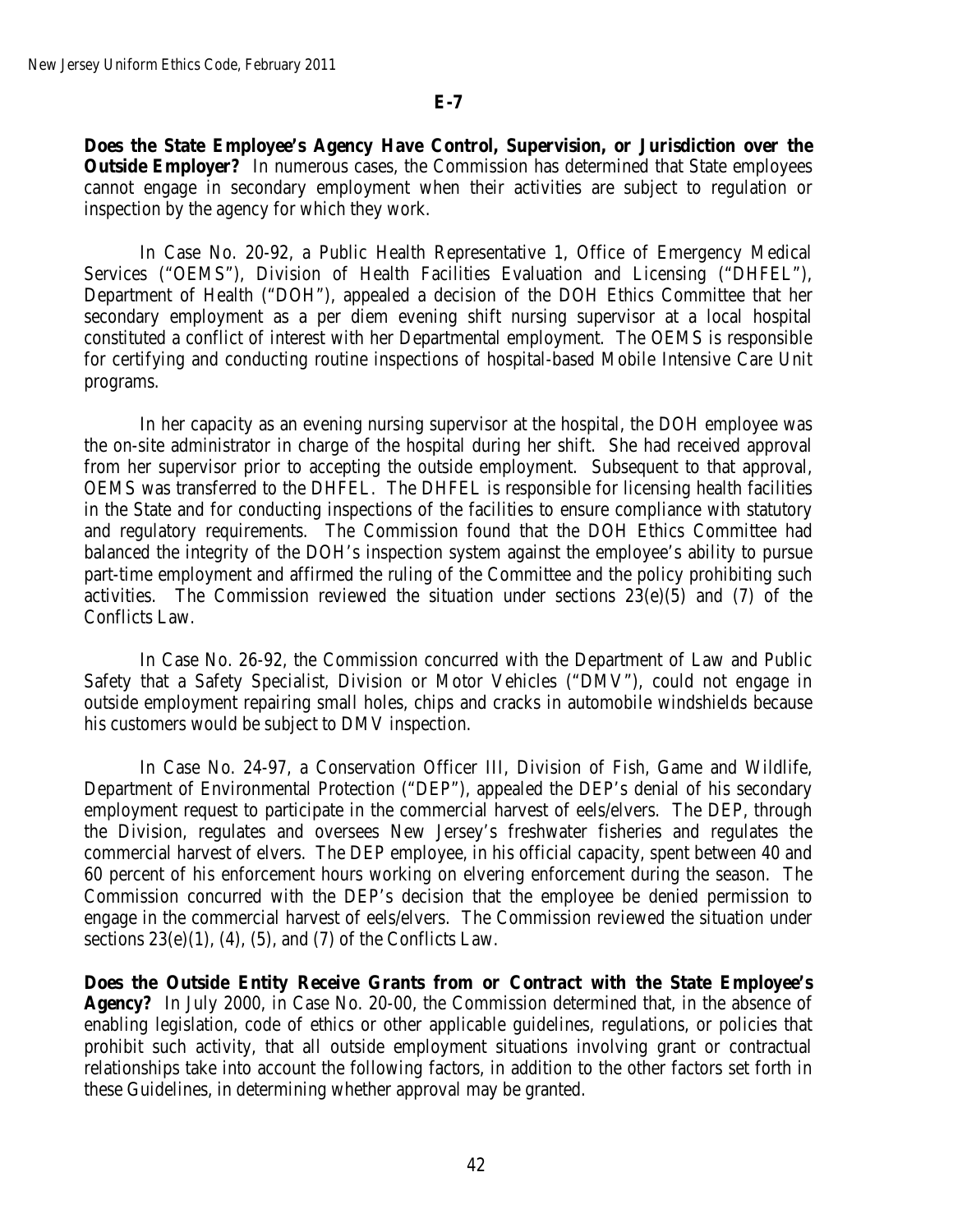**Does the State Employee's Agency Have Control, Supervision, or Jurisdiction over the Outside Employer?** In numerous cases, the Commission has determined that State employees cannot engage in secondary employment when their activities are subject to regulation or inspection by the agency for which they work.

In Case No. 20-92, a Public Health Representative 1, Office of Emergency Medical Services ("OEMS"), Division of Health Facilities Evaluation and Licensing ("DHFEL"), Department of Health ("DOH"), appealed a decision of the DOH Ethics Committee that her secondary employment as a per diem evening shift nursing supervisor at a local hospital constituted a conflict of interest with her Departmental employment. The OEMS is responsible for certifying and conducting routine inspections of hospital-based Mobile Intensive Care Unit programs.

In her capacity as an evening nursing supervisor at the hospital, the DOH employee was the on-site administrator in charge of the hospital during her shift. She had received approval from her supervisor prior to accepting the outside employment. Subsequent to that approval, OEMS was transferred to the DHFEL. The DHFEL is responsible for licensing health facilities in the State and for conducting inspections of the facilities to ensure compliance with statutory and regulatory requirements. The Commission found that the DOH Ethics Committee had balanced the integrity of the DOH's inspection system against the employee's ability to pursue part-time employment and affirmed the ruling of the Committee and the policy prohibiting such activities. The Commission reviewed the situation under sections  $23(e)(5)$  and  $(7)$  of the Conflicts Law.

In Case No. 26-92, the Commission concurred with the Department of Law and Public Safety that a Safety Specialist, Division or Motor Vehicles ("DMV"), could not engage in outside employment repairing small holes, chips and cracks in automobile windshields because his customers would be subject to DMV inspection.

In Case No. 24-97, a Conservation Officer III, Division of Fish, Game and Wildlife, Department of Environmental Protection ("DEP"), appealed the DEP's denial of his secondary employment request to participate in the commercial harvest of eels/elvers. The DEP, through the Division, regulates and oversees New Jersey's freshwater fisheries and regulates the commercial harvest of elvers. The DEP employee, in his official capacity, spent between 40 and 60 percent of his enforcement hours working on elvering enforcement during the season. The Commission concurred with the DEP's decision that the employee be denied permission to engage in the commercial harvest of eels/elvers. The Commission reviewed the situation under sections  $23(e)(1)$ ,  $(4)$ ,  $(5)$ , and  $(7)$  of the Conflicts Law.

**Does the Outside Entity Receive Grants from or Contract with the State Employee's Agency?** In July 2000, in Case No. 20-00, the Commission determined that, in the absence of enabling legislation, code of ethics or other applicable guidelines, regulations, or policies that prohibit such activity, that all outside employment situations involving grant or contractual relationships take into account the following factors, in addition to the other factors set forth in these Guidelines, in determining whether approval may be granted.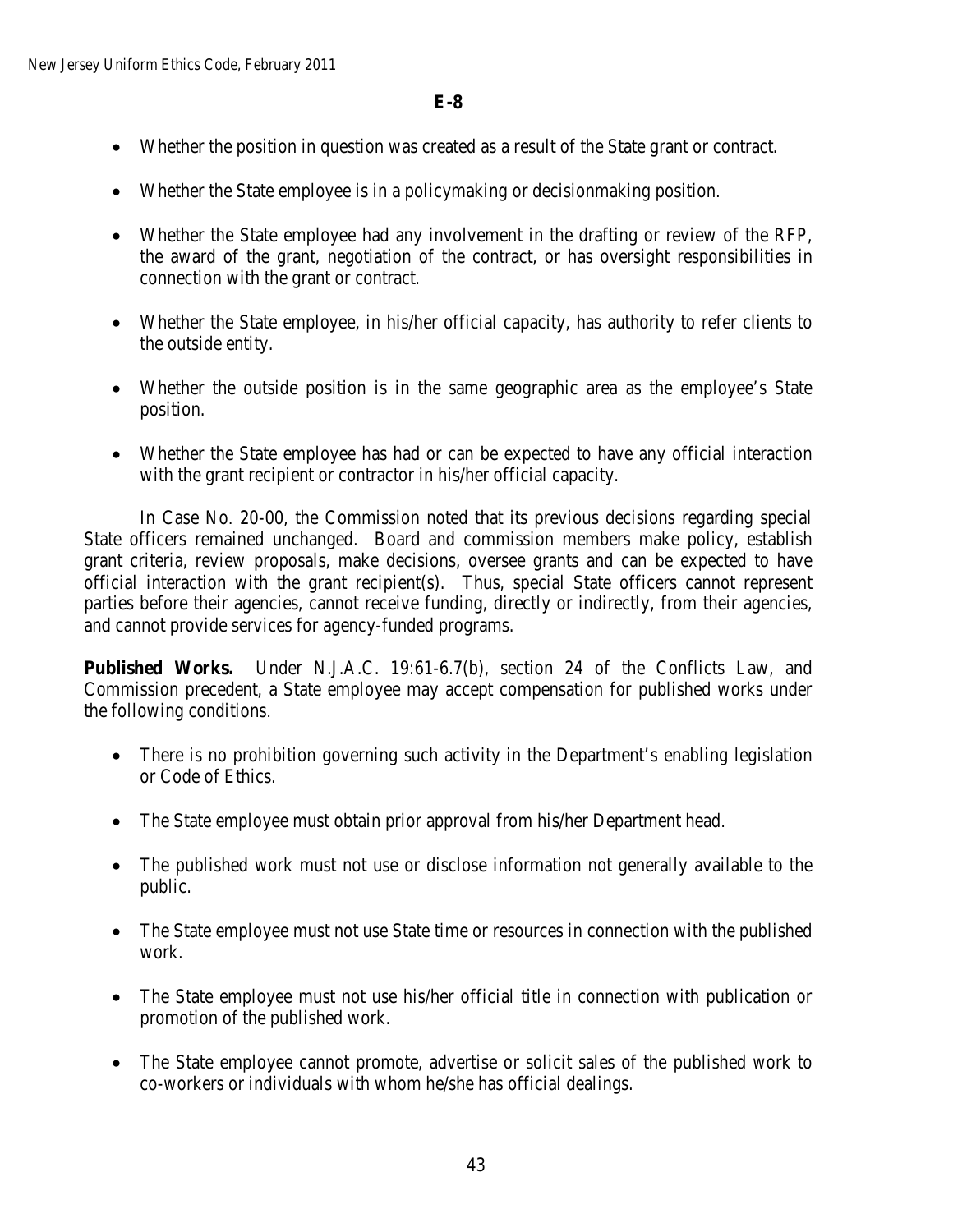- Whether the position in question was created as a result of the State grant or contract.
- Whether the State employee is in a policymaking or decisionmaking position.
- Whether the State employee had any involvement in the drafting or review of the RFP, the award of the grant, negotiation of the contract, or has oversight responsibilities in connection with the grant or contract.
- Whether the State employee, in his/her official capacity, has authority to refer clients to the outside entity.
- Whether the outside position is in the same geographic area as the employee's State position.
- Whether the State employee has had or can be expected to have any official interaction with the grant recipient or contractor in his/her official capacity.

In Case No. 20-00, the Commission noted that its previous decisions regarding special State officers remained unchanged. Board and commission members make policy, establish grant criteria, review proposals, make decisions, oversee grants and can be expected to have official interaction with the grant recipient(s). Thus, special State officers cannot represent parties before their agencies, cannot receive funding, directly or indirectly, from their agencies, and cannot provide services for agency-funded programs.

**Published Works.** Under N.J.A.C. 19:61-6.7(b), section 24 of the Conflicts Law, and Commission precedent, a State employee may accept compensation for published works under the following conditions.

- There is no prohibition governing such activity in the Department's enabling legislation or Code of Ethics.
- The State employee must obtain prior approval from his/her Department head.
- The published work must not use or disclose information not generally available to the public.
- The State employee must not use State time or resources in connection with the published work.
- The State employee must not use his/her official title in connection with publication or promotion of the published work.
- The State employee cannot promote, advertise or solicit sales of the published work to co-workers or individuals with whom he/she has official dealings.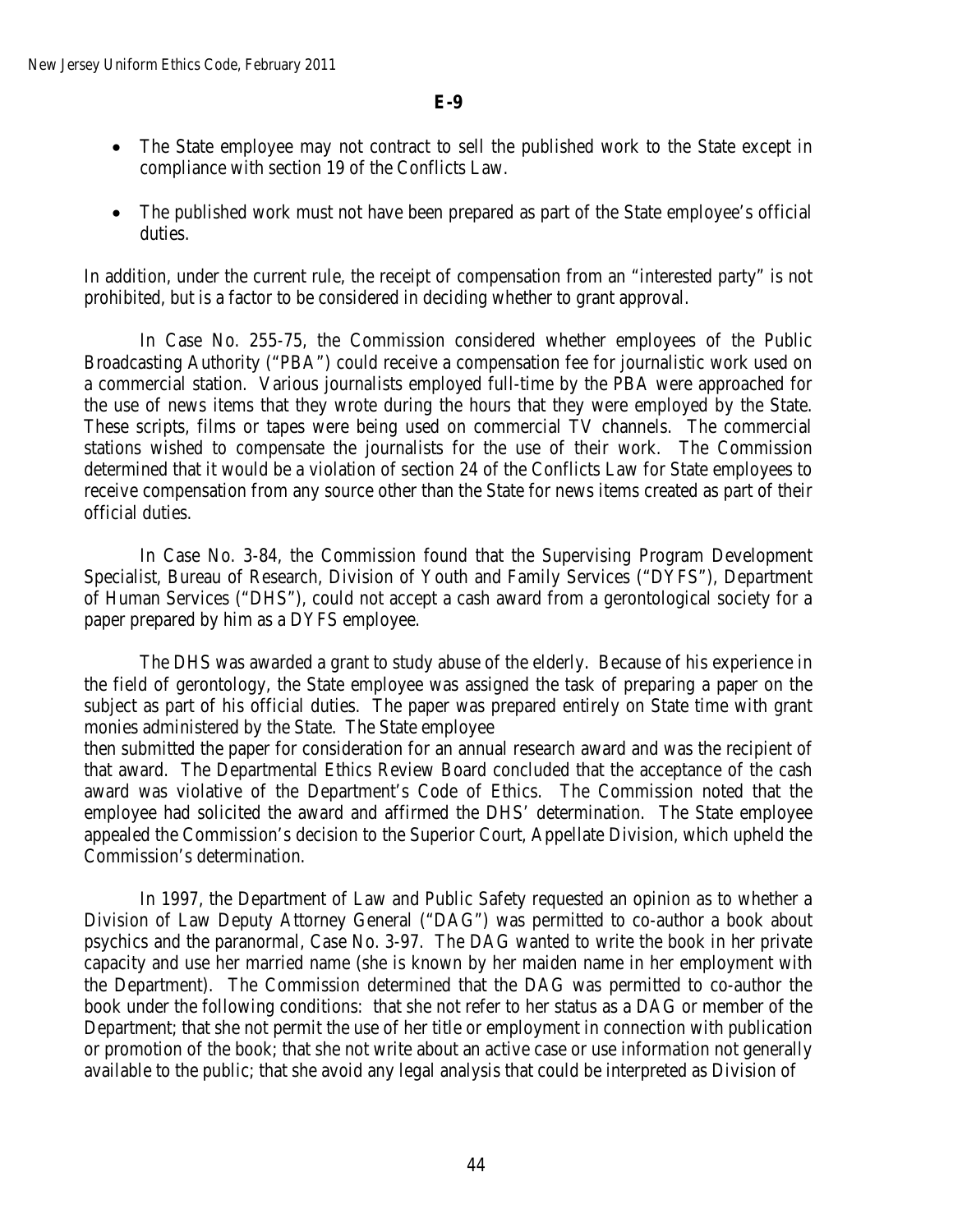- The State employee may not contract to sell the published work to the State except in compliance with section 19 of the Conflicts Law.
- The published work must not have been prepared as part of the State employee's official duties.

In addition, under the current rule, the receipt of compensation from an "interested party" is not prohibited, but is a factor to be considered in deciding whether to grant approval.

In Case No. 255-75, the Commission considered whether employees of the Public Broadcasting Authority ("PBA") could receive a compensation fee for journalistic work used on a commercial station. Various journalists employed full-time by the PBA were approached for the use of news items that they wrote during the hours that they were employed by the State. These scripts, films or tapes were being used on commercial TV channels. The commercial stations wished to compensate the journalists for the use of their work. The Commission determined that it would be a violation of section 24 of the Conflicts Law for State employees to receive compensation from any source other than the State for news items created as part of their official duties.

In Case No. 3-84, the Commission found that the Supervising Program Development Specialist, Bureau of Research, Division of Youth and Family Services ("DYFS"), Department of Human Services ("DHS"), could not accept a cash award from a gerontological society for a paper prepared by him as a DYFS employee.

The DHS was awarded a grant to study abuse of the elderly. Because of his experience in the field of gerontology, the State employee was assigned the task of preparing a paper on the subject as part of his official duties. The paper was prepared entirely on State time with grant monies administered by the State. The State employee

then submitted the paper for consideration for an annual research award and was the recipient of that award. The Departmental Ethics Review Board concluded that the acceptance of the cash award was violative of the Department's Code of Ethics. The Commission noted that the employee had solicited the award and affirmed the DHS' determination. The State employee appealed the Commission's decision to the Superior Court, Appellate Division, which upheld the Commission's determination.

In 1997, the Department of Law and Public Safety requested an opinion as to whether a Division of Law Deputy Attorney General ("DAG") was permitted to co-author a book about psychics and the paranormal, Case No. 3-97. The DAG wanted to write the book in her private capacity and use her married name (she is known by her maiden name in her employment with the Department). The Commission determined that the DAG was permitted to co-author the book under the following conditions: that she not refer to her status as a DAG or member of the Department; that she not permit the use of her title or employment in connection with publication or promotion of the book; that she not write about an active case or use information not generally available to the public; that she avoid any legal analysis that could be interpreted as Division of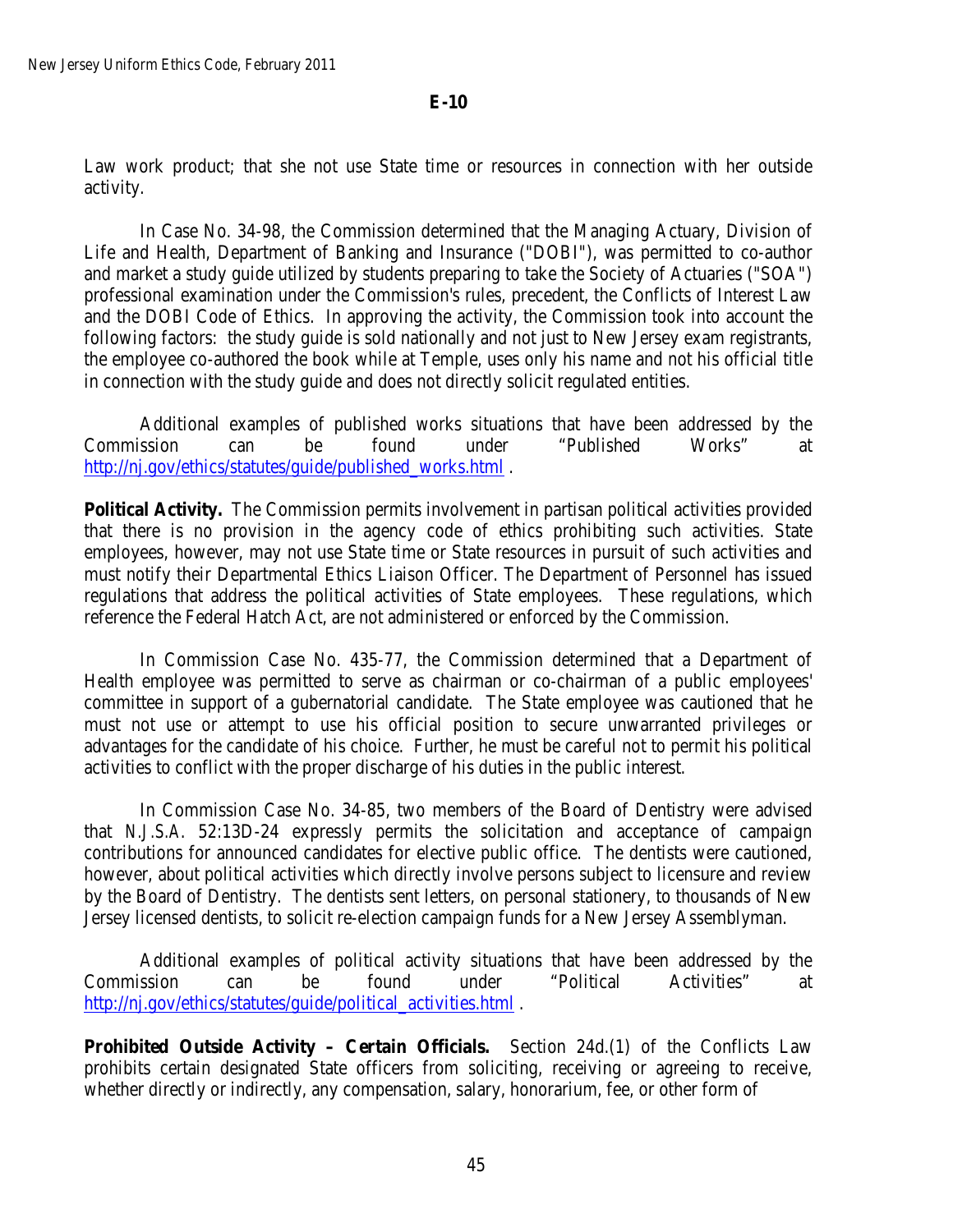Law work product; that she not use State time or resources in connection with her outside activity.

In Case No. 34-98, the Commission determined that the Managing Actuary, Division of Life and Health, Department of Banking and Insurance ("DOBI"), was permitted to co-author and market a study guide utilized by students preparing to take the Society of Actuaries ("SOA") professional examination under the Commission's rules, precedent, the Conflicts of Interest Law and the DOBI Code of Ethics. In approving the activity, the Commission took into account the following factors: the study guide is sold nationally and not just to New Jersey exam registrants, the employee co-authored the book while at Temple, uses only his name and not his official title in connection with the study guide and does not directly solicit regulated entities.

Additional examples of published works situations that have been addressed by the Commission can be found under "Published Works" at [http://nj.gov/ethics/statutes/guide/published\\_works.html](http://nj.gov/ethics/statues/guide/published_works.html) .

**Political Activity.** The Commission permits involvement in partisan political activities provided that there is no provision in the agency code of ethics prohibiting such activities. State employees, however, may not use State time or State resources in pursuit of such activities and must notify their Departmental Ethics Liaison Officer. The Department of Personnel has issued regulations that address the political activities of State employees. These regulations, which reference the Federal Hatch Act, are not administered or enforced by the Commission.

In Commission Case No. 435-77, the Commission determined that a Department of Health employee was permitted to serve as chairman or co-chairman of a public employees' committee in support of a gubernatorial candidate. The State employee was cautioned that he must not use or attempt to use his official position to secure unwarranted privileges or advantages for the candidate of his choice. Further, he must be careful not to permit his political activities to conflict with the proper discharge of his duties in the public interest.

In Commission Case No. 34-85, two members of the Board of Dentistry were advised that *N.J.S.A*. 52:13D-24 expressly permits the solicitation and acceptance of campaign contributions for announced candidates for elective public office. The dentists were cautioned, however, about political activities which directly involve persons subject to licensure and review by the Board of Dentistry. The dentists sent letters, on personal stationery, to thousands of New Jersey licensed dentists, to solicit re-election campaign funds for a New Jersey Assemblyman.

Additional examples of political activity situations that have been addressed by the Commission can be found under "Political Activities" at [http://nj.gov/ethics/statutes/guide/political\\_activities.html](http://nj.gov/ethics/statues/guide/political_activities.html) .

**Prohibited Outside Activity – Certain Officials.** Section 24d.(1) of the Conflicts Law prohibits certain designated State officers from soliciting, receiving or agreeing to receive, whether directly or indirectly, any compensation, salary, honorarium, fee, or other form of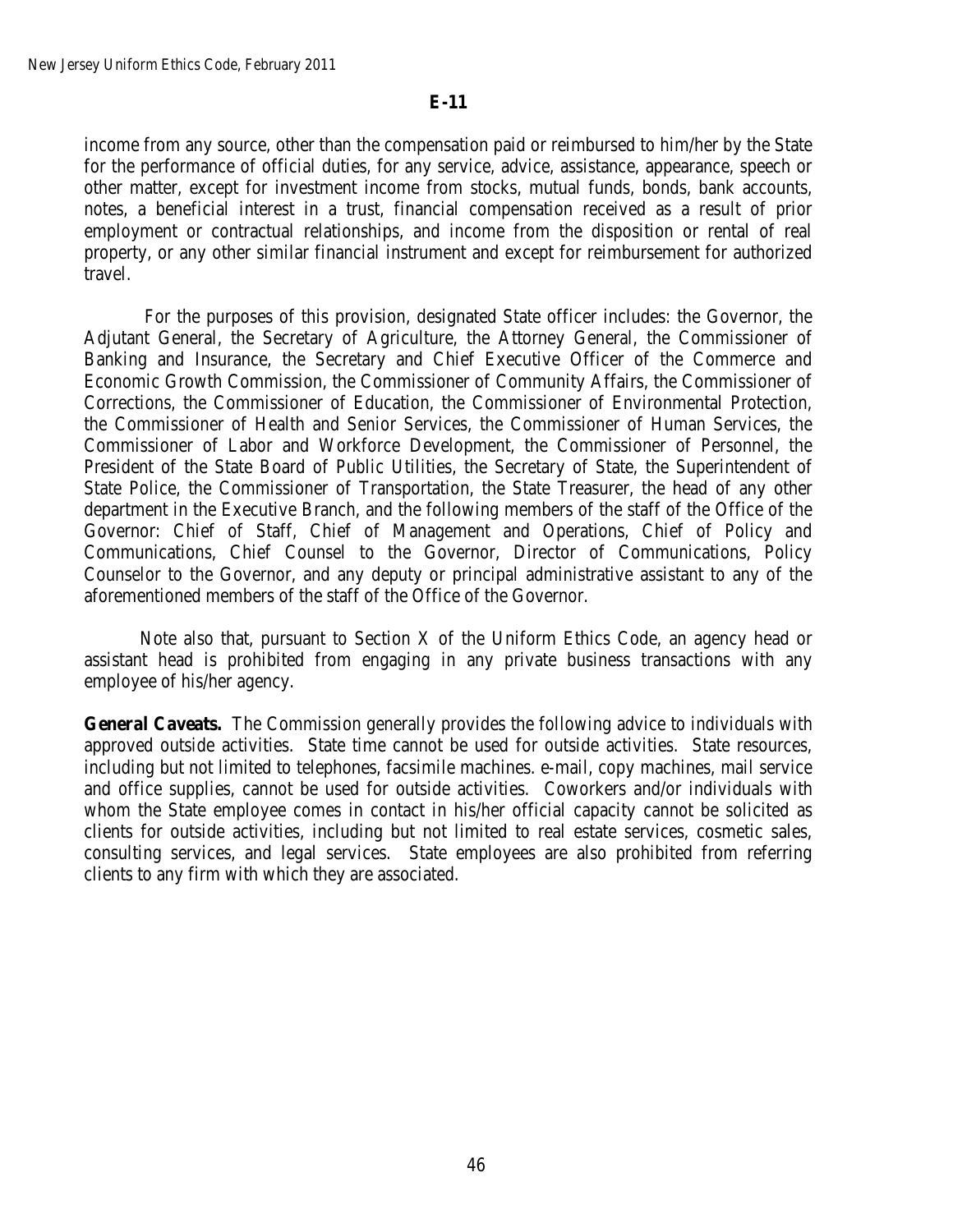income from any source, other than the compensation paid or reimbursed to him/her by the State for the performance of official duties, for any service, advice, assistance, appearance, speech or other matter, except for investment income from stocks, mutual funds, bonds, bank accounts, notes, a beneficial interest in a trust, financial compensation received as a result of prior employment or contractual relationships, and income from the disposition or rental of real property, or any other similar financial instrument and except for reimbursement for authorized travel.

For the purposes of this provision, designated State officer includes: the Governor, the Adjutant General, the Secretary of Agriculture, the Attorney General, the Commissioner of Banking and Insurance, the Secretary and Chief Executive Officer of the Commerce and Economic Growth Commission, the Commissioner of Community Affairs, the Commissioner of Corrections, the Commissioner of Education, the Commissioner of Environmental Protection, the Commissioner of Health and Senior Services, the Commissioner of Human Services, the Commissioner of Labor and Workforce Development, the Commissioner of Personnel, the President of the State Board of Public Utilities, the Secretary of State, the Superintendent of State Police, the Commissioner of Transportation, the State Treasurer, the head of any other department in the Executive Branch, and the following members of the staff of the Office of the Governor: Chief of Staff, Chief of Management and Operations, Chief of Policy and Communications, Chief Counsel to the Governor, Director of Communications, Policy Counselor to the Governor, and any deputy or principal administrative assistant to any of the aforementioned members of the staff of the Office of the Governor.

Note also that, pursuant to Section X of the Uniform Ethics Code, an agency head or assistant head is prohibited from engaging in any private business transactions with any employee of his/her agency.

**General Caveats.** The Commission generally provides the following advice to individuals with approved outside activities. State time cannot be used for outside activities. State resources, including but not limited to telephones, facsimile machines. e-mail, copy machines, mail service and office supplies, cannot be used for outside activities. Coworkers and/or individuals with whom the State employee comes in contact in his/her official capacity cannot be solicited as clients for outside activities, including but not limited to real estate services, cosmetic sales, consulting services, and legal services. State employees are also prohibited from referring clients to any firm with which they are associated.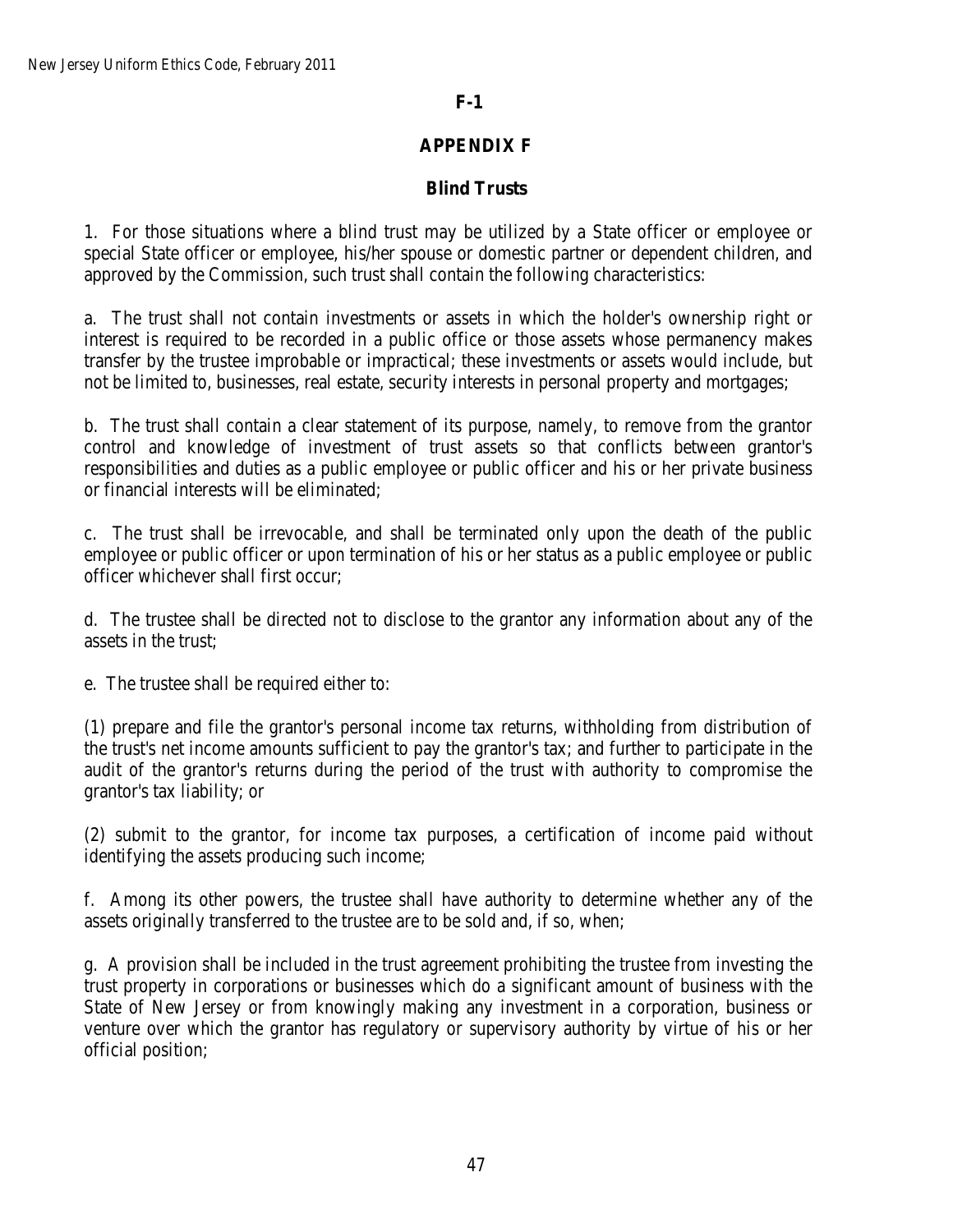# **F-1**

# **APPENDIX F**

# **Blind Trusts**

1. For those situations where a blind trust may be utilized by a State officer or employee or special State officer or employee, his/her spouse or domestic partner or dependent children, and approved by the Commission, such trust shall contain the following characteristics:

a. The trust shall not contain investments or assets in which the holder's ownership right or interest is required to be recorded in a public office or those assets whose permanency makes transfer by the trustee improbable or impractical; these investments or assets would include, but not be limited to, businesses, real estate, security interests in personal property and mortgages;

b. The trust shall contain a clear statement of its purpose, namely, to remove from the grantor control and knowledge of investment of trust assets so that conflicts between grantor's responsibilities and duties as a public employee or public officer and his or her private business or financial interests will be eliminated;

c. The trust shall be irrevocable, and shall be terminated only upon the death of the public employee or public officer or upon termination of his or her status as a public employee or public officer whichever shall first occur;

d. The trustee shall be directed not to disclose to the grantor any information about any of the assets in the trust;

e. The trustee shall be required either to:

(1) prepare and file the grantor's personal income tax returns, withholding from distribution of the trust's net income amounts sufficient to pay the grantor's tax; and further to participate in the audit of the grantor's returns during the period of the trust with authority to compromise the grantor's tax liability; or

(2) submit to the grantor, for income tax purposes, a certification of income paid without identifying the assets producing such income;

f. Among its other powers, the trustee shall have authority to determine whether any of the assets originally transferred to the trustee are to be sold and, if so, when;

g. A provision shall be included in the trust agreement prohibiting the trustee from investing the trust property in corporations or businesses which do a significant amount of business with the State of New Jersey or from knowingly making any investment in a corporation, business or venture over which the grantor has regulatory or supervisory authority by virtue of his or her official position;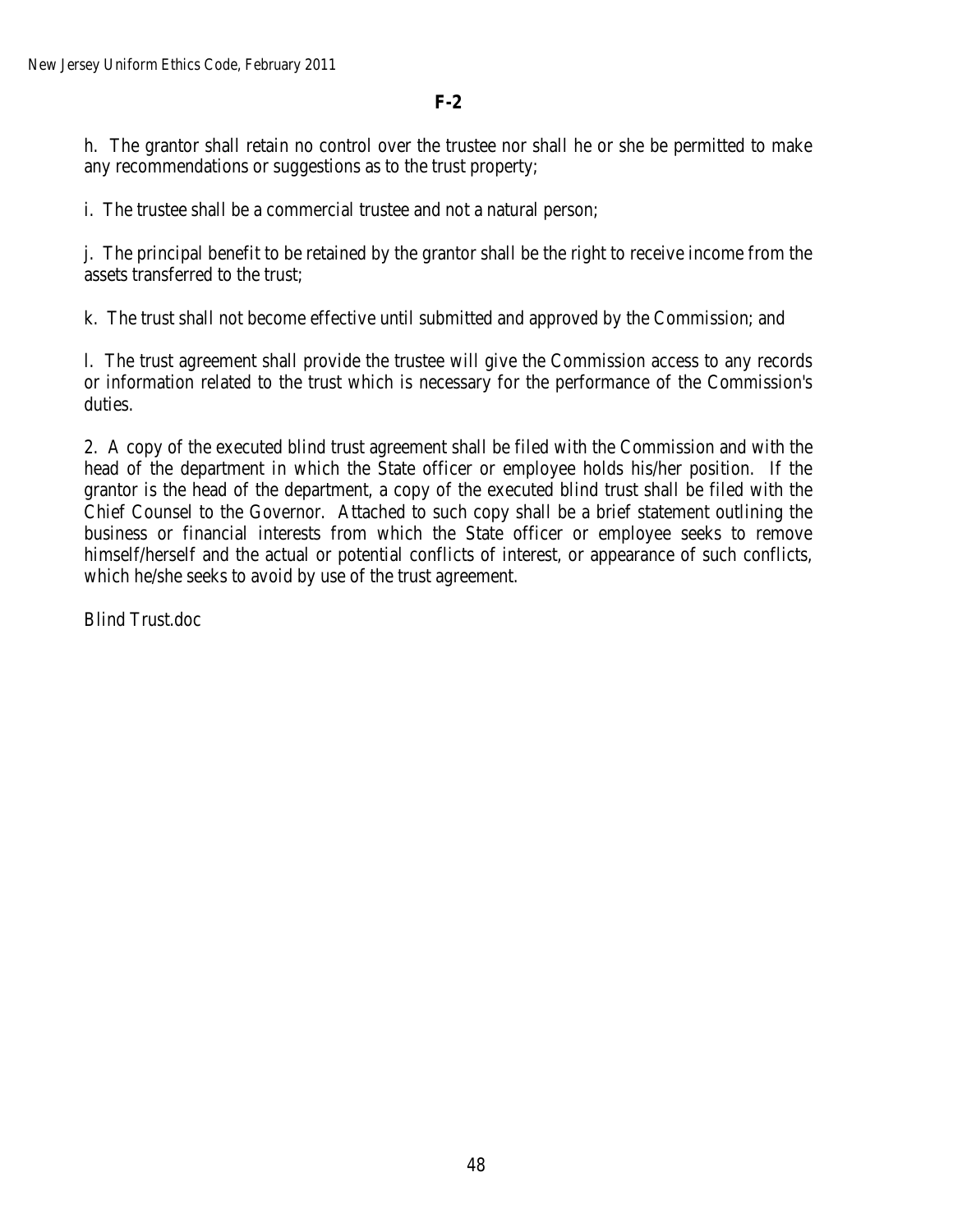**F-2**

h. The grantor shall retain no control over the trustee nor shall he or she be permitted to make any recommendations or suggestions as to the trust property;

i. The trustee shall be a commercial trustee and not a natural person;

j. The principal benefit to be retained by the grantor shall be the right to receive income from the assets transferred to the trust;

k. The trust shall not become effective until submitted and approved by the Commission; and

l. The trust agreement shall provide the trustee will give the Commission access to any records or information related to the trust which is necessary for the performance of the Commission's duties.

2. A copy of the executed blind trust agreement shall be filed with the Commission and with the head of the department in which the State officer or employee holds his/her position. If the grantor is the head of the department, a copy of the executed blind trust shall be filed with the Chief Counsel to the Governor. Attached to such copy shall be a brief statement outlining the business or financial interests from which the State officer or employee seeks to remove himself/herself and the actual or potential conflicts of interest, or appearance of such conflicts, which he/she seeks to avoid by use of the trust agreement.

Blind Trust.doc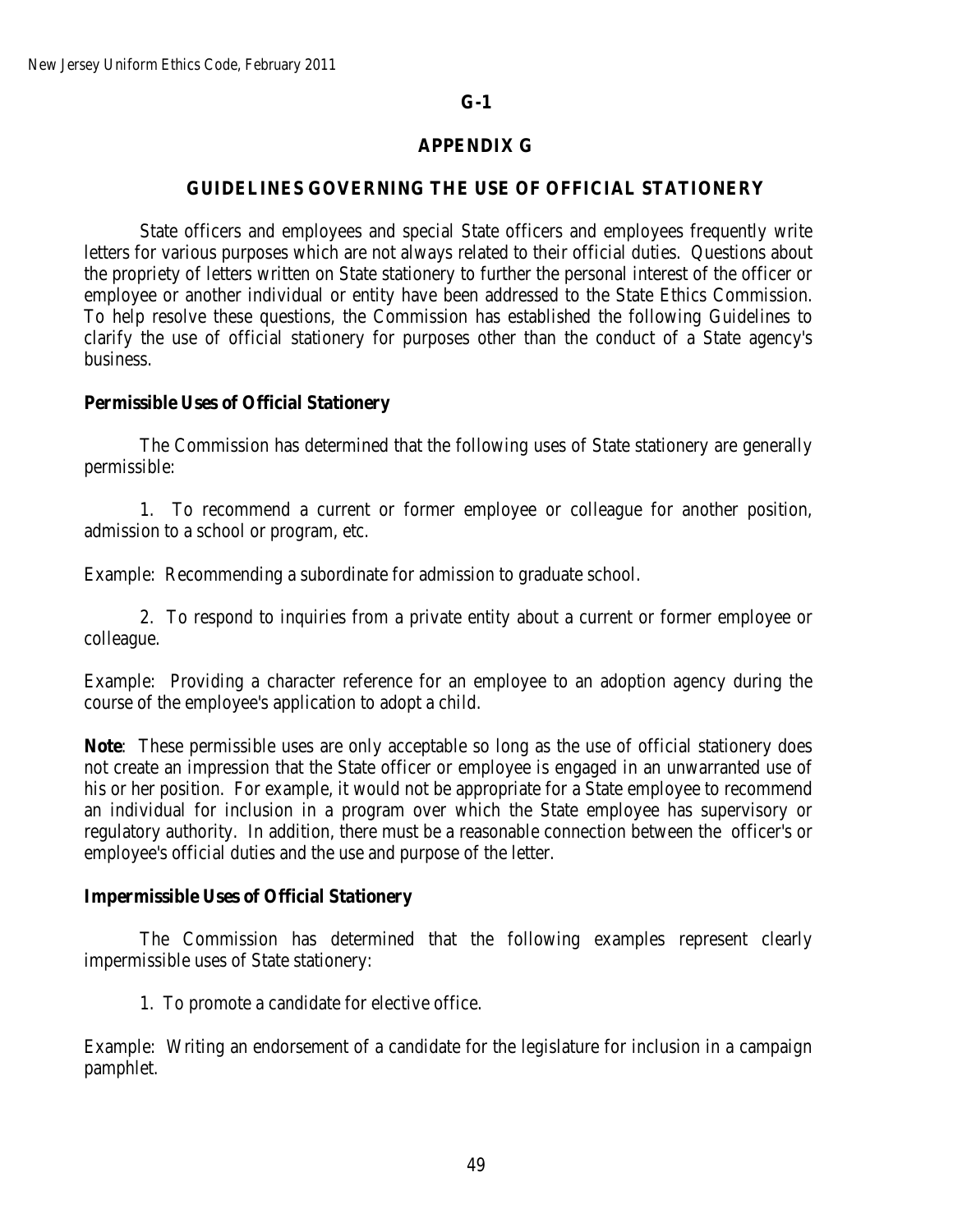# **G-1**

# **APPENDIX G**

## **GUIDELINES GOVERNING THE USE OF OFFICIAL STATIONERY**

State officers and employees and special State officers and employees frequently write letters for various purposes which are not always related to their official duties. Questions about the propriety of letters written on State stationery to further the personal interest of the officer or employee or another individual or entity have been addressed to the State Ethics Commission. To help resolve these questions, the Commission has established the following Guidelines to clarify the use of official stationery for purposes other than the conduct of a State agency's business.

## **Permissible Uses of Official Stationery**

The Commission has determined that the following uses of State stationery are generally permissible:

1. To recommend a current or former employee or colleague for another position, admission to a school or program, etc.

Example: Recommending a subordinate for admission to graduate school.

2. To respond to inquiries from a private entity about a current or former employee or colleague.

Example: Providing a character reference for an employee to an adoption agency during the course of the employee's application to adopt a child.

**Note**: These permissible uses are only acceptable so long as the use of official stationery does not create an impression that the State officer or employee is engaged in an unwarranted use of his or her position. For example, it would not be appropriate for a State employee to recommend an individual for inclusion in a program over which the State employee has supervisory or regulatory authority. In addition, there must be a reasonable connection between the officer's or employee's official duties and the use and purpose of the letter.

### **Impermissible Uses of Official Stationery**

The Commission has determined that the following examples represent clearly impermissible uses of State stationery:

1. To promote a candidate for elective office.

Example: Writing an endorsement of a candidate for the legislature for inclusion in a campaign pamphlet.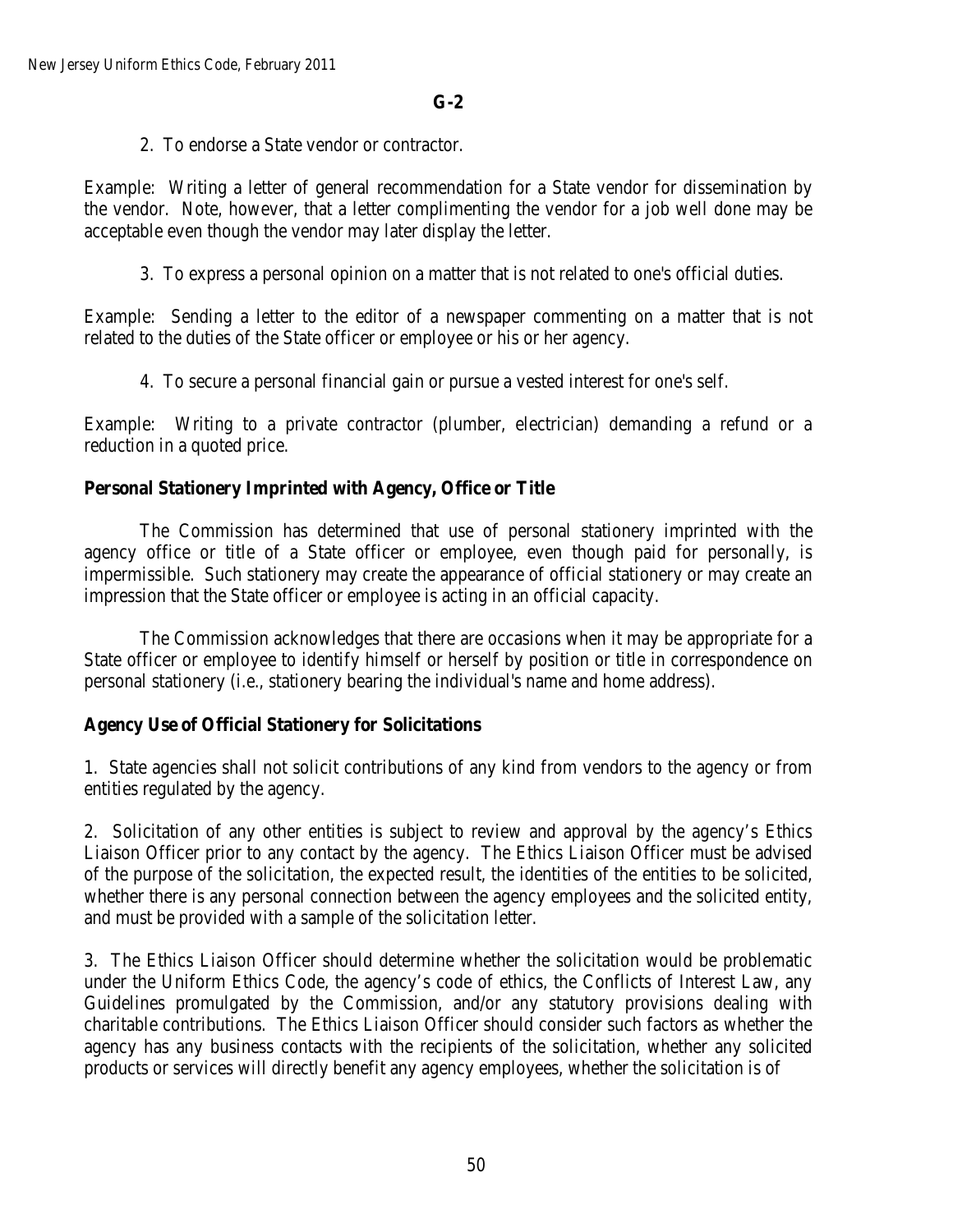2. To endorse a State vendor or contractor.

Example: Writing a letter of general recommendation for a State vendor for dissemination by the vendor. Note, however, that a letter complimenting the vendor for a job well done may be acceptable even though the vendor may later display the letter.

3. To express a personal opinion on a matter that is not related to one's official duties.

Example: Sending a letter to the editor of a newspaper commenting on a matter that is not related to the duties of the State officer or employee or his or her agency.

4. To secure a personal financial gain or pursue a vested interest for one's self.

Example: Writing to a private contractor (plumber, electrician) demanding a refund or a reduction in a quoted price.

# **Personal Stationery Imprinted with Agency, Office or Title**

The Commission has determined that use of personal stationery imprinted with the agency office or title of a State officer or employee, even though paid for personally, is impermissible. Such stationery may create the appearance of official stationery or may create an impression that the State officer or employee is acting in an official capacity.

The Commission acknowledges that there are occasions when it may be appropriate for a State officer or employee to identify himself or herself by position or title in correspondence on personal stationery (i.e., stationery bearing the individual's name and home address).

## **Agency Use of Official Stationery for Solicitations**

1. State agencies shall not solicit contributions of any kind from vendors to the agency or from entities regulated by the agency.

2. Solicitation of any other entities is subject to review and approval by the agency's Ethics Liaison Officer prior to any contact by the agency. The Ethics Liaison Officer must be advised of the purpose of the solicitation, the expected result, the identities of the entities to be solicited, whether there is any personal connection between the agency employees and the solicited entity, and must be provided with a sample of the solicitation letter.

3. The Ethics Liaison Officer should determine whether the solicitation would be problematic under the Uniform Ethics Code, the agency's code of ethics, the Conflicts of Interest Law, any Guidelines promulgated by the Commission, and/or any statutory provisions dealing with charitable contributions. The Ethics Liaison Officer should consider such factors as whether the agency has any business contacts with the recipients of the solicitation, whether any solicited products or services will directly benefit any agency employees, whether the solicitation is of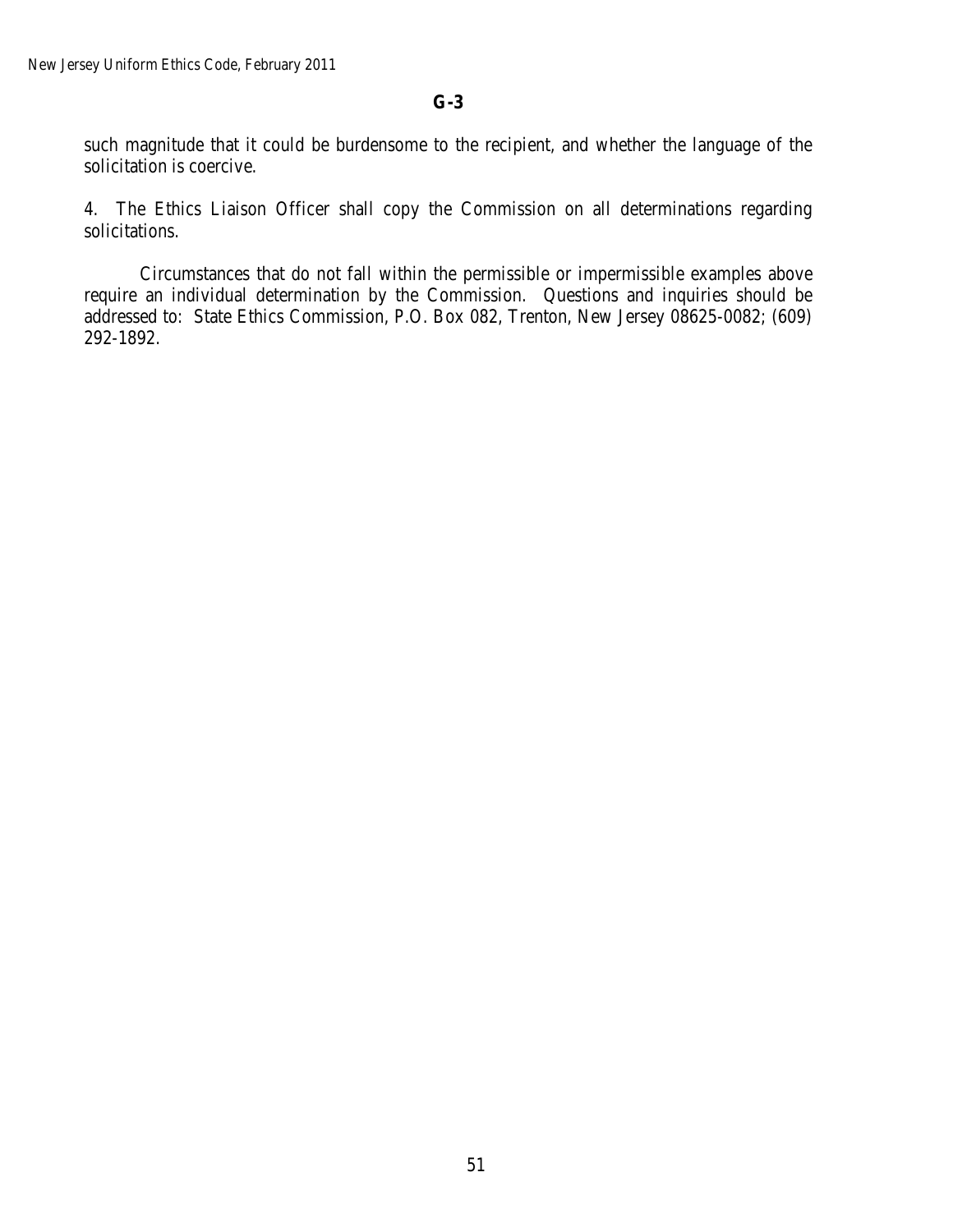# **G-3**

such magnitude that it could be burdensome to the recipient, and whether the language of the solicitation is coercive.

4. The Ethics Liaison Officer shall copy the Commission on all determinations regarding solicitations.

Circumstances that do not fall within the permissible or impermissible examples above require an individual determination by the Commission. Questions and inquiries should be addressed to: State Ethics Commission, P.O. Box 082, Trenton, New Jersey 08625-0082; (609) 292-1892.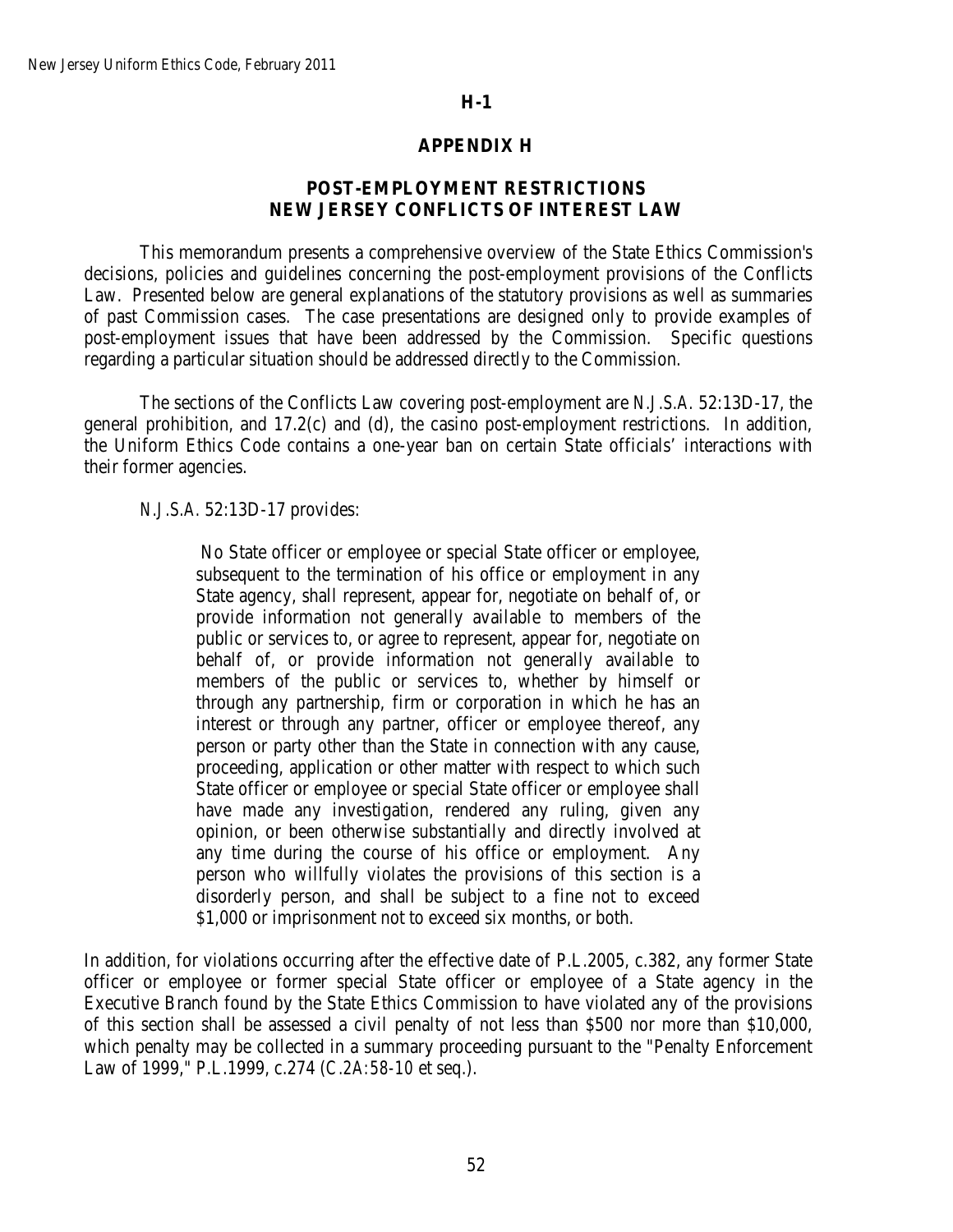### **APPENDIX H**

## **POST-EMPLOYMENT RESTRICTIONS NEW JERSEY CONFLICTS OF INTEREST LAW**

This memorandum presents a comprehensive overview of the State Ethics Commission's decisions, policies and guidelines concerning the post-employment provisions of the Conflicts Law. Presented below are general explanations of the statutory provisions as well as summaries of past Commission cases. The case presentations are designed only to provide examples of post-employment issues that have been addressed by the Commission. Specific questions regarding a particular situation should be addressed directly to the Commission.

The sections of the Conflicts Law covering post-employment are *N.J.S.A.* 52:13D-17, the general prohibition, and 17.2(c) and (d), the casino post-employment restrictions. In addition, the Uniform Ethics Code contains a one-year ban on certain State officials' interactions with their former agencies.

#### *N.J.S.A.* 52:13D-17 provides:

No State officer or employee or special State officer or employee, subsequent to the termination of his office or employment in any State agency, shall represent, appear for, negotiate on behalf of, or provide information not generally available to members of the public or services to, or agree to represent, appear for, negotiate on behalf of, or provide information not generally available to members of the public or services to, whether by himself or through any partnership, firm or corporation in which he has an interest or through any partner, officer or employee thereof, any person or party other than the State in connection with any cause, proceeding, application or other matter with respect to which such State officer or employee or special State officer or employee shall have made any investigation, rendered any ruling, given any opinion, or been otherwise substantially and directly involved at any time during the course of his office or employment. Any person who willfully violates the provisions of this section is a disorderly person, and shall be subject to a fine not to exceed \$1,000 or imprisonment not to exceed six months, or both.

In addition, for violations occurring after the effective date of P.L.2005, c.382, any former State officer or employee or former special State officer or employee of a State agency in the Executive Branch found by the State Ethics Commission to have violated any of the provisions of this section shall be assessed a civil penalty of not less than \$500 nor more than \$10,000, which penalty may be collected in a summary proceeding pursuant to the "Penalty Enforcement Law of 1999," P.L.1999, c.274 (*C.2A:58-10* et seq.).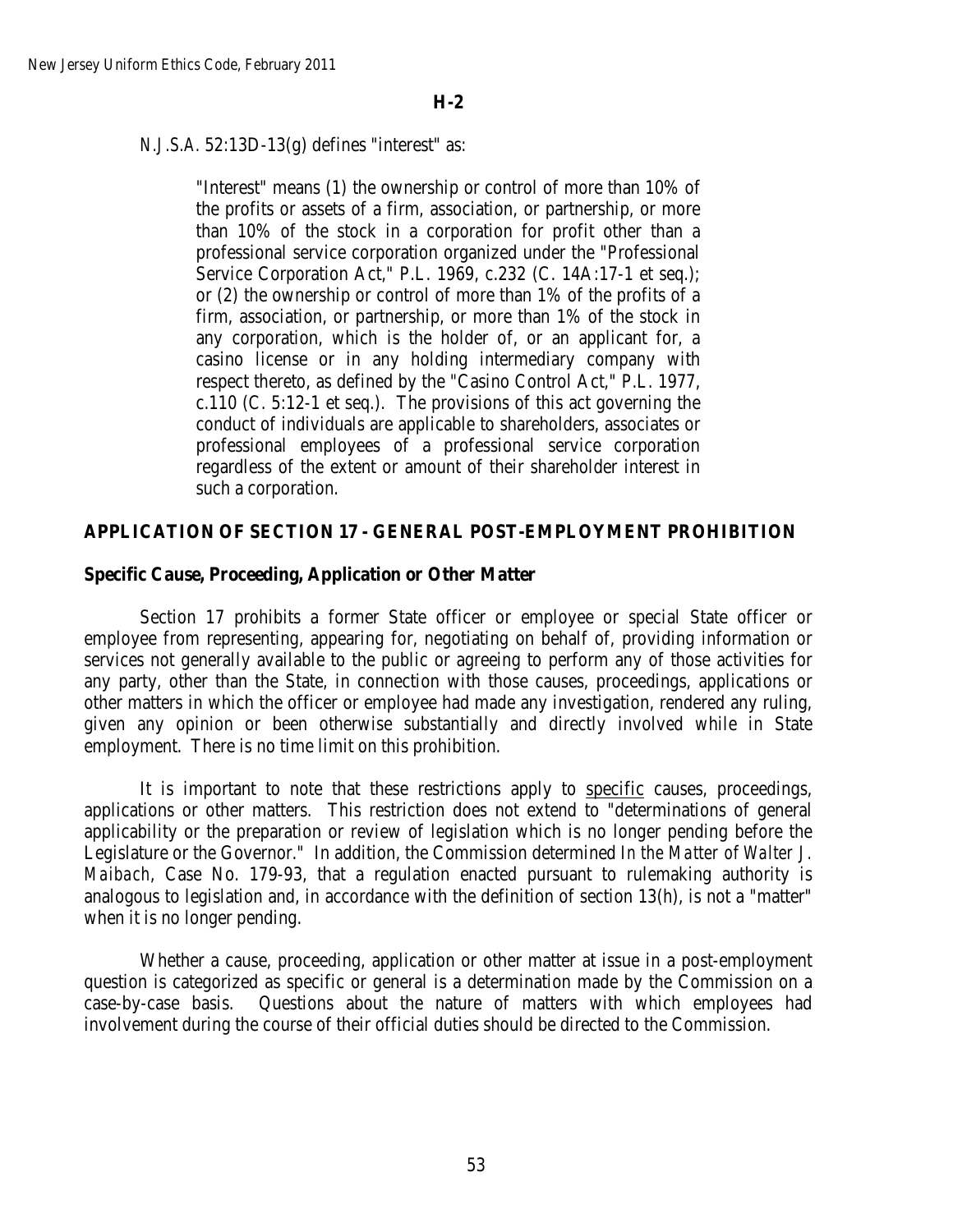# *N.J.S.A.* 52:13D-13(g) defines "interest" as:

"Interest" means (1) the ownership or control of more than 10% of the profits or assets of a firm, association, or partnership, or more than 10% of the stock in a corporation for profit other than a professional service corporation organized under the "Professional Service Corporation Act," P.L. 1969, c.232 (C. 14A:17-1 et seq.); or (2) the ownership or control of more than 1% of the profits of a firm, association, or partnership, or more than 1% of the stock in any corporation, which is the holder of, or an applicant for, a casino license or in any holding intermediary company with respect thereto, as defined by the "Casino Control Act," P.L. 1977, c.110 (C. 5:12-1 et seq.). The provisions of this act governing the conduct of individuals are applicable to shareholders, associates or professional employees of a professional service corporation regardless of the extent or amount of their shareholder interest in such a corporation.

# **APPLICATION OF SECTION 17 - GENERAL POST-EMPLOYMENT PROHIBITION**

## **Specific Cause, Proceeding, Application or Other Matter**

Section 17 prohibits a former State officer or employee or special State officer or employee from representing, appearing for, negotiating on behalf of, providing information or services not generally available to the public or agreeing to perform any of those activities for any party, other than the State, in connection with those causes, proceedings, applications or other matters in which the officer or employee had made any investigation, rendered any ruling, given any opinion or been otherwise substantially and directly involved while in State employment. There is no time limit on this prohibition.

It is important to note that these restrictions apply to specific causes, proceedings, applications or other matters. This restriction does not extend to "determinations of general applicability or the preparation or review of legislation which is no longer pending before the Legislature or the Governor." In addition, the Commission determined *In the Matter of Walter J. Maibach*, Case No. 179-93, that a regulation enacted pursuant to rulemaking authority is analogous to legislation and, in accordance with the definition of section 13(h), is not a "matter" when it is no longer pending.

Whether a cause, proceeding, application or other matter at issue in a post-employment question is categorized as specific or general is a determination made by the Commission on a case-by-case basis. Questions about the nature of matters with which employees had involvement during the course of their official duties should be directed to the Commission.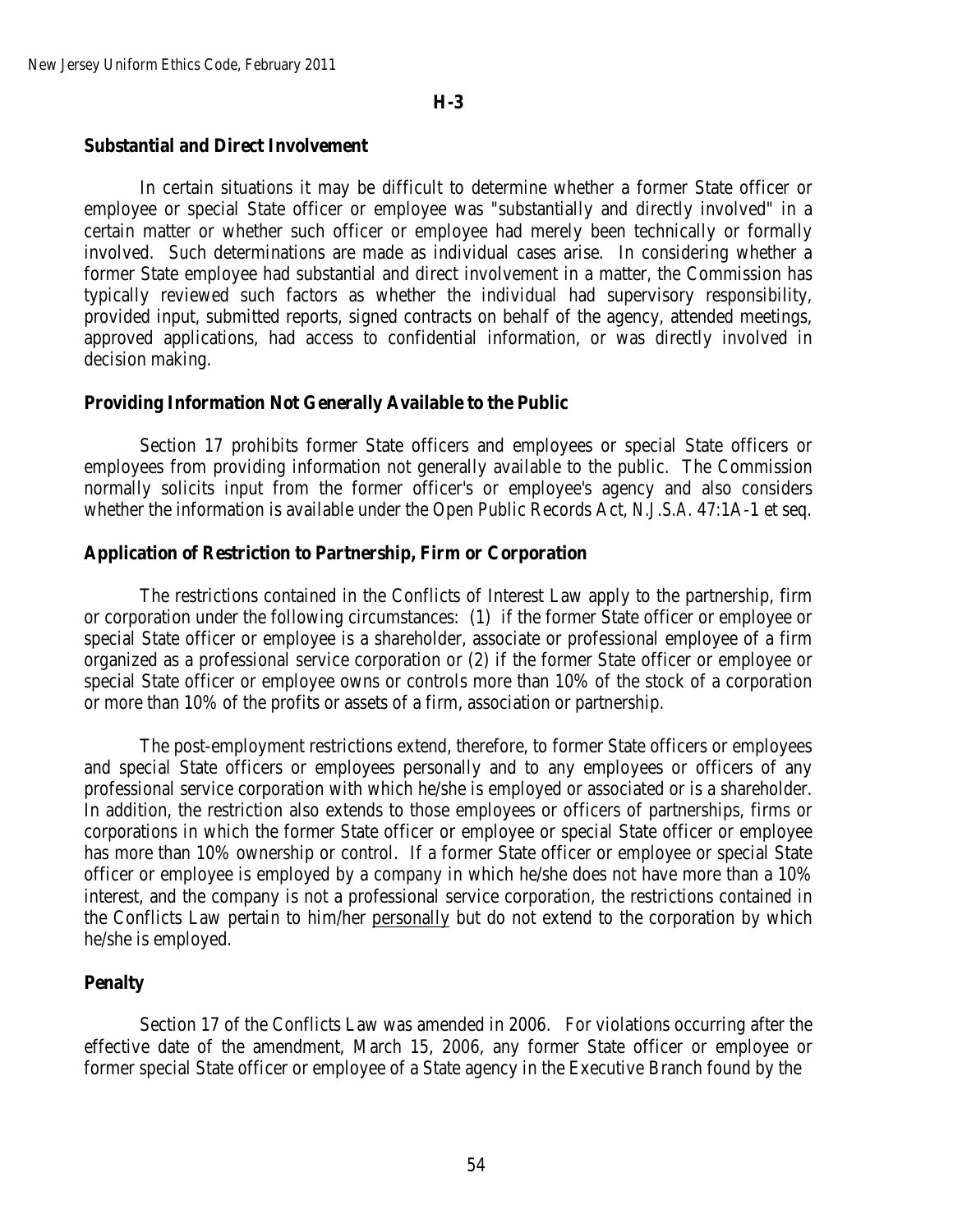## **Substantial and Direct Involvement**

In certain situations it may be difficult to determine whether a former State officer or employee or special State officer or employee was "substantially and directly involved" in a certain matter or whether such officer or employee had merely been technically or formally involved. Such determinations are made as individual cases arise. In considering whether a former State employee had substantial and direct involvement in a matter, the Commission has typically reviewed such factors as whether the individual had supervisory responsibility, provided input, submitted reports, signed contracts on behalf of the agency, attended meetings, approved applications, had access to confidential information, or was directly involved in decision making.

#### **Providing Information Not Generally Available to the Public**

Section 17 prohibits former State officers and employees or special State officers or employees from providing information not generally available to the public. The Commission normally solicits input from the former officer's or employee's agency and also considers whether the information is available under the Open Public Records Act, *N.J.S.A.* 47:1A-1 et seq.

#### **Application of Restriction to Partnership, Firm or Corporation**

The restrictions contained in the Conflicts of Interest Law apply to the partnership, firm or corporation under the following circumstances: (1) if the former State officer or employee or special State officer or employee is a shareholder, associate or professional employee of a firm organized as a professional service corporation or (2) if the former State officer or employee or special State officer or employee owns or controls more than 10% of the stock of a corporation or more than 10% of the profits or assets of a firm, association or partnership.

The post-employment restrictions extend, therefore, to former State officers or employees and special State officers or employees personally and to any employees or officers of any professional service corporation with which he/she is employed or associated or is a shareholder. In addition, the restriction also extends to those employees or officers of partnerships, firms or corporations in which the former State officer or employee or special State officer or employee has more than 10% ownership or control. If a former State officer or employee or special State officer or employee is employed by a company in which he/she does not have more than a 10% interest, and the company is not a professional service corporation, the restrictions contained in the Conflicts Law pertain to him/her personally but do not extend to the corporation by which he/she is employed.

### **Penalty**

Section 17 of the Conflicts Law was amended in 2006. For violations occurring after the effective date of the amendment, March 15, 2006, any former State officer or employee or former special State officer or employee of a State agency in the Executive Branch found by the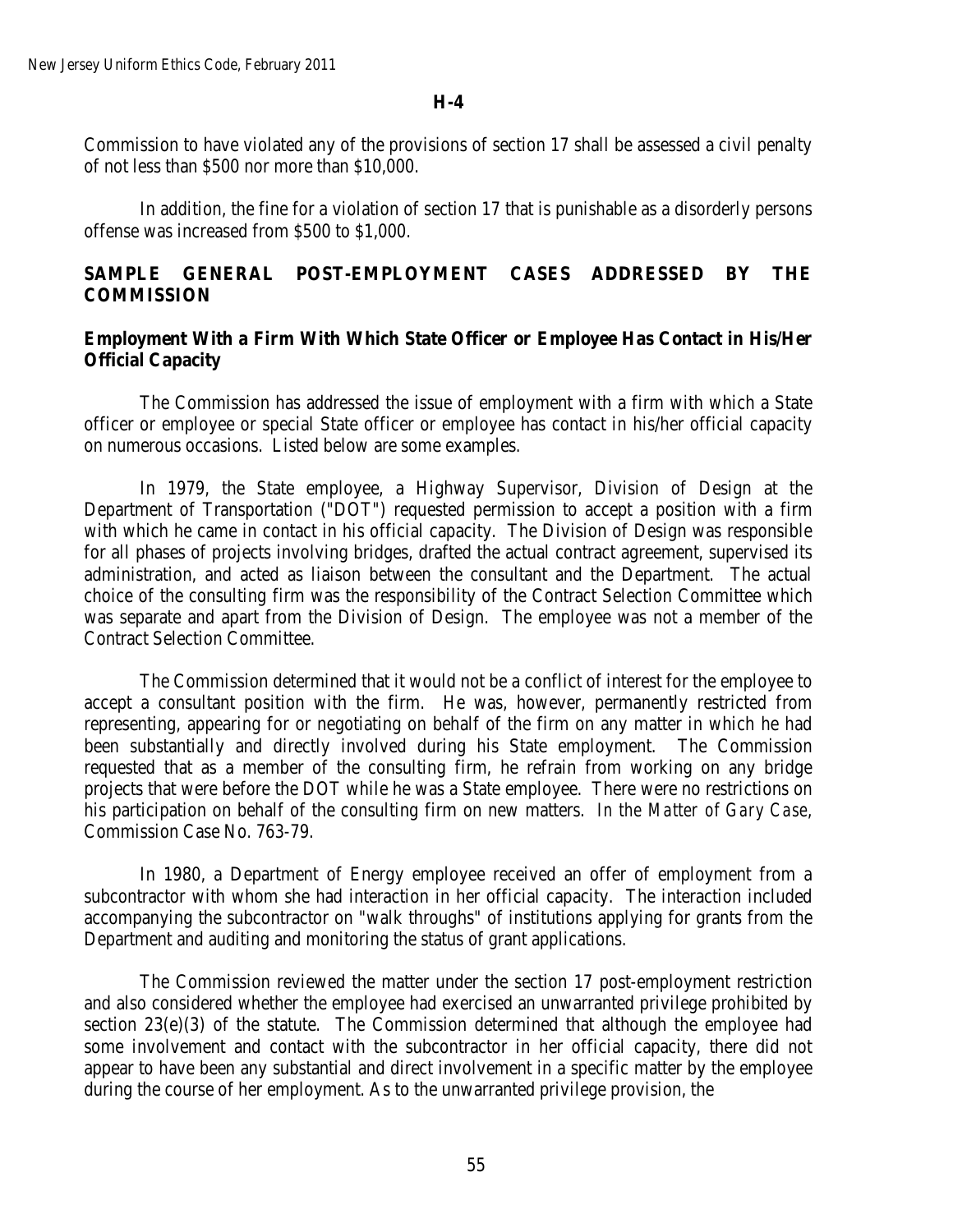Commission to have violated any of the provisions of section 17 shall be assessed a civil penalty of not less than \$500 nor more than \$10,000.

In addition, the fine for a violation of section 17 that is punishable as a disorderly persons offense was increased from \$500 to \$1,000.

# **SAMPLE GENERAL POST-EMPLOYMENT CASES ADDRESSED BY THE COMMISSION**

### **Employment With a Firm With Which State Officer or Employee Has Contact in His/Her Official Capacity**

The Commission has addressed the issue of employment with a firm with which a State officer or employee or special State officer or employee has contact in his/her official capacity on numerous occasions. Listed below are some examples.

In 1979, the State employee, a Highway Supervisor, Division of Design at the Department of Transportation ("DOT") requested permission to accept a position with a firm with which he came in contact in his official capacity. The Division of Design was responsible for all phases of projects involving bridges, drafted the actual contract agreement, supervised its administration, and acted as liaison between the consultant and the Department. The actual choice of the consulting firm was the responsibility of the Contract Selection Committee which was separate and apart from the Division of Design. The employee was not a member of the Contract Selection Committee.

The Commission determined that it would not be a conflict of interest for the employee to accept a consultant position with the firm. He was, however, permanently restricted from representing, appearing for or negotiating on behalf of the firm on any matter in which he had been substantially and directly involved during his State employment. The Commission requested that as a member of the consulting firm, he refrain from working on any bridge projects that were before the DOT while he was a State employee. There were no restrictions on his participation on behalf of the consulting firm on new matters. *In the Matter of Gary Case*, Commission Case No. 763-79.

In 1980, a Department of Energy employee received an offer of employment from a subcontractor with whom she had interaction in her official capacity. The interaction included accompanying the subcontractor on "walk throughs" of institutions applying for grants from the Department and auditing and monitoring the status of grant applications.

The Commission reviewed the matter under the section 17 post-employment restriction and also considered whether the employee had exercised an unwarranted privilege prohibited by section 23(e)(3) of the statute. The Commission determined that although the employee had some involvement and contact with the subcontractor in her official capacity, there did not appear to have been any substantial and direct involvement in a specific matter by the employee during the course of her employment. As to the unwarranted privilege provision, the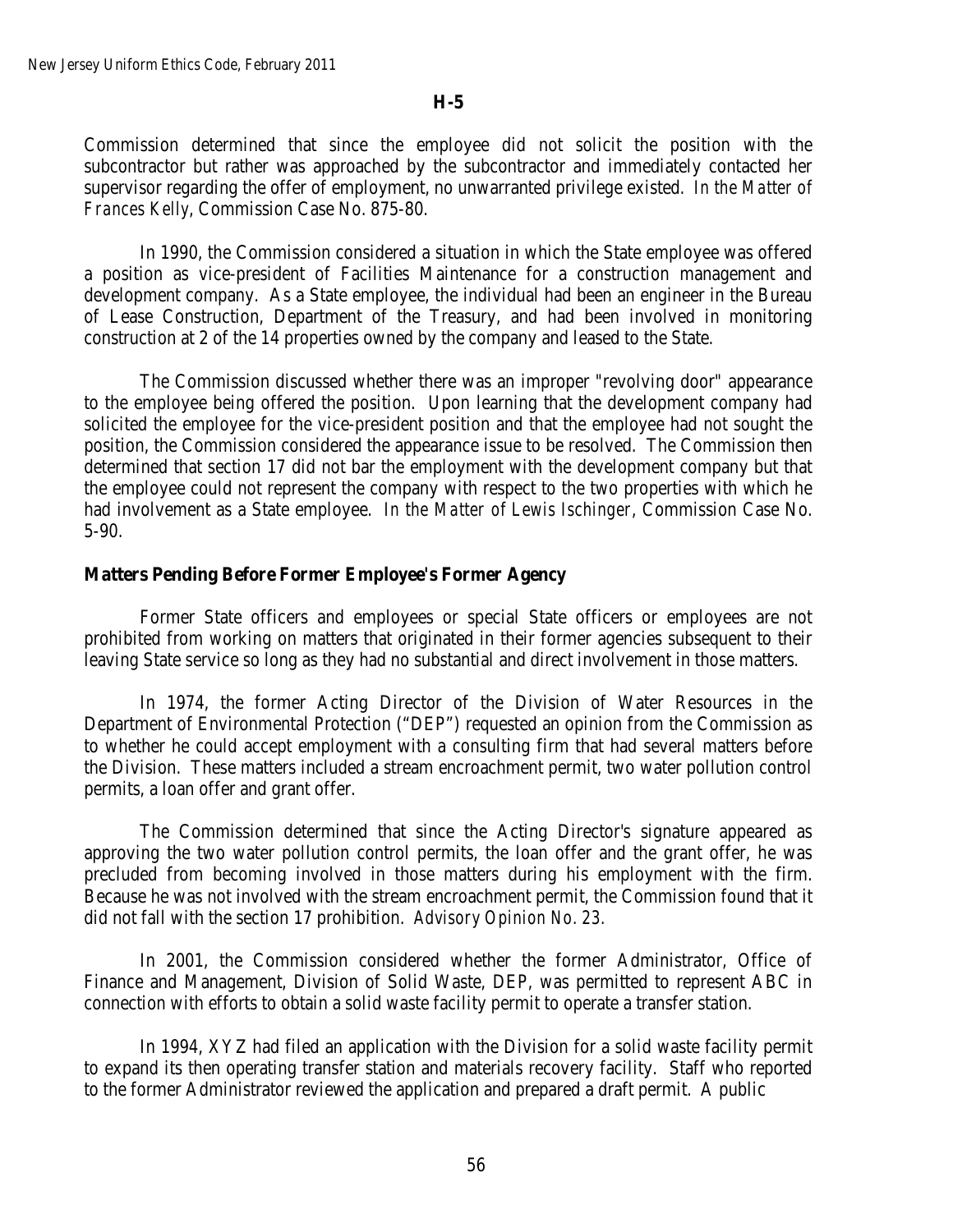Commission determined that since the employee did not solicit the position with the subcontractor but rather was approached by the subcontractor and immediately contacted her supervisor regarding the offer of employment, no unwarranted privilege existed. *In the Matter of Frances Kelly*, Commission Case No. 875-80.

In 1990, the Commission considered a situation in which the State employee was offered a position as vice-president of Facilities Maintenance for a construction management and development company. As a State employee, the individual had been an engineer in the Bureau of Lease Construction, Department of the Treasury, and had been involved in monitoring construction at 2 of the 14 properties owned by the company and leased to the State.

The Commission discussed whether there was an improper "revolving door" appearance to the employee being offered the position. Upon learning that the development company had solicited the employee for the vice-president position and that the employee had not sought the position, the Commission considered the appearance issue to be resolved. The Commission then determined that section 17 did not bar the employment with the development company but that the employee could not represent the company with respect to the two properties with which he had involvement as a State employee. *In the Matter of Lewis Ischinger*, Commission Case No. 5-90.

#### **Matters Pending Before Former Employee's Former Agency**

Former State officers and employees or special State officers or employees are not prohibited from working on matters that originated in their former agencies subsequent to their leaving State service so long as they had no substantial and direct involvement in those matters.

In 1974, the former Acting Director of the Division of Water Resources in the Department of Environmental Protection ("DEP") requested an opinion from the Commission as to whether he could accept employment with a consulting firm that had several matters before the Division. These matters included a stream encroachment permit, two water pollution control permits, a loan offer and grant offer.

The Commission determined that since the Acting Director's signature appeared as approving the two water pollution control permits, the loan offer and the grant offer, he was precluded from becoming involved in those matters during his employment with the firm. Because he was not involved with the stream encroachment permit, the Commission found that it did not fall with the section 17 prohibition. *Advisory Opinion No. 23.*

In 2001, the Commission considered whether the former Administrator, Office of Finance and Management, Division of Solid Waste, DEP, was permitted to represent ABC in connection with efforts to obtain a solid waste facility permit to operate a transfer station.

In 1994, XYZ had filed an application with the Division for a solid waste facility permit to expand its then operating transfer station and materials recovery facility. Staff who reported to the former Administrator reviewed the application and prepared a draft permit. A public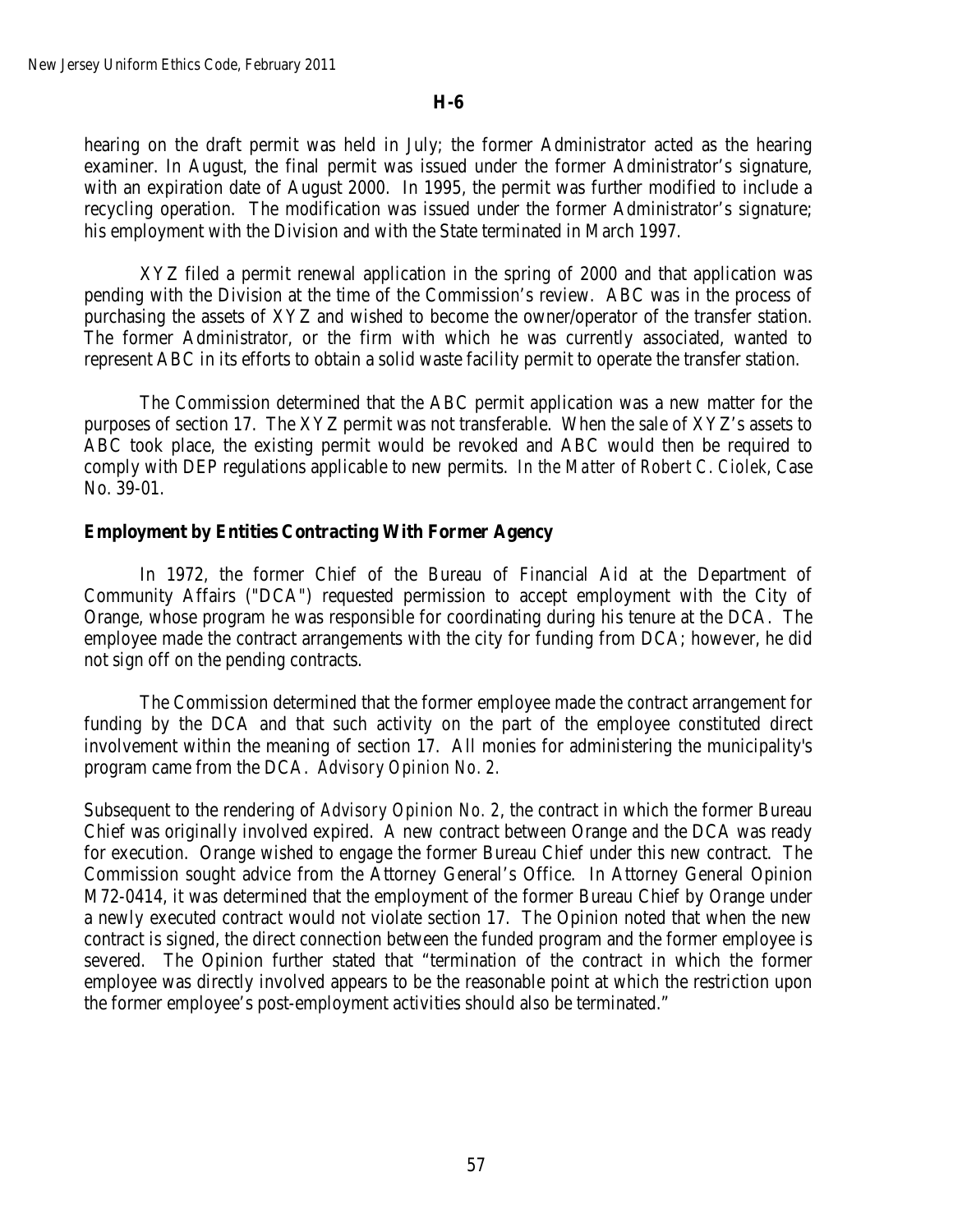hearing on the draft permit was held in July; the former Administrator acted as the hearing examiner. In August, the final permit was issued under the former Administrator's signature, with an expiration date of August 2000. In 1995, the permit was further modified to include a recycling operation. The modification was issued under the former Administrator's signature; his employment with the Division and with the State terminated in March 1997.

XYZ filed a permit renewal application in the spring of 2000 and that application was pending with the Division at the time of the Commission's review. ABC was in the process of purchasing the assets of XYZ and wished to become the owner/operator of the transfer station. The former Administrator, or the firm with which he was currently associated, wanted to represent ABC in its efforts to obtain a solid waste facility permit to operate the transfer station.

The Commission determined that the ABC permit application was a new matter for the purposes of section 17. The XYZ permit was not transferable. When the sale of XYZ's assets to ABC took place, the existing permit would be revoked and ABC would then be required to comply with DEP regulations applicable to new permits. *In the Matter of Robert C. Ciolek*, Case No. 39-01.

### **Employment by Entities Contracting With Former Agency**

In 1972, the former Chief of the Bureau of Financial Aid at the Department of Community Affairs ("DCA") requested permission to accept employment with the City of Orange, whose program he was responsible for coordinating during his tenure at the DCA. The employee made the contract arrangements with the city for funding from DCA; however, he did not sign off on the pending contracts.

The Commission determined that the former employee made the contract arrangement for funding by the DCA and that such activity on the part of the employee constituted direct involvement within the meaning of section 17. All monies for administering the municipality's program came from the DCA. *Advisory Opinion No. 2.*

Subsequent to the rendering of *Advisory Opinion No. 2*, the contract in which the former Bureau Chief was originally involved expired. A new contract between Orange and the DCA was ready for execution. Orange wished to engage the former Bureau Chief under this new contract. The Commission sought advice from the Attorney General's Office. In Attorney General Opinion M72-0414, it was determined that the employment of the former Bureau Chief by Orange under a newly executed contract would not violate section 17. The Opinion noted that when the new contract is signed, the direct connection between the funded program and the former employee is severed. The Opinion further stated that "termination of the contract in which the former employee was directly involved appears to be the reasonable point at which the restriction upon the former employee's post-employment activities should also be terminated."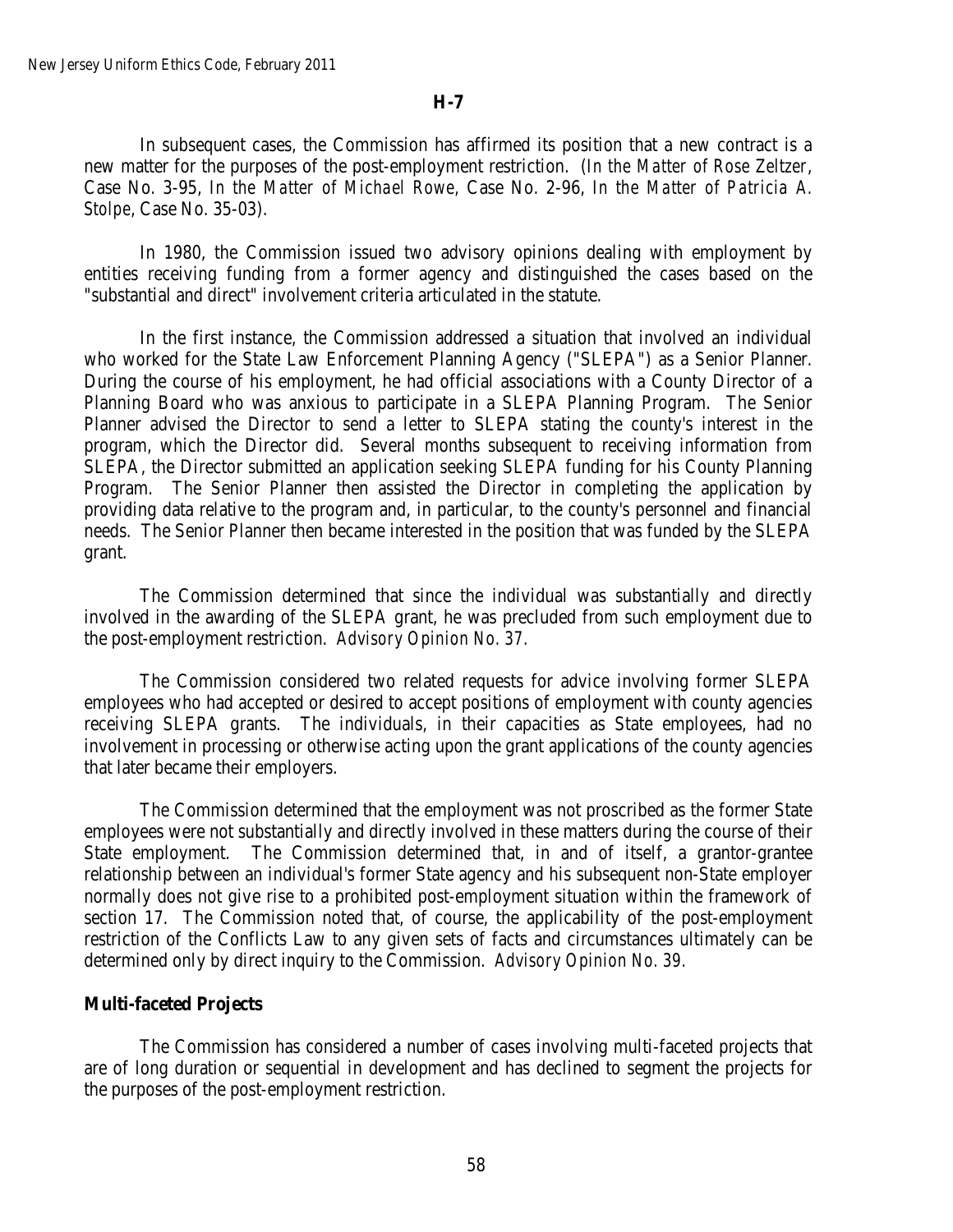In subsequent cases, the Commission has affirmed its position that a new contract is a new matter for the purposes of the post-employment restriction. (*In the Matter of Rose Zeltzer*, Case No. 3-95, *In the Matter of Michael Rowe,* Case No. 2-96, *In the Matter of Patricia A. Stolpe*, Case No. 35-03).

In 1980, the Commission issued two advisory opinions dealing with employment by entities receiving funding from a former agency and distinguished the cases based on the "substantial and direct" involvement criteria articulated in the statute.

In the first instance, the Commission addressed a situation that involved an individual who worked for the State Law Enforcement Planning Agency ("SLEPA") as a Senior Planner. During the course of his employment, he had official associations with a County Director of a Planning Board who was anxious to participate in a SLEPA Planning Program. The Senior Planner advised the Director to send a letter to SLEPA stating the county's interest in the program, which the Director did. Several months subsequent to receiving information from SLEPA, the Director submitted an application seeking SLEPA funding for his County Planning Program. The Senior Planner then assisted the Director in completing the application by providing data relative to the program and, in particular, to the county's personnel and financial needs. The Senior Planner then became interested in the position that was funded by the SLEPA grant.

The Commission determined that since the individual was substantially and directly involved in the awarding of the SLEPA grant, he was precluded from such employment due to the post-employment restriction. *Advisory Opinion No. 37.*

The Commission considered two related requests for advice involving former SLEPA employees who had accepted or desired to accept positions of employment with county agencies receiving SLEPA grants. The individuals, in their capacities as State employees, had no involvement in processing or otherwise acting upon the grant applications of the county agencies that later became their employers.

The Commission determined that the employment was not proscribed as the former State employees were not substantially and directly involved in these matters during the course of their State employment. The Commission determined that, in and of itself, a grantor-grantee relationship between an individual's former State agency and his subsequent non-State employer normally does not give rise to a prohibited post-employment situation within the framework of section 17. The Commission noted that, of course, the applicability of the post-employment restriction of the Conflicts Law to any given sets of facts and circumstances ultimately can be determined only by direct inquiry to the Commission. *Advisory Opinion No. 39.*

### **Multi-faceted Projects**

The Commission has considered a number of cases involving multi-faceted projects that are of long duration or sequential in development and has declined to segment the projects for the purposes of the post-employment restriction.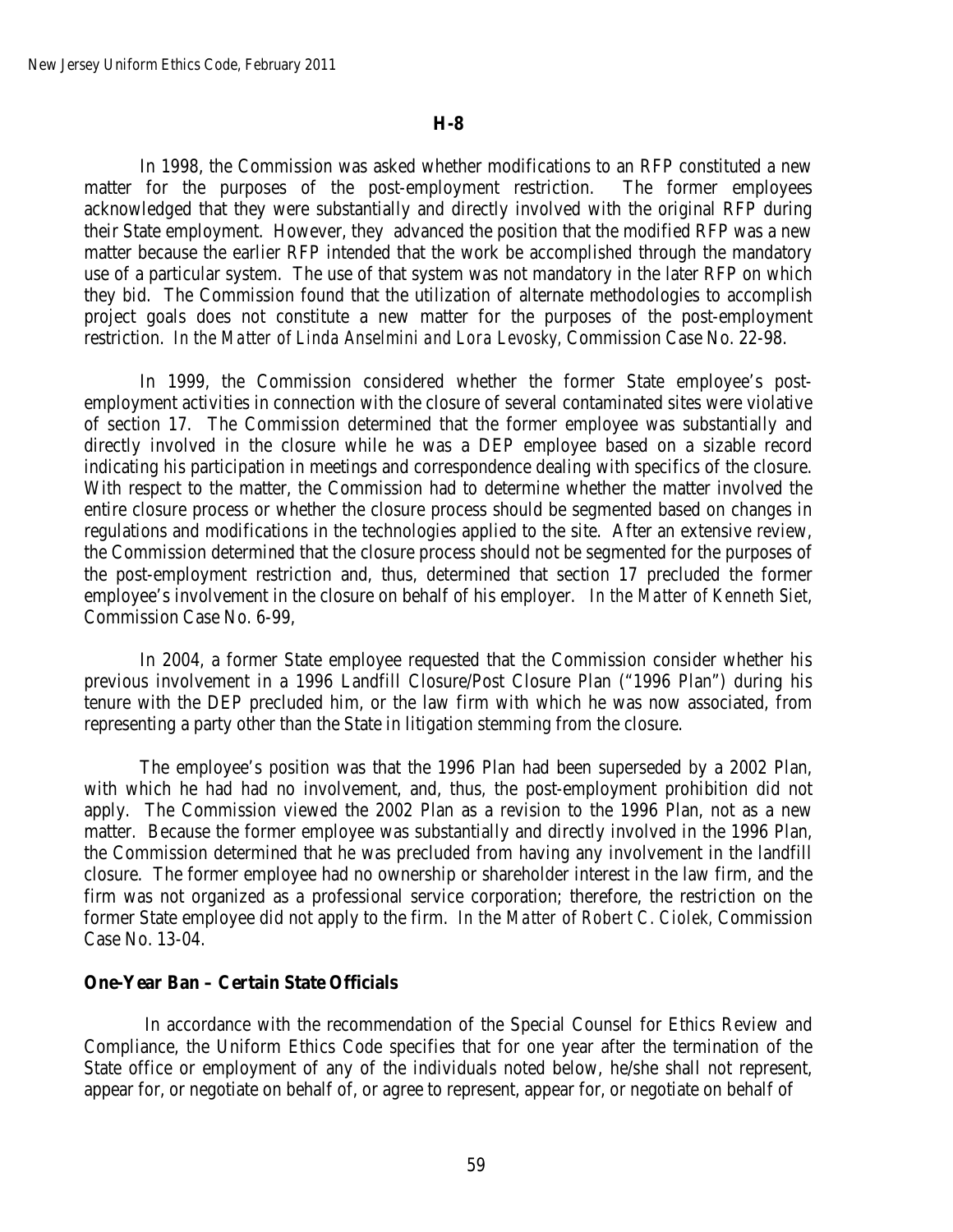In 1998, the Commission was asked whether modifications to an RFP constituted a new matter for the purposes of the post-employment restriction. The former employees acknowledged that they were substantially and directly involved with the original RFP during their State employment. However, they advanced the position that the modified RFP was a new matter because the earlier RFP intended that the work be accomplished through the mandatory use of a particular system. The use of that system was not mandatory in the later RFP on which they bid. The Commission found that the utilization of alternate methodologies to accomplish project goals does not constitute a new matter for the purposes of the post-employment restriction. *In the Matter of Linda Anselmini and Lora Levosky,* Commission Case No. 22-98.

In 1999, the Commission considered whether the former State employee's postemployment activities in connection with the closure of several contaminated sites were violative of section 17. The Commission determined that the former employee was substantially and directly involved in the closure while he was a DEP employee based on a sizable record indicating his participation in meetings and correspondence dealing with specifics of the closure. With respect to the matter, the Commission had to determine whether the matter involved the entire closure process or whether the closure process should be segmented based on changes in regulations and modifications in the technologies applied to the site. After an extensive review, the Commission determined that the closure process should not be segmented for the purposes of the post-employment restriction and, thus, determined that section 17 precluded the former employee's involvement in the closure on behalf of his employer. *In the Matter of Kenneth Siet*, Commission Case No. 6-99,

In 2004, a former State employee requested that the Commission consider whether his previous involvement in a 1996 Landfill Closure/Post Closure Plan ("1996 Plan") during his tenure with the DEP precluded him, or the law firm with which he was now associated, from representing a party other than the State in litigation stemming from the closure.

The employee's position was that the 1996 Plan had been superseded by a 2002 Plan, with which he had had no involvement, and, thus, the post-employment prohibition did not apply. The Commission viewed the 2002 Plan as a revision to the 1996 Plan, not as a new matter. Because the former employee was substantially and directly involved in the 1996 Plan, the Commission determined that he was precluded from having any involvement in the landfill closure. The former employee had no ownership or shareholder interest in the law firm, and the firm was not organized as a professional service corporation; therefore, the restriction on the former State employee did not apply to the firm. *In the Matter of Robert C. Ciolek,* Commission Case No. 13-04.

### **One-Year Ban – Certain State Officials**

In accordance with the recommendation of the Special Counsel for Ethics Review and Compliance, the Uniform Ethics Code specifies that for one year after the termination of the State office or employment of any of the individuals noted below, he/she shall not represent, appear for, or negotiate on behalf of, or agree to represent, appear for, or negotiate on behalf of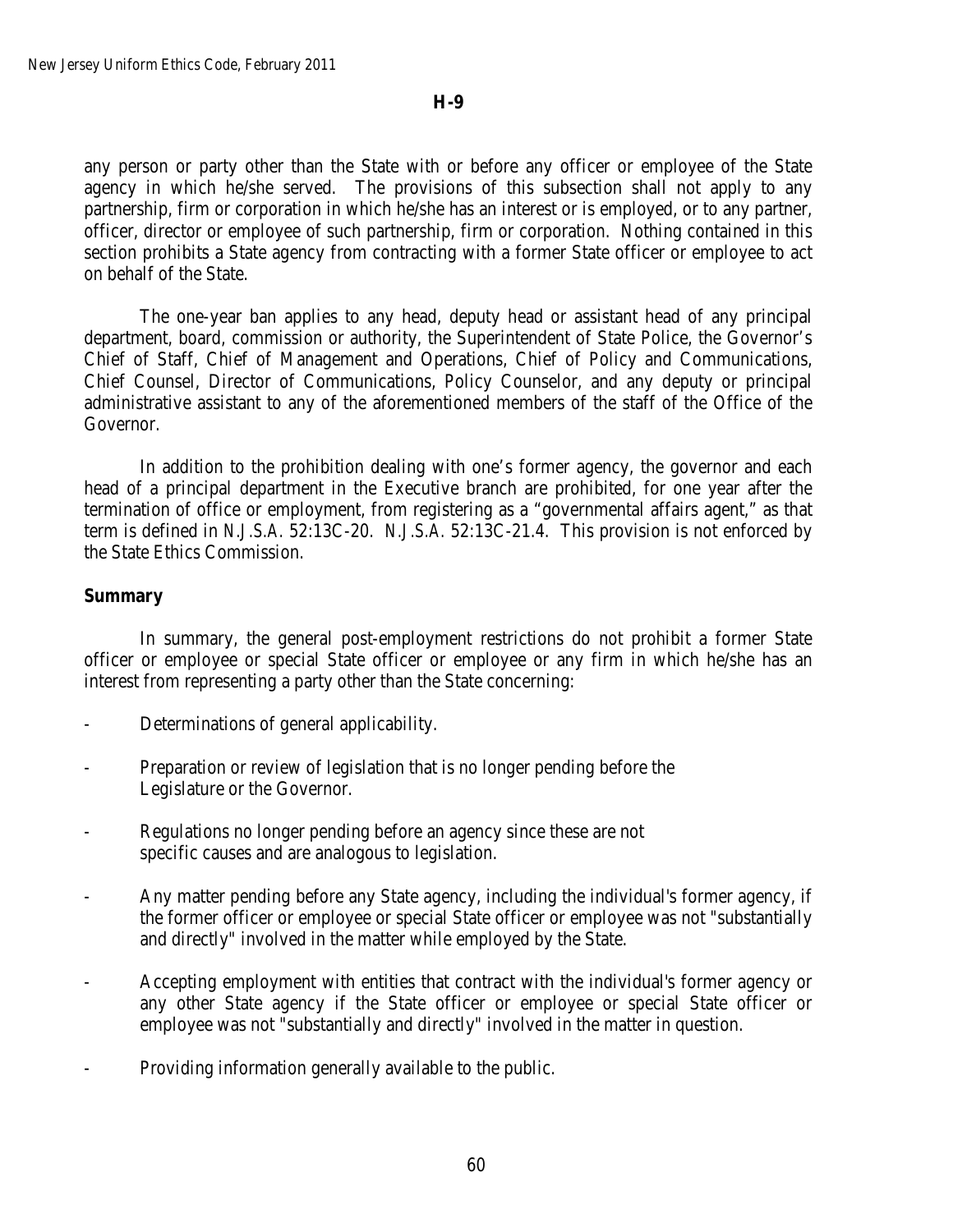any person or party other than the State with or before any officer or employee of the State agency in which he/she served. The provisions of this subsection shall not apply to any partnership, firm or corporation in which he/she has an interest or is employed, or to any partner, officer, director or employee of such partnership, firm or corporation. Nothing contained in this section prohibits a State agency from contracting with a former State officer or employee to act on behalf of the State.

The one-year ban applies to any head, deputy head or assistant head of any principal department, board, commission or authority, the Superintendent of State Police, the Governor's Chief of Staff, Chief of Management and Operations, Chief of Policy and Communications, Chief Counsel, Director of Communications, Policy Counselor, and any deputy or principal administrative assistant to any of the aforementioned members of the staff of the Office of the Governor.

In addition to the prohibition dealing with one's former agency, the governor and each head of a principal department in the Executive branch are prohibited, for one year after the termination of office or employment, from registering as a "governmental affairs agent," as that term is defined in *N.J.S.A.* 52:13C-20. *N.J.S.A.* 52:13C-21.4. This provision is not enforced by the State Ethics Commission.

### **Summary**

In summary, the general post-employment restrictions do not prohibit a former State officer or employee or special State officer or employee or any firm in which he/she has an interest from representing a party other than the State concerning:

- Determinations of general applicability.
- Preparation or review of legislation that is no longer pending before the Legislature or the Governor.
- Regulations no longer pending before an agency since these are not specific causes and are analogous to legislation.
- Any matter pending before any State agency, including the individual's former agency, if the former officer or employee or special State officer or employee was not "substantially and directly" involved in the matter while employed by the State.
- Accepting employment with entities that contract with the individual's former agency or any other State agency if the State officer or employee or special State officer or employee was not "substantially and directly" involved in the matter in question.
- Providing information generally available to the public.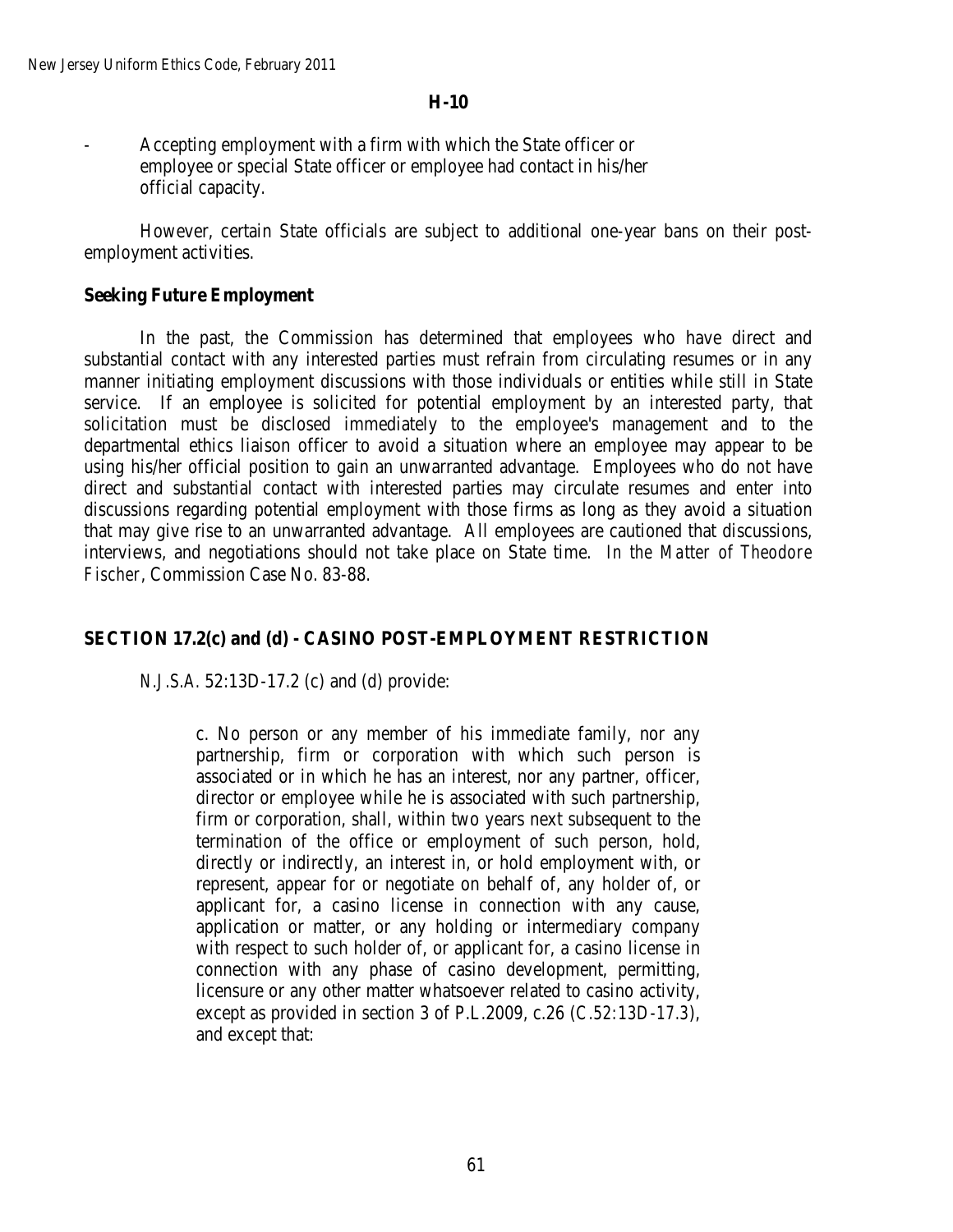- Accepting employment with a firm with which the State officer or employee or special State officer or employee had contact in his/her official capacity.

However, certain State officials are subject to additional one-year bans on their postemployment activities.

## **Seeking Future Employment**

In the past, the Commission has determined that employees who have direct and substantial contact with any interested parties must refrain from circulating resumes or in any manner initiating employment discussions with those individuals or entities while still in State service. If an employee is solicited for potential employment by an interested party, that solicitation must be disclosed immediately to the employee's management and to the departmental ethics liaison officer to avoid a situation where an employee may appear to be using his/her official position to gain an unwarranted advantage. Employees who do not have direct and substantial contact with interested parties may circulate resumes and enter into discussions regarding potential employment with those firms as long as they avoid a situation that may give rise to an unwarranted advantage. All employees are cautioned that discussions, interviews, and negotiations should not take place on State time. *In the Matter of Theodore Fischer*, Commission Case No. 83-88.

## **SECTION 17.2(c) and (d) - CASINO POST-EMPLOYMENT RESTRICTION**

*N.J.S.A.* 52:13D-17.2 (c) and (d) provide:

c. No person or any member of his immediate family, nor any partnership, firm or corporation with which such person is associated or in which he has an interest, nor any partner, officer, director or employee while he is associated with such partnership, firm or corporation, shall, within two years next subsequent to the termination of the office or employment of such person, hold, directly or indirectly, an interest in, or hold employment with, or represent, appear for or negotiate on behalf of, any holder of, or applicant for, a casino license in connection with any cause, application or matter, or any holding or intermediary company with respect to such holder of, or applicant for, a casino license in connection with any phase of casino development, permitting, licensure or any other matter whatsoever related to casino activity, except as provided in section 3 of P.L.2009, c.26 (*C.52:13D-17.3*), and except that: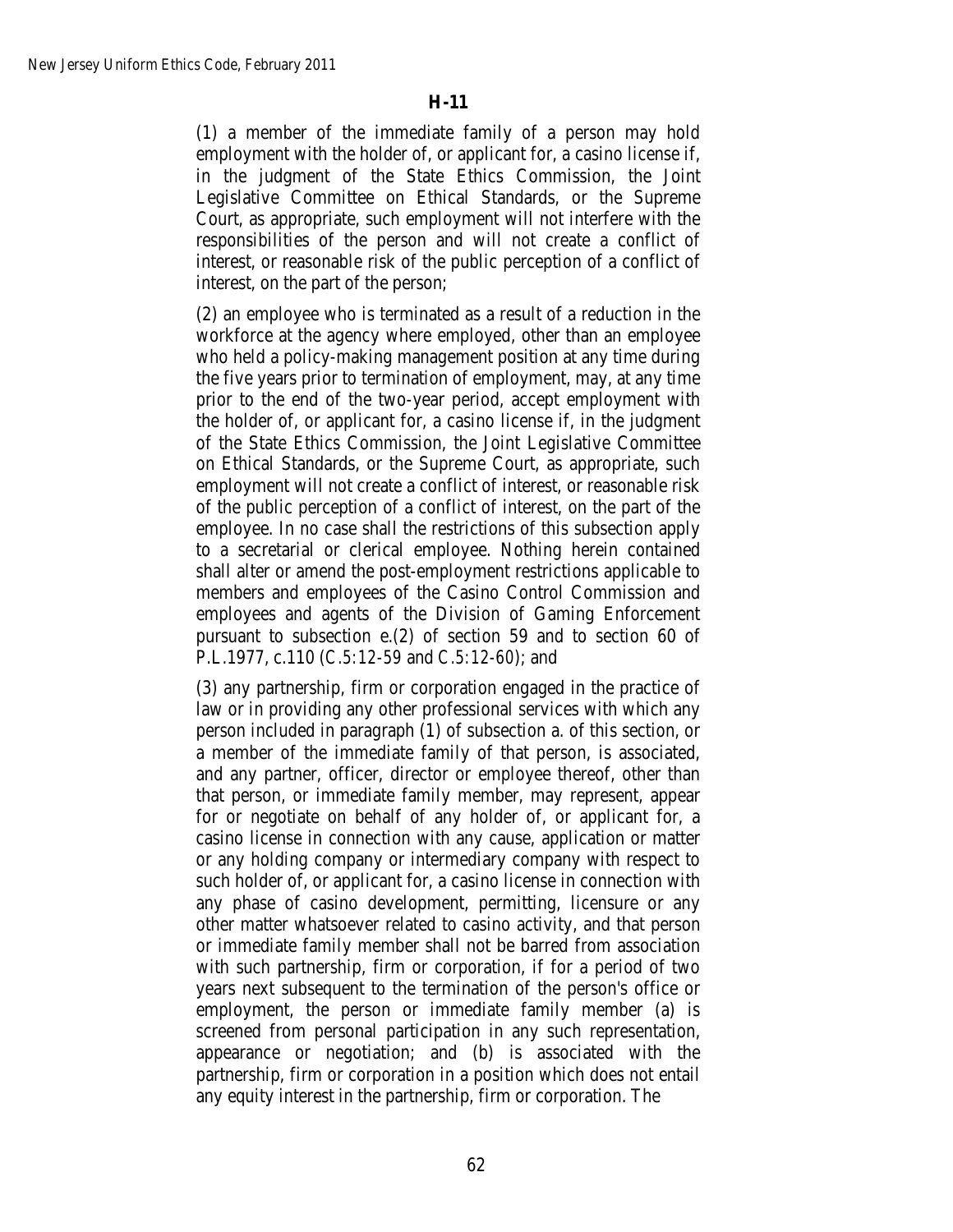(1) a member of the immediate family of a person may hold employment with the holder of, or applicant for, a casino license if, in the judgment of the State Ethics Commission, the Joint Legislative Committee on Ethical Standards, or the Supreme Court, as appropriate, such employment will not interfere with the responsibilities of the person and will not create a conflict of interest, or reasonable risk of the public perception of a conflict of interest, on the part of the person;

(2) an employee who is terminated as a result of a reduction in the workforce at the agency where employed, other than an employee who held a policy-making management position at any time during the five years prior to termination of employment, may, at any time prior to the end of the two-year period, accept employment with the holder of, or applicant for, a casino license if, in the judgment of the State Ethics Commission, the Joint Legislative Committee on Ethical Standards, or the Supreme Court, as appropriate, such employment will not create a conflict of interest, or reasonable risk of the public perception of a conflict of interest, on the part of the employee. In no case shall the restrictions of this subsection apply to a secretarial or clerical employee. Nothing herein contained shall alter or amend the post-employment restrictions applicable to members and employees of the Casino Control Commission and employees and agents of the Division of Gaming Enforcement pursuant to subsection e.(2) of section 59 and to section 60 of P.L.1977, c.110 (*C.5:12-59* and *C.5:12-60*); and

(3) any partnership, firm or corporation engaged in the practice of law or in providing any other professional services with which any person included in paragraph (1) of subsection a. of this section, or a member of the immediate family of that person, is associated, and any partner, officer, director or employee thereof, other than that person, or immediate family member, may represent, appear for or negotiate on behalf of any holder of, or applicant for, a casino license in connection with any cause, application or matter or any holding company or intermediary company with respect to such holder of, or applicant for, a casino license in connection with any phase of casino development, permitting, licensure or any other matter whatsoever related to casino activity, and that person or immediate family member shall not be barred from association with such partnership, firm or corporation, if for a period of two years next subsequent to the termination of the person's office or employment, the person or immediate family member (a) is screened from personal participation in any such representation, appearance or negotiation; and (b) is associated with the partnership, firm or corporation in a position which does not entail any equity interest in the partnership, firm or corporation. The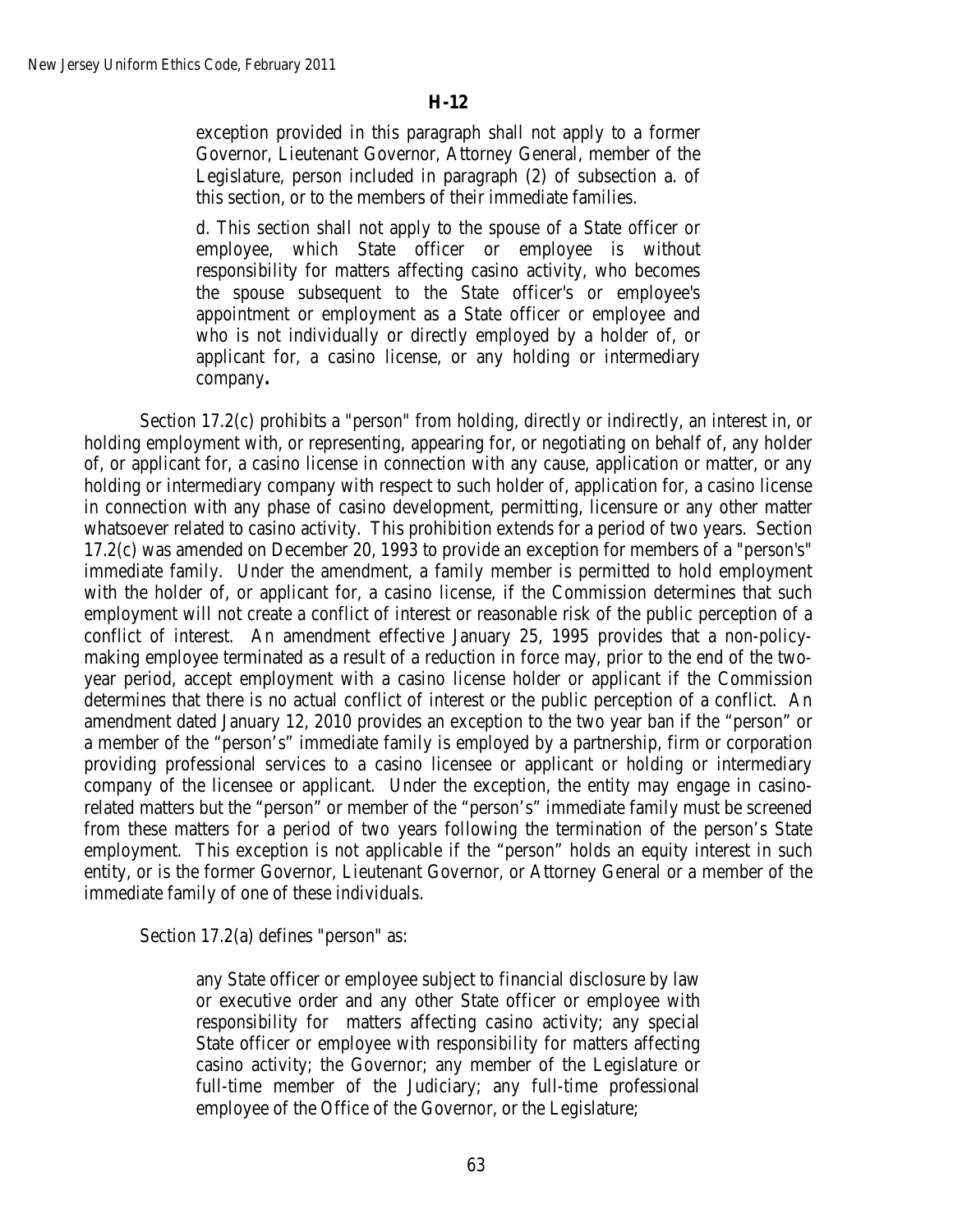exception provided in this paragraph shall not apply to a former Governor, Lieutenant Governor, Attorney General, member of the Legislature, person included in paragraph (2) of subsection a. of this section, or to the members of their immediate families.

d. This section shall not apply to the spouse of a State officer or employee, which State officer or employee is without responsibility for matters affecting casino activity, who becomes the spouse subsequent to the State officer's or employee's appointment or employment as a State officer or employee and who is not individually or directly employed by a holder of, or applicant for, a casino license, or any holding or intermediary company**.** 

Section 17.2(c) prohibits a "person" from holding, directly or indirectly, an interest in, or holding employment with, or representing, appearing for, or negotiating on behalf of, any holder of, or applicant for, a casino license in connection with any cause, application or matter, or any holding or intermediary company with respect to such holder of, application for, a casino license in connection with any phase of casino development, permitting, licensure or any other matter whatsoever related to casino activity. This prohibition extends for a period of two years. Section 17.2(c) was amended on December 20, 1993 to provide an exception for members of a "person's" immediate family. Under the amendment, a family member is permitted to hold employment with the holder of, or applicant for, a casino license, if the Commission determines that such employment will not create a conflict of interest or reasonable risk of the public perception of a conflict of interest. An amendment effective January 25, 1995 provides that a non-policymaking employee terminated as a result of a reduction in force may, prior to the end of the twoyear period, accept employment with a casino license holder or applicant if the Commission determines that there is no actual conflict of interest or the public perception of a conflict. An amendment dated January 12, 2010 provides an exception to the two year ban if the "person" or a member of the "person's" immediate family is employed by a partnership, firm or corporation providing professional services to a casino licensee or applicant or holding or intermediary company of the licensee or applicant. Under the exception, the entity may engage in casinorelated matters but the "person" or member of the "person's" immediate family must be screened from these matters for a period of two years following the termination of the person's State employment. This exception is not applicable if the "person" holds an equity interest in such entity, or is the former Governor, Lieutenant Governor, or Attorney General or a member of the immediate family of one of these individuals.

Section 17.2(a) defines "person" as:

any State officer or employee subject to financial disclosure by law or executive order and any other State officer or employee with responsibility for matters affecting casino activity; any special State officer or employee with responsibility for matters affecting casino activity; the Governor; any member of the Legislature or full-time member of the Judiciary; any full-time professional employee of the Office of the Governor, or the Legislature;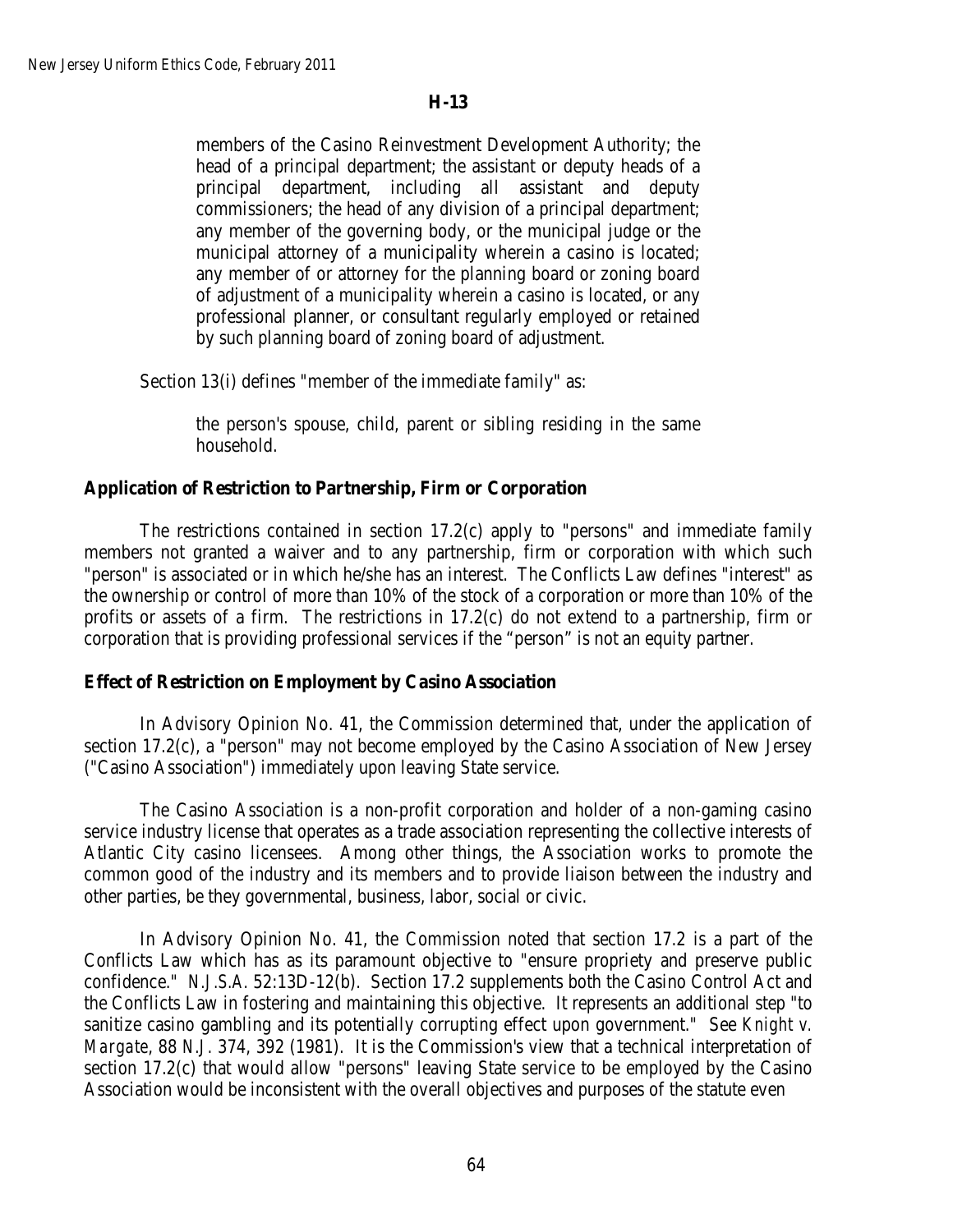members of the Casino Reinvestment Development Authority; the head of a principal department; the assistant or deputy heads of a principal department, including all assistant and deputy commissioners; the head of any division of a principal department; any member of the governing body, or the municipal judge or the municipal attorney of a municipality wherein a casino is located; any member of or attorney for the planning board or zoning board of adjustment of a municipality wherein a casino is located, or any professional planner, or consultant regularly employed or retained by such planning board of zoning board of adjustment.

Section 13(i) defines "member of the immediate family" as:

the person's spouse, child, parent or sibling residing in the same household.

## **Application of Restriction to Partnership, Firm or Corporation**

The restrictions contained in section 17.2(c) apply to "persons" and immediate family members not granted a waiver and to any partnership, firm or corporation with which such "person" is associated or in which he/she has an interest. The Conflicts Law defines "interest" as the ownership or control of more than 10% of the stock of a corporation or more than 10% of the profits or assets of a firm. The restrictions in 17.2(c) do not extend to a partnership, firm or corporation that is providing professional services if the "person" is not an equity partner.

## **Effect of Restriction on Employment by Casino Association**

In Advisory Opinion No. 41, the Commission determined that, under the application of section 17.2(c), a "person" may not become employed by the Casino Association of New Jersey ("Casino Association") immediately upon leaving State service.

The Casino Association is a non-profit corporation and holder of a non-gaming casino service industry license that operates as a trade association representing the collective interests of Atlantic City casino licensees. Among other things, the Association works to promote the common good of the industry and its members and to provide liaison between the industry and other parties, be they governmental, business, labor, social or civic.

In Advisory Opinion No. 41, the Commission noted that section 17.2 is a part of the Conflicts Law which has as its paramount objective to "ensure propriety and preserve public confidence." *N.J.S.A.* 52:13D-12(b). Section 17.2 supplements both the Casino Control Act and the Conflicts Law in fostering and maintaining this objective. It represents an additional step "to sanitize casino gambling and its potentially corrupting effect upon government." See *Knight v. Margate*, 88 *N.J.* 374, 392 (1981). It is the Commission's view that a technical interpretation of section 17.2(c) that would allow "persons" leaving State service to be employed by the Casino Association would be inconsistent with the overall objectives and purposes of the statute even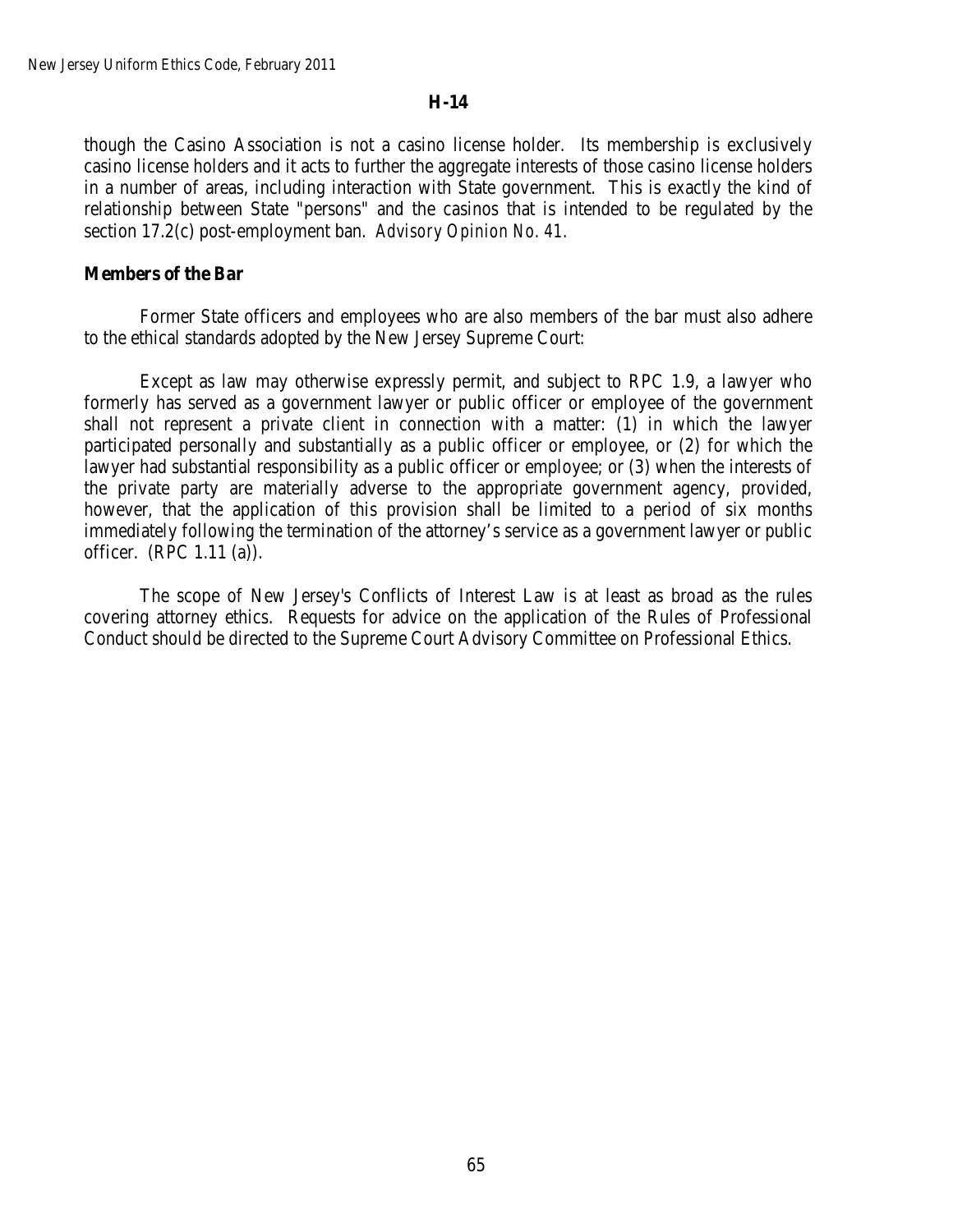though the Casino Association is not a casino license holder. Its membership is exclusively casino license holders and it acts to further the aggregate interests of those casino license holders in a number of areas, including interaction with State government. This is exactly the kind of relationship between State "persons" and the casinos that is intended to be regulated by the section 17.2(c) post-employment ban. *Advisory Opinion No. 41.*

### **Members of the Bar**

Former State officers and employees who are also members of the bar must also adhere to the ethical standards adopted by the New Jersey Supreme Court:

Except as law may otherwise expressly permit, and subject to RPC 1.9, a lawyer who formerly has served as a government lawyer or public officer or employee of the government shall not represent a private client in connection with a matter: (1) in which the lawyer participated personally and substantially as a public officer or employee, or (2) for which the lawyer had substantial responsibility as a public officer or employee; or (3) when the interests of the private party are materially adverse to the appropriate government agency, provided, however, that the application of this provision shall be limited to a period of six months immediately following the termination of the attorney's service as a government lawyer or public officer. (RPC 1.11 (a)).

The scope of New Jersey's Conflicts of Interest Law is at least as broad as the rules covering attorney ethics. Requests for advice on the application of the Rules of Professional Conduct should be directed to the Supreme Court Advisory Committee on Professional Ethics.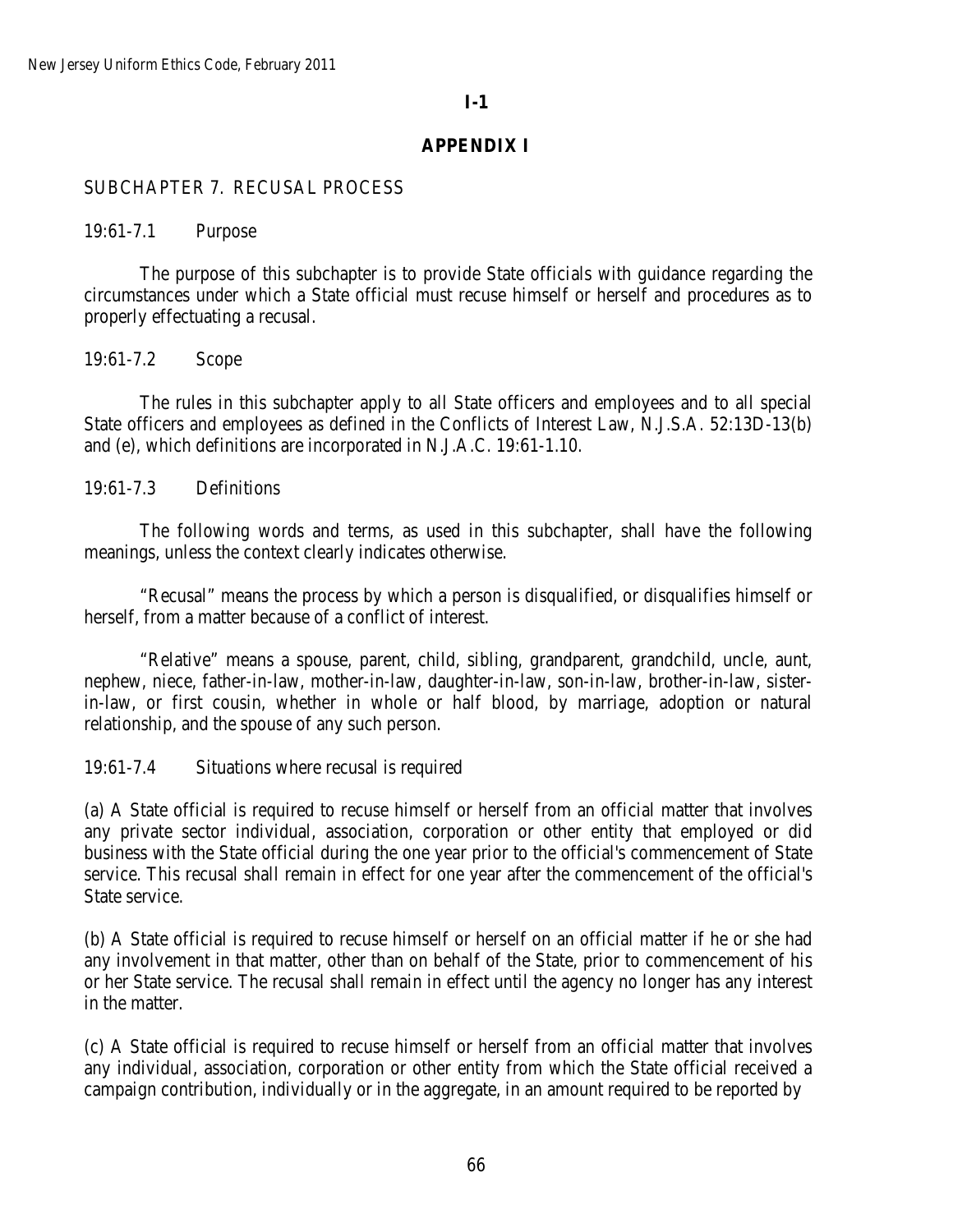# **I-1**

# **APPENDIX I**

## SUBCHAPTER 7. RECUSAL PROCESS

19:61-7.1 Purpose

The purpose of this subchapter is to provide State officials with guidance regarding the circumstances under which a State official must recuse himself or herself and procedures as to properly effectuating a recusal.

19:61-7.2 Scope

The rules in this subchapter apply to all State officers and employees and to all special State officers and employees as defined in the Conflicts of Interest Law, N.J.S.A*.* 52:13D-13(b) and (e), which definitions are incorporated in N.J.A.C*.* 19:61-1.10.

19:61-7.3 Definitions

The following words and terms, as used in this subchapter, shall have the following meanings, unless the context clearly indicates otherwise.

"Recusal" means the process by which a person is disqualified, or disqualifies himself or herself, from a matter because of a conflict of interest.

"Relative" means a spouse, parent, child, sibling, grandparent, grandchild, uncle, aunt, nephew, niece, father-in-law, mother-in-law, daughter-in-law, son-in-law, brother-in-law, sisterin-law, or first cousin, whether in whole or half blood, by marriage, adoption or natural relationship, and the spouse of any such person.

19:61-7.4 Situations where recusal is required

(a) A State official is required to recuse himself or herself from an official matter that involves any private sector individual, association, corporation or other entity that employed or did business with the State official during the one year prior to the official's commencement of State service. This recusal shall remain in effect for one year after the commencement of the official's State service.

(b) A State official is required to recuse himself or herself on an official matter if he or she had any involvement in that matter, other than on behalf of the State, prior to commencement of his or her State service. The recusal shall remain in effect until the agency no longer has any interest in the matter.

(c) A State official is required to recuse himself or herself from an official matter that involves any individual, association, corporation or other entity from which the State official received a campaign contribution, individually or in the aggregate, in an amount required to be reported by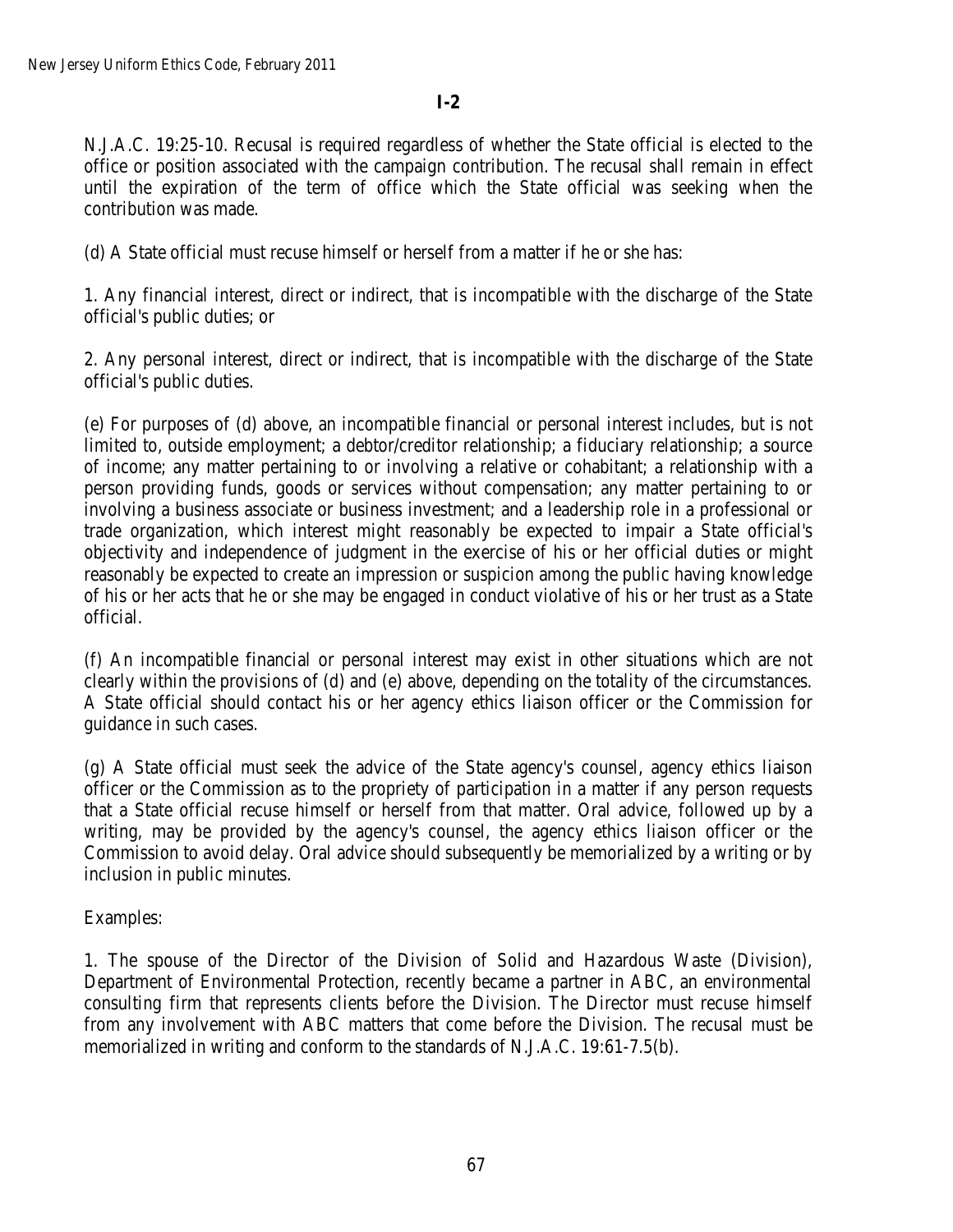# **I-2**

N.J.A.C. 19:25-10. Recusal is required regardless of whether the State official is elected to the office or position associated with the campaign contribution. The recusal shall remain in effect until the expiration of the term of office which the State official was seeking when the contribution was made.

(d) A State official must recuse himself or herself from a matter if he or she has:

1. Any financial interest, direct or indirect, that is incompatible with the discharge of the State official's public duties; or

2. Any personal interest, direct or indirect, that is incompatible with the discharge of the State official's public duties.

(e) For purposes of (d) above, an incompatible financial or personal interest includes, but is not limited to, outside employment; a debtor/creditor relationship; a fiduciary relationship; a source of income; any matter pertaining to or involving a relative or cohabitant; a relationship with a person providing funds, goods or services without compensation; any matter pertaining to or involving a business associate or business investment; and a leadership role in a professional or trade organization, which interest might reasonably be expected to impair a State official's objectivity and independence of judgment in the exercise of his or her official duties or might reasonably be expected to create an impression or suspicion among the public having knowledge of his or her acts that he or she may be engaged in conduct violative of his or her trust as a State official.

(f) An incompatible financial or personal interest may exist in other situations which are not clearly within the provisions of (d) and (e) above, depending on the totality of the circumstances. A State official should contact his or her agency ethics liaison officer or the Commission for guidance in such cases.

(g) A State official must seek the advice of the State agency's counsel, agency ethics liaison officer or the Commission as to the propriety of participation in a matter if any person requests that a State official recuse himself or herself from that matter. Oral advice, followed up by a writing, may be provided by the agency's counsel, the agency ethics liaison officer or the Commission to avoid delay. Oral advice should subsequently be memorialized by a writing or by inclusion in public minutes.

Examples:

1. The spouse of the Director of the Division of Solid and Hazardous Waste (Division), Department of Environmental Protection, recently became a partner in ABC, an environmental consulting firm that represents clients before the Division. The Director must recuse himself from any involvement with ABC matters that come before the Division. The recusal must be memorialized in writing and conform to the standards of N.J.A.C. 19:61-7.5(b).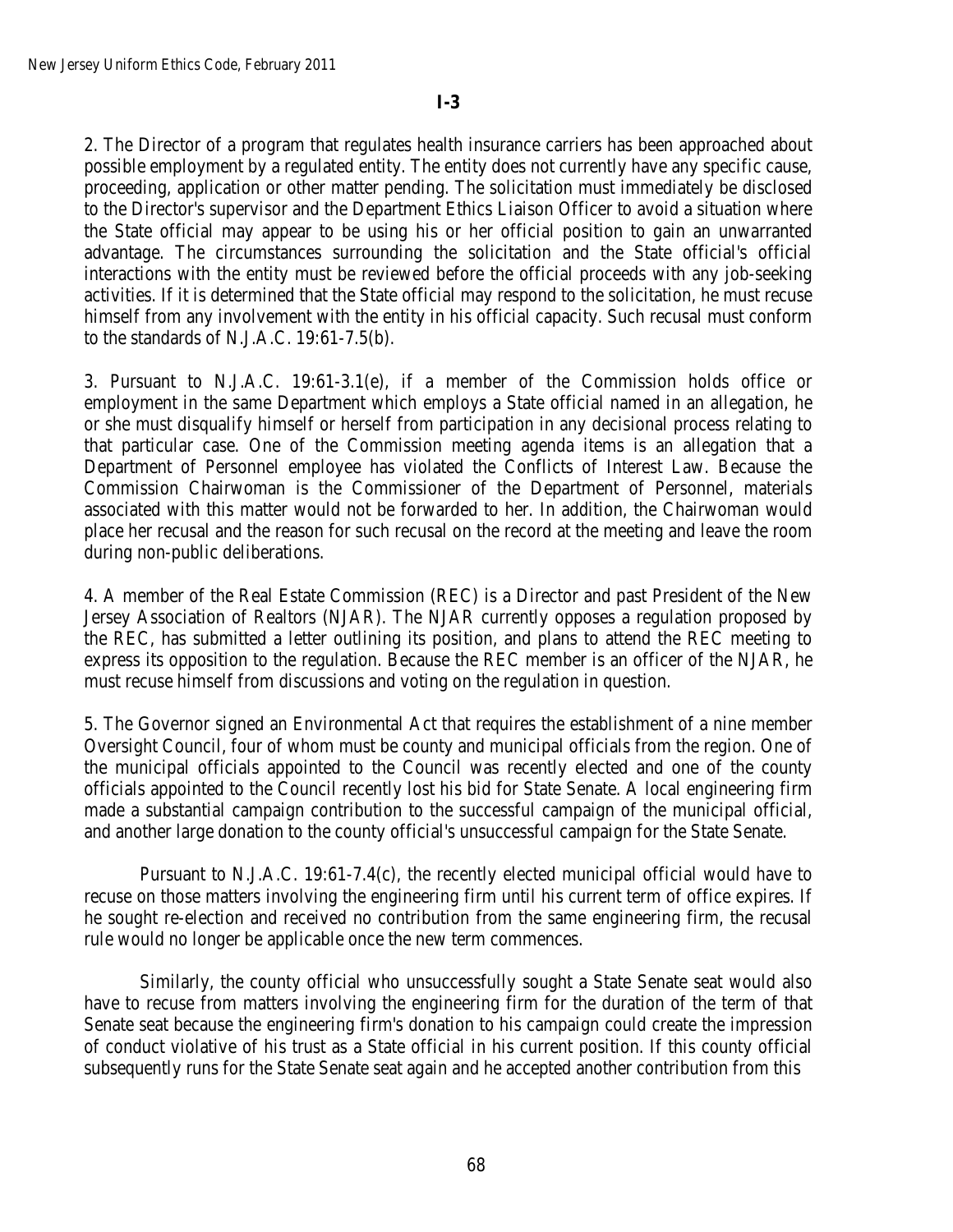2. The Director of a program that regulates health insurance carriers has been approached about possible employment by a regulated entity. The entity does not currently have any specific cause, proceeding, application or other matter pending. The solicitation must immediately be disclosed to the Director's supervisor and the Department Ethics Liaison Officer to avoid a situation where the State official may appear to be using his or her official position to gain an unwarranted advantage. The circumstances surrounding the solicitation and the State official's official interactions with the entity must be reviewed before the official proceeds with any job-seeking activities. If it is determined that the State official may respond to the solicitation, he must recuse himself from any involvement with the entity in his official capacity. Such recusal must conform to the standards of N.J.A.C. 19:61-7.5(b).

3. Pursuant to N.J.A.C. 19:61-3.1(e), if a member of the Commission holds office or employment in the same Department which employs a State official named in an allegation, he or she must disqualify himself or herself from participation in any decisional process relating to that particular case. One of the Commission meeting agenda items is an allegation that a Department of Personnel employee has violated the Conflicts of Interest Law. Because the Commission Chairwoman is the Commissioner of the Department of Personnel, materials associated with this matter would not be forwarded to her. In addition, the Chairwoman would place her recusal and the reason for such recusal on the record at the meeting and leave the room during non-public deliberations.

4. A member of the Real Estate Commission (REC) is a Director and past President of the New Jersey Association of Realtors (NJAR). The NJAR currently opposes a regulation proposed by the REC, has submitted a letter outlining its position, and plans to attend the REC meeting to express its opposition to the regulation. Because the REC member is an officer of the NJAR, he must recuse himself from discussions and voting on the regulation in question.

5. The Governor signed an Environmental Act that requires the establishment of a nine member Oversight Council, four of whom must be county and municipal officials from the region. One of the municipal officials appointed to the Council was recently elected and one of the county officials appointed to the Council recently lost his bid for State Senate. A local engineering firm made a substantial campaign contribution to the successful campaign of the municipal official, and another large donation to the county official's unsuccessful campaign for the State Senate.

Pursuant to N.J.A.C. 19:61-7.4(c), the recently elected municipal official would have to recuse on those matters involving the engineering firm until his current term of office expires. If he sought re-election and received no contribution from the same engineering firm, the recusal rule would no longer be applicable once the new term commences.

Similarly, the county official who unsuccessfully sought a State Senate seat would also have to recuse from matters involving the engineering firm for the duration of the term of that Senate seat because the engineering firm's donation to his campaign could create the impression of conduct violative of his trust as a State official in his current position. If this county official subsequently runs for the State Senate seat again and he accepted another contribution from this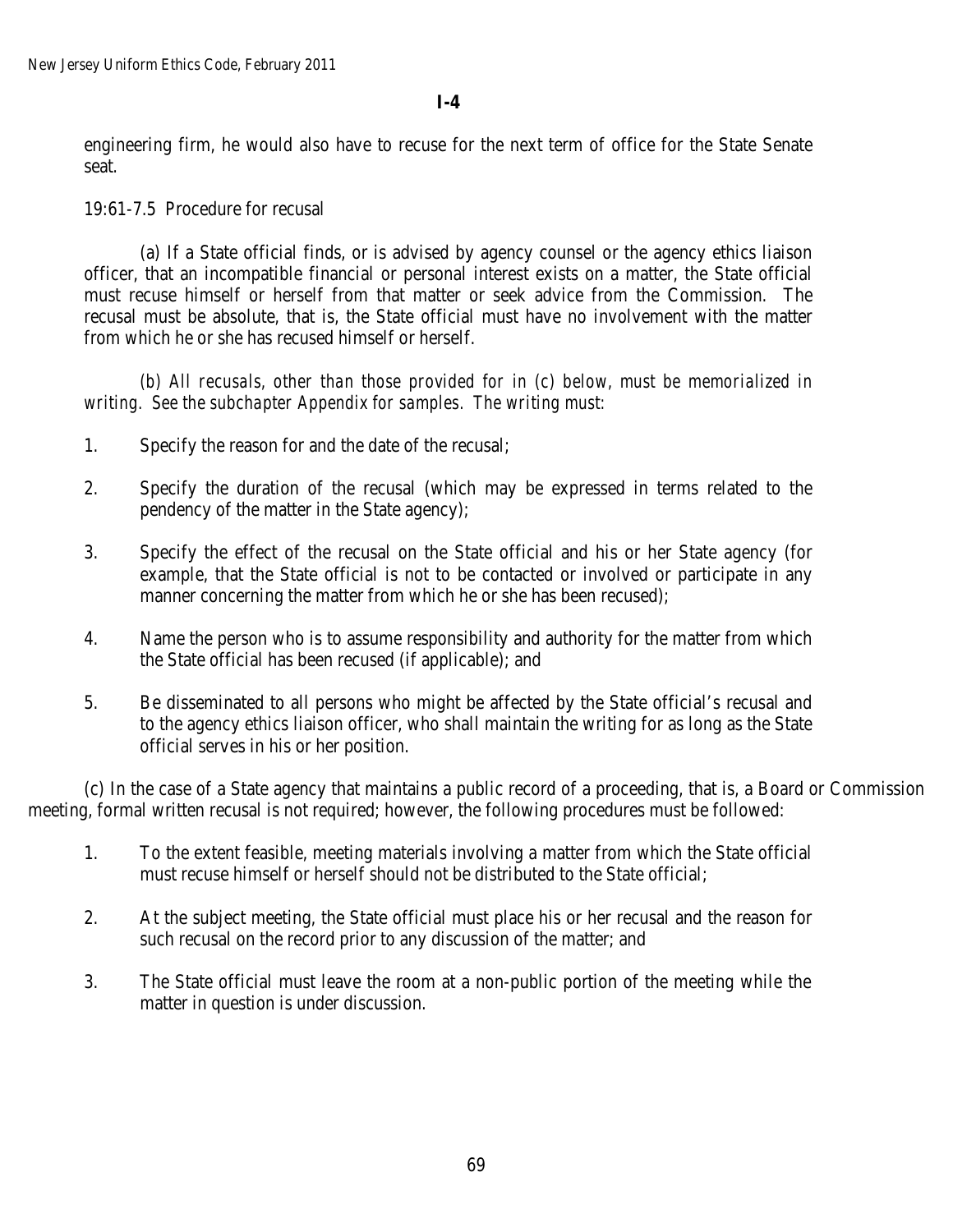**I-4**

engineering firm, he would also have to recuse for the next term of office for the State Senate seat.

19:61-7.5 Procedure for recusal

(a) If a State official finds, or is advised by agency counsel or the agency ethics liaison officer, that an incompatible financial or personal interest exists on a matter, the State official must recuse himself or herself from that matter or seek advice from the Commission. The recusal must be absolute, that is, the State official must have no involvement with the matter from which he or she has recused himself or herself.

*(b) All recusals, other than those provided for in (c) below, must be memorialized in writing. See the subchapter Appendix for samples. The writing must:* 

- 1. Specify the reason for and the date of the recusal;
- 2. Specify the duration of the recusal (which may be expressed in terms related to the pendency of the matter in the State agency);
- 3. Specify the effect of the recusal on the State official and his or her State agency (for example, that the State official is not to be contacted or involved or participate in any manner concerning the matter from which he or she has been recused);
- 4. Name the person who is to assume responsibility and authority for the matter from which the State official has been recused (if applicable); and
- 5. Be disseminated to all persons who might be affected by the State official's recusal and to the agency ethics liaison officer, who shall maintain the writing for as long as the State official serves in his or her position.

(c) In the case of a State agency that maintains a public record of a proceeding, that is, a Board or Commission meeting, formal written recusal is not required; however, the following procedures must be followed:

- 1. To the extent feasible, meeting materials involving a matter from which the State official must recuse himself or herself should not be distributed to the State official;
- 2. At the subject meeting, the State official must place his or her recusal and the reason for such recusal on the record prior to any discussion of the matter; and
- 3. The State official must leave the room at a non-public portion of the meeting while the matter in question is under discussion.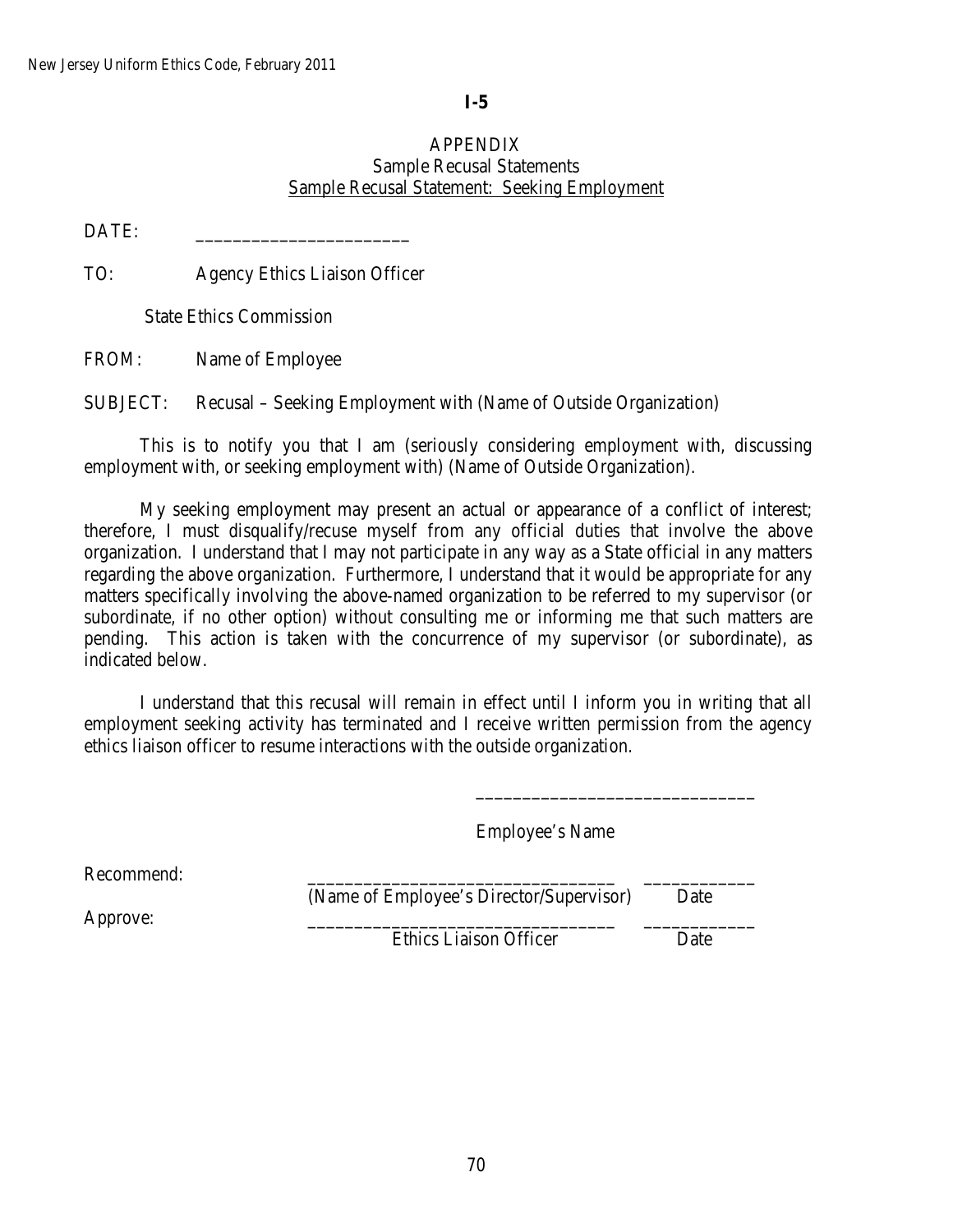# **I-5**

## APPENDIX Sample Recusal Statements Sample Recusal Statement: Seeking Employment

DATE:

TO: Agency Ethics Liaison Officer

State Ethics Commission

FROM: Name of Employee

SUBJECT: Recusal – Seeking Employment with (Name of Outside Organization)

This is to notify you that I am (seriously considering employment with, discussing employment with, or seeking employment with) (Name of Outside Organization).

My seeking employment may present an actual or appearance of a conflict of interest; therefore, I must disqualify/recuse myself from any official duties that involve the above organization. I understand that I may not participate in any way as a State official in any matters regarding the above organization. Furthermore, I understand that it would be appropriate for any matters specifically involving the above-named organization to be referred to my supervisor (or subordinate, if no other option) without consulting me or informing me that such matters are pending. This action is taken with the concurrence of my supervisor (or subordinate), as indicated below.

I understand that this recusal will remain in effect until I inform you in writing that all employment seeking activity has terminated and I receive written permission from the agency ethics liaison officer to resume interactions with the outside organization.

Employee's Name

Recommend:

(Name of Employee's Director/Supervisor) Date

Approve: \_\_\_\_\_\_\_\_\_\_\_\_\_\_\_\_\_\_\_\_\_\_\_\_\_\_\_\_\_\_\_\_\_ \_\_\_\_\_\_\_\_\_\_\_\_

\_\_\_\_\_\_\_\_\_\_\_\_\_\_\_\_\_\_\_\_\_\_\_\_\_\_\_\_\_\_

Ethics Liaison Officer Date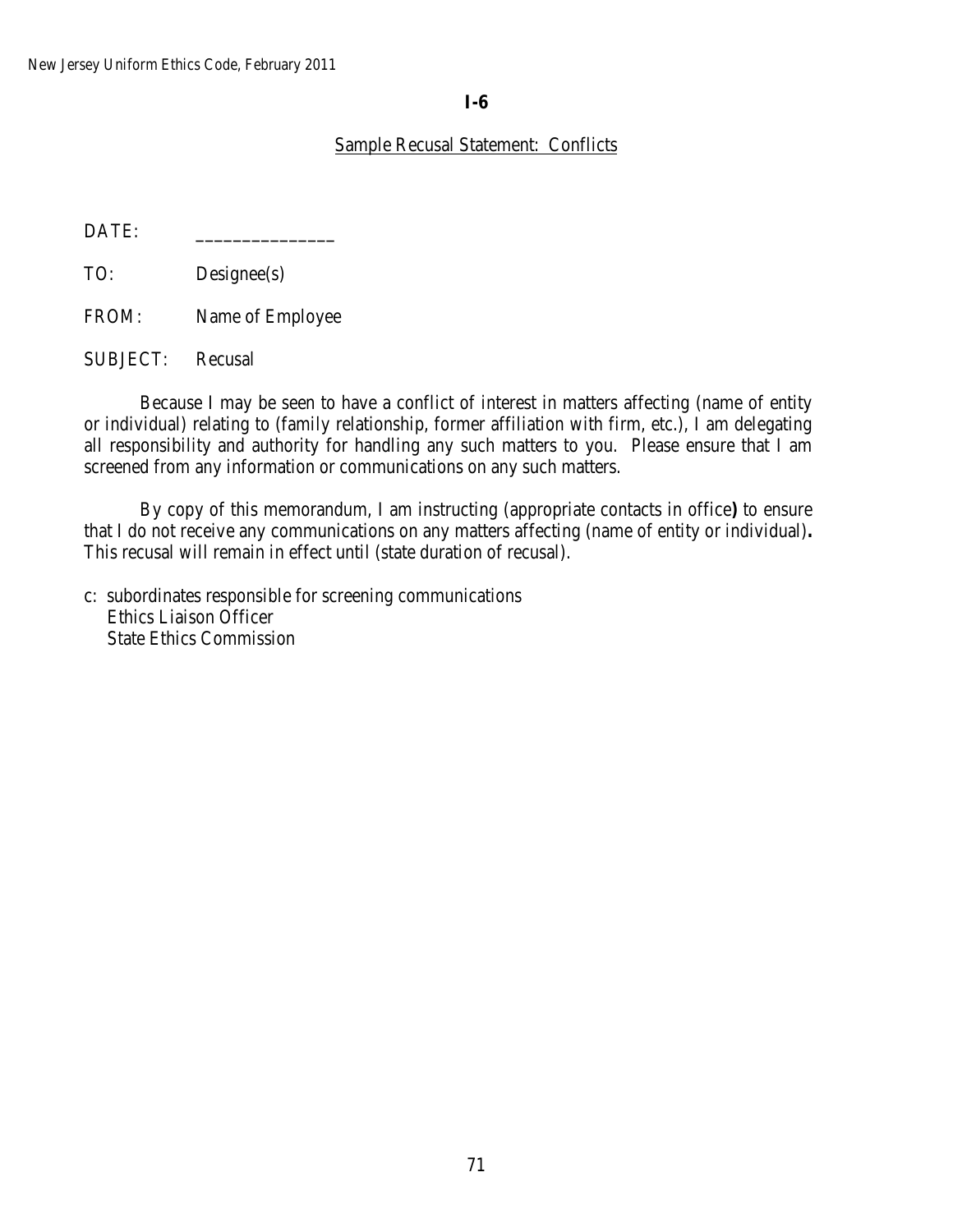# **I-6**

# Sample Recusal Statement: Conflicts

DATE:

TO: Designee(s)

FROM: Name of Employee

SUBJECT: Recusal

Because I may be seen to have a conflict of interest in matters affecting (name of entity or individual) relating to (family relationship, former affiliation with firm, etc.), I am delegating all responsibility and authority for handling any such matters to you. Please ensure that I am screened from any information or communications on any such matters.

By copy of this memorandum, I am instructing (appropriate contacts in office**)** to ensure that I do not receive any communications on any matters affecting (name of entity or individual)**.** This recusal will remain in effect until (state duration of recusal).

c: subordinates responsible for screening communications Ethics Liaison Officer State Ethics Commission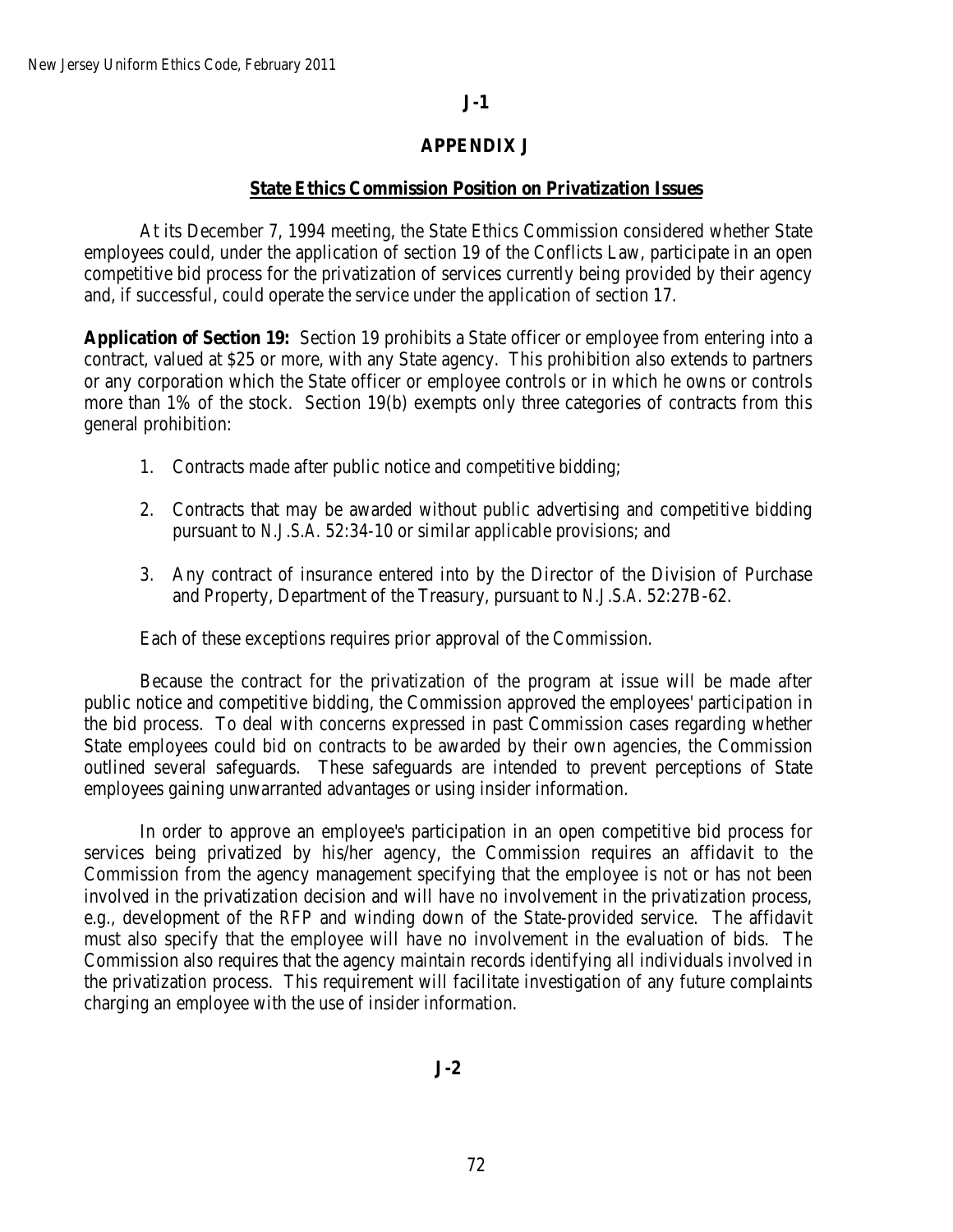# **J-1**

## **APPENDIX J**

### **State Ethics Commission Position on Privatization Issues**

At its December 7, 1994 meeting, the State Ethics Commission considered whether State employees could, under the application of section 19 of the Conflicts Law, participate in an open competitive bid process for the privatization of services currently being provided by their agency and, if successful, could operate the service under the application of section 17.

**Application of Section 19:** Section 19 prohibits a State officer or employee from entering into a contract, valued at \$25 or more, with any State agency. This prohibition also extends to partners or any corporation which the State officer or employee controls or in which he owns or controls more than 1% of the stock. Section 19(b) exempts only three categories of contracts from this general prohibition:

- 1. Contracts made after public notice and competitive bidding;
- 2. Contracts that may be awarded without public advertising and competitive bidding pursuant to *N.J.S.A.* 52:34-10 or similar applicable provisions; and
- 3. Any contract of insurance entered into by the Director of the Division of Purchase and Property, Department of the Treasury, pursuant to *N.J.S.A.* 52:27B-62.

Each of these exceptions requires prior approval of the Commission.

Because the contract for the privatization of the program at issue will be made after public notice and competitive bidding, the Commission approved the employees' participation in the bid process. To deal with concerns expressed in past Commission cases regarding whether State employees could bid on contracts to be awarded by their own agencies, the Commission outlined several safeguards. These safeguards are intended to prevent perceptions of State employees gaining unwarranted advantages or using insider information.

In order to approve an employee's participation in an open competitive bid process for services being privatized by his/her agency, the Commission requires an affidavit to the Commission from the agency management specifying that the employee is not or has not been involved in the privatization decision and will have no involvement in the privatization process, e.g., development of the RFP and winding down of the State-provided service. The affidavit must also specify that the employee will have no involvement in the evaluation of bids. The Commission also requires that the agency maintain records identifying all individuals involved in the privatization process. This requirement will facilitate investigation of any future complaints charging an employee with the use of insider information.

**J-2**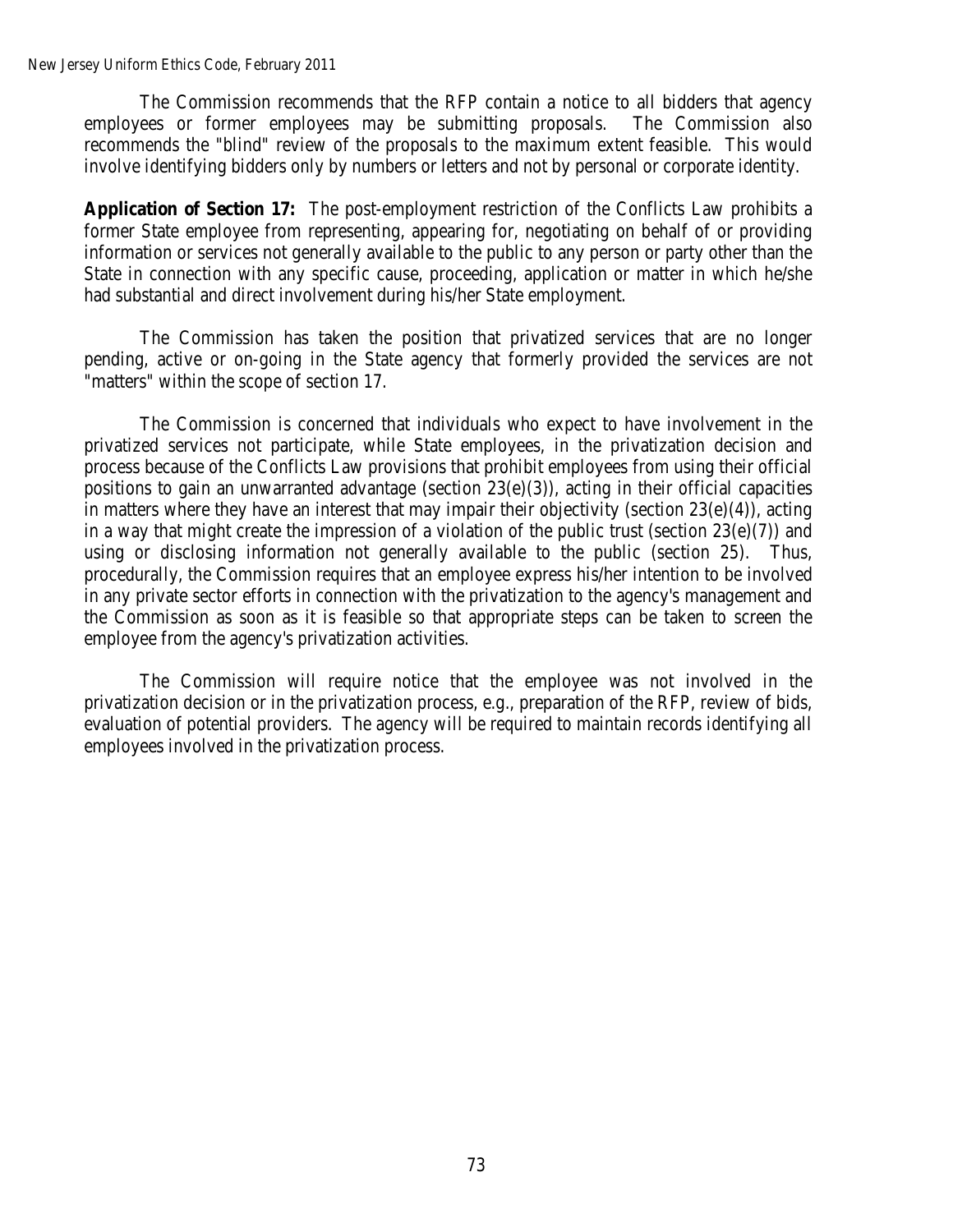The Commission recommends that the RFP contain a notice to all bidders that agency employees or former employees may be submitting proposals. The Commission also recommends the "blind" review of the proposals to the maximum extent feasible. This would involve identifying bidders only by numbers or letters and not by personal or corporate identity.

**Application of Section 17:** The post-employment restriction of the Conflicts Law prohibits a former State employee from representing, appearing for, negotiating on behalf of or providing information or services not generally available to the public to any person or party other than the State in connection with any specific cause, proceeding, application or matter in which he/she had substantial and direct involvement during his/her State employment.

The Commission has taken the position that privatized services that are no longer pending, active or on-going in the State agency that formerly provided the services are not "matters" within the scope of section 17.

The Commission is concerned that individuals who expect to have involvement in the privatized services not participate, while State employees, in the privatization decision and process because of the Conflicts Law provisions that prohibit employees from using their official positions to gain an unwarranted advantage (section  $23(e)(3)$ ), acting in their official capacities in matters where they have an interest that may impair their objectivity (section  $23(e)(4)$ ), acting in a way that might create the impression of a violation of the public trust (section  $23(e)(7)$ ) and using or disclosing information not generally available to the public (section 25). Thus, procedurally, the Commission requires that an employee express his/her intention to be involved in any private sector efforts in connection with the privatization to the agency's management and the Commission as soon as it is feasible so that appropriate steps can be taken to screen the employee from the agency's privatization activities.

The Commission will require notice that the employee was not involved in the privatization decision or in the privatization process, e.g., preparation of the RFP, review of bids, evaluation of potential providers. The agency will be required to maintain records identifying all employees involved in the privatization process.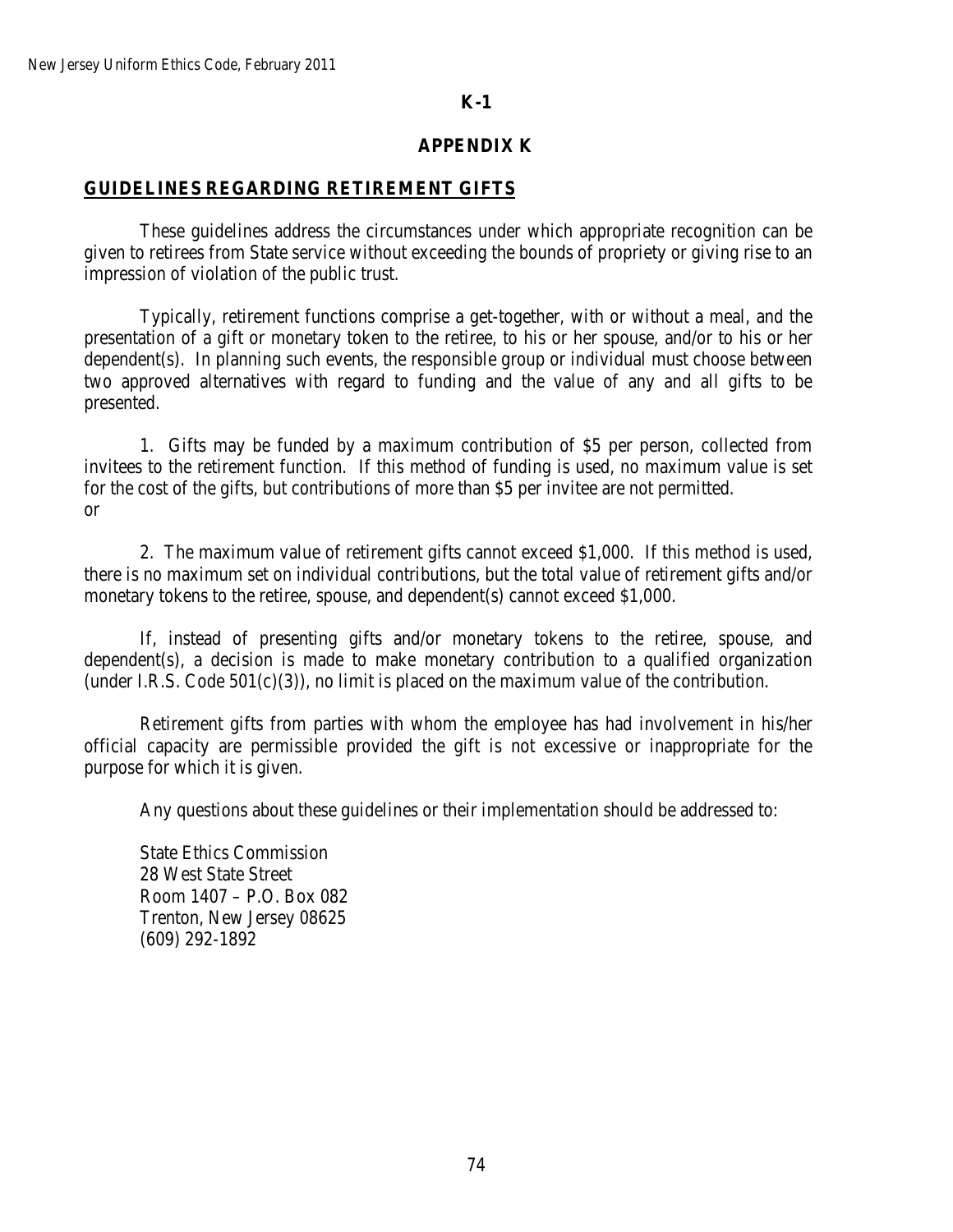# **K-1**

# **APPENDIX K**

## **GUIDELINES REGARDING RETIREMENT GIFTS**

These guidelines address the circumstances under which appropriate recognition can be given to retirees from State service without exceeding the bounds of propriety or giving rise to an impression of violation of the public trust.

Typically, retirement functions comprise a get-together, with or without a meal, and the presentation of a gift or monetary token to the retiree, to his or her spouse, and/or to his or her dependent(s). In planning such events, the responsible group or individual must choose between two approved alternatives with regard to funding and the value of any and all gifts to be presented.

1. Gifts may be funded by a maximum contribution of \$5 per person, collected from invitees to the retirement function. If this method of funding is used, no maximum value is set for the cost of the gifts, but contributions of more than \$5 per invitee are not permitted. or

2. The maximum value of retirement gifts cannot exceed \$1,000. If this method is used, there is no maximum set on individual contributions, but the total value of retirement gifts and/or monetary tokens to the retiree, spouse, and dependent(s) cannot exceed \$1,000.

If, instead of presenting gifts and/or monetary tokens to the retiree, spouse, and dependent(s), a decision is made to make monetary contribution to a qualified organization (under I.R.S. Code  $501(c)(3)$ ), no limit is placed on the maximum value of the contribution.

Retirement gifts from parties with whom the employee has had involvement in his/her official capacity are permissible provided the gift is not excessive or inappropriate for the purpose for which it is given.

Any questions about these guidelines or their implementation should be addressed to:

State Ethics Commission 28 West State Street Room 1407 – P.O. Box 082 Trenton, New Jersey 08625 (609) 292-1892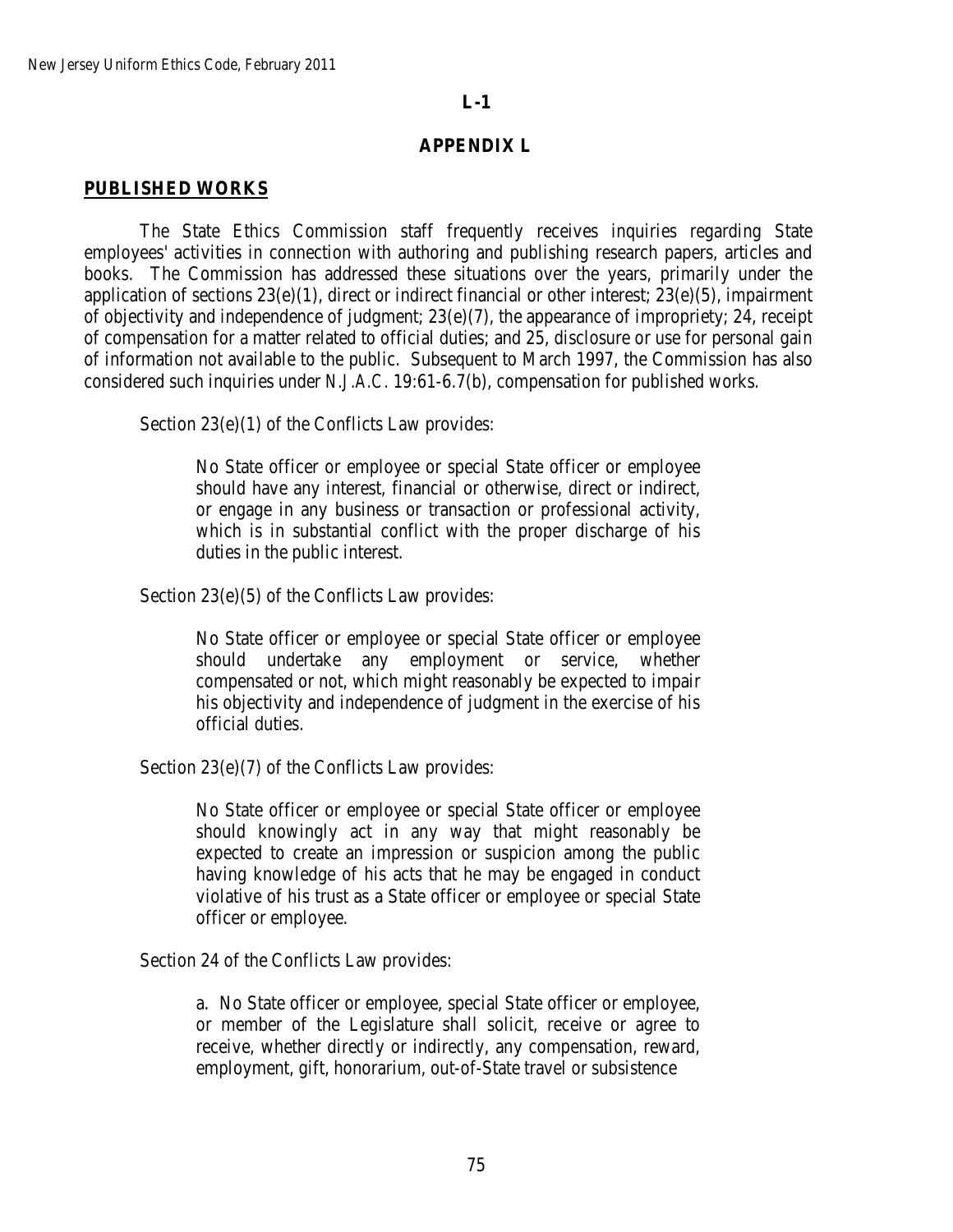## **APPENDIX L**

### **PUBLISHED WORKS**

The State Ethics Commission staff frequently receives inquiries regarding State employees' activities in connection with authoring and publishing research papers, articles and books. The Commission has addressed these situations over the years, primarily under the application of sections 23(e)(1), direct or indirect financial or other interest; 23(e)(5), impairment of objectivity and independence of judgment; 23(e)(7), the appearance of impropriety; 24, receipt of compensation for a matter related to official duties; and 25, disclosure or use for personal gain of information not available to the public. Subsequent to March 1997, the Commission has also considered such inquiries under *N.J.A.C.* 19:61-6.7(b), compensation for published works.

Section 23(e)(1) of the Conflicts Law provides:

No State officer or employee or special State officer or employee should have any interest, financial or otherwise, direct or indirect, or engage in any business or transaction or professional activity, which is in substantial conflict with the proper discharge of his duties in the public interest.

Section 23(e)(5) of the Conflicts Law provides:

No State officer or employee or special State officer or employee should undertake any employment or service, whether compensated or not, which might reasonably be expected to impair his objectivity and independence of judgment in the exercise of his official duties.

Section 23(e)(7) of the Conflicts Law provides:

No State officer or employee or special State officer or employee should knowingly act in any way that might reasonably be expected to create an impression or suspicion among the public having knowledge of his acts that he may be engaged in conduct violative of his trust as a State officer or employee or special State officer or employee.

Section 24 of the Conflicts Law provides:

a. No State officer or employee, special State officer or employee, or member of the Legislature shall solicit, receive or agree to receive, whether directly or indirectly, any compensation, reward, employment, gift, honorarium, out-of-State travel or subsistence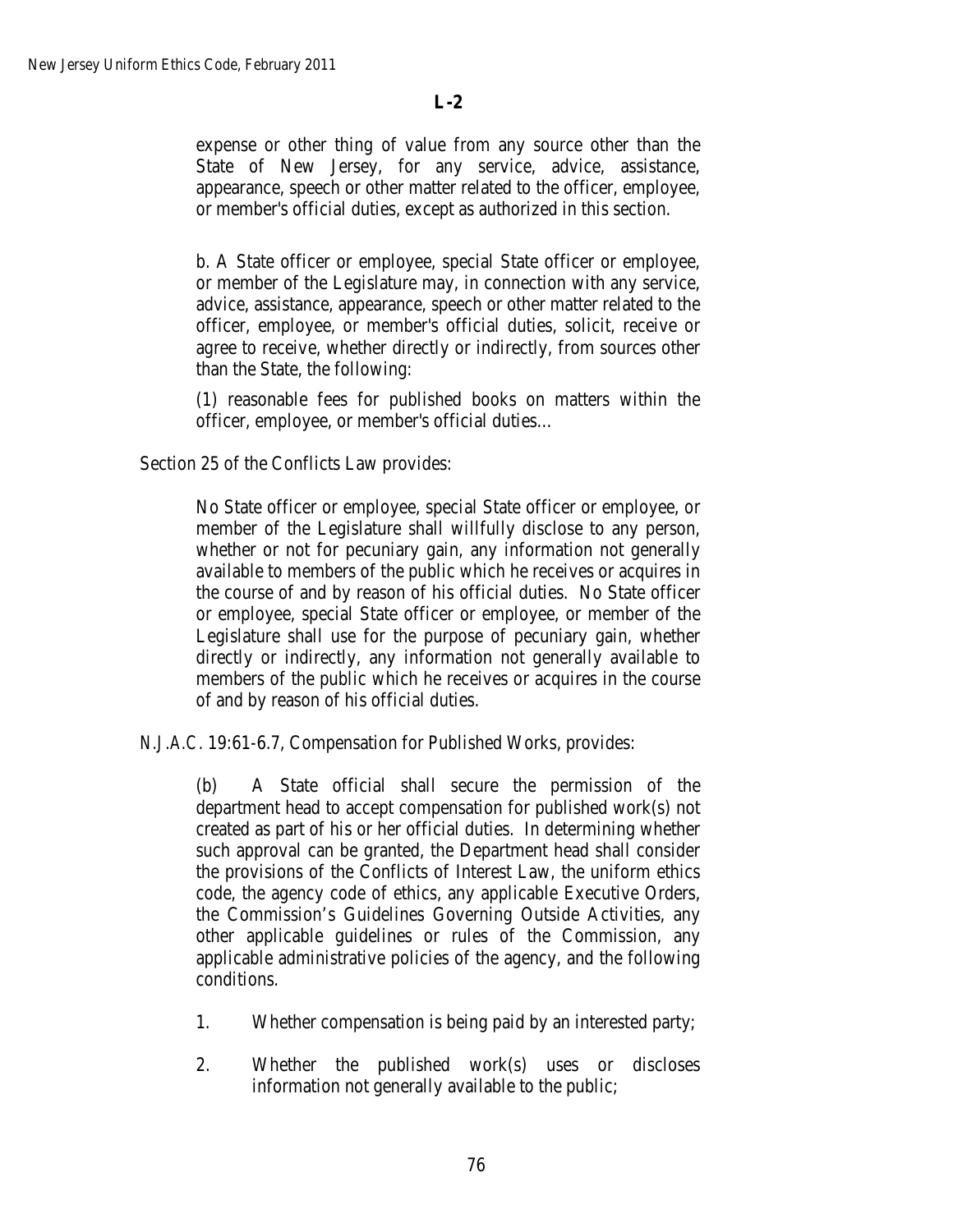expense or other thing of value from any source other than the State of New Jersey, for any service, advice, assistance, appearance, speech or other matter related to the officer, employee, or member's official duties, except as authorized in this section.

b. A State officer or employee, special State officer or employee, or member of the Legislature may, in connection with any service, advice, assistance, appearance, speech or other matter related to the officer, employee, or member's official duties, solicit, receive or agree to receive, whether directly or indirectly, from sources other than the State, the following:

(1) reasonable fees for published books on matters within the officer, employee, or member's official duties…

Section 25 of the Conflicts Law provides:

No State officer or employee, special State officer or employee, or member of the Legislature shall willfully disclose to any person, whether or not for pecuniary gain, any information not generally available to members of the public which he receives or acquires in the course of and by reason of his official duties. No State officer or employee, special State officer or employee, or member of the Legislature shall use for the purpose of pecuniary gain, whether directly or indirectly, any information not generally available to members of the public which he receives or acquires in the course of and by reason of his official duties.

*N.J.A.C.* 19:61-6.7, Compensation for Published Works, provides:

(b) A State official shall secure the permission of the department head to accept compensation for published work(s) not created as part of his or her official duties. In determining whether such approval can be granted, the Department head shall consider the provisions of the Conflicts of Interest Law, the uniform ethics code, the agency code of ethics, any applicable Executive Orders, the Commission's Guidelines Governing Outside Activities, any other applicable guidelines or rules of the Commission, any applicable administrative policies of the agency, and the following conditions.

- 1. Whether compensation is being paid by an interested party;
- 2. Whether the published work(s) uses or discloses information not generally available to the public;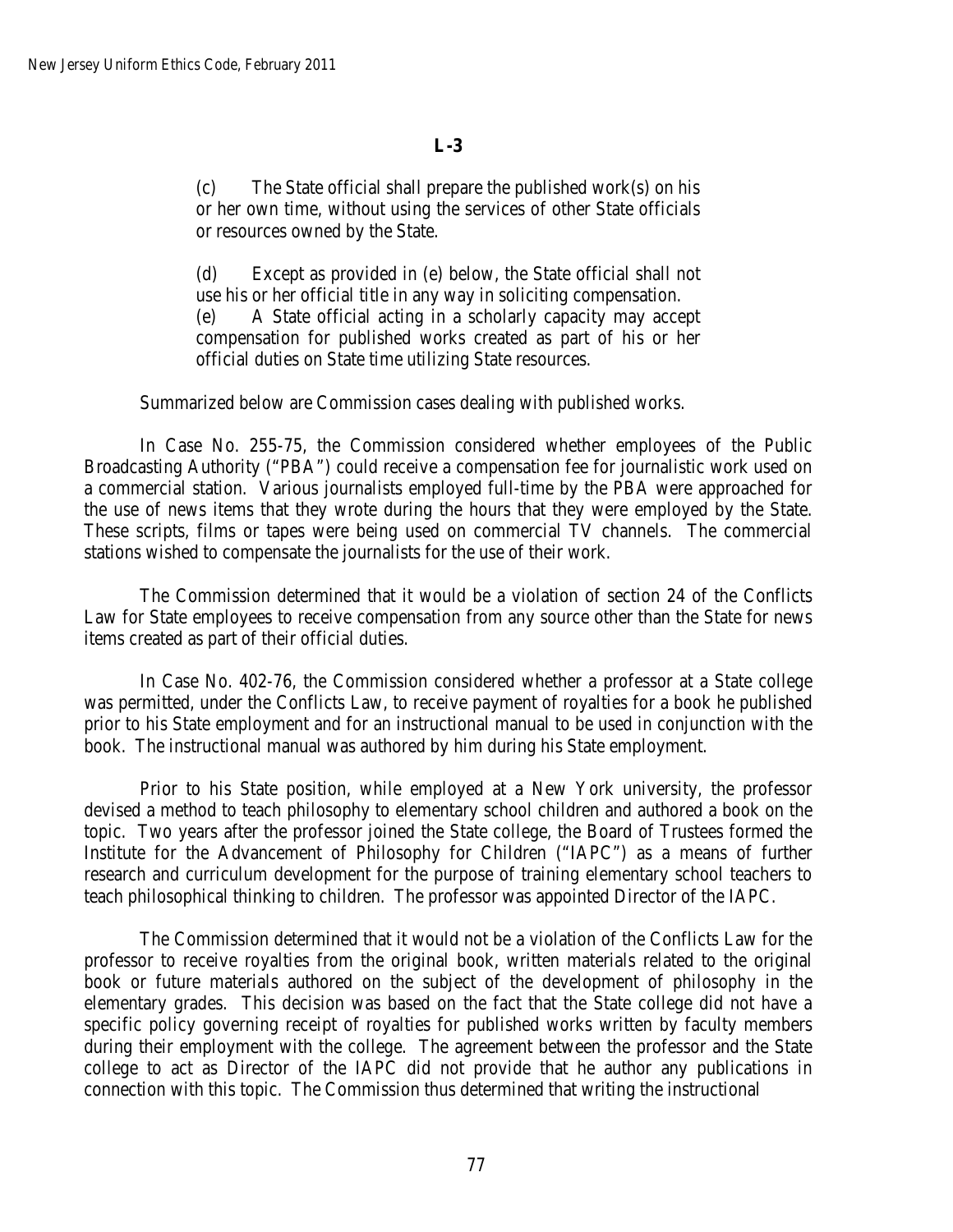(c) The State official shall prepare the published work(s) on his or her own time, without using the services of other State officials or resources owned by the State.

(d) Except as provided in (e) below, the State official shall not use his or her official title in any way in soliciting compensation. (e) A State official acting in a scholarly capacity may accept compensation for published works created as part of his or her official duties on State time utilizing State resources.

Summarized below are Commission cases dealing with published works.

In Case No. 255-75, the Commission considered whether employees of the Public Broadcasting Authority ("PBA") could receive a compensation fee for journalistic work used on a commercial station. Various journalists employed full-time by the PBA were approached for the use of news items that they wrote during the hours that they were employed by the State. These scripts, films or tapes were being used on commercial TV channels. The commercial stations wished to compensate the journalists for the use of their work.

The Commission determined that it would be a violation of section 24 of the Conflicts Law for State employees to receive compensation from any source other than the State for news items created as part of their official duties.

In Case No. 402-76, the Commission considered whether a professor at a State college was permitted, under the Conflicts Law, to receive payment of royalties for a book he published prior to his State employment and for an instructional manual to be used in conjunction with the book. The instructional manual was authored by him during his State employment.

Prior to his State position, while employed at a New York university, the professor devised a method to teach philosophy to elementary school children and authored a book on the topic. Two years after the professor joined the State college, the Board of Trustees formed the Institute for the Advancement of Philosophy for Children ("IAPC") as a means of further research and curriculum development for the purpose of training elementary school teachers to teach philosophical thinking to children. The professor was appointed Director of the IAPC.

The Commission determined that it would not be a violation of the Conflicts Law for the professor to receive royalties from the original book, written materials related to the original book or future materials authored on the subject of the development of philosophy in the elementary grades. This decision was based on the fact that the State college did not have a specific policy governing receipt of royalties for published works written by faculty members during their employment with the college. The agreement between the professor and the State college to act as Director of the IAPC did not provide that he author any publications in connection with this topic. The Commission thus determined that writing the instructional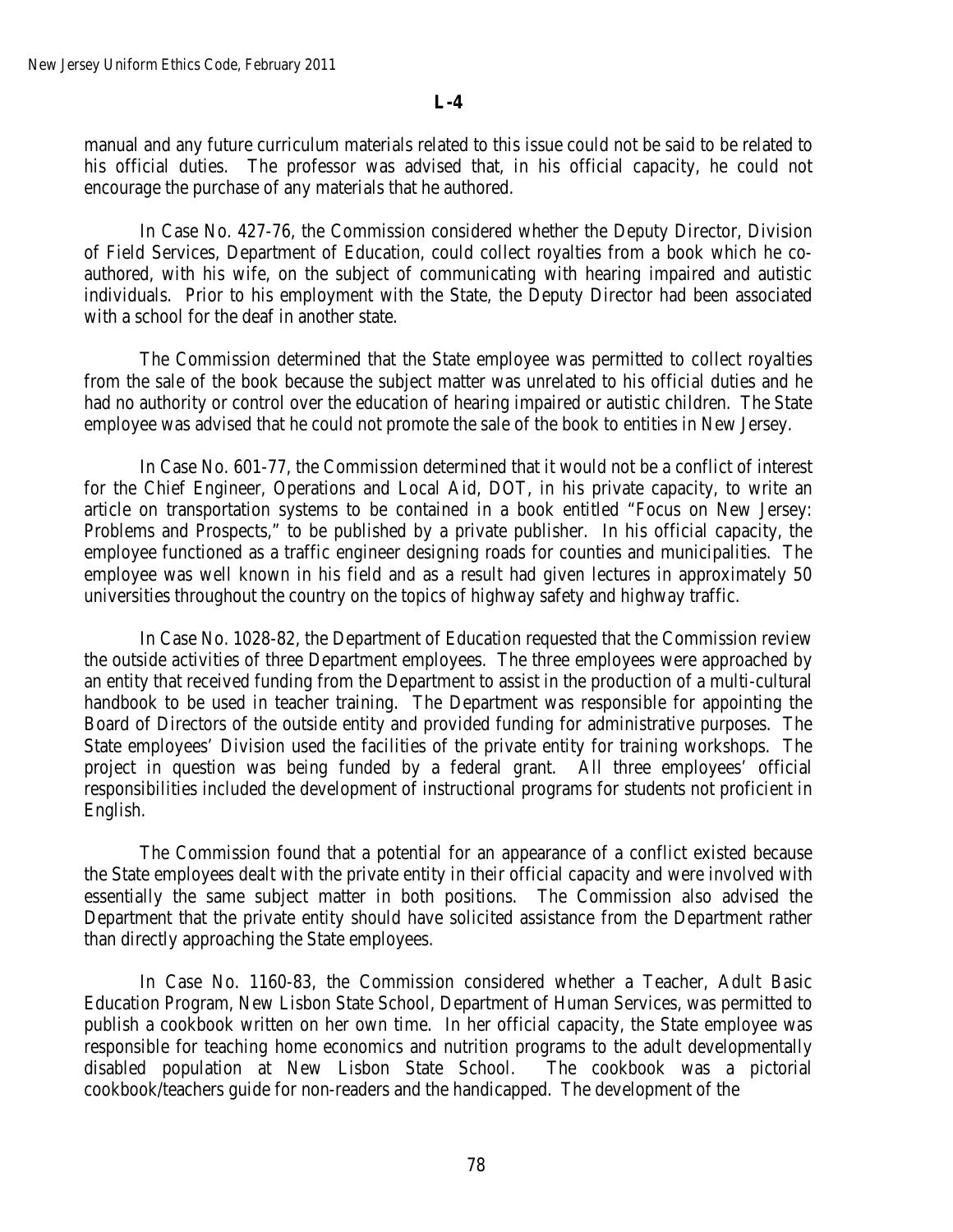manual and any future curriculum materials related to this issue could not be said to be related to his official duties. The professor was advised that, in his official capacity, he could not encourage the purchase of any materials that he authored.

In Case No. 427-76, the Commission considered whether the Deputy Director, Division of Field Services, Department of Education, could collect royalties from a book which he coauthored, with his wife, on the subject of communicating with hearing impaired and autistic individuals. Prior to his employment with the State, the Deputy Director had been associated with a school for the deaf in another state.

The Commission determined that the State employee was permitted to collect royalties from the sale of the book because the subject matter was unrelated to his official duties and he had no authority or control over the education of hearing impaired or autistic children. The State employee was advised that he could not promote the sale of the book to entities in New Jersey.

In Case No. 601-77, the Commission determined that it would not be a conflict of interest for the Chief Engineer, Operations and Local Aid, DOT, in his private capacity, to write an article on transportation systems to be contained in a book entitled "Focus on New Jersey: Problems and Prospects," to be published by a private publisher. In his official capacity, the employee functioned as a traffic engineer designing roads for counties and municipalities. The employee was well known in his field and as a result had given lectures in approximately 50 universities throughout the country on the topics of highway safety and highway traffic.

In Case No. 1028-82, the Department of Education requested that the Commission review the outside activities of three Department employees. The three employees were approached by an entity that received funding from the Department to assist in the production of a multi-cultural handbook to be used in teacher training. The Department was responsible for appointing the Board of Directors of the outside entity and provided funding for administrative purposes. The State employees' Division used the facilities of the private entity for training workshops. The project in question was being funded by a federal grant. All three employees' official responsibilities included the development of instructional programs for students not proficient in English.

The Commission found that a potential for an appearance of a conflict existed because the State employees dealt with the private entity in their official capacity and were involved with essentially the same subject matter in both positions. The Commission also advised the Department that the private entity should have solicited assistance from the Department rather than directly approaching the State employees.

In Case No. 1160-83, the Commission considered whether a Teacher, Adult Basic Education Program, New Lisbon State School, Department of Human Services, was permitted to publish a cookbook written on her own time. In her official capacity, the State employee was responsible for teaching home economics and nutrition programs to the adult developmentally disabled population at New Lisbon State School. The cookbook was a pictorial cookbook/teachers guide for non-readers and the handicapped. The development of the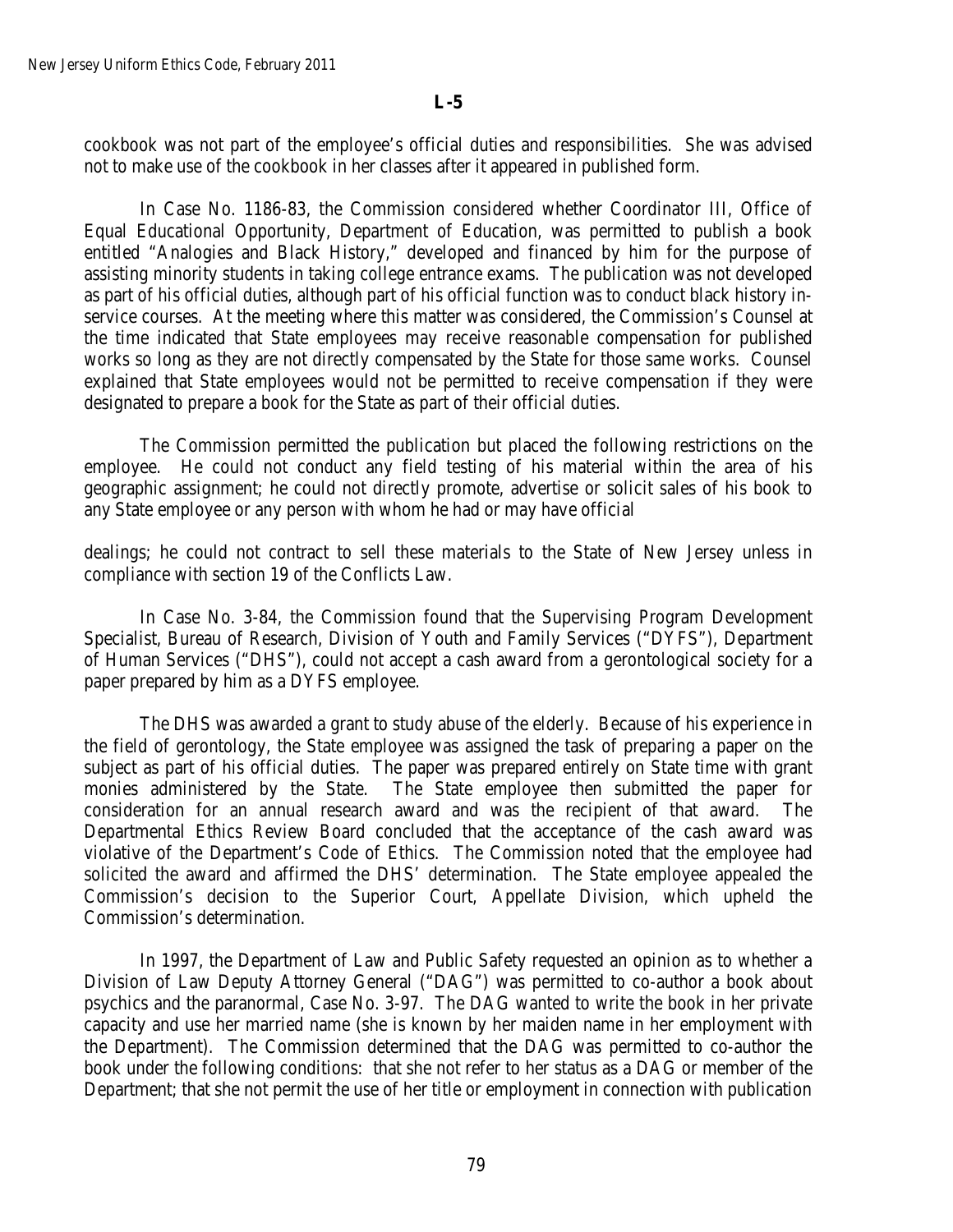cookbook was not part of the employee's official duties and responsibilities. She was advised not to make use of the cookbook in her classes after it appeared in published form.

In Case No. 1186-83, the Commission considered whether Coordinator III, Office of Equal Educational Opportunity, Department of Education, was permitted to publish a book entitled "Analogies and Black History," developed and financed by him for the purpose of assisting minority students in taking college entrance exams. The publication was not developed as part of his official duties, although part of his official function was to conduct black history inservice courses. At the meeting where this matter was considered, the Commission's Counsel at the time indicated that State employees may receive reasonable compensation for published works so long as they are not directly compensated by the State for those same works. Counsel explained that State employees would not be permitted to receive compensation if they were designated to prepare a book for the State as part of their official duties.

The Commission permitted the publication but placed the following restrictions on the employee. He could not conduct any field testing of his material within the area of his geographic assignment; he could not directly promote, advertise or solicit sales of his book to any State employee or any person with whom he had or may have official

dealings; he could not contract to sell these materials to the State of New Jersey unless in compliance with section 19 of the Conflicts Law.

In Case No. 3-84, the Commission found that the Supervising Program Development Specialist, Bureau of Research, Division of Youth and Family Services ("DYFS"), Department of Human Services ("DHS"), could not accept a cash award from a gerontological society for a paper prepared by him as a DYFS employee.

The DHS was awarded a grant to study abuse of the elderly. Because of his experience in the field of gerontology, the State employee was assigned the task of preparing a paper on the subject as part of his official duties. The paper was prepared entirely on State time with grant monies administered by the State. The State employee then submitted the paper for consideration for an annual research award and was the recipient of that award. The Departmental Ethics Review Board concluded that the acceptance of the cash award was violative of the Department's Code of Ethics. The Commission noted that the employee had solicited the award and affirmed the DHS' determination. The State employee appealed the Commission's decision to the Superior Court, Appellate Division, which upheld the Commission's determination.

In 1997, the Department of Law and Public Safety requested an opinion as to whether a Division of Law Deputy Attorney General ("DAG") was permitted to co-author a book about psychics and the paranormal, Case No. 3-97. The DAG wanted to write the book in her private capacity and use her married name (she is known by her maiden name in her employment with the Department). The Commission determined that the DAG was permitted to co-author the book under the following conditions: that she not refer to her status as a DAG or member of the Department; that she not permit the use of her title or employment in connection with publication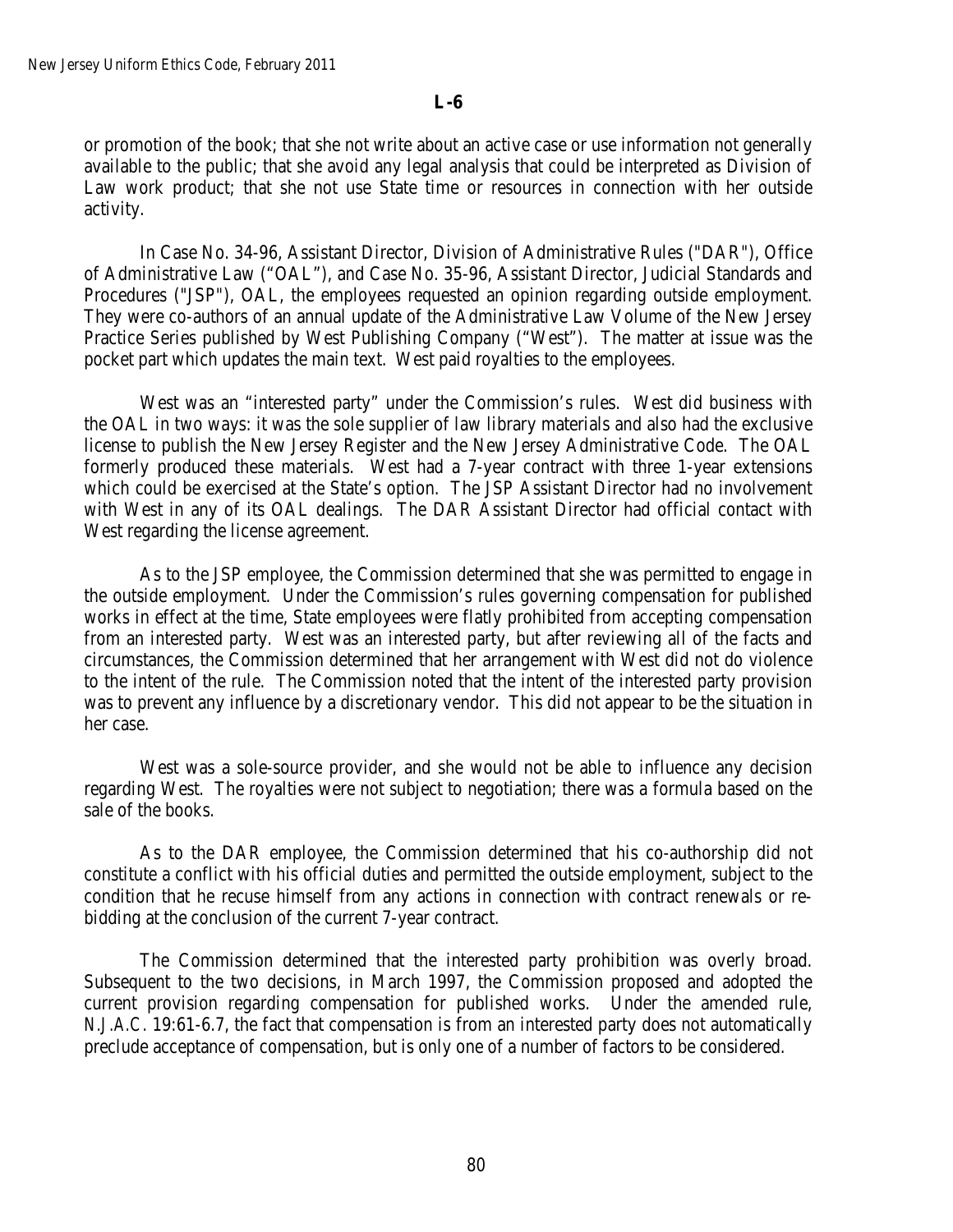or promotion of the book; that she not write about an active case or use information not generally available to the public; that she avoid any legal analysis that could be interpreted as Division of Law work product; that she not use State time or resources in connection with her outside activity.

In Case No. 34-96, Assistant Director, Division of Administrative Rules ("DAR"), Office of Administrative Law ("OAL"), and Case No. 35-96, Assistant Director, Judicial Standards and Procedures ("JSP"), OAL, the employees requested an opinion regarding outside employment. They were co-authors of an annual update of the Administrative Law Volume of the New Jersey Practice Series published by West Publishing Company ("West"). The matter at issue was the pocket part which updates the main text. West paid royalties to the employees.

West was an "interested party" under the Commission's rules. West did business with the OAL in two ways: it was the sole supplier of law library materials and also had the exclusive license to publish the New Jersey Register and the New Jersey Administrative Code. The OAL formerly produced these materials. West had a 7-year contract with three 1-year extensions which could be exercised at the State's option. The JSP Assistant Director had no involvement with West in any of its OAL dealings. The DAR Assistant Director had official contact with West regarding the license agreement.

As to the JSP employee, the Commission determined that she was permitted to engage in the outside employment. Under the Commission's rules governing compensation for published works in effect at the time, State employees were flatly prohibited from accepting compensation from an interested party. West was an interested party, but after reviewing all of the facts and circumstances, the Commission determined that her arrangement with West did not do violence to the intent of the rule. The Commission noted that the intent of the interested party provision was to prevent any influence by a discretionary vendor. This did not appear to be the situation in her case.

West was a sole-source provider, and she would not be able to influence any decision regarding West. The royalties were not subject to negotiation; there was a formula based on the sale of the books.

As to the DAR employee, the Commission determined that his co-authorship did not constitute a conflict with his official duties and permitted the outside employment, subject to the condition that he recuse himself from any actions in connection with contract renewals or rebidding at the conclusion of the current 7-year contract.

The Commission determined that the interested party prohibition was overly broad. Subsequent to the two decisions, in March 1997, the Commission proposed and adopted the current provision regarding compensation for published works. Under the amended rule, *N.J.A.C.* 19:61-6.7, the fact that compensation is from an interested party does not automatically preclude acceptance of compensation, but is only one of a number of factors to be considered.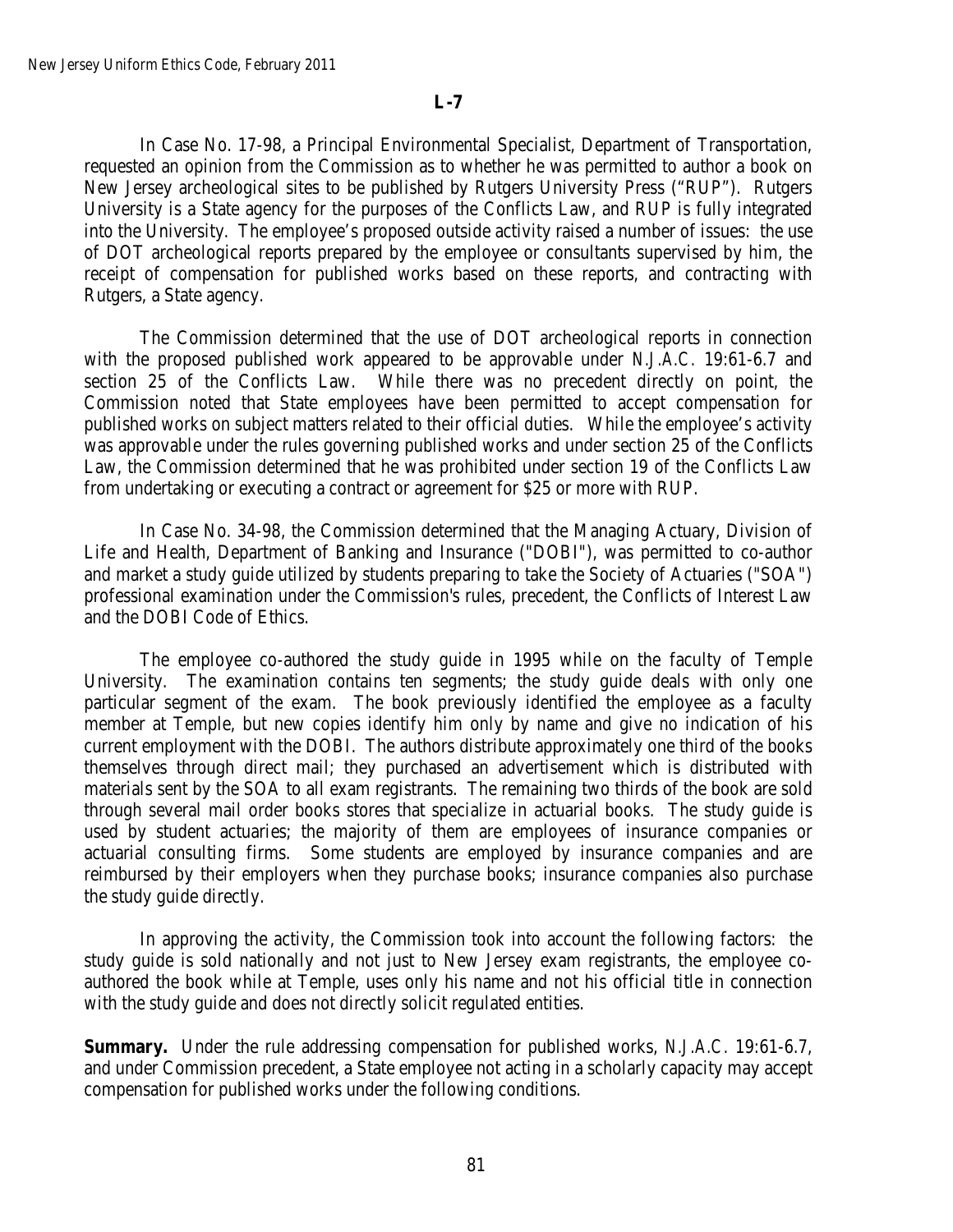In Case No. 17-98, a Principal Environmental Specialist, Department of Transportation, requested an opinion from the Commission as to whether he was permitted to author a book on New Jersey archeological sites to be published by Rutgers University Press ("RUP"). Rutgers University is a State agency for the purposes of the Conflicts Law, and RUP is fully integrated into the University. The employee's proposed outside activity raised a number of issues: the use of DOT archeological reports prepared by the employee or consultants supervised by him, the receipt of compensation for published works based on these reports, and contracting with Rutgers, a State agency.

The Commission determined that the use of DOT archeological reports in connection with the proposed published work appeared to be approvable under *N.J.A.C.* 19:61-6.7 and section 25 of the Conflicts Law. While there was no precedent directly on point, the Commission noted that State employees have been permitted to accept compensation for published works on subject matters related to their official duties. While the employee's activity was approvable under the rules governing published works and under section 25 of the Conflicts Law, the Commission determined that he was prohibited under section 19 of the Conflicts Law from undertaking or executing a contract or agreement for \$25 or more with RUP.

In Case No. 34-98, the Commission determined that the Managing Actuary, Division of Life and Health, Department of Banking and Insurance ("DOBI"), was permitted to co-author and market a study guide utilized by students preparing to take the Society of Actuaries ("SOA") professional examination under the Commission's rules, precedent, the Conflicts of Interest Law and the DOBI Code of Ethics.

The employee co-authored the study guide in 1995 while on the faculty of Temple University. The examination contains ten segments; the study guide deals with only one particular segment of the exam. The book previously identified the employee as a faculty member at Temple, but new copies identify him only by name and give no indication of his current employment with the DOBI. The authors distribute approximately one third of the books themselves through direct mail; they purchased an advertisement which is distributed with materials sent by the SOA to all exam registrants. The remaining two thirds of the book are sold through several mail order books stores that specialize in actuarial books. The study guide is used by student actuaries; the majority of them are employees of insurance companies or actuarial consulting firms. Some students are employed by insurance companies and are reimbursed by their employers when they purchase books; insurance companies also purchase the study guide directly.

In approving the activity, the Commission took into account the following factors: the study guide is sold nationally and not just to New Jersey exam registrants, the employee coauthored the book while at Temple, uses only his name and not his official title in connection with the study guide and does not directly solicit regulated entities.

**Summary.** Under the rule addressing compensation for published works, *N.J.A.C.* 19:61-6.7, and under Commission precedent, a State employee not acting in a scholarly capacity may accept compensation for published works under the following conditions.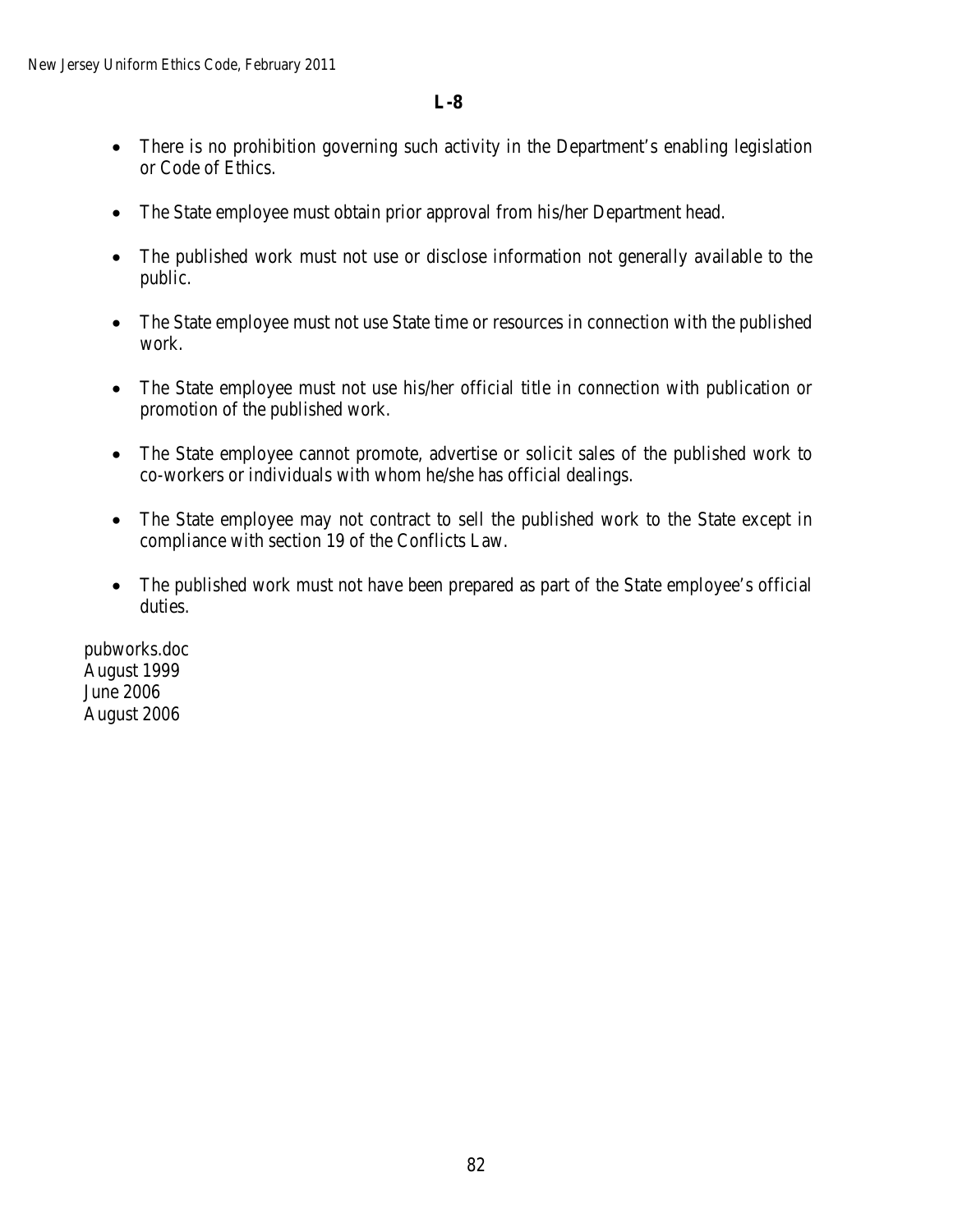- There is no prohibition governing such activity in the Department's enabling legislation or Code of Ethics.
- The State employee must obtain prior approval from his/her Department head.
- The published work must not use or disclose information not generally available to the public.
- The State employee must not use State time or resources in connection with the published work.
- The State employee must not use his/her official title in connection with publication or promotion of the published work.
- The State employee cannot promote, advertise or solicit sales of the published work to co-workers or individuals with whom he/she has official dealings.
- The State employee may not contract to sell the published work to the State except in compliance with section 19 of the Conflicts Law.
- The published work must not have been prepared as part of the State employee's official duties.

pubworks.doc August 1999 June 2006 August 2006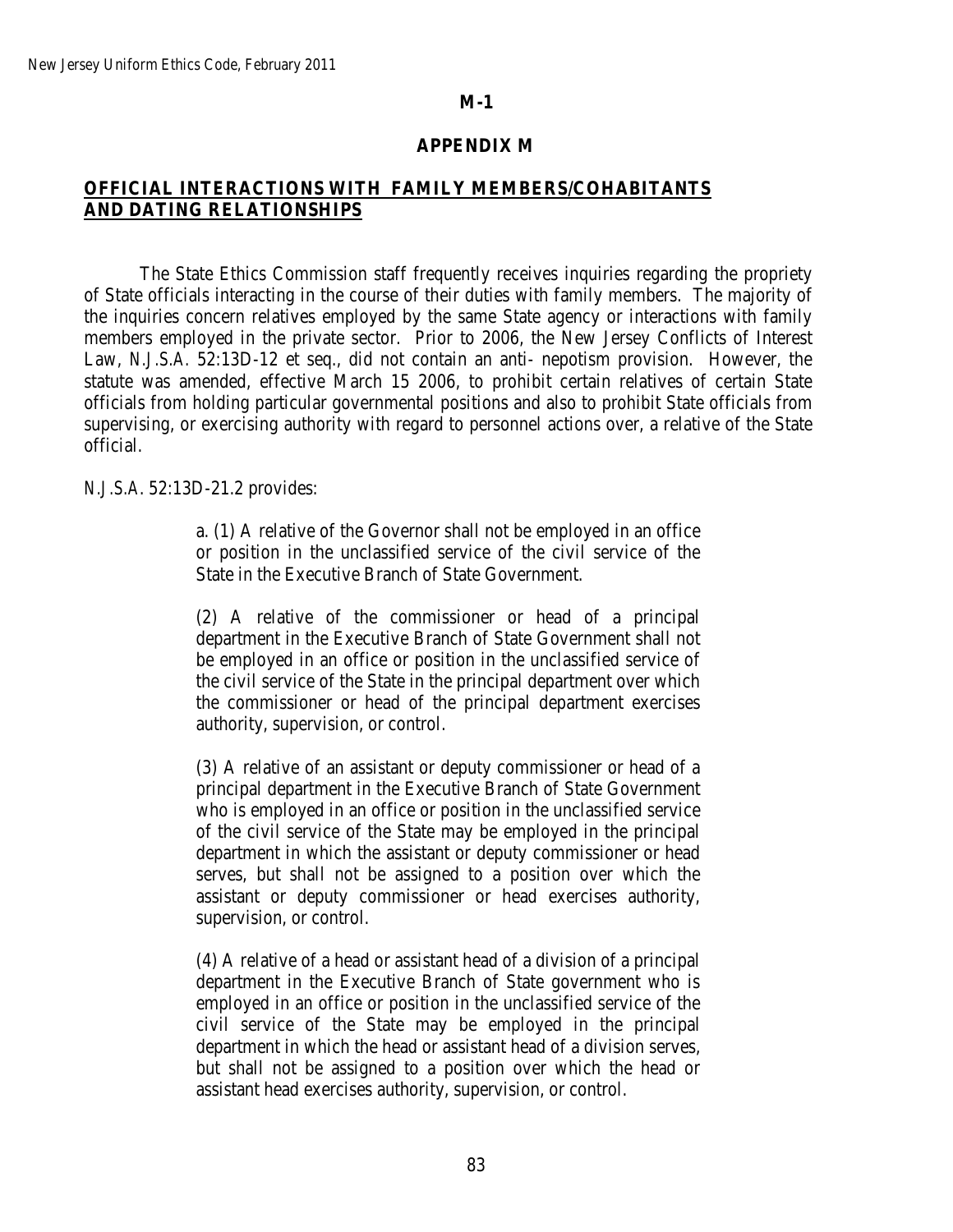### **APPENDIX M**

# **OFFICIAL INTERACTIONS WITH FAMILY MEMBERS/COHABITANTS AND DATING RELATIONSHIPS**

The State Ethics Commission staff frequently receives inquiries regarding the propriety of State officials interacting in the course of their duties with family members. The majority of the inquiries concern relatives employed by the same State agency or interactions with family members employed in the private sector. Prior to 2006, the New Jersey Conflicts of Interest Law, *N.J.S.A.* 52:13D-12 et seq., did not contain an anti- nepotism provision. However, the statute was amended, effective March 15 2006, to prohibit certain relatives of certain State officials from holding particular governmental positions and also to prohibit State officials from supervising, or exercising authority with regard to personnel actions over, a relative of the State official.

#### *N.J.S.A*. 52:13D-21.2 provides:

a. (1) A relative of the Governor shall not be employed in an office or position in the unclassified service of the civil service of the State in the Executive Branch of State Government.

(2) A relative of the commissioner or head of a principal department in the Executive Branch of State Government shall not be employed in an office or position in the unclassified service of the civil service of the State in the principal department over which the commissioner or head of the principal department exercises authority, supervision, or control.

(3) A relative of an assistant or deputy commissioner or head of a principal department in the Executive Branch of State Government who is employed in an office or position in the unclassified service of the civil service of the State may be employed in the principal department in which the assistant or deputy commissioner or head serves, but shall not be assigned to a position over which the assistant or deputy commissioner or head exercises authority, supervision, or control.

(4) A relative of a head or assistant head of a division of a principal department in the Executive Branch of State government who is employed in an office or position in the unclassified service of the civil service of the State may be employed in the principal department in which the head or assistant head of a division serves, but shall not be assigned to a position over which the head or assistant head exercises authority, supervision, or control.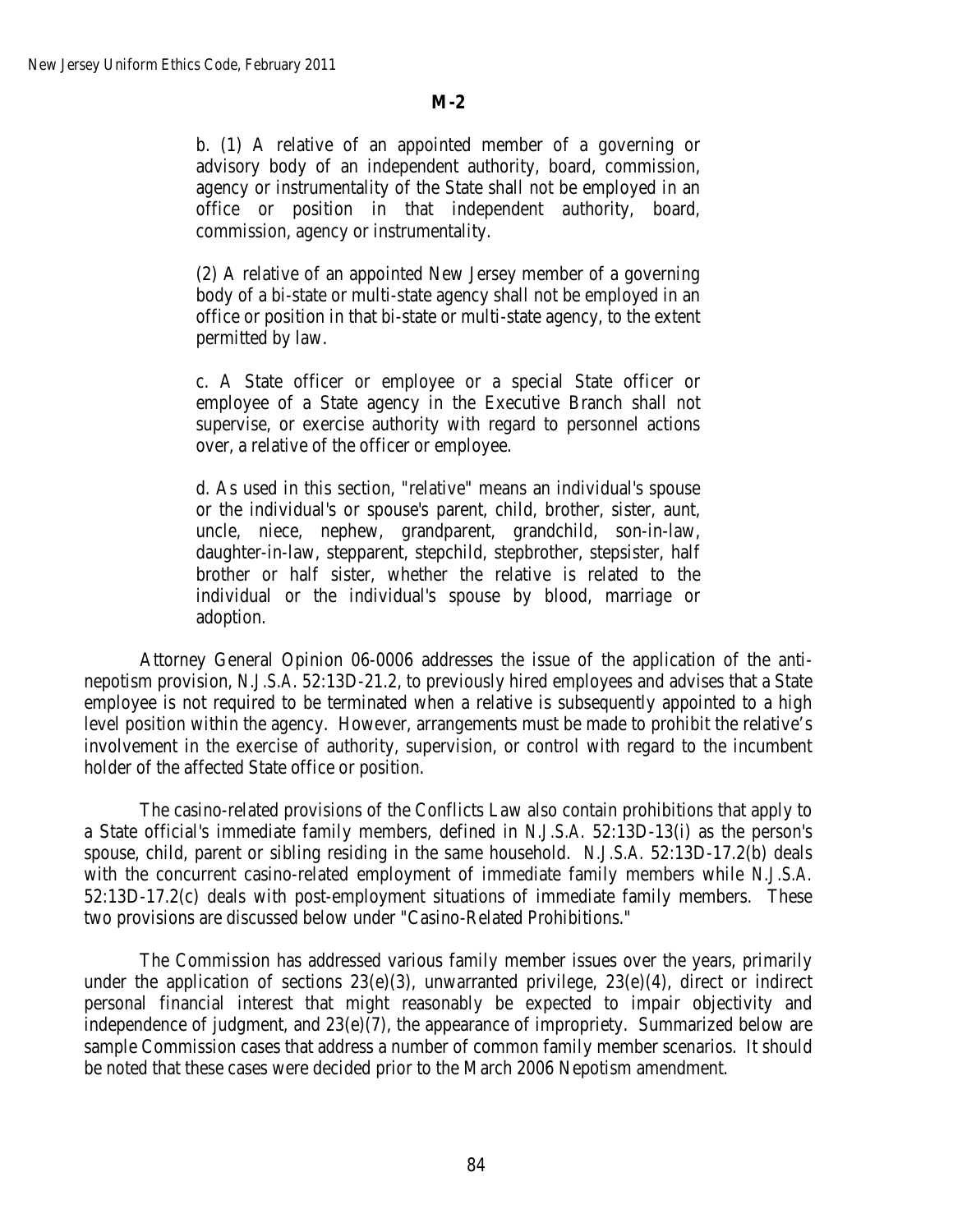b. (1) A relative of an appointed member of a governing or advisory body of an independent authority, board, commission, agency or instrumentality of the State shall not be employed in an office or position in that independent authority, board, commission, agency or instrumentality.

(2) A relative of an appointed New Jersey member of a governing body of a bi-state or multi-state agency shall not be employed in an office or position in that bi-state or multi-state agency, to the extent permitted by law.

c. A State officer or employee or a special State officer or employee of a State agency in the Executive Branch shall not supervise, or exercise authority with regard to personnel actions over, a relative of the officer or employee.

d. As used in this section, "relative" means an individual's spouse or the individual's or spouse's parent, child, brother, sister, aunt, uncle, niece, nephew, grandparent, grandchild, son-in-law, daughter-in-law, stepparent, stepchild, stepbrother, stepsister, half brother or half sister, whether the relative is related to the individual or the individual's spouse by blood, marriage or adoption.

Attorney General Opinion 06-0006 addresses the issue of the application of the antinepotism provision, *N.J.S.A*. 52:13D-21.2, to previously hired employees and advises that a State employee is not required to be terminated when a relative is subsequently appointed to a high level position within the agency. However, arrangements must be made to prohibit the relative's involvement in the exercise of authority, supervision, or control with regard to the incumbent holder of the affected State office or position.

The casino-related provisions of the Conflicts Law also contain prohibitions that apply to a State official's immediate family members, defined in *N.J.S.A.* 52:13D-13(i) as the person's spouse, child, parent or sibling residing in the same household. *N.J.S.A.* 52:13D-17.2(b) deals with the concurrent casino-related employment of immediate family members while *N.J.S.A.* 52:13D-17.2(c) deals with post-employment situations of immediate family members. These two provisions are discussed below under "Casino-Related Prohibitions."

The Commission has addressed various family member issues over the years, primarily under the application of sections  $23(e)(3)$ , unwarranted privilege,  $23(e)(4)$ , direct or indirect personal financial interest that might reasonably be expected to impair objectivity and independence of judgment, and 23(e)(7), the appearance of impropriety. Summarized below are sample Commission cases that address a number of common family member scenarios. It should be noted that these cases were decided prior to the March 2006 Nepotism amendment.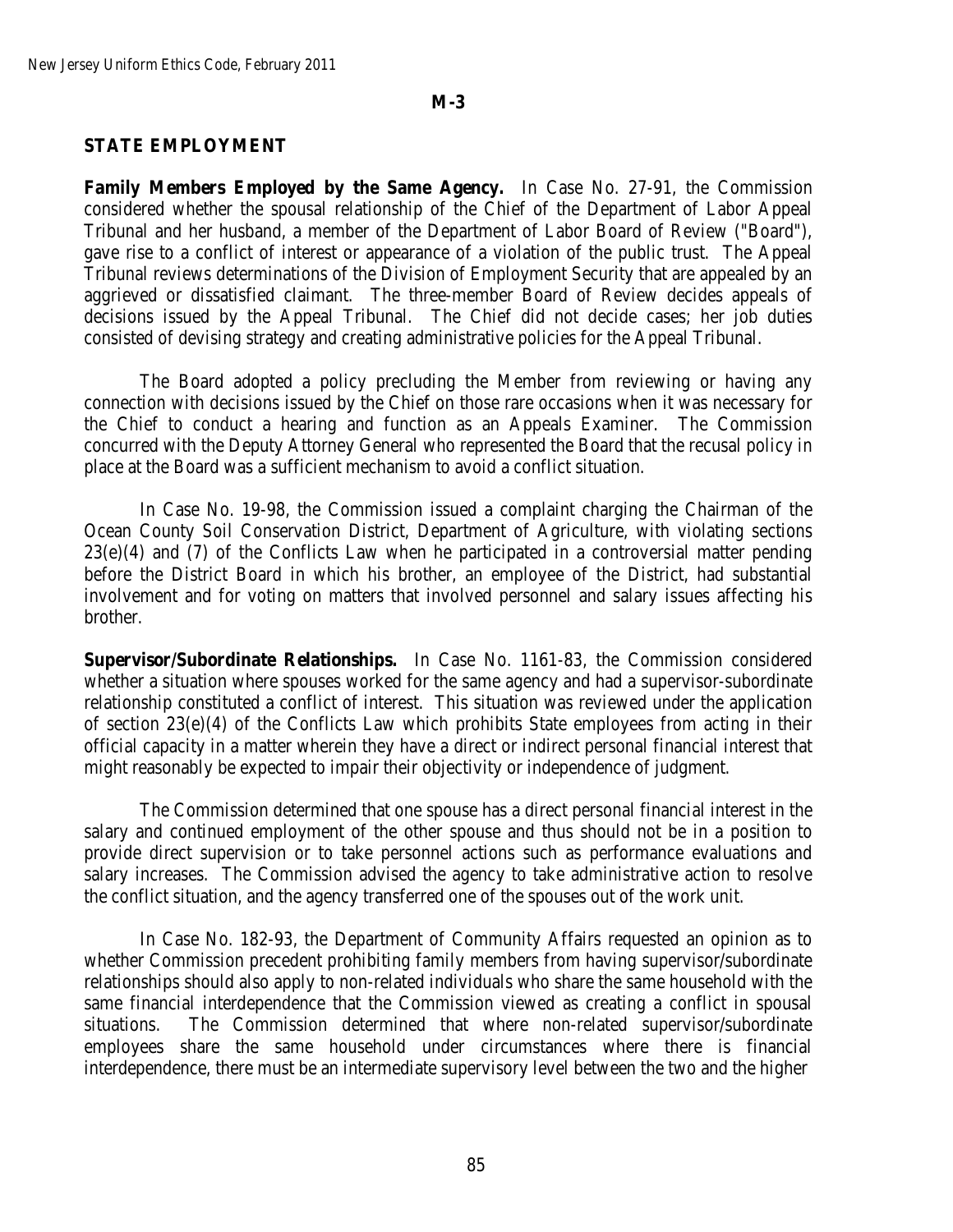#### **STATE EMPLOYMENT**

**Family Members Employed by the Same Agency.** In Case No. 27-91, the Commission considered whether the spousal relationship of the Chief of the Department of Labor Appeal Tribunal and her husband, a member of the Department of Labor Board of Review ("Board"), gave rise to a conflict of interest or appearance of a violation of the public trust. The Appeal Tribunal reviews determinations of the Division of Employment Security that are appealed by an aggrieved or dissatisfied claimant. The three-member Board of Review decides appeals of decisions issued by the Appeal Tribunal. The Chief did not decide cases; her job duties consisted of devising strategy and creating administrative policies for the Appeal Tribunal.

The Board adopted a policy precluding the Member from reviewing or having any connection with decisions issued by the Chief on those rare occasions when it was necessary for the Chief to conduct a hearing and function as an Appeals Examiner. The Commission concurred with the Deputy Attorney General who represented the Board that the recusal policy in place at the Board was a sufficient mechanism to avoid a conflict situation.

In Case No. 19-98, the Commission issued a complaint charging the Chairman of the Ocean County Soil Conservation District, Department of Agriculture, with violating sections 23(e)(4) and (7) of the Conflicts Law when he participated in a controversial matter pending before the District Board in which his brother, an employee of the District, had substantial involvement and for voting on matters that involved personnel and salary issues affecting his brother.

**Supervisor/Subordinate Relationships.** In Case No. 1161-83, the Commission considered whether a situation where spouses worked for the same agency and had a supervisor-subordinate relationship constituted a conflict of interest. This situation was reviewed under the application of section 23(e)(4) of the Conflicts Law which prohibits State employees from acting in their official capacity in a matter wherein they have a direct or indirect personal financial interest that might reasonably be expected to impair their objectivity or independence of judgment.

The Commission determined that one spouse has a direct personal financial interest in the salary and continued employment of the other spouse and thus should not be in a position to provide direct supervision or to take personnel actions such as performance evaluations and salary increases. The Commission advised the agency to take administrative action to resolve the conflict situation, and the agency transferred one of the spouses out of the work unit.

In Case No. 182-93, the Department of Community Affairs requested an opinion as to whether Commission precedent prohibiting family members from having supervisor/subordinate relationships should also apply to non-related individuals who share the same household with the same financial interdependence that the Commission viewed as creating a conflict in spousal situations. The Commission determined that where non-related supervisor/subordinate employees share the same household under circumstances where there is financial interdependence, there must be an intermediate supervisory level between the two and the higher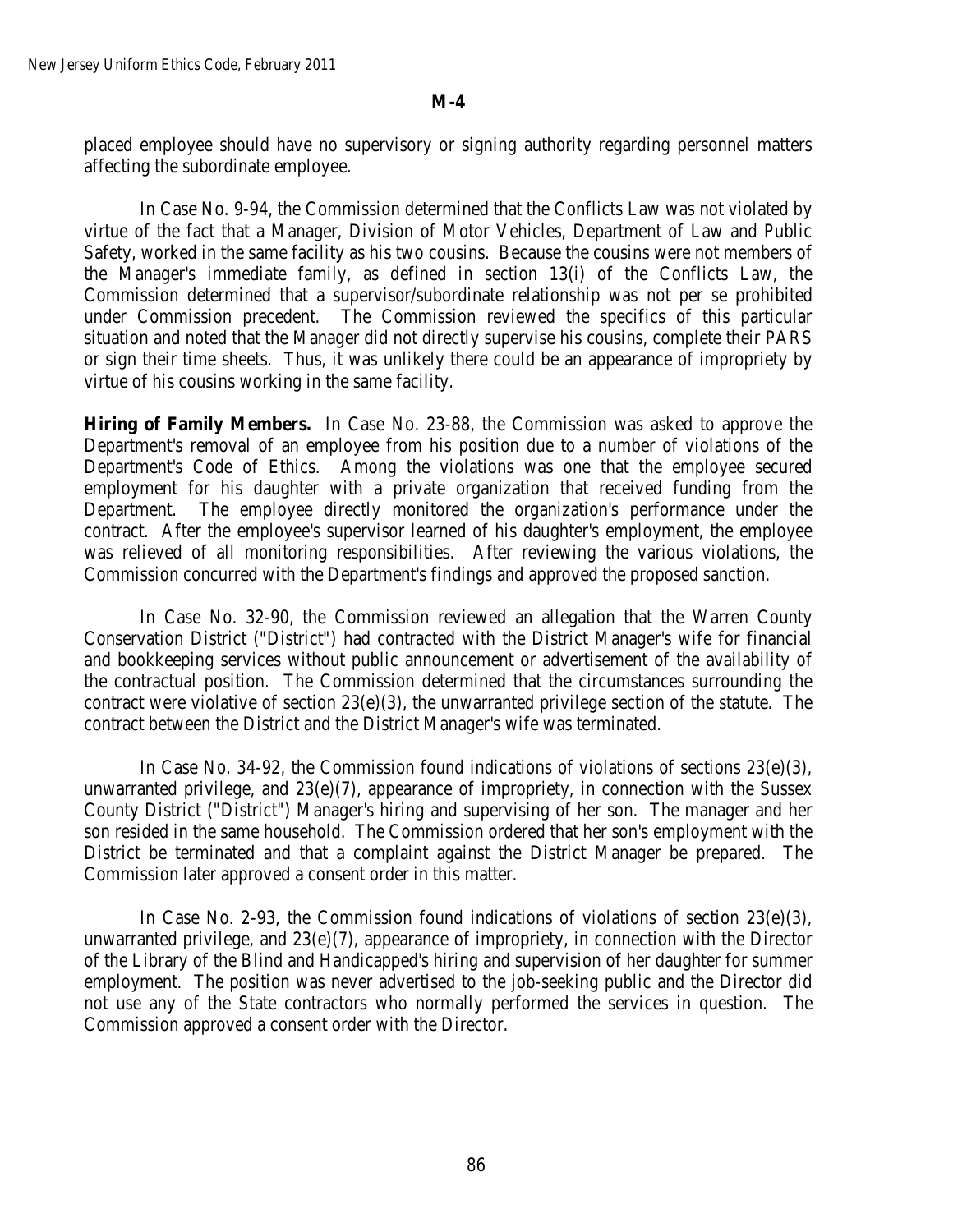placed employee should have no supervisory or signing authority regarding personnel matters affecting the subordinate employee.

In Case No. 9-94, the Commission determined that the Conflicts Law was not violated by virtue of the fact that a Manager, Division of Motor Vehicles, Department of Law and Public Safety, worked in the same facility as his two cousins. Because the cousins were not members of the Manager's immediate family, as defined in section 13(i) of the Conflicts Law, the Commission determined that a supervisor/subordinate relationship was not per se prohibited under Commission precedent. The Commission reviewed the specifics of this particular situation and noted that the Manager did not directly supervise his cousins, complete their PARS or sign their time sheets. Thus, it was unlikely there could be an appearance of impropriety by virtue of his cousins working in the same facility.

**Hiring of Family Members.** In Case No. 23-88, the Commission was asked to approve the Department's removal of an employee from his position due to a number of violations of the Department's Code of Ethics. Among the violations was one that the employee secured employment for his daughter with a private organization that received funding from the Department. The employee directly monitored the organization's performance under the contract. After the employee's supervisor learned of his daughter's employment, the employee was relieved of all monitoring responsibilities. After reviewing the various violations, the Commission concurred with the Department's findings and approved the proposed sanction.

In Case No. 32-90, the Commission reviewed an allegation that the Warren County Conservation District ("District") had contracted with the District Manager's wife for financial and bookkeeping services without public announcement or advertisement of the availability of the contractual position. The Commission determined that the circumstances surrounding the contract were violative of section  $23(e)(3)$ , the unwarranted privilege section of the statute. The contract between the District and the District Manager's wife was terminated.

In Case No. 34-92, the Commission found indications of violations of sections  $23(e)(3)$ , unwarranted privilege, and  $23(e)(7)$ , appearance of impropriety, in connection with the Sussex County District ("District") Manager's hiring and supervising of her son. The manager and her son resided in the same household. The Commission ordered that her son's employment with the District be terminated and that a complaint against the District Manager be prepared. The Commission later approved a consent order in this matter.

In Case No. 2-93, the Commission found indications of violations of section  $23(e)(3)$ , unwarranted privilege, and  $23(e)(7)$ , appearance of impropriety, in connection with the Director of the Library of the Blind and Handicapped's hiring and supervision of her daughter for summer employment. The position was never advertised to the job-seeking public and the Director did not use any of the State contractors who normally performed the services in question. The Commission approved a consent order with the Director.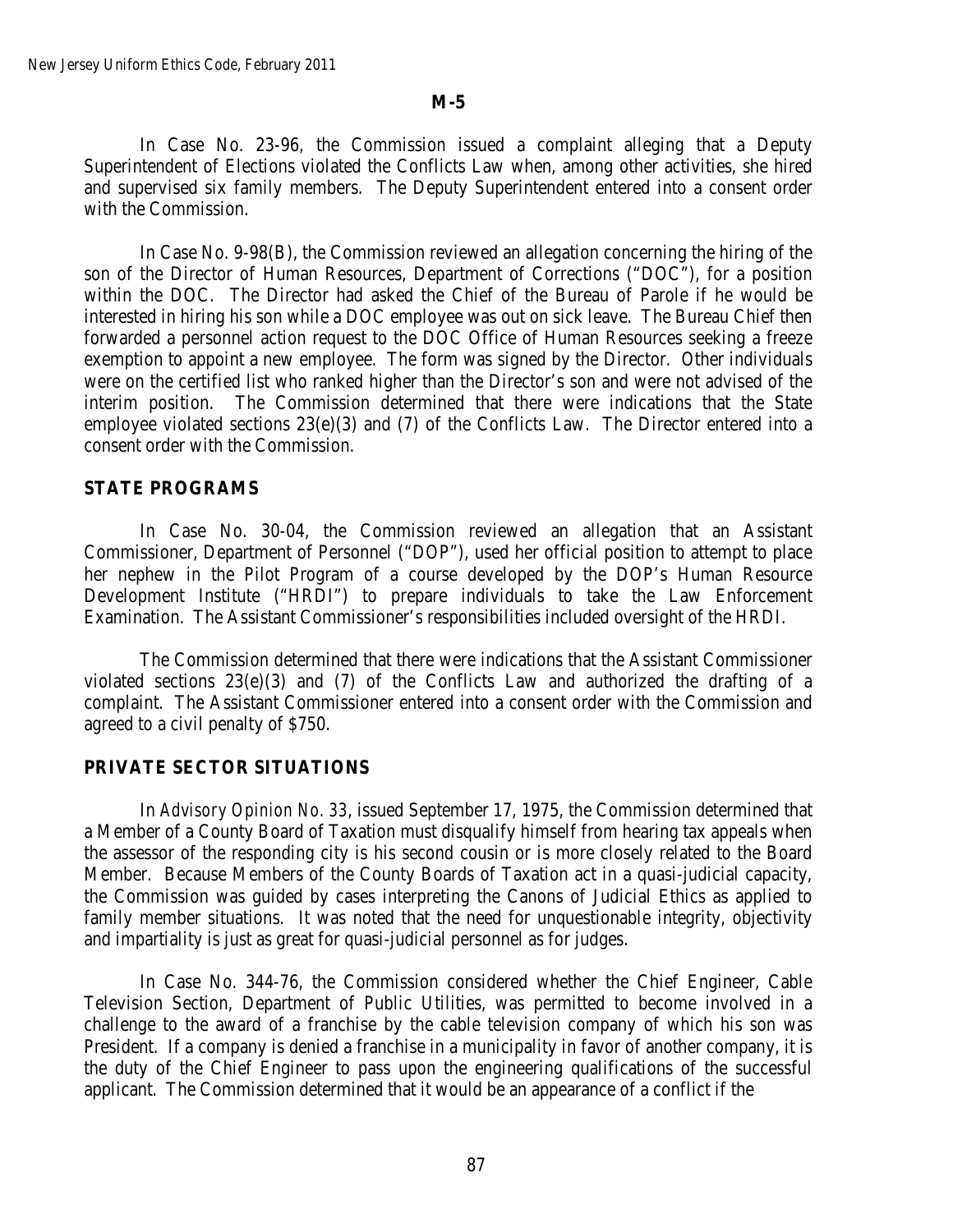In Case No. 23-96*,* the Commission issued a complaint alleging that a Deputy Superintendent of Elections violated the Conflicts Law when, among other activities, she hired and supervised six family members. The Deputy Superintendent entered into a consent order with the Commission.

In Case No. 9-98(B), the Commission reviewed an allegation concerning the hiring of the son of the Director of Human Resources, Department of Corrections ("DOC"), for a position within the DOC. The Director had asked the Chief of the Bureau of Parole if he would be interested in hiring his son while a DOC employee was out on sick leave. The Bureau Chief then forwarded a personnel action request to the DOC Office of Human Resources seeking a freeze exemption to appoint a new employee. The form was signed by the Director. Other individuals were on the certified list who ranked higher than the Director's son and were not advised of the interim position. The Commission determined that there were indications that the State employee violated sections 23(e)(3) and (7) of the Conflicts Law. The Director entered into a consent order with the Commission.

## **STATE PROGRAMS**

In Case No. 30-04, the Commission reviewed an allegation that an Assistant Commissioner, Department of Personnel ("DOP"), used her official position to attempt to place her nephew in the Pilot Program of a course developed by the DOP's Human Resource Development Institute ("HRDI") to prepare individuals to take the Law Enforcement Examination. The Assistant Commissioner's responsibilities included oversight of the HRDI.

The Commission determined that there were indications that the Assistant Commissioner violated sections 23(e)(3) and (7) of the Conflicts Law and authorized the drafting of a complaint. The Assistant Commissioner entered into a consent order with the Commission and agreed to a civil penalty of \$750.

#### **PRIVATE SECTOR SITUATIONS**

In *Advisory Opinion No. 33*, issued September 17, 1975, the Commission determined that a Member of a County Board of Taxation must disqualify himself from hearing tax appeals when the assessor of the responding city is his second cousin or is more closely related to the Board Member. Because Members of the County Boards of Taxation act in a quasi-judicial capacity, the Commission was guided by cases interpreting the Canons of Judicial Ethics as applied to family member situations. It was noted that the need for unquestionable integrity, objectivity and impartiality is just as great for quasi-judicial personnel as for judges.

In Case No. 344-76, the Commission considered whether the Chief Engineer, Cable Television Section, Department of Public Utilities, was permitted to become involved in a challenge to the award of a franchise by the cable television company of which his son was President. If a company is denied a franchise in a municipality in favor of another company, it is the duty of the Chief Engineer to pass upon the engineering qualifications of the successful applicant. The Commission determined that it would be an appearance of a conflict if the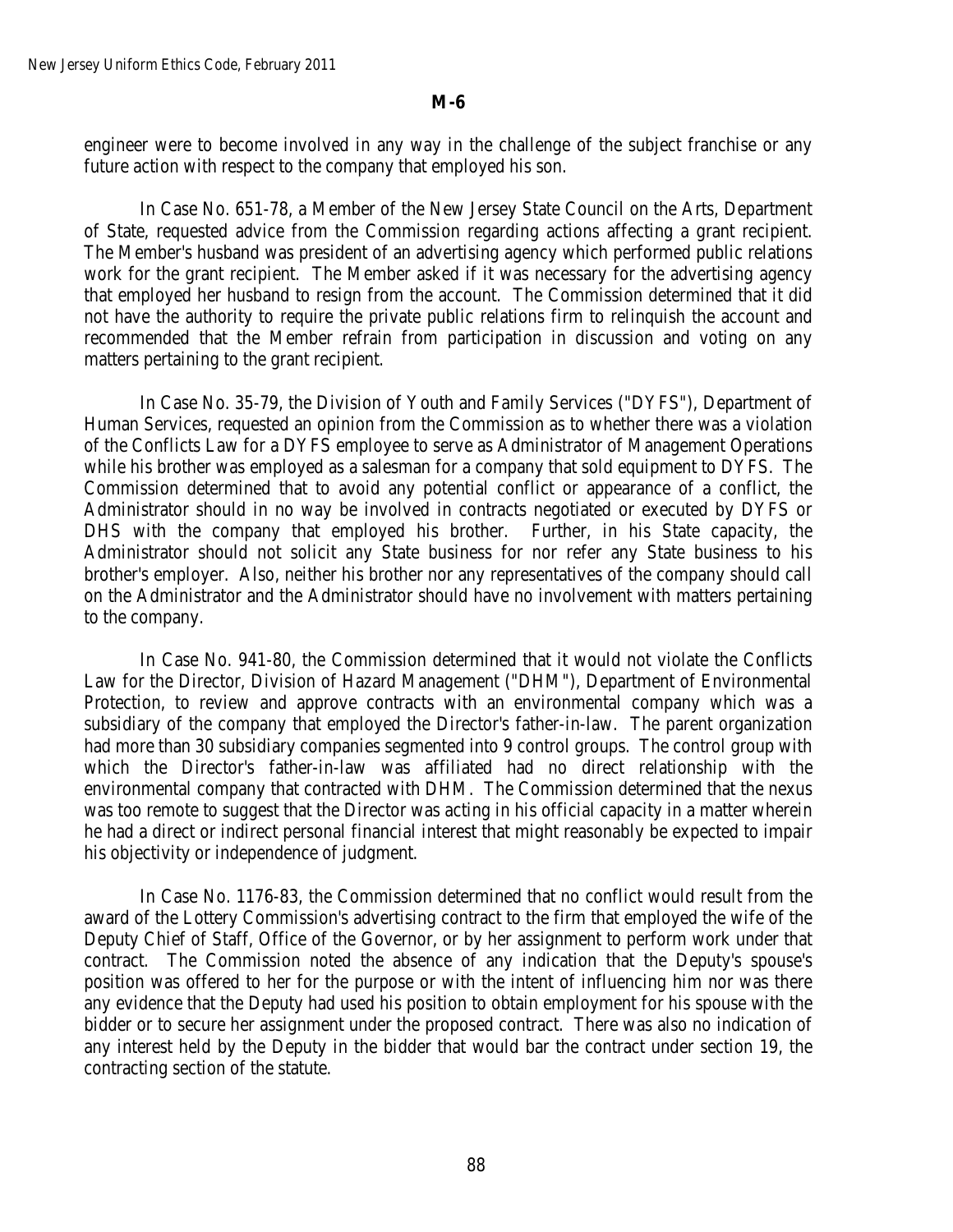engineer were to become involved in any way in the challenge of the subject franchise or any future action with respect to the company that employed his son.

In Case No. 651-78, a Member of the New Jersey State Council on the Arts, Department of State, requested advice from the Commission regarding actions affecting a grant recipient. The Member's husband was president of an advertising agency which performed public relations work for the grant recipient. The Member asked if it was necessary for the advertising agency that employed her husband to resign from the account. The Commission determined that it did not have the authority to require the private public relations firm to relinquish the account and recommended that the Member refrain from participation in discussion and voting on any matters pertaining to the grant recipient.

In Case No. 35-79, the Division of Youth and Family Services ("DYFS"), Department of Human Services, requested an opinion from the Commission as to whether there was a violation of the Conflicts Law for a DYFS employee to serve as Administrator of Management Operations while his brother was employed as a salesman for a company that sold equipment to DYFS. The Commission determined that to avoid any potential conflict or appearance of a conflict, the Administrator should in no way be involved in contracts negotiated or executed by DYFS or DHS with the company that employed his brother. Further, in his State capacity, the Administrator should not solicit any State business for nor refer any State business to his brother's employer. Also, neither his brother nor any representatives of the company should call on the Administrator and the Administrator should have no involvement with matters pertaining to the company.

In Case No. 941-80, the Commission determined that it would not violate the Conflicts Law for the Director, Division of Hazard Management ("DHM"), Department of Environmental Protection, to review and approve contracts with an environmental company which was a subsidiary of the company that employed the Director's father-in-law. The parent organization had more than 30 subsidiary companies segmented into 9 control groups. The control group with which the Director's father-in-law was affiliated had no direct relationship with the environmental company that contracted with DHM. The Commission determined that the nexus was too remote to suggest that the Director was acting in his official capacity in a matter wherein he had a direct or indirect personal financial interest that might reasonably be expected to impair his objectivity or independence of judgment.

In Case No. 1176-83, the Commission determined that no conflict would result from the award of the Lottery Commission's advertising contract to the firm that employed the wife of the Deputy Chief of Staff, Office of the Governor, or by her assignment to perform work under that contract. The Commission noted the absence of any indication that the Deputy's spouse's position was offered to her for the purpose or with the intent of influencing him nor was there any evidence that the Deputy had used his position to obtain employment for his spouse with the bidder or to secure her assignment under the proposed contract. There was also no indication of any interest held by the Deputy in the bidder that would bar the contract under section 19, the contracting section of the statute.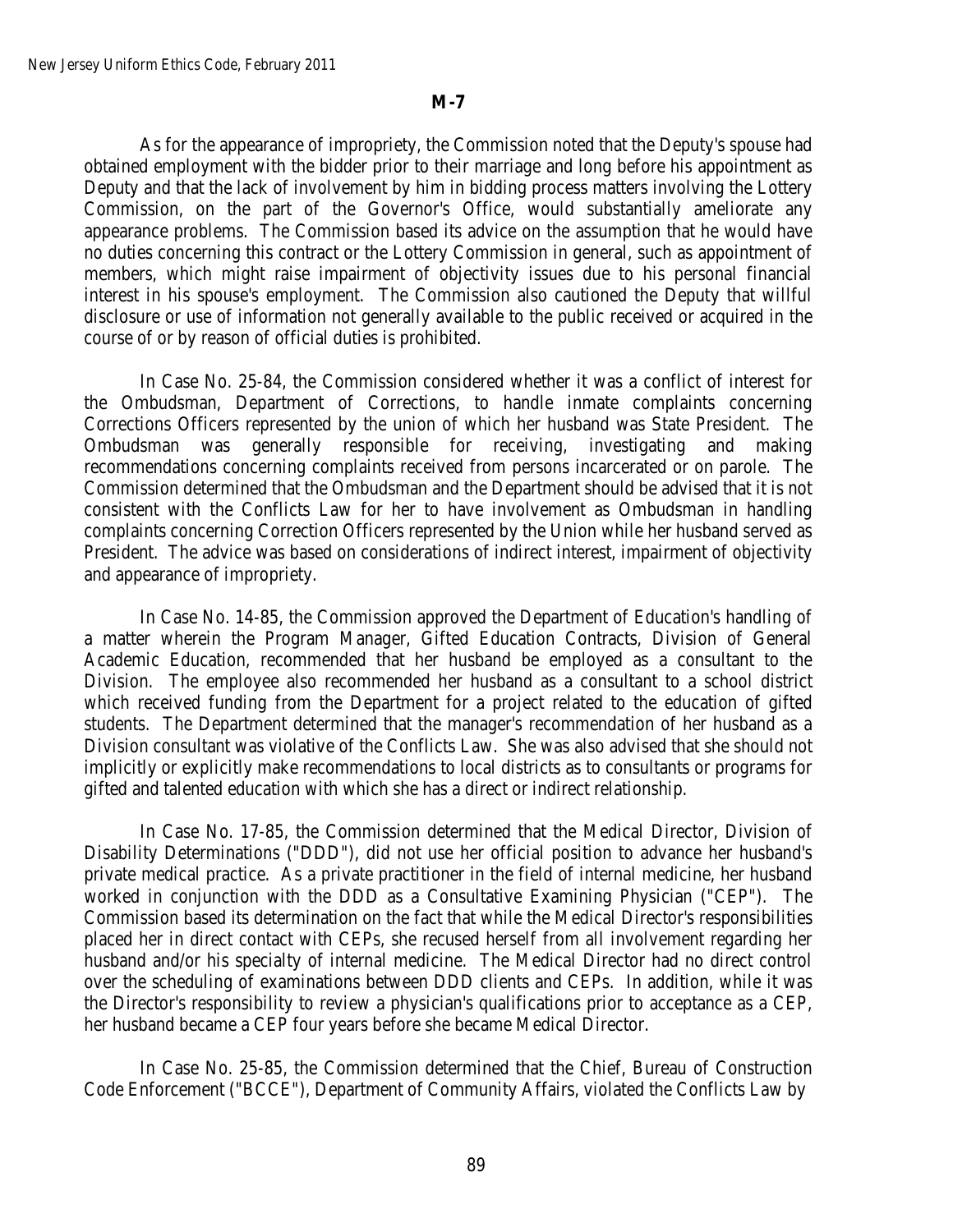As for the appearance of impropriety, the Commission noted that the Deputy's spouse had obtained employment with the bidder prior to their marriage and long before his appointment as Deputy and that the lack of involvement by him in bidding process matters involving the Lottery Commission, on the part of the Governor's Office, would substantially ameliorate any appearance problems. The Commission based its advice on the assumption that he would have no duties concerning this contract or the Lottery Commission in general, such as appointment of members, which might raise impairment of objectivity issues due to his personal financial interest in his spouse's employment. The Commission also cautioned the Deputy that willful disclosure or use of information not generally available to the public received or acquired in the course of or by reason of official duties is prohibited.

In Case No. 25-84, the Commission considered whether it was a conflict of interest for the Ombudsman, Department of Corrections, to handle inmate complaints concerning Corrections Officers represented by the union of which her husband was State President. The Ombudsman was generally responsible for receiving, investigating and making recommendations concerning complaints received from persons incarcerated or on parole. The Commission determined that the Ombudsman and the Department should be advised that it is not consistent with the Conflicts Law for her to have involvement as Ombudsman in handling complaints concerning Correction Officers represented by the Union while her husband served as President. The advice was based on considerations of indirect interest, impairment of objectivity and appearance of impropriety.

In Case No. 14-85, the Commission approved the Department of Education's handling of a matter wherein the Program Manager, Gifted Education Contracts, Division of General Academic Education, recommended that her husband be employed as a consultant to the Division. The employee also recommended her husband as a consultant to a school district which received funding from the Department for a project related to the education of gifted students. The Department determined that the manager's recommendation of her husband as a Division consultant was violative of the Conflicts Law. She was also advised that she should not implicitly or explicitly make recommendations to local districts as to consultants or programs for gifted and talented education with which she has a direct or indirect relationship.

In Case No. 17-85, the Commission determined that the Medical Director, Division of Disability Determinations ("DDD"), did not use her official position to advance her husband's private medical practice. As a private practitioner in the field of internal medicine, her husband worked in conjunction with the DDD as a Consultative Examining Physician ("CEP"). The Commission based its determination on the fact that while the Medical Director's responsibilities placed her in direct contact with CEPs, she recused herself from all involvement regarding her husband and/or his specialty of internal medicine. The Medical Director had no direct control over the scheduling of examinations between DDD clients and CEPs. In addition, while it was the Director's responsibility to review a physician's qualifications prior to acceptance as a CEP, her husband became a CEP four years before she became Medical Director.

In Case No. 25-85, the Commission determined that the Chief, Bureau of Construction Code Enforcement ("BCCE"), Department of Community Affairs, violated the Conflicts Law by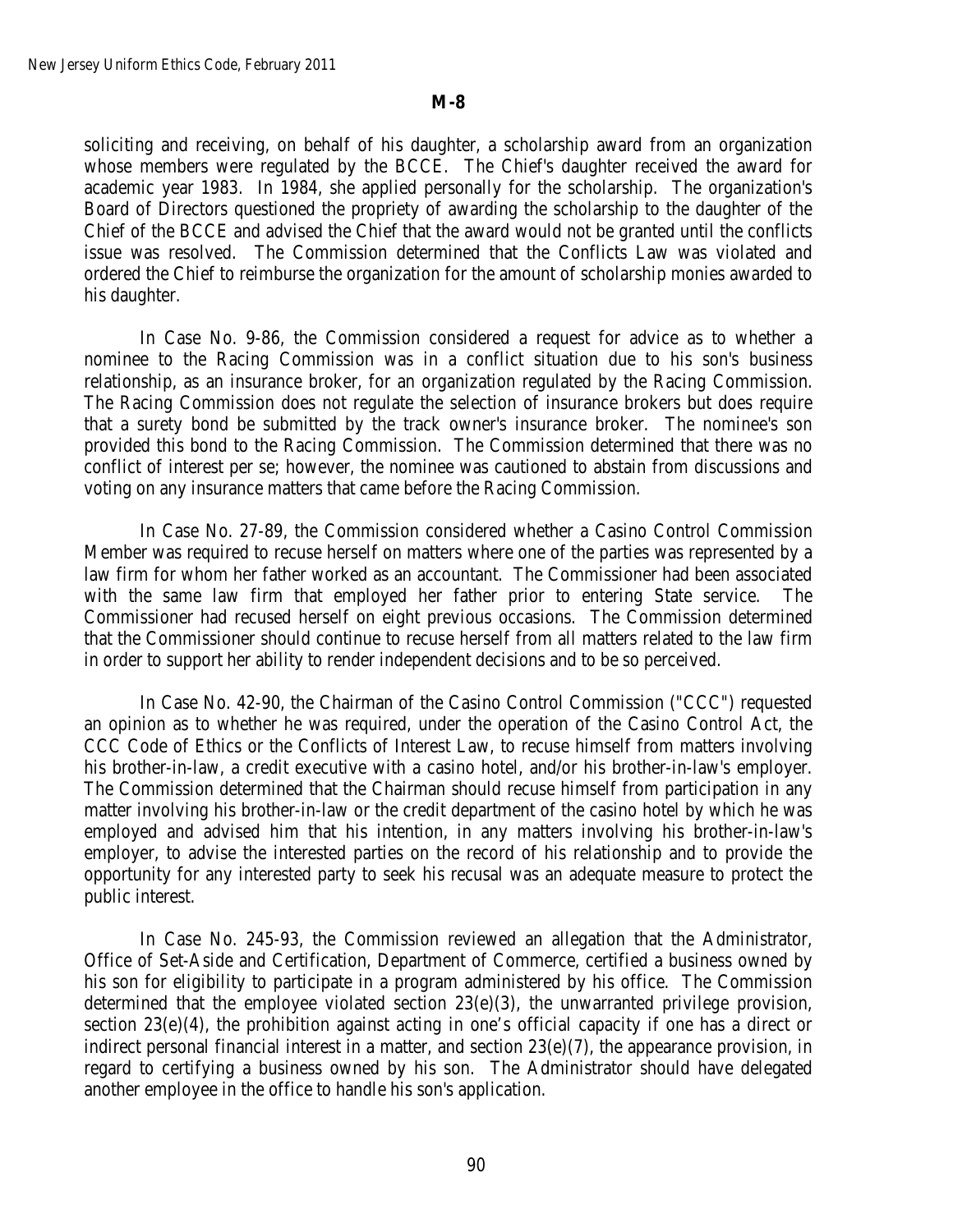soliciting and receiving, on behalf of his daughter, a scholarship award from an organization whose members were regulated by the BCCE. The Chief's daughter received the award for academic year 1983. In 1984, she applied personally for the scholarship. The organization's Board of Directors questioned the propriety of awarding the scholarship to the daughter of the Chief of the BCCE and advised the Chief that the award would not be granted until the conflicts issue was resolved. The Commission determined that the Conflicts Law was violated and ordered the Chief to reimburse the organization for the amount of scholarship monies awarded to his daughter.

In Case No. 9-86, the Commission considered a request for advice as to whether a nominee to the Racing Commission was in a conflict situation due to his son's business relationship, as an insurance broker, for an organization regulated by the Racing Commission. The Racing Commission does not regulate the selection of insurance brokers but does require that a surety bond be submitted by the track owner's insurance broker. The nominee's son provided this bond to the Racing Commission. The Commission determined that there was no conflict of interest per se; however, the nominee was cautioned to abstain from discussions and voting on any insurance matters that came before the Racing Commission.

In Case No. 27-89, the Commission considered whether a Casino Control Commission Member was required to recuse herself on matters where one of the parties was represented by a law firm for whom her father worked as an accountant. The Commissioner had been associated with the same law firm that employed her father prior to entering State service. The Commissioner had recused herself on eight previous occasions. The Commission determined that the Commissioner should continue to recuse herself from all matters related to the law firm in order to support her ability to render independent decisions and to be so perceived.

In Case No. 42-90, the Chairman of the Casino Control Commission ("CCC") requested an opinion as to whether he was required, under the operation of the Casino Control Act, the CCC Code of Ethics or the Conflicts of Interest Law, to recuse himself from matters involving his brother-in-law, a credit executive with a casino hotel, and/or his brother-in-law's employer. The Commission determined that the Chairman should recuse himself from participation in any matter involving his brother-in-law or the credit department of the casino hotel by which he was employed and advised him that his intention, in any matters involving his brother-in-law's employer, to advise the interested parties on the record of his relationship and to provide the opportunity for any interested party to seek his recusal was an adequate measure to protect the public interest.

In Case No. 245-93, the Commission reviewed an allegation that the Administrator, Office of Set-Aside and Certification, Department of Commerce, certified a business owned by his son for eligibility to participate in a program administered by his office. The Commission determined that the employee violated section 23(e)(3), the unwarranted privilege provision, section 23(e)(4), the prohibition against acting in one's official capacity if one has a direct or indirect personal financial interest in a matter, and section 23(e)(7), the appearance provision, in regard to certifying a business owned by his son. The Administrator should have delegated another employee in the office to handle his son's application.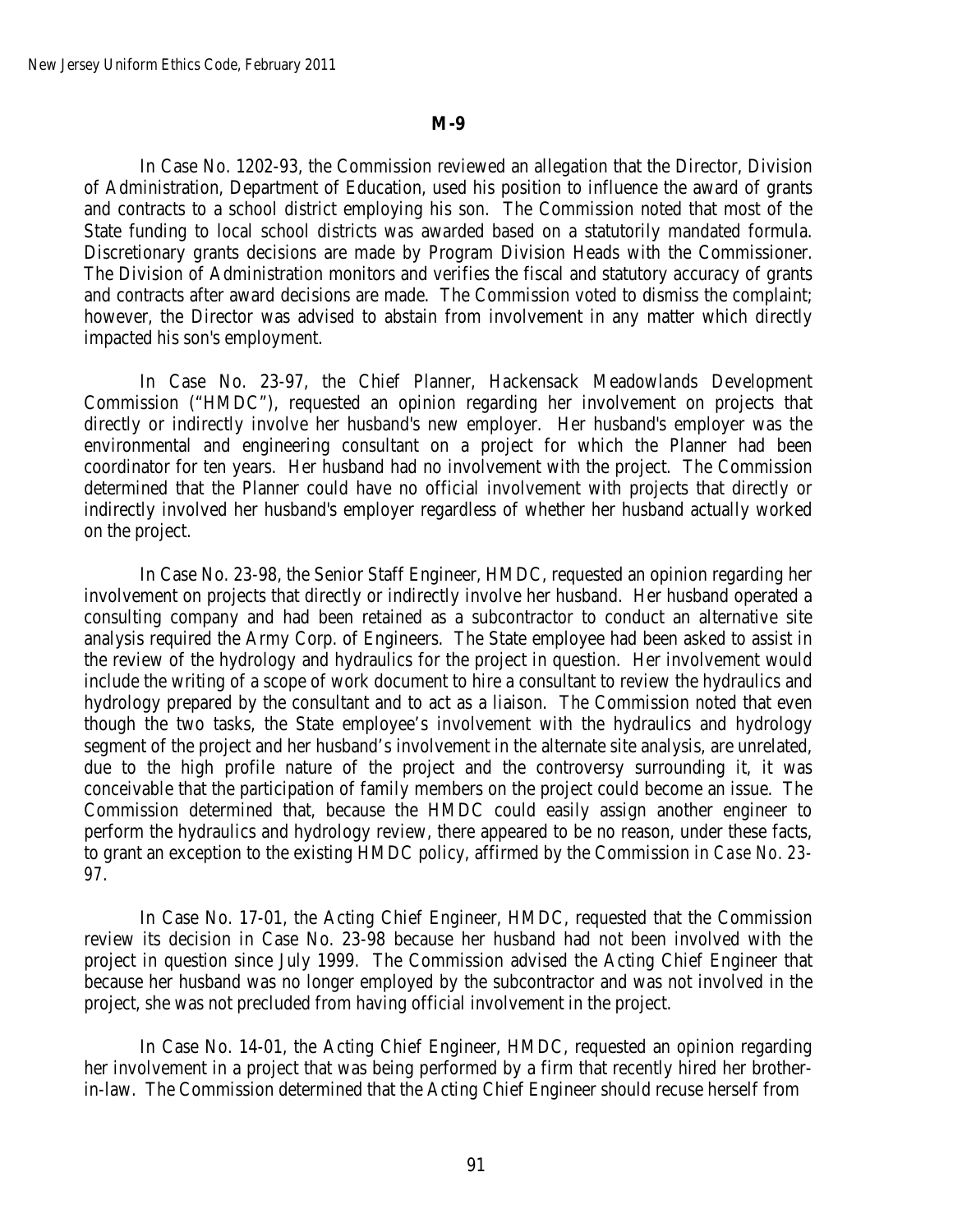In Case No. 1202-93, the Commission reviewed an allegation that the Director, Division of Administration, Department of Education, used his position to influence the award of grants and contracts to a school district employing his son. The Commission noted that most of the State funding to local school districts was awarded based on a statutorily mandated formula. Discretionary grants decisions are made by Program Division Heads with the Commissioner. The Division of Administration monitors and verifies the fiscal and statutory accuracy of grants and contracts after award decisions are made. The Commission voted to dismiss the complaint; however, the Director was advised to abstain from involvement in any matter which directly impacted his son's employment.

In Case No. 23-97, the Chief Planner, Hackensack Meadowlands Development Commission ("HMDC"), requested an opinion regarding her involvement on projects that directly or indirectly involve her husband's new employer. Her husband's employer was the environmental and engineering consultant on a project for which the Planner had been coordinator for ten years. Her husband had no involvement with the project. The Commission determined that the Planner could have no official involvement with projects that directly or indirectly involved her husband's employer regardless of whether her husband actually worked on the project.

In Case No. 23-98, the Senior Staff Engineer, HMDC, requested an opinion regarding her involvement on projects that directly or indirectly involve her husband. Her husband operated a consulting company and had been retained as a subcontractor to conduct an alternative site analysis required the Army Corp. of Engineers. The State employee had been asked to assist in the review of the hydrology and hydraulics for the project in question. Her involvement would include the writing of a scope of work document to hire a consultant to review the hydraulics and hydrology prepared by the consultant and to act as a liaison. The Commission noted that even though the two tasks, the State employee's involvement with the hydraulics and hydrology segment of the project and her husband's involvement in the alternate site analysis, are unrelated, due to the high profile nature of the project and the controversy surrounding it, it was conceivable that the participation of family members on the project could become an issue. The Commission determined that, because the HMDC could easily assign another engineer to perform the hydraulics and hydrology review, there appeared to be no reason, under these facts, to grant an exception to the existing HMDC policy, affirmed by the Commission in *Case No. 23- 97*.

In Case No. 17-01, the Acting Chief Engineer, HMDC, requested that the Commission review its decision in Case No. 23-98 because her husband had not been involved with the project in question since July 1999. The Commission advised the Acting Chief Engineer that because her husband was no longer employed by the subcontractor and was not involved in the project, she was not precluded from having official involvement in the project.

In Case No. 14-01, the Acting Chief Engineer, HMDC, requested an opinion regarding her involvement in a project that was being performed by a firm that recently hired her brotherin-law. The Commission determined that the Acting Chief Engineer should recuse herself from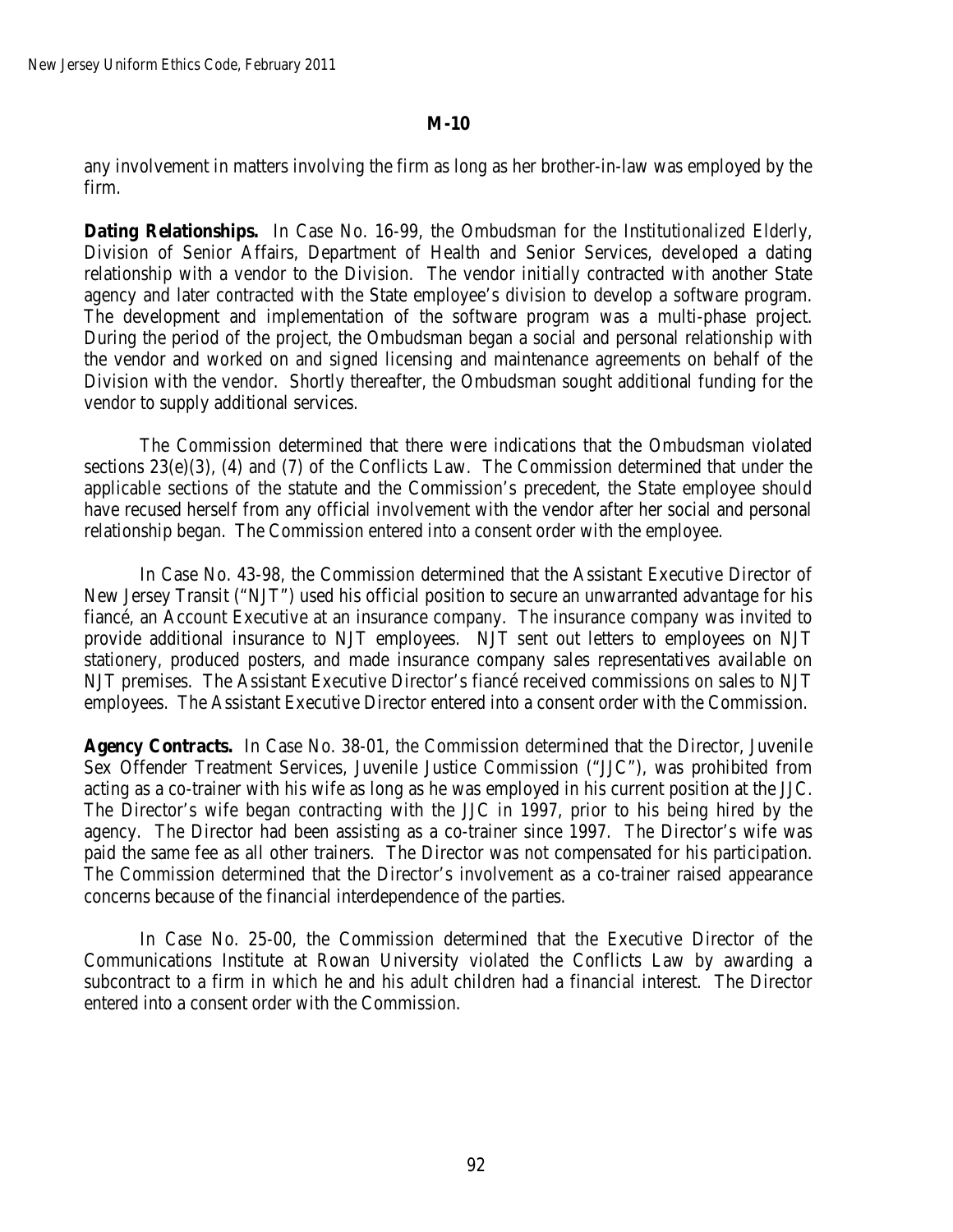any involvement in matters involving the firm as long as her brother-in-law was employed by the firm.

**Dating Relationships.** In Case No. 16-99, the Ombudsman for the Institutionalized Elderly, Division of Senior Affairs, Department of Health and Senior Services, developed a dating relationship with a vendor to the Division. The vendor initially contracted with another State agency and later contracted with the State employee's division to develop a software program. The development and implementation of the software program was a multi-phase project. During the period of the project, the Ombudsman began a social and personal relationship with the vendor and worked on and signed licensing and maintenance agreements on behalf of the Division with the vendor. Shortly thereafter, the Ombudsman sought additional funding for the vendor to supply additional services.

The Commission determined that there were indications that the Ombudsman violated sections 23(e)(3), (4) and (7) of the Conflicts Law. The Commission determined that under the applicable sections of the statute and the Commission's precedent, the State employee should have recused herself from any official involvement with the vendor after her social and personal relationship began. The Commission entered into a consent order with the employee.

In Case No. 43-98*,* the Commission determined that the Assistant Executive Director of New Jersey Transit ("NJT") used his official position to secure an unwarranted advantage for his fiancé, an Account Executive at an insurance company. The insurance company was invited to provide additional insurance to NJT employees. NJT sent out letters to employees on NJT stationery, produced posters, and made insurance company sales representatives available on NJT premises. The Assistant Executive Director's fiancé received commissions on sales to NJT employees. The Assistant Executive Director entered into a consent order with the Commission.

**Agency Contracts.** In Case No. 38-01*,* the Commission determined that the Director, Juvenile Sex Offender Treatment Services, Juvenile Justice Commission ("JJC"), was prohibited from acting as a co-trainer with his wife as long as he was employed in his current position at the JJC. The Director's wife began contracting with the JJC in 1997, prior to his being hired by the agency. The Director had been assisting as a co-trainer since 1997. The Director's wife was paid the same fee as all other trainers. The Director was not compensated for his participation. The Commission determined that the Director's involvement as a co-trainer raised appearance concerns because of the financial interdependence of the parties.

In Case No. 25-00, the Commission determined that the Executive Director of the Communications Institute at Rowan University violated the Conflicts Law by awarding a subcontract to a firm in which he and his adult children had a financial interest. The Director entered into a consent order with the Commission.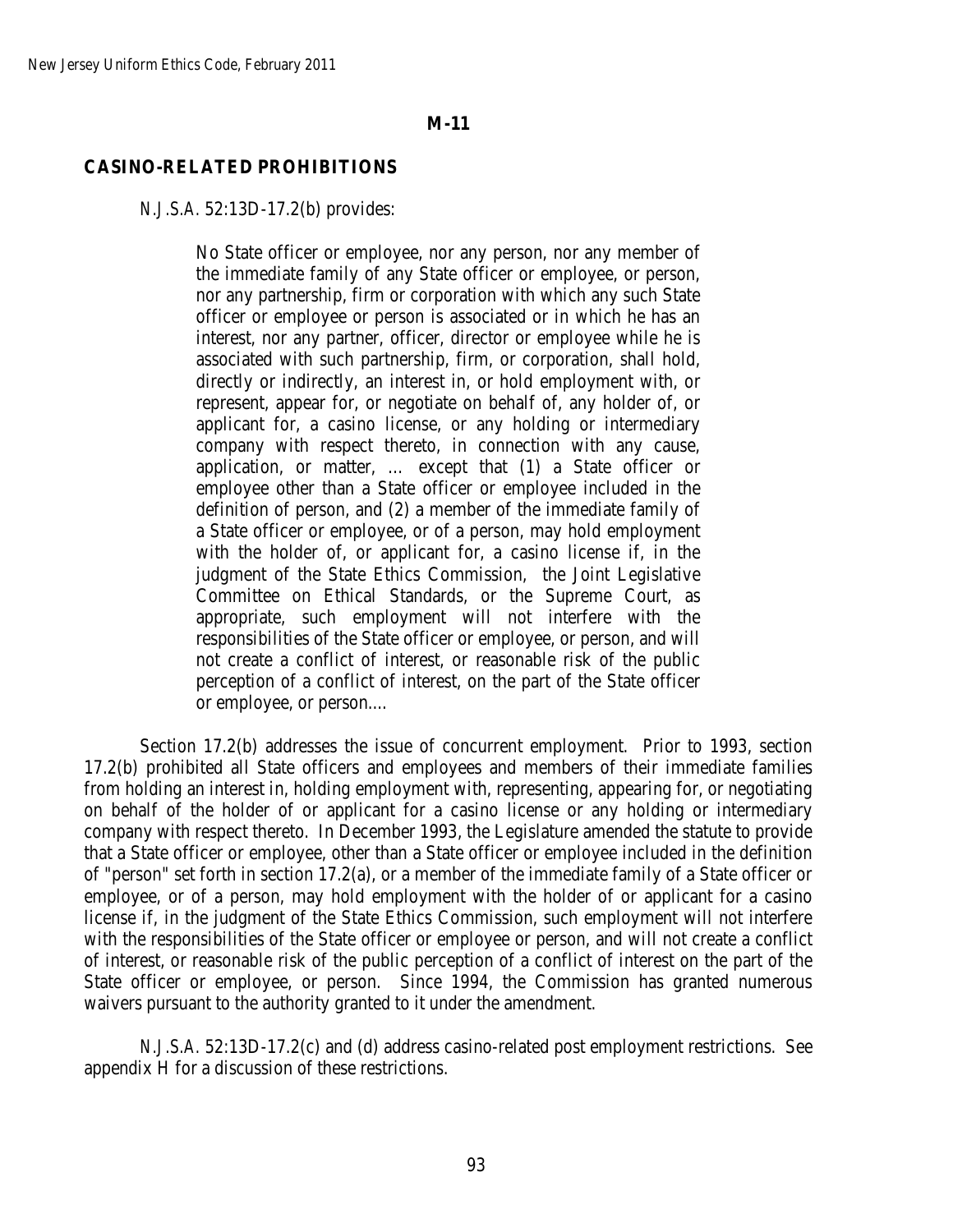## **CASINO-RELATED PROHIBITIONS**

#### *N.J.S.A.* 52:13D-17.2(b) provides:

No State officer or employee, nor any person, nor any member of the immediate family of any State officer or employee, or person, nor any partnership, firm or corporation with which any such State officer or employee or person is associated or in which he has an interest, nor any partner, officer, director or employee while he is associated with such partnership, firm, or corporation, shall hold, directly or indirectly, an interest in, or hold employment with, or represent, appear for, or negotiate on behalf of, any holder of, or applicant for, a casino license, or any holding or intermediary company with respect thereto, in connection with any cause, application, or matter, … except that (1) a State officer or employee other than a State officer or employee included in the definition of person, and (2) a member of the immediate family of a State officer or employee, or of a person, may hold employment with the holder of, or applicant for, a casino license if, in the judgment of the State Ethics Commission, the Joint Legislative Committee on Ethical Standards, or the Supreme Court, as appropriate, such employment will not interfere with the responsibilities of the State officer or employee, or person, and will not create a conflict of interest, or reasonable risk of the public perception of a conflict of interest, on the part of the State officer or employee, or person....

Section 17.2(b) addresses the issue of concurrent employment. Prior to 1993, section 17.2(b) prohibited all State officers and employees and members of their immediate families from holding an interest in, holding employment with, representing, appearing for, or negotiating on behalf of the holder of or applicant for a casino license or any holding or intermediary company with respect thereto. In December 1993, the Legislature amended the statute to provide that a State officer or employee, other than a State officer or employee included in the definition of "person" set forth in section 17.2(a), or a member of the immediate family of a State officer or employee, or of a person, may hold employment with the holder of or applicant for a casino license if, in the judgment of the State Ethics Commission, such employment will not interfere with the responsibilities of the State officer or employee or person, and will not create a conflict of interest, or reasonable risk of the public perception of a conflict of interest on the part of the State officer or employee, or person. Since 1994, the Commission has granted numerous waivers pursuant to the authority granted to it under the amendment.

*N.J.S.A.* 52:13D-17.2(c) and (d) address casino-related post employment restrictions. See appendix H for a discussion of these restrictions.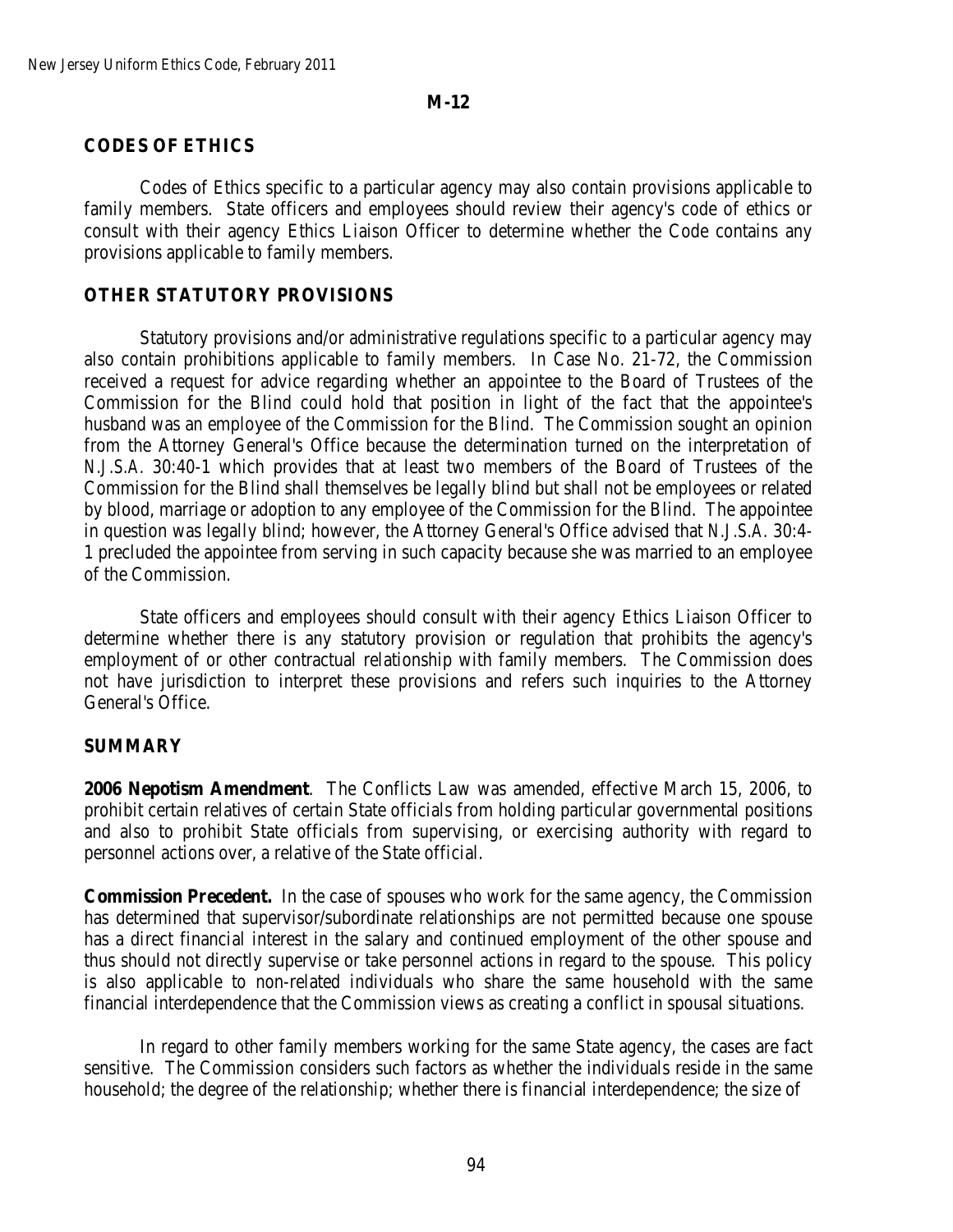### **CODES OF ETHICS**

Codes of Ethics specific to a particular agency may also contain provisions applicable to family members. State officers and employees should review their agency's code of ethics or consult with their agency Ethics Liaison Officer to determine whether the Code contains any provisions applicable to family members.

## **OTHER STATUTORY PROVISIONS**

Statutory provisions and/or administrative regulations specific to a particular agency may also contain prohibitions applicable to family members. In Case No. 21-72, the Commission received a request for advice regarding whether an appointee to the Board of Trustees of the Commission for the Blind could hold that position in light of the fact that the appointee's husband was an employee of the Commission for the Blind. The Commission sought an opinion from the Attorney General's Office because the determination turned on the interpretation of *N.J.S.A.* 30:40-1 which provides that at least two members of the Board of Trustees of the Commission for the Blind shall themselves be legally blind but shall not be employees or related by blood, marriage or adoption to any employee of the Commission for the Blind. The appointee in question was legally blind; however, the Attorney General's Office advised that *N.J.S.A.* 30:4- 1 precluded the appointee from serving in such capacity because she was married to an employee of the Commission.

State officers and employees should consult with their agency Ethics Liaison Officer to determine whether there is any statutory provision or regulation that prohibits the agency's employment of or other contractual relationship with family members. The Commission does not have jurisdiction to interpret these provisions and refers such inquiries to the Attorney General's Office.

### **SUMMARY**

**2006 Nepotism Amendment**. The Conflicts Law was amended, effective March 15, 2006, to prohibit certain relatives of certain State officials from holding particular governmental positions and also to prohibit State officials from supervising, or exercising authority with regard to personnel actions over, a relative of the State official.

**Commission Precedent.** In the case of spouses who work for the same agency, the Commission has determined that supervisor/subordinate relationships are not permitted because one spouse has a direct financial interest in the salary and continued employment of the other spouse and thus should not directly supervise or take personnel actions in regard to the spouse. This policy is also applicable to non-related individuals who share the same household with the same financial interdependence that the Commission views as creating a conflict in spousal situations.

In regard to other family members working for the same State agency, the cases are fact sensitive. The Commission considers such factors as whether the individuals reside in the same household; the degree of the relationship; whether there is financial interdependence; the size of